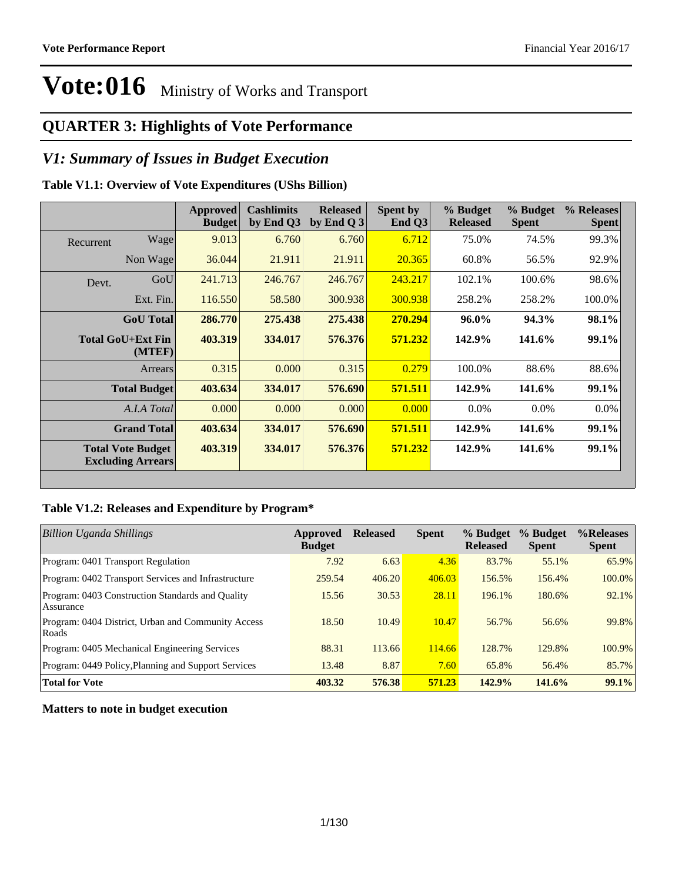#### **QUARTER 3: Highlights of Vote Performance**

#### *V1: Summary of Issues in Budget Execution*

#### **Table V1.1: Overview of Vote Expenditures (UShs Billion)**

|           |                                                      | <b>Approved</b><br><b>Budget</b> | <b>Cashlimits</b><br>by End Q3 | <b>Released</b><br>by End $Q3$ | Spent by<br>End $Q3$ | % Budget<br><b>Released</b> | % Budget<br><b>Spent</b> | % Releases<br><b>Spent</b> |
|-----------|------------------------------------------------------|----------------------------------|--------------------------------|--------------------------------|----------------------|-----------------------------|--------------------------|----------------------------|
| Recurrent | Wage                                                 | 9.013                            | 6.760                          | 6.760                          | 6.712                | 75.0%                       | 74.5%                    | 99.3%                      |
|           | Non Wage                                             | 36.044                           | 21.911                         | 21.911                         | 20.365               | 60.8%                       | 56.5%                    | 92.9%                      |
| Devt.     | GoU                                                  | 241.713                          | 246.767                        | 246.767                        | 243.217              | 102.1%                      | 100.6%                   | 98.6%                      |
|           | Ext. Fin.                                            | 116.550                          | 58.580                         | 300.938                        | 300.938              | 258.2%                      | 258.2%                   | 100.0%                     |
|           | <b>GoU</b> Total                                     | 286.770                          | 275.438                        | 275.438                        | 270.294              | 96.0%                       | 94.3%                    | 98.1%                      |
|           | Total GoU+Ext Fin<br>(MTEF)                          | 403.319                          | 334.017                        | 576.376                        | 571.232              | 142.9%                      | 141.6%                   | 99.1%                      |
|           | Arrears                                              | 0.315                            | 0.000                          | 0.315                          | 0.279                | 100.0%                      | 88.6%                    | 88.6%                      |
|           | <b>Total Budget</b>                                  | 403.634                          | 334.017                        | 576.690                        | 571.511              | 142.9%                      | 141.6%                   | 99.1%                      |
|           | A.I.A Total                                          | 0.000                            | 0.000                          | 0.000                          | 0.000                | $0.0\%$                     | $0.0\%$                  | $0.0\%$                    |
|           | <b>Grand Total</b>                                   | 403.634                          | 334.017                        | 576.690                        | 571.511              | 142.9%                      | 141.6%                   | 99.1%                      |
|           | <b>Total Vote Budget</b><br><b>Excluding Arrears</b> | 403.319                          | 334.017                        | 576.376                        | 571.232              | 142.9%                      | 141.6%                   | 99.1%                      |

#### **Table V1.2: Releases and Expenditure by Program\***

| <b>Billion Uganda Shillings</b>                               | Approved<br><b>Budget</b> | <b>Released</b> | <b>Spent</b> | % Budget<br><b>Released</b> | % Budget<br><b>Spent</b> | %Releases<br><b>Spent</b> |
|---------------------------------------------------------------|---------------------------|-----------------|--------------|-----------------------------|--------------------------|---------------------------|
| Program: 0401 Transport Regulation                            | 7.92                      | 6.63            | 4.36         | 83.7%                       | 55.1%                    | 65.9%                     |
| Program: 0402 Transport Services and Infrastructure           | 259.54                    | 406.20          | 406.03       | 156.5%                      | 156.4%                   | $100.0\%$                 |
| Program: 0403 Construction Standards and Quality<br>Assurance | 15.56                     | 30.53           | 28.11        | 196.1%                      | 180.6%                   | 92.1%                     |
| Program: 0404 District, Urban and Community Access<br>Roads   | 18.50                     | 10.49           | 10.47        | 56.7%                       | 56.6%                    | 99.8%                     |
| Program: 0405 Mechanical Engineering Services                 | 88.31                     | 113.66          | 114.66       | 128.7%                      | 129.8%                   | 100.9%                    |
| Program: 0449 Policy, Planning and Support Services           | 13.48                     | 8.87            | 7.60         | 65.8%                       | 56.4%                    | 85.7%                     |
| <b>Total for Vote</b>                                         | 403.32                    | 576.38          | 571.23       | 142.9%                      | 141.6%                   | 99.1%                     |

**Matters to note in budget execution**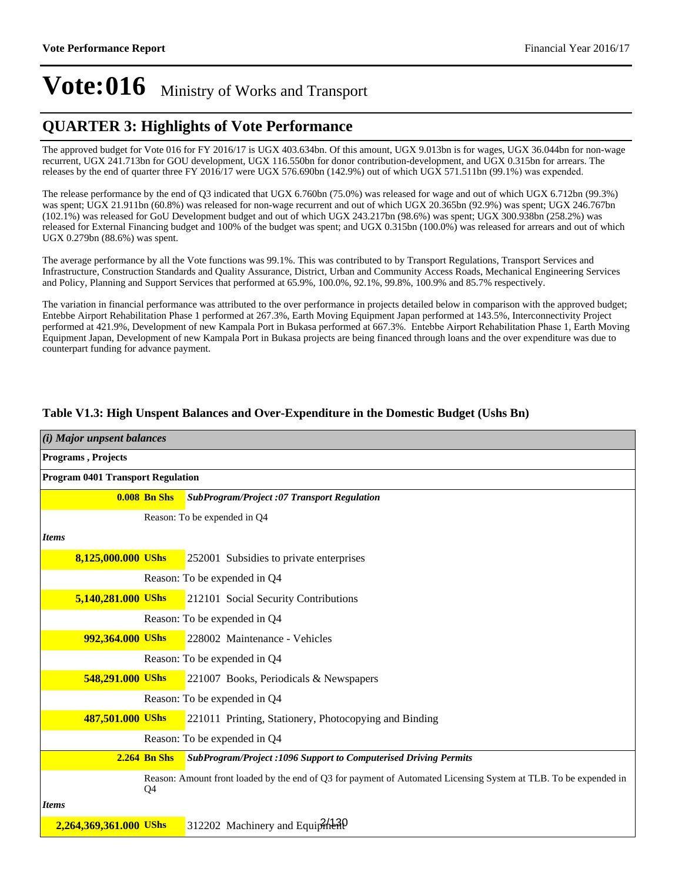#### **QUARTER 3: Highlights of Vote Performance**

The approved budget for Vote 016 for FY 2016/17 is UGX 403.634bn. Of this amount, UGX 9.013bn is for wages, UGX 36.044bn for non-wage recurrent, UGX 241.713bn for GOU development, UGX 116.550bn for donor contribution-development, and UGX 0.315bn for arrears. The releases by the end of quarter three FY 2016/17 were UGX 576.690bn (142.9%) out of which UGX 571.511bn (99.1%) was expended.

The release performance by the end of Q3 indicated that UGX 6.760bn (75.0%) was released for wage and out of which UGX 6.712bn (99.3%) was spent; UGX 21.911bn (60.8%) was released for non-wage recurrent and out of which UGX 20.365bn (92.9%) was spent; UGX 246.767bn (102.1%) was released for GoU Development budget and out of which UGX 243.217bn (98.6%) was spent; UGX 300.938bn (258.2%) was released for External Financing budget and 100% of the budget was spent; and UGX 0.315bn (100.0%) was released for arrears and out of which UGX 0.279bn (88.6%) was spent.

The average performance by all the Vote functions was 99.1%. This was contributed to by Transport Regulations, Transport Services and Infrastructure, Construction Standards and Quality Assurance, District, Urban and Community Access Roads, Mechanical Engineering Services and Policy, Planning and Support Services that performed at 65.9%, 100.0%, 92.1%, 99.8%, 100.9% and 85.7% respectively.

The variation in financial performance was attributed to the over performance in projects detailed below in comparison with the approved budget; Entebbe Airport Rehabilitation Phase 1 performed at 267.3%, Earth Moving Equipment Japan performed at 143.5%, Interconnectivity Project performed at 421.9%, Development of new Kampala Port in Bukasa performed at 667.3%. Entebbe Airport Rehabilitation Phase 1, Earth Moving Equipment Japan, Development of new Kampala Port in Bukasa projects are being financed through loans and the over expenditure was due to counterpart funding for advance payment.

| $(i)$ Major unpsent balances             |                     |                                                                                                                  |  |  |  |
|------------------------------------------|---------------------|------------------------------------------------------------------------------------------------------------------|--|--|--|
| Programs, Projects                       |                     |                                                                                                                  |  |  |  |
| <b>Program 0401 Transport Regulation</b> |                     |                                                                                                                  |  |  |  |
|                                          | $0.008$ Bn Shs      | SubProgram/Project :07 Transport Regulation                                                                      |  |  |  |
|                                          |                     | Reason: To be expended in Q4                                                                                     |  |  |  |
| <b>Items</b>                             |                     |                                                                                                                  |  |  |  |
| 8,125,000.000 UShs                       |                     | 252001 Subsidies to private enterprises                                                                          |  |  |  |
|                                          |                     | Reason: To be expended in Q4                                                                                     |  |  |  |
| 5,140,281.000 UShs                       |                     | 212101 Social Security Contributions                                                                             |  |  |  |
|                                          |                     | Reason: To be expended in Q4                                                                                     |  |  |  |
| 992,364.000 UShs                         |                     | 228002 Maintenance - Vehicles                                                                                    |  |  |  |
|                                          |                     | Reason: To be expended in Q4                                                                                     |  |  |  |
| 548,291.000 UShs                         |                     | 221007 Books, Periodicals & Newspapers                                                                           |  |  |  |
|                                          |                     | Reason: To be expended in Q4                                                                                     |  |  |  |
| 487,501.000 UShs                         |                     | 221011 Printing, Stationery, Photocopying and Binding                                                            |  |  |  |
|                                          |                     | Reason: To be expended in Q4                                                                                     |  |  |  |
|                                          | <b>2.264 Bn Shs</b> | SubProgram/Project: 1096 Support to Computerised Driving Permits                                                 |  |  |  |
|                                          | Q4                  | Reason: Amount front loaded by the end of Q3 for payment of Automated Licensing System at TLB. To be expended in |  |  |  |
| <b>Items</b>                             |                     |                                                                                                                  |  |  |  |
| 2,264,369,361.000 UShs                   |                     | 312202 Machinery and Equiphientless                                                                              |  |  |  |

#### **Table V1.3: High Unspent Balances and Over-Expenditure in the Domestic Budget (Ushs Bn)**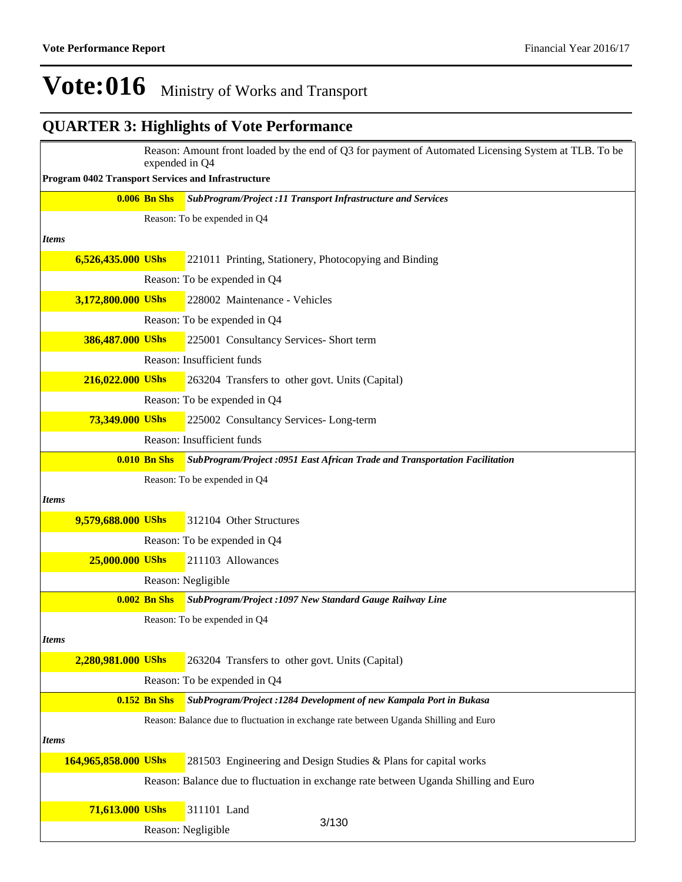|              | Reason: Amount front loaded by the end of Q3 for payment of Automated Licensing System at TLB. To be<br>expended in Q4 |                     |                                                                                      |  |  |  |  |
|--------------|------------------------------------------------------------------------------------------------------------------------|---------------------|--------------------------------------------------------------------------------------|--|--|--|--|
|              | Program 0402 Transport Services and Infrastructure                                                                     |                     |                                                                                      |  |  |  |  |
|              |                                                                                                                        | <b>0.006 Bn Shs</b> | <b>SubProgram/Project :11 Transport Infrastructure and Services</b>                  |  |  |  |  |
|              |                                                                                                                        |                     | Reason: To be expended in Q4                                                         |  |  |  |  |
| <b>Items</b> |                                                                                                                        |                     |                                                                                      |  |  |  |  |
|              | 6,526,435.000 UShs                                                                                                     |                     | 221011 Printing, Stationery, Photocopying and Binding                                |  |  |  |  |
|              |                                                                                                                        |                     | Reason: To be expended in Q4                                                         |  |  |  |  |
|              | 3,172,800.000 UShs                                                                                                     |                     | 228002 Maintenance - Vehicles                                                        |  |  |  |  |
|              |                                                                                                                        |                     | Reason: To be expended in Q4                                                         |  |  |  |  |
|              | 386,487.000 UShs                                                                                                       |                     | 225001 Consultancy Services- Short term                                              |  |  |  |  |
|              |                                                                                                                        |                     | Reason: Insufficient funds                                                           |  |  |  |  |
|              | 216,022.000 UShs                                                                                                       |                     | 263204 Transfers to other govt. Units (Capital)                                      |  |  |  |  |
|              |                                                                                                                        |                     | Reason: To be expended in Q4                                                         |  |  |  |  |
|              | 73,349.000 UShs                                                                                                        |                     | 225002 Consultancy Services-Long-term                                                |  |  |  |  |
|              |                                                                                                                        |                     | Reason: Insufficient funds                                                           |  |  |  |  |
|              |                                                                                                                        | <b>0.010 Bn Shs</b> | SubProgram/Project :0951 East African Trade and Transportation Facilitation          |  |  |  |  |
|              |                                                                                                                        |                     | Reason: To be expended in Q4                                                         |  |  |  |  |
| <b>Items</b> |                                                                                                                        |                     |                                                                                      |  |  |  |  |
|              | 9,579,688.000 UShs                                                                                                     |                     | 312104 Other Structures                                                              |  |  |  |  |
|              |                                                                                                                        |                     | Reason: To be expended in Q4                                                         |  |  |  |  |
|              | 25,000.000 UShs                                                                                                        |                     | 211103 Allowances                                                                    |  |  |  |  |
|              |                                                                                                                        |                     | Reason: Negligible                                                                   |  |  |  |  |
|              |                                                                                                                        | <b>0.002 Bn Shs</b> | SubProgram/Project: 1097 New Standard Gauge Railway Line                             |  |  |  |  |
|              |                                                                                                                        |                     | Reason: To be expended in Q4                                                         |  |  |  |  |
| <b>Items</b> |                                                                                                                        |                     |                                                                                      |  |  |  |  |
|              | 2,280,981.000 UShs                                                                                                     |                     | 263204 Transfers to other govt. Units (Capital)                                      |  |  |  |  |
|              |                                                                                                                        |                     | Reason: To be expended in Q4                                                         |  |  |  |  |
|              |                                                                                                                        | $0.152$ Bn Shs      | SubProgram/Project : 1284 Development of new Kampala Port in Bukasa                  |  |  |  |  |
|              |                                                                                                                        |                     | Reason: Balance due to fluctuation in exchange rate between Uganda Shilling and Euro |  |  |  |  |
| <b>Items</b> |                                                                                                                        |                     |                                                                                      |  |  |  |  |
|              | 164,965,858.000 UShs                                                                                                   |                     | 281503 Engineering and Design Studies & Plans for capital works                      |  |  |  |  |
|              |                                                                                                                        |                     | Reason: Balance due to fluctuation in exchange rate between Uganda Shilling and Euro |  |  |  |  |
|              | 71,613.000 UShs                                                                                                        |                     | 311101 Land                                                                          |  |  |  |  |
|              |                                                                                                                        |                     | 3/130<br>Reason: Negligible                                                          |  |  |  |  |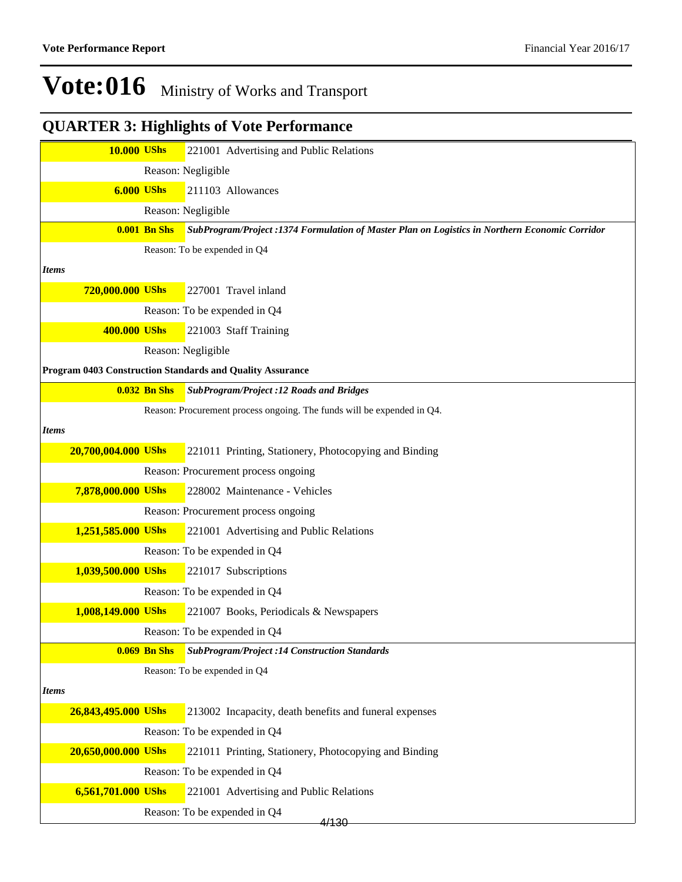| <b>10.000 UShs</b>  |                     | 221001 Advertising and Public Relations                                                        |
|---------------------|---------------------|------------------------------------------------------------------------------------------------|
|                     |                     | Reason: Negligible                                                                             |
| <b>6.000 UShs</b>   |                     | 211103 Allowances                                                                              |
|                     |                     | Reason: Negligible                                                                             |
|                     | <b>0.001 Bn Shs</b> | SubProgram/Project :1374 Formulation of Master Plan on Logistics in Northern Economic Corridor |
|                     |                     | Reason: To be expended in Q4                                                                   |
| <b>Items</b>        |                     |                                                                                                |
| 720,000.000 UShs    |                     | 227001 Travel inland                                                                           |
|                     |                     | Reason: To be expended in Q4                                                                   |
| 400.000 UShs        |                     | 221003 Staff Training                                                                          |
|                     |                     | Reason: Negligible                                                                             |
|                     |                     | Program 0403 Construction Standards and Quality Assurance                                      |
|                     | <b>0.032 Bn Shs</b> | <b>SubProgram/Project :12 Roads and Bridges</b>                                                |
|                     |                     | Reason: Procurement process ongoing. The funds will be expended in Q4.                         |
| <b>Items</b>        |                     |                                                                                                |
| 20,700,004.000 UShs |                     | 221011 Printing, Stationery, Photocopying and Binding                                          |
|                     |                     | Reason: Procurement process ongoing                                                            |
| 7,878,000.000 UShs  |                     | 228002 Maintenance - Vehicles                                                                  |
|                     |                     | Reason: Procurement process ongoing                                                            |
| 1,251,585.000 UShs  |                     | 221001 Advertising and Public Relations                                                        |
|                     |                     | Reason: To be expended in Q4                                                                   |
| 1,039,500.000 UShs  |                     | 221017 Subscriptions                                                                           |
|                     |                     | Reason: To be expended in Q4                                                                   |
| 1,008,149.000 UShs  |                     | 221007 Books, Periodicals & Newspapers                                                         |
|                     |                     | Reason: To be expended in Q4                                                                   |
|                     | <b>0.069 Bn Shs</b> | <b>SubProgram/Project :14 Construction Standards</b>                                           |
|                     |                     | Reason: To be expended in Q4                                                                   |
| <b>Items</b>        |                     |                                                                                                |
| 26,843,495.000 UShs |                     | 213002 Incapacity, death benefits and funeral expenses                                         |
|                     |                     | Reason: To be expended in Q4                                                                   |
| 20,650,000.000 UShs |                     | 221011 Printing, Stationery, Photocopying and Binding                                          |
|                     |                     | Reason: To be expended in Q4                                                                   |
| 6,561,701.000 UShs  |                     | 221001 Advertising and Public Relations                                                        |
|                     |                     | Reason: To be expended in Q4<br>4/130                                                          |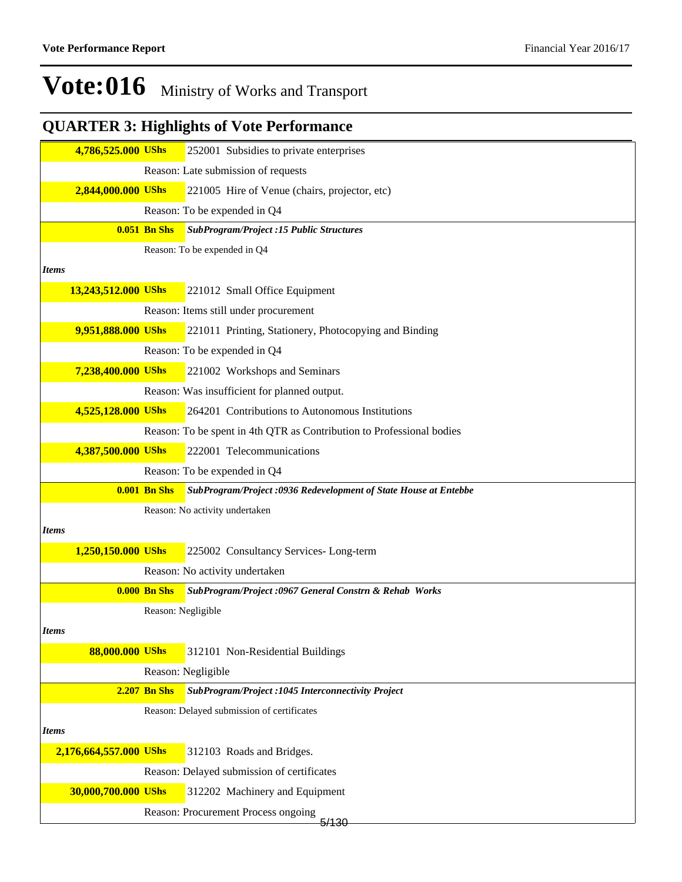|              | 4,786,525.000 UShs     |                     | 252001 Subsidies to private enterprises                               |
|--------------|------------------------|---------------------|-----------------------------------------------------------------------|
|              |                        |                     | Reason: Late submission of requests                                   |
|              | 2,844,000.000 UShs     |                     | 221005 Hire of Venue (chairs, projector, etc)                         |
|              |                        |                     | Reason: To be expended in Q4                                          |
|              |                        | <b>0.051 Bn Shs</b> | <b>SubProgram/Project :15 Public Structures</b>                       |
|              |                        |                     | Reason: To be expended in Q4                                          |
| <b>Items</b> |                        |                     |                                                                       |
|              | 13,243,512.000 UShs    |                     | 221012 Small Office Equipment                                         |
|              |                        |                     | Reason: Items still under procurement                                 |
|              | 9,951,888.000 UShs     |                     | 221011 Printing, Stationery, Photocopying and Binding                 |
|              |                        |                     | Reason: To be expended in Q4                                          |
|              | 7,238,400.000 UShs     |                     | 221002 Workshops and Seminars                                         |
|              |                        |                     | Reason: Was insufficient for planned output.                          |
|              | 4,525,128.000 UShs     |                     | 264201 Contributions to Autonomous Institutions                       |
|              |                        |                     | Reason: To be spent in 4th QTR as Contribution to Professional bodies |
|              | 4,387,500.000 UShs     |                     | 222001 Telecommunications                                             |
|              |                        |                     | Reason: To be expended in Q4                                          |
|              |                        | <b>0.001 Bn Shs</b> | SubProgram/Project:0936 Redevelopment of State House at Entebbe       |
|              |                        |                     | Reason: No activity undertaken                                        |
| <b>Items</b> |                        |                     |                                                                       |
|              | 1,250,150.000 UShs     |                     | 225002 Consultancy Services-Long-term                                 |
|              |                        |                     | Reason: No activity undertaken                                        |
|              |                        | <b>0.000 Bn Shs</b> | SubProgram/Project :0967 General Constrn & Rehab Works                |
|              |                        | Reason: Negligible  |                                                                       |
| <i>Items</i> |                        |                     |                                                                       |
|              | 88,000.000 UShs        |                     | 312101 Non-Residential Buildings                                      |
|              |                        |                     | Reason: Negligible                                                    |
|              |                        | <b>2.207 Bn Shs</b> | SubProgram/Project :1045 Interconnectivity Project                    |
|              |                        |                     | Reason: Delayed submission of certificates                            |
| <b>Items</b> |                        |                     |                                                                       |
|              | 2,176,664,557.000 UShs |                     | 312103 Roads and Bridges.                                             |
|              |                        |                     | Reason: Delayed submission of certificates                            |
|              | 30,000,700.000 UShs    |                     | 312202 Machinery and Equipment                                        |
|              |                        |                     |                                                                       |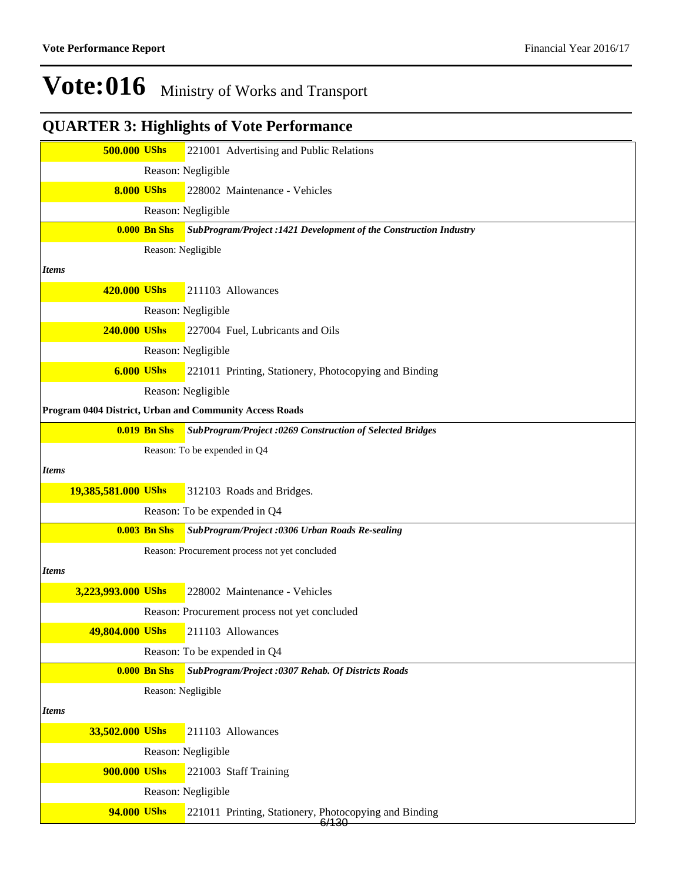| <b>500.000 UShs</b> |                     | 221001 Advertising and Public Relations                           |
|---------------------|---------------------|-------------------------------------------------------------------|
|                     |                     | Reason: Negligible                                                |
| <b>8.000 UShs</b>   |                     | 228002 Maintenance - Vehicles                                     |
|                     |                     | Reason: Negligible                                                |
|                     | <b>0.000 Bn Shs</b> | SubProgram/Project :1421 Development of the Construction Industry |
|                     | Reason: Negligible  |                                                                   |
| <b>Items</b>        |                     |                                                                   |
| 420.000 UShs        |                     | 211103 Allowances                                                 |
|                     |                     | Reason: Negligible                                                |
| <b>240.000 UShs</b> |                     | 227004 Fuel, Lubricants and Oils                                  |
|                     |                     | Reason: Negligible                                                |
| <b>6.000 UShs</b>   |                     | 221011 Printing, Stationery, Photocopying and Binding             |
|                     |                     | Reason: Negligible                                                |
|                     |                     | Program 0404 District, Urban and Community Access Roads           |
|                     | <b>0.019 Bn Shs</b> | SubProgram/Project :0269 Construction of Selected Bridges         |
|                     |                     | Reason: To be expended in Q4                                      |
| <b>Items</b>        |                     |                                                                   |
| 19,385,581.000 UShs |                     | 312103 Roads and Bridges.                                         |
|                     |                     | Reason: To be expended in Q4                                      |
|                     | <b>0.003 Bn Shs</b> | SubProgram/Project :0306 Urban Roads Re-sealing                   |
|                     |                     | Reason: Procurement process not yet concluded                     |
| <b>Items</b>        |                     |                                                                   |
| 3,223,993.000 UShs  |                     | 228002 Maintenance - Vehicles                                     |
|                     |                     | Reason: Procurement process not yet concluded                     |
| 49,804.000 UShs     |                     | 211103 Allowances                                                 |
|                     |                     | Reason: To be expended in Q4                                      |
|                     | <b>0.000 Bn Shs</b> | SubProgram/Project: 0307 Rehab. Of Districts Roads                |
|                     | Reason: Negligible  |                                                                   |
| <b>Items</b>        |                     |                                                                   |
| 33,502.000 UShs     |                     | 211103 Allowances                                                 |
|                     |                     | Reason: Negligible                                                |
| 900.000 UShs        |                     | 221003 Staff Training                                             |
|                     |                     | Reason: Negligible                                                |
| 94.000 UShs         |                     | 221011 Printing, Stationery, Photocopying and Binding<br>6/130    |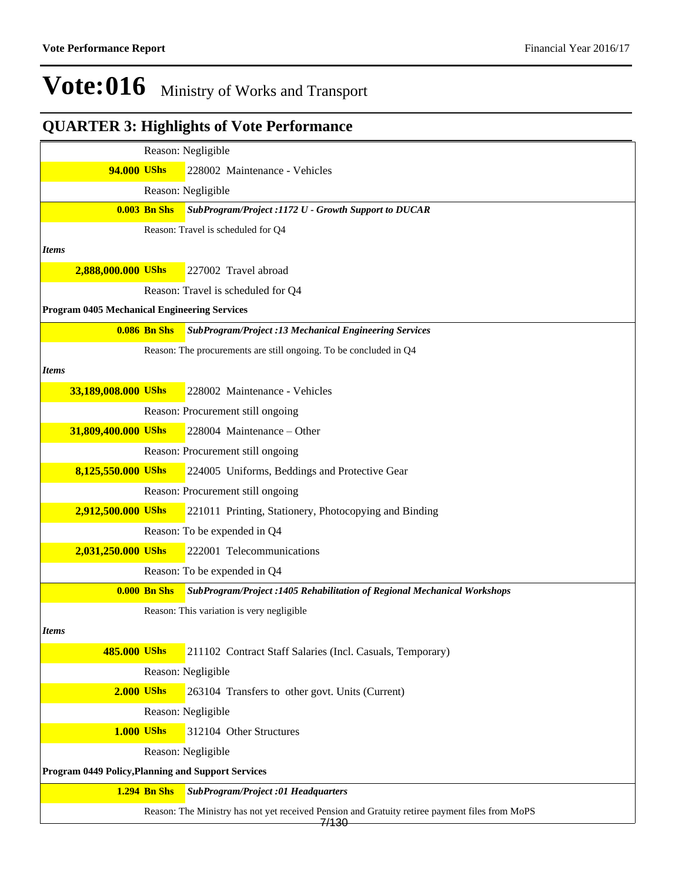|                                                     |                     | Reason: Negligible                                                                                                 |
|-----------------------------------------------------|---------------------|--------------------------------------------------------------------------------------------------------------------|
| 94.000 UShs                                         |                     | 228002 Maintenance - Vehicles                                                                                      |
|                                                     |                     | Reason: Negligible                                                                                                 |
|                                                     | <b>0.003 Bn Shs</b> | SubProgram/Project :1172 U - Growth Support to DUCAR                                                               |
|                                                     |                     | Reason: Travel is scheduled for Q4                                                                                 |
| <b>Items</b>                                        |                     |                                                                                                                    |
| 2,888,000.000 UShs                                  |                     | 227002 Travel abroad                                                                                               |
|                                                     |                     | Reason: Travel is scheduled for Q4                                                                                 |
| <b>Program 0405 Mechanical Engineering Services</b> |                     |                                                                                                                    |
|                                                     | <b>0.086 Bn Shs</b> | <b>SubProgram/Project :13 Mechanical Engineering Services</b>                                                      |
|                                                     |                     | Reason: The procurements are still ongoing. To be concluded in Q4                                                  |
| <b>Items</b>                                        |                     |                                                                                                                    |
| 33,189,008.000 UShs                                 |                     | 228002 Maintenance - Vehicles                                                                                      |
|                                                     |                     | Reason: Procurement still ongoing                                                                                  |
| 31,809,400.000 UShs                                 |                     | 228004 Maintenance - Other                                                                                         |
|                                                     |                     | Reason: Procurement still ongoing                                                                                  |
| 8,125,550.000 UShs                                  |                     | 224005 Uniforms, Beddings and Protective Gear                                                                      |
|                                                     |                     | Reason: Procurement still ongoing                                                                                  |
| 2,912,500.000 UShs                                  |                     | 221011 Printing, Stationery, Photocopying and Binding                                                              |
|                                                     |                     | Reason: To be expended in Q4                                                                                       |
| 2,031,250.000 UShs                                  |                     | 222001 Telecommunications                                                                                          |
|                                                     |                     | Reason: To be expended in Q4                                                                                       |
|                                                     | <b>0.000 Bn Shs</b> | SubProgram/Project: 1405 Rehabilitation of Regional Mechanical Workshops                                           |
|                                                     |                     | Reason: This variation is very negligible                                                                          |
| <i>Items</i>                                        |                     |                                                                                                                    |
| 485.000 UShs                                        |                     | 211102 Contract Staff Salaries (Incl. Casuals, Temporary)                                                          |
|                                                     |                     | Reason: Negligible                                                                                                 |
| <b>2.000 UShs</b>                                   |                     | 263104 Transfers to other govt. Units (Current)                                                                    |
|                                                     |                     | Reason: Negligible                                                                                                 |
| <b>1.000 UShs</b>                                   |                     | 312104 Other Structures                                                                                            |
|                                                     |                     | Reason: Negligible                                                                                                 |
| Program 0449 Policy, Planning and Support Services  |                     |                                                                                                                    |
|                                                     | <b>1.294 Bn Shs</b> | <b>SubProgram/Project :01 Headquarters</b>                                                                         |
|                                                     |                     | Reason: The Ministry has not yet received Pension and Gratuity retiree payment files from MoPS<br><del>7/130</del> |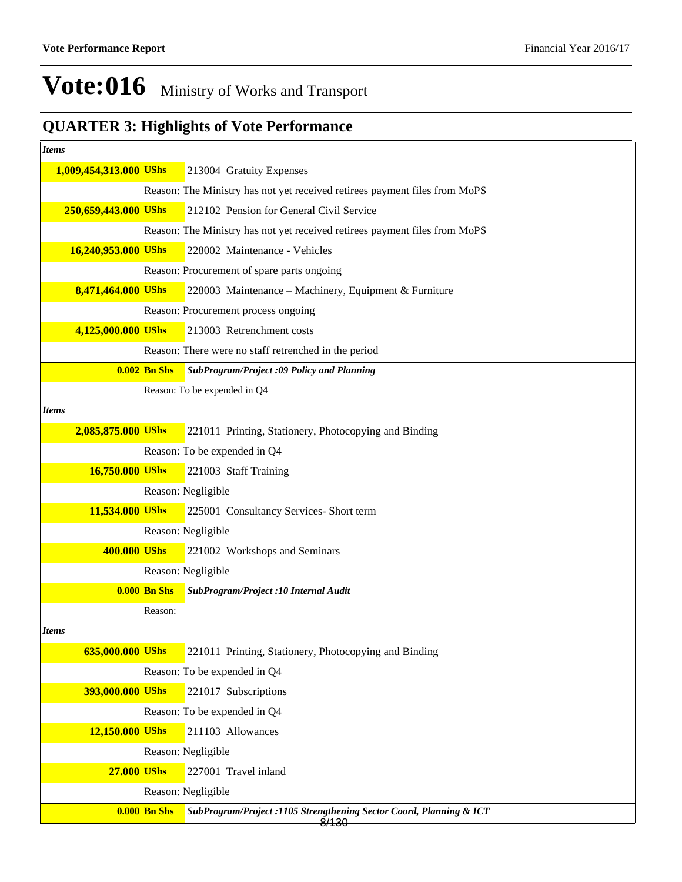| <b>Items</b>           |                     |                                                                              |  |  |  |
|------------------------|---------------------|------------------------------------------------------------------------------|--|--|--|
| 1,009,454,313.000 UShs |                     | 213004 Gratuity Expenses                                                     |  |  |  |
|                        |                     | Reason: The Ministry has not yet received retirees payment files from MoPS   |  |  |  |
| 250,659,443.000 UShs   |                     | 212102 Pension for General Civil Service                                     |  |  |  |
|                        |                     | Reason: The Ministry has not yet received retirees payment files from MoPS   |  |  |  |
| 16,240,953.000 UShs    |                     | 228002 Maintenance - Vehicles                                                |  |  |  |
|                        |                     | Reason: Procurement of spare parts ongoing                                   |  |  |  |
| 8,471,464.000 UShs     |                     | 228003 Maintenance - Machinery, Equipment & Furniture                        |  |  |  |
|                        |                     | Reason: Procurement process ongoing                                          |  |  |  |
| 4,125,000.000 UShs     |                     | 213003 Retrenchment costs                                                    |  |  |  |
|                        |                     | Reason: There were no staff retrenched in the period                         |  |  |  |
|                        | <b>0.002 Bn Shs</b> | <b>SubProgram/Project :09 Policy and Planning</b>                            |  |  |  |
|                        |                     | Reason: To be expended in Q4                                                 |  |  |  |
| <b>Items</b>           |                     |                                                                              |  |  |  |
| 2,085,875.000 UShs     |                     | 221011 Printing, Stationery, Photocopying and Binding                        |  |  |  |
|                        |                     | Reason: To be expended in Q4                                                 |  |  |  |
| 16,750.000 UShs        |                     | 221003 Staff Training                                                        |  |  |  |
|                        |                     | Reason: Negligible                                                           |  |  |  |
| 11,534.000 UShs        |                     | 225001 Consultancy Services- Short term                                      |  |  |  |
|                        |                     | Reason: Negligible                                                           |  |  |  |
| 400.000 UShs           |                     | 221002 Workshops and Seminars                                                |  |  |  |
|                        |                     | Reason: Negligible                                                           |  |  |  |
|                        | <b>0.000 Bn Shs</b> | SubProgram/Project :10 Internal Audit                                        |  |  |  |
|                        | Reason:             |                                                                              |  |  |  |
| <i>Items</i>           |                     |                                                                              |  |  |  |
| 635,000.000 UShs       |                     | 221011 Printing, Stationery, Photocopying and Binding                        |  |  |  |
|                        |                     | Reason: To be expended in Q4                                                 |  |  |  |
| 393,000.000 UShs       |                     | 221017 Subscriptions                                                         |  |  |  |
|                        |                     | Reason: To be expended in Q4                                                 |  |  |  |
| 12,150.000 UShs        |                     | 211103 Allowances                                                            |  |  |  |
|                        |                     | Reason: Negligible                                                           |  |  |  |
| <b>27.000 UShs</b>     |                     | 227001 Travel inland                                                         |  |  |  |
|                        |                     | Reason: Negligible                                                           |  |  |  |
|                        | <b>0.000 Bn Shs</b> | SubProgram/Project: 1105 Strengthening Sector Coord, Planning & ICT<br>8/130 |  |  |  |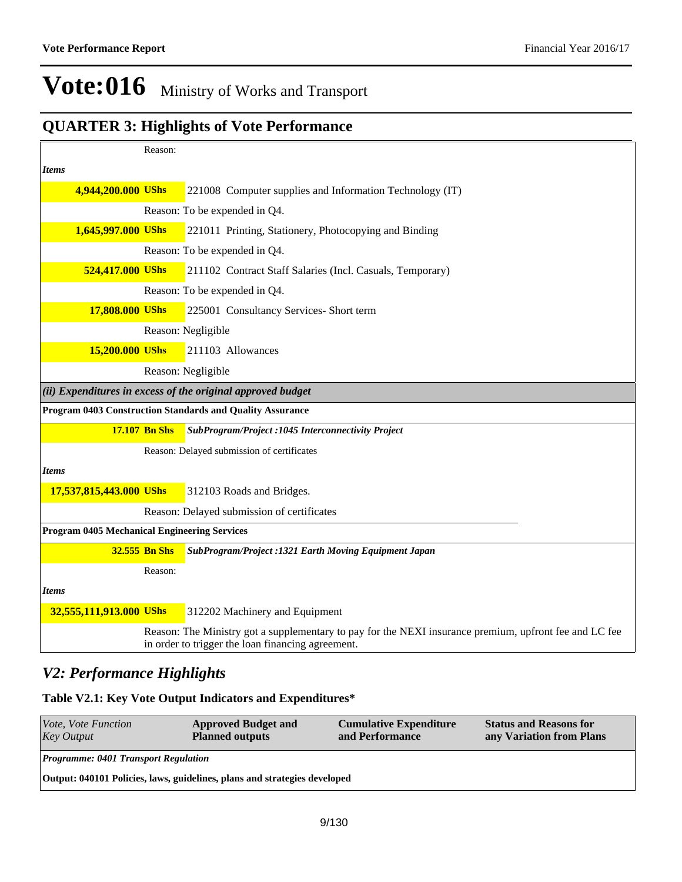### **QUARTER 3: Highlights of Vote Performance**

|                                                     | Reason:              |                                                                                                                                                             |
|-----------------------------------------------------|----------------------|-------------------------------------------------------------------------------------------------------------------------------------------------------------|
| <b>Items</b>                                        |                      |                                                                                                                                                             |
| 4,944,200.000 UShs                                  |                      | 221008 Computer supplies and Information Technology (IT)                                                                                                    |
|                                                     |                      | Reason: To be expended in Q4.                                                                                                                               |
| 1,645,997.000 UShs                                  |                      | 221011 Printing, Stationery, Photocopying and Binding                                                                                                       |
|                                                     |                      | Reason: To be expended in Q4.                                                                                                                               |
| 524,417.000 UShs                                    |                      | 211102 Contract Staff Salaries (Incl. Casuals, Temporary)                                                                                                   |
|                                                     |                      | Reason: To be expended in Q4.                                                                                                                               |
| 17,808.000 UShs                                     |                      | 225001 Consultancy Services- Short term                                                                                                                     |
|                                                     |                      | Reason: Negligible                                                                                                                                          |
| 15,200.000 UShs                                     |                      | 211103 Allowances                                                                                                                                           |
|                                                     |                      | Reason: Negligible                                                                                                                                          |
|                                                     |                      | $(ii)$ Expenditures in excess of the original approved budget                                                                                               |
|                                                     |                      | Program 0403 Construction Standards and Quality Assurance                                                                                                   |
|                                                     | <b>17.107 Bn Shs</b> | SubProgram/Project : 1045 Interconnectivity Project                                                                                                         |
|                                                     |                      | Reason: Delayed submission of certificates                                                                                                                  |
| <b>Items</b>                                        |                      |                                                                                                                                                             |
| 17,537,815,443.000 UShs                             |                      | 312103 Roads and Bridges.                                                                                                                                   |
|                                                     |                      | Reason: Delayed submission of certificates                                                                                                                  |
| <b>Program 0405 Mechanical Engineering Services</b> |                      |                                                                                                                                                             |
|                                                     | 32.555 Bn Shs        | SubProgram/Project: 1321 Earth Moving Equipment Japan                                                                                                       |
|                                                     | Reason:              |                                                                                                                                                             |
| <b>Items</b>                                        |                      |                                                                                                                                                             |
| 32,555,111,913.000 UShs                             |                      | 312202 Machinery and Equipment                                                                                                                              |
|                                                     |                      | Reason: The Ministry got a supplementary to pay for the NEXI insurance premium, upfront fee and LC fee<br>in order to trigger the loan financing agreement. |

#### *V2: Performance Highlights*

#### **Table V2.1: Key Vote Output Indicators and Expenditures\***

| <b>Programme: 0401 Transport Regulation</b>                               |  |  |  |  |  |  |  |
|---------------------------------------------------------------------------|--|--|--|--|--|--|--|
| Output: 040101 Policies, laws, guidelines, plans and strategies developed |  |  |  |  |  |  |  |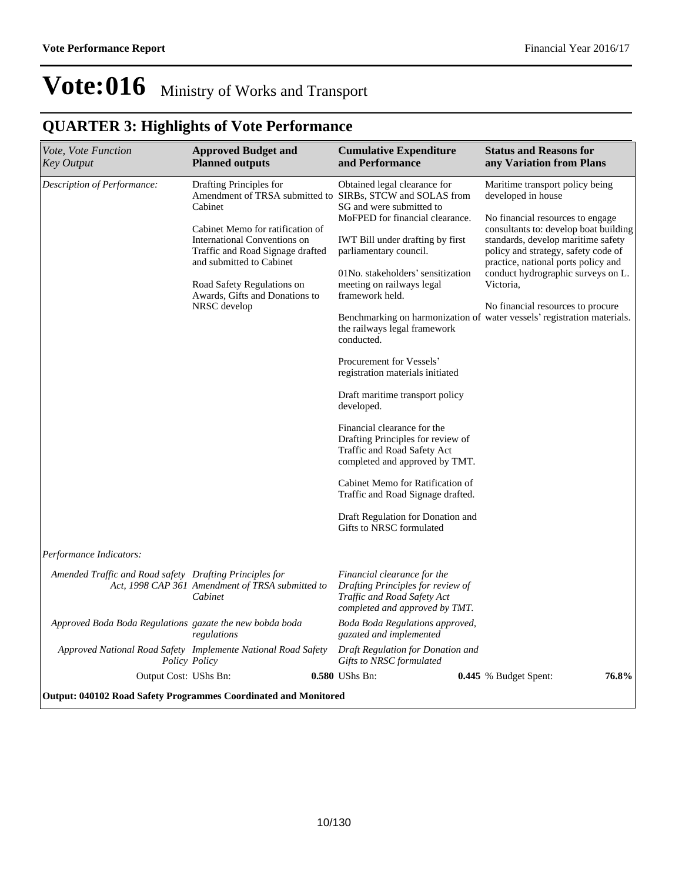| Vote, Vote Function<br><b>Key Output</b>                        | <b>Approved Budget and</b><br><b>Planned outputs</b>                                                                                                                                                                                                   | <b>Cumulative Expenditure</b><br>and Performance                                                                                                                                                                                                                                                                                                                                                                                                                                                                                                                                                                                                                                                                                                                 | <b>Status and Reasons for</b><br>any Variation from Plans                                                                                                                                                                                                                                                                                                                                                                 |
|-----------------------------------------------------------------|--------------------------------------------------------------------------------------------------------------------------------------------------------------------------------------------------------------------------------------------------------|------------------------------------------------------------------------------------------------------------------------------------------------------------------------------------------------------------------------------------------------------------------------------------------------------------------------------------------------------------------------------------------------------------------------------------------------------------------------------------------------------------------------------------------------------------------------------------------------------------------------------------------------------------------------------------------------------------------------------------------------------------------|---------------------------------------------------------------------------------------------------------------------------------------------------------------------------------------------------------------------------------------------------------------------------------------------------------------------------------------------------------------------------------------------------------------------------|
| Description of Performance:                                     | Drafting Principles for<br>Cabinet<br>Cabinet Memo for ratification of<br>International Conventions on<br>Traffic and Road Signage drafted<br>and submitted to Cabinet<br>Road Safety Regulations on<br>Awards, Gifts and Donations to<br>NRSC develop | Obtained legal clearance for<br>Amendment of TRSA submitted to SIRBs, STCW and SOLAS from<br>SG and were submitted to<br>MoFPED for financial clearance.<br><b>IWT</b> Bill under drafting by first<br>parliamentary council.<br>01No. stakeholders' sensitization<br>meeting on railways legal<br>framework held.<br>the railways legal framework<br>conducted.<br>Procurement for Vessels'<br>registration materials initiated<br>Draft maritime transport policy<br>developed.<br>Financial clearance for the<br>Drafting Principles for review of<br>Traffic and Road Safety Act<br>completed and approved by TMT.<br>Cabinet Memo for Ratification of<br>Traffic and Road Signage drafted.<br>Draft Regulation for Donation and<br>Gifts to NRSC formulated | Maritime transport policy being<br>developed in house<br>No financial resources to engage<br>consultants to: develop boat building<br>standards, develop maritime safety<br>policy and strategy, safety code of<br>practice, national ports policy and<br>conduct hydrographic surveys on L.<br>Victoria.<br>No financial resources to procure<br>Benchmarking on harmonization of water vessels' registration materials. |
| Performance Indicators:                                         |                                                                                                                                                                                                                                                        |                                                                                                                                                                                                                                                                                                                                                                                                                                                                                                                                                                                                                                                                                                                                                                  |                                                                                                                                                                                                                                                                                                                                                                                                                           |
| Amended Traffic and Road safety Drafting Principles for         | Act, 1998 CAP 361 Amendment of TRSA submitted to<br>Cabinet                                                                                                                                                                                            | Financial clearance for the<br>Drafting Principles for review of<br>Traffic and Road Safety Act<br>completed and approved by TMT.                                                                                                                                                                                                                                                                                                                                                                                                                                                                                                                                                                                                                                |                                                                                                                                                                                                                                                                                                                                                                                                                           |
| Approved Boda Boda Regulations gazate the new bobda boda        | regulations                                                                                                                                                                                                                                            | Boda Boda Regulations approved,<br>gazated and implemented                                                                                                                                                                                                                                                                                                                                                                                                                                                                                                                                                                                                                                                                                                       |                                                                                                                                                                                                                                                                                                                                                                                                                           |
| Approved National Road Safety Implemente National Road Safety   | Policy Policy                                                                                                                                                                                                                                          | Draft Regulation for Donation and<br>Gifts to NRSC formulated                                                                                                                                                                                                                                                                                                                                                                                                                                                                                                                                                                                                                                                                                                    |                                                                                                                                                                                                                                                                                                                                                                                                                           |
| Output Cost: UShs Bn:                                           |                                                                                                                                                                                                                                                        | 0.580 UShs Bn:                                                                                                                                                                                                                                                                                                                                                                                                                                                                                                                                                                                                                                                                                                                                                   | 76.8%<br><b>0.445</b> % Budget Spent:                                                                                                                                                                                                                                                                                                                                                                                     |
| Output: 040102 Road Safety Programmes Coordinated and Monitored |                                                                                                                                                                                                                                                        |                                                                                                                                                                                                                                                                                                                                                                                                                                                                                                                                                                                                                                                                                                                                                                  |                                                                                                                                                                                                                                                                                                                                                                                                                           |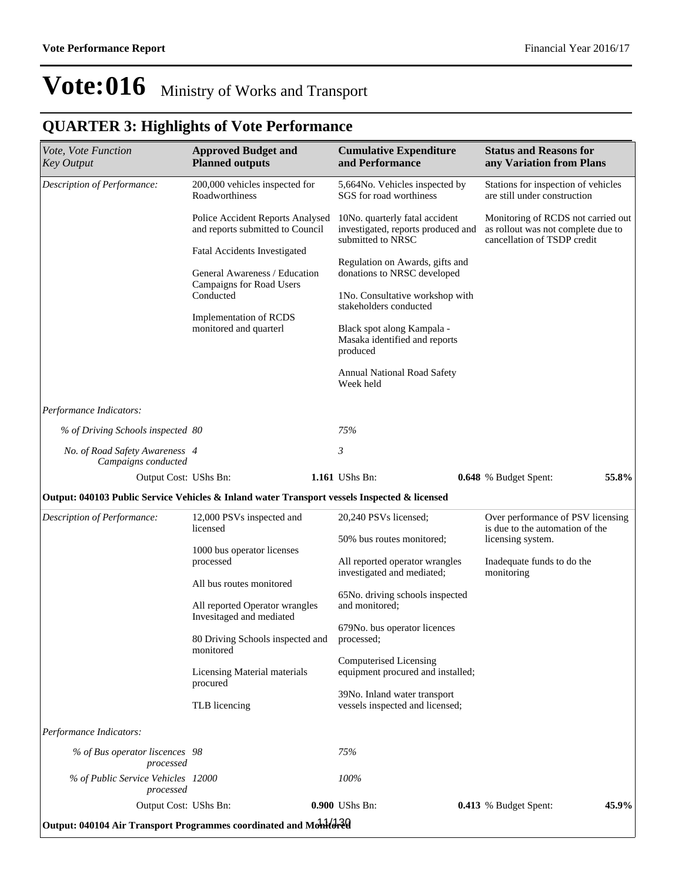| Vote, Vote Function<br><b>Key Output</b>                                                     | <b>Approved Budget and</b><br><b>Planned outputs</b>                                                                                                       | <b>Cumulative Expenditure</b><br>and Performance                                                                                                                                                                                                          | <b>Status and Reasons for</b><br>any Variation from Plans                                               |
|----------------------------------------------------------------------------------------------|------------------------------------------------------------------------------------------------------------------------------------------------------------|-----------------------------------------------------------------------------------------------------------------------------------------------------------------------------------------------------------------------------------------------------------|---------------------------------------------------------------------------------------------------------|
| Description of Performance:                                                                  | 200,000 vehicles inspected for<br>Roadworthiness                                                                                                           | 5,664No. Vehicles inspected by<br>SGS for road worthiness                                                                                                                                                                                                 | Stations for inspection of vehicles<br>are still under construction                                     |
|                                                                                              | Police Accident Reports Analysed<br>and reports submitted to Council                                                                                       | 10No. quarterly fatal accident<br>investigated, reports produced and<br>submitted to NRSC                                                                                                                                                                 | Monitoring of RCDS not carried out<br>as rollout was not complete due to<br>cancellation of TSDP credit |
|                                                                                              | Fatal Accidents Investigated<br>General Awareness / Education<br>Campaigns for Road Users<br>Conducted<br>Implementation of RCDS<br>monitored and quarterl | Regulation on Awards, gifts and<br>donations to NRSC developed<br>1No. Consultative workshop with<br>stakeholders conducted<br>Black spot along Kampala -<br>Masaka identified and reports<br>produced<br><b>Annual National Road Safety</b><br>Week held |                                                                                                         |
| Performance Indicators:                                                                      |                                                                                                                                                            |                                                                                                                                                                                                                                                           |                                                                                                         |
| % of Driving Schools inspected 80                                                            |                                                                                                                                                            | 75%                                                                                                                                                                                                                                                       |                                                                                                         |
| No. of Road Safety Awareness 4                                                               |                                                                                                                                                            | 3                                                                                                                                                                                                                                                         |                                                                                                         |
|                                                                                              |                                                                                                                                                            |                                                                                                                                                                                                                                                           |                                                                                                         |
| Campaigns conducted<br>Output Cost: UShs Bn:                                                 |                                                                                                                                                            | 1.161 UShs Bn:                                                                                                                                                                                                                                            | 55.8%<br>0.648 % Budget Spent:                                                                          |
| Output: 040103 Public Service Vehicles & Inland water Transport vessels Inspected & licensed |                                                                                                                                                            |                                                                                                                                                                                                                                                           |                                                                                                         |
| Description of Performance:                                                                  | 12,000 PSVs inspected and<br>licensed                                                                                                                      | 20,240 PSVs licensed;                                                                                                                                                                                                                                     | Over performance of PSV licensing<br>is due to the automation of the                                    |
|                                                                                              | 1000 bus operator licenses<br>processed                                                                                                                    | 50% bus routes monitored;<br>All reported operator wrangles                                                                                                                                                                                               | licensing system.<br>Inadequate funds to do the                                                         |
|                                                                                              | All bus routes monitored                                                                                                                                   | investigated and mediated;<br>65No. driving schools inspected                                                                                                                                                                                             | monitoring                                                                                              |
|                                                                                              | All reported Operator wrangles<br>Invesitaged and mediated<br>80 Driving Schools inspected and processed;                                                  | and monitored;<br>679No. bus operator licences                                                                                                                                                                                                            |                                                                                                         |
|                                                                                              | monitored<br>Licensing Material materials                                                                                                                  | Computerised Licensing<br>equipment procured and installed;                                                                                                                                                                                               |                                                                                                         |
|                                                                                              | procured<br>TLB licencing                                                                                                                                  | 39No. Inland water transport<br>vessels inspected and licensed;                                                                                                                                                                                           |                                                                                                         |
| Performance Indicators:                                                                      |                                                                                                                                                            |                                                                                                                                                                                                                                                           |                                                                                                         |
| % of Bus operator liscences 98<br>processed                                                  |                                                                                                                                                            | 75%                                                                                                                                                                                                                                                       |                                                                                                         |
| % of Public Service Vehicles 12000<br>processed<br>Output Cost: UShs Bn:                     |                                                                                                                                                            | 100%<br>0.900 UShs Bn:                                                                                                                                                                                                                                    | 45.9%<br>0.413 % Budget Spent:                                                                          |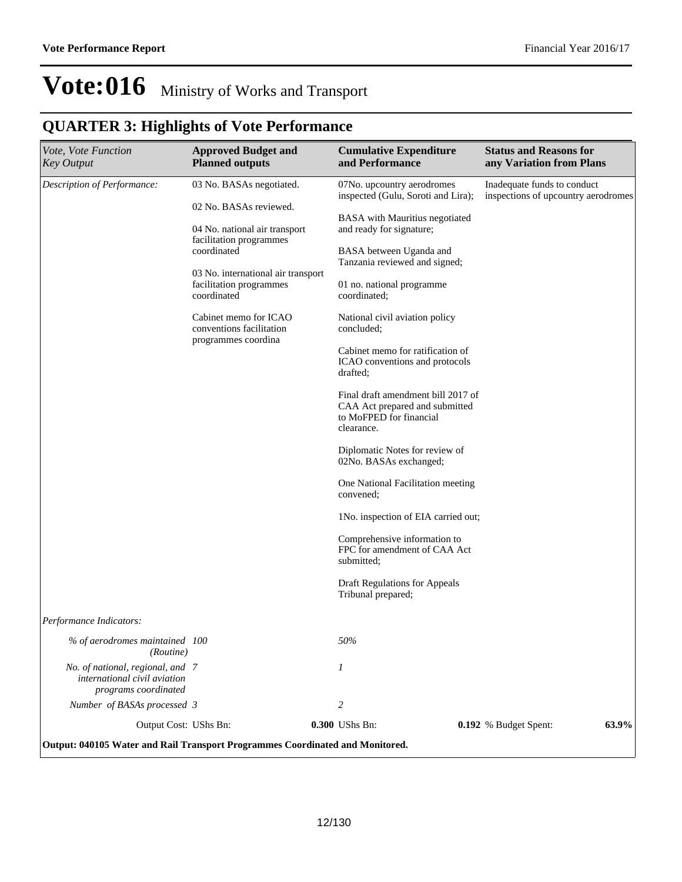| Vote, Vote Function<br><b>Key Output</b>                                                 | <b>Approved Budget and</b><br><b>Planned outputs</b>                         | <b>Cumulative Expenditure</b><br>and Performance                                                              | <b>Status and Reasons for</b><br>any Variation from Plans          |
|------------------------------------------------------------------------------------------|------------------------------------------------------------------------------|---------------------------------------------------------------------------------------------------------------|--------------------------------------------------------------------|
| Description of Performance:                                                              | 03 No. BASAs negotiated.<br>02 No. BASAs reviewed.                           | 07No. upcountry aerodromes<br>inspected (Gulu, Soroti and Lira);                                              | Inadequate funds to conduct<br>inspections of upcountry aerodromes |
|                                                                                          | 04 No. national air transport                                                | BASA with Mauritius negotiated<br>and ready for signature;                                                    |                                                                    |
|                                                                                          | facilitation programmes<br>coordinated                                       | BASA between Uganda and<br>Tanzania reviewed and signed;                                                      |                                                                    |
|                                                                                          | 03 No. international air transport<br>facilitation programmes<br>coordinated | 01 no. national programme<br>coordinated;                                                                     |                                                                    |
|                                                                                          | Cabinet memo for ICAO<br>conventions facilitation<br>programmes coordina     | National civil aviation policy<br>concluded;                                                                  |                                                                    |
|                                                                                          |                                                                              | Cabinet memo for ratification of<br>ICAO conventions and protocols<br>drafted;                                |                                                                    |
|                                                                                          |                                                                              | Final draft amendment bill 2017 of<br>CAA Act prepared and submitted<br>to MoFPED for financial<br>clearance. |                                                                    |
|                                                                                          |                                                                              | Diplomatic Notes for review of<br>02No. BASAs exchanged;                                                      |                                                                    |
|                                                                                          |                                                                              | One National Facilitation meeting<br>convened;                                                                |                                                                    |
|                                                                                          |                                                                              | 1No. inspection of EIA carried out;                                                                           |                                                                    |
|                                                                                          |                                                                              | Comprehensive information to<br>FPC for amendment of CAA Act<br>submitted;                                    |                                                                    |
|                                                                                          |                                                                              | Draft Regulations for Appeals<br>Tribunal prepared;                                                           |                                                                    |
| Performance Indicators:                                                                  |                                                                              |                                                                                                               |                                                                    |
| % of aerodromes maintained 100<br>(Routine)                                              |                                                                              | $50\%$                                                                                                        |                                                                    |
| No. of national, regional, and 7<br>international civil aviation<br>programs coordinated |                                                                              | 1                                                                                                             |                                                                    |
| Number of BASAs processed 3                                                              |                                                                              | 2                                                                                                             |                                                                    |
| Output Cost: UShs Bn:                                                                    |                                                                              | 0.300 UShs Bn:                                                                                                | 63.9%<br>0.192 % Budget Spent:                                     |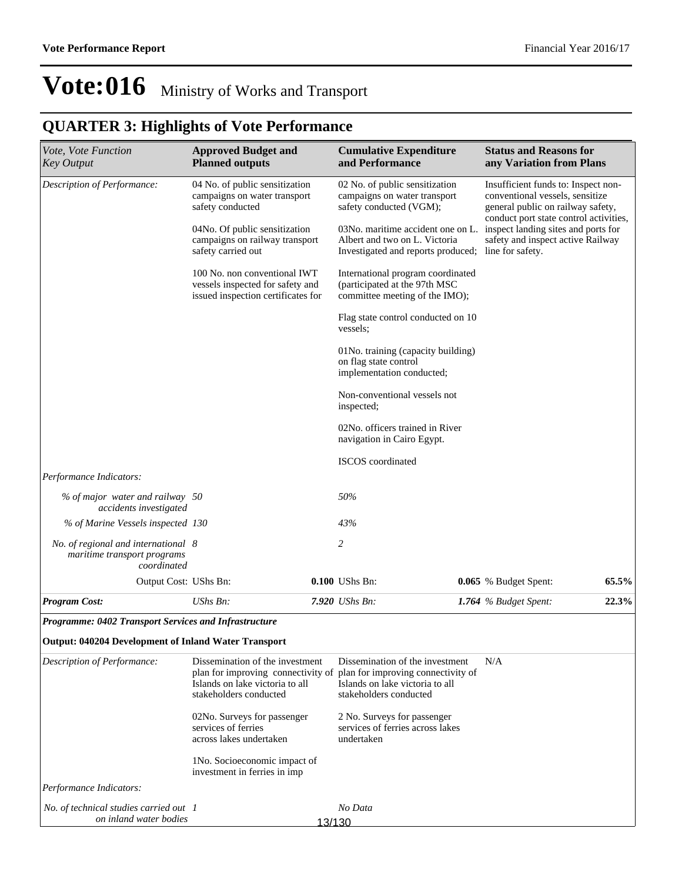| Vote, Vote Function<br><b>Key Output</b>                                          | <b>Approved Budget and</b><br><b>Planned outputs</b>                                                   |        | <b>Cumulative Expenditure</b><br>and Performance                                                         | <b>Status and Reasons for</b><br>any Variation from Plans                                                                                             |       |
|-----------------------------------------------------------------------------------|--------------------------------------------------------------------------------------------------------|--------|----------------------------------------------------------------------------------------------------------|-------------------------------------------------------------------------------------------------------------------------------------------------------|-------|
| Description of Performance:                                                       | 04 No. of public sensitization<br>campaigns on water transport<br>safety conducted                     |        | 02 No. of public sensitization<br>campaigns on water transport<br>safety conducted (VGM);                | Insufficient funds to: Inspect non-<br>conventional vessels, sensitize<br>general public on railway safety,<br>conduct port state control activities, |       |
|                                                                                   | 04No. Of public sensitization<br>campaigns on railway transport<br>safety carried out                  |        | 03No. maritime accident one on L.<br>Albert and two on L. Victoria<br>Investigated and reports produced; | inspect landing sites and ports for<br>safety and inspect active Railway<br>line for safety.                                                          |       |
|                                                                                   | 100 No. non conventional IWT<br>vessels inspected for safety and<br>issued inspection certificates for |        | International program coordinated<br>(participated at the 97th MSC<br>committee meeting of the IMO);     |                                                                                                                                                       |       |
|                                                                                   |                                                                                                        |        | Flag state control conducted on 10<br>vessels;                                                           |                                                                                                                                                       |       |
|                                                                                   |                                                                                                        |        | 01No. training (capacity building)<br>on flag state control<br>implementation conducted;                 |                                                                                                                                                       |       |
|                                                                                   |                                                                                                        |        | Non-conventional vessels not<br>inspected;                                                               |                                                                                                                                                       |       |
|                                                                                   |                                                                                                        |        | 02No. officers trained in River<br>navigation in Cairo Egypt.                                            |                                                                                                                                                       |       |
|                                                                                   |                                                                                                        |        | <b>ISCOS</b> coordinated                                                                                 |                                                                                                                                                       |       |
| Performance Indicators:                                                           |                                                                                                        |        |                                                                                                          |                                                                                                                                                       |       |
| % of major water and railway 50<br>accidents investigated                         |                                                                                                        |        | 50%                                                                                                      |                                                                                                                                                       |       |
| % of Marine Vessels inspected 130                                                 |                                                                                                        |        | 43%                                                                                                      |                                                                                                                                                       |       |
| No. of regional and international 8<br>maritime transport programs<br>coordinated |                                                                                                        |        | 2                                                                                                        |                                                                                                                                                       |       |
| Output Cost: UShs Bn:                                                             |                                                                                                        |        | 0.100 UShs Bn:                                                                                           | 0.065 % Budget Spent:                                                                                                                                 | 65.5% |
| <b>Program Cost:</b>                                                              | UShs Bn:                                                                                               |        | 7.920 UShs Bn:                                                                                           | 1.764 % Budget Spent:                                                                                                                                 | 22.3% |
| <b>Programme: 0402 Transport Services and Infrastructure</b>                      |                                                                                                        |        |                                                                                                          |                                                                                                                                                       |       |
| <b>Output: 040204 Development of Inland Water Transport</b>                       |                                                                                                        |        |                                                                                                          |                                                                                                                                                       |       |
| Description of Performance:                                                       | Dissemination of the investment                                                                        |        | Dissemination of the investment                                                                          | N/A                                                                                                                                                   |       |
|                                                                                   | plan for improving connectivity of<br>Islands on lake victoria to all<br>stakeholders conducted        |        | plan for improving connectivity of<br>Islands on lake victoria to all<br>stakeholders conducted          |                                                                                                                                                       |       |
|                                                                                   | 02No. Surveys for passenger<br>services of ferries<br>across lakes undertaken                          |        | 2 No. Surveys for passenger<br>services of ferries across lakes<br>undertaken                            |                                                                                                                                                       |       |
|                                                                                   | 1No. Socioeconomic impact of<br>investment in ferries in imp                                           |        |                                                                                                          |                                                                                                                                                       |       |
| Performance Indicators:                                                           |                                                                                                        |        |                                                                                                          |                                                                                                                                                       |       |
| No. of technical studies carried out 1<br>on inland water bodies                  |                                                                                                        | 13/130 | No Data                                                                                                  |                                                                                                                                                       |       |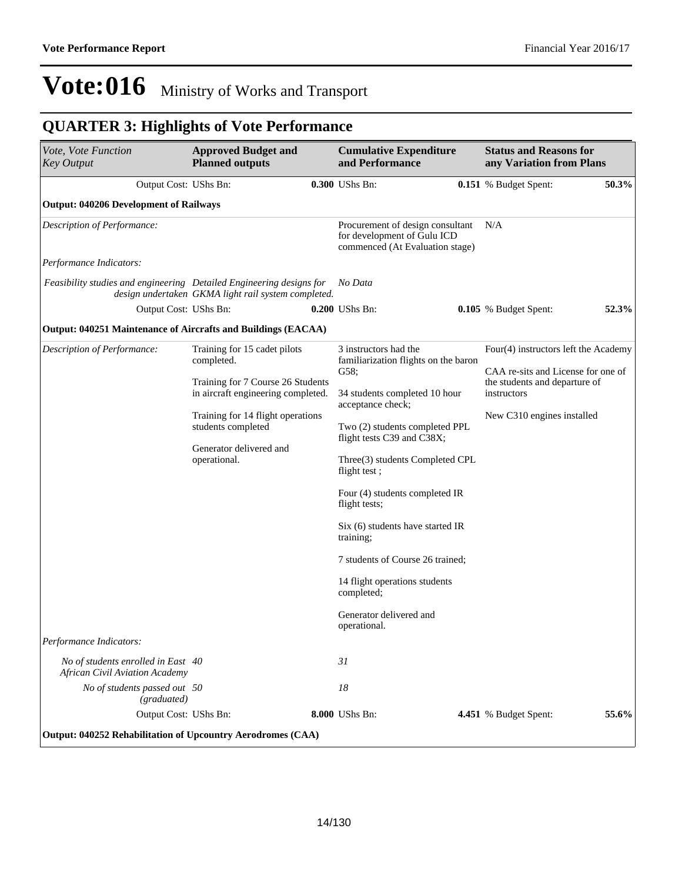| Vote, Vote Function<br><b>Key Output</b>                                    | <b>Approved Budget and</b><br><b>Planned outputs</b>                                                                                                                                                                        | <b>Cumulative Expenditure</b><br>and Performance                                                                                                                                                                                                                                                                                                                                                                                                                                 | <b>Status and Reasons for</b><br>any Variation from Plans                                                                                                |       |
|-----------------------------------------------------------------------------|-----------------------------------------------------------------------------------------------------------------------------------------------------------------------------------------------------------------------------|----------------------------------------------------------------------------------------------------------------------------------------------------------------------------------------------------------------------------------------------------------------------------------------------------------------------------------------------------------------------------------------------------------------------------------------------------------------------------------|----------------------------------------------------------------------------------------------------------------------------------------------------------|-------|
| Output Cost: UShs Bn:                                                       |                                                                                                                                                                                                                             | 0.300 UShs Bn:                                                                                                                                                                                                                                                                                                                                                                                                                                                                   | <b>0.151</b> % Budget Spent:                                                                                                                             | 50.3% |
| <b>Output: 040206 Development of Railways</b>                               |                                                                                                                                                                                                                             |                                                                                                                                                                                                                                                                                                                                                                                                                                                                                  |                                                                                                                                                          |       |
| Description of Performance:                                                 |                                                                                                                                                                                                                             | Procurement of design consultant<br>for development of Gulu ICD<br>commenced (At Evaluation stage)                                                                                                                                                                                                                                                                                                                                                                               | N/A                                                                                                                                                      |       |
| Performance Indicators:                                                     |                                                                                                                                                                                                                             |                                                                                                                                                                                                                                                                                                                                                                                                                                                                                  |                                                                                                                                                          |       |
| Feasibility studies and engineering Detailed Engineering designs for        | design undertaken GKMA light rail system completed.                                                                                                                                                                         | No Data                                                                                                                                                                                                                                                                                                                                                                                                                                                                          |                                                                                                                                                          |       |
| Output Cost: UShs Bn:                                                       |                                                                                                                                                                                                                             | 0.200 UShs Bn:                                                                                                                                                                                                                                                                                                                                                                                                                                                                   | 0.105 % Budget Spent:                                                                                                                                    | 52.3% |
| <b>Output: 040251 Maintenance of Aircrafts and Buildings (EACAA)</b>        |                                                                                                                                                                                                                             |                                                                                                                                                                                                                                                                                                                                                                                                                                                                                  |                                                                                                                                                          |       |
| Description of Performance:                                                 | Training for 15 cadet pilots<br>completed.<br>Training for 7 Course 26 Students<br>in aircraft engineering completed.<br>Training for 14 flight operations<br>students completed<br>Generator delivered and<br>operational. | 3 instructors had the<br>familiarization flights on the baron<br>G58;<br>34 students completed 10 hour<br>acceptance check;<br>Two (2) students completed PPL<br>flight tests C39 and C38X;<br>Three(3) students Completed CPL<br>flight test;<br>Four (4) students completed IR<br>flight tests;<br>Six (6) students have started IR<br>training;<br>7 students of Course 26 trained;<br>14 flight operations students<br>completed;<br>Generator delivered and<br>operational. | Four(4) instructors left the Academy<br>CAA re-sits and License for one of<br>the students and departure of<br>instructors<br>New C310 engines installed |       |
| Performance Indicators:                                                     |                                                                                                                                                                                                                             |                                                                                                                                                                                                                                                                                                                                                                                                                                                                                  |                                                                                                                                                          |       |
| No of students enrolled in East 40<br><b>African Civil Aviation Academy</b> |                                                                                                                                                                                                                             | 31                                                                                                                                                                                                                                                                                                                                                                                                                                                                               |                                                                                                                                                          |       |
| No of students passed out 50<br>(graduated)                                 |                                                                                                                                                                                                                             | 18                                                                                                                                                                                                                                                                                                                                                                                                                                                                               |                                                                                                                                                          |       |
| Output Cost: UShs Bn:                                                       |                                                                                                                                                                                                                             | 8.000 UShs Bn:                                                                                                                                                                                                                                                                                                                                                                                                                                                                   | 4.451 % Budget Spent:                                                                                                                                    | 55.6% |
| Output: 040252 Rehabilitation of Upcountry Aerodromes (CAA)                 |                                                                                                                                                                                                                             |                                                                                                                                                                                                                                                                                                                                                                                                                                                                                  |                                                                                                                                                          |       |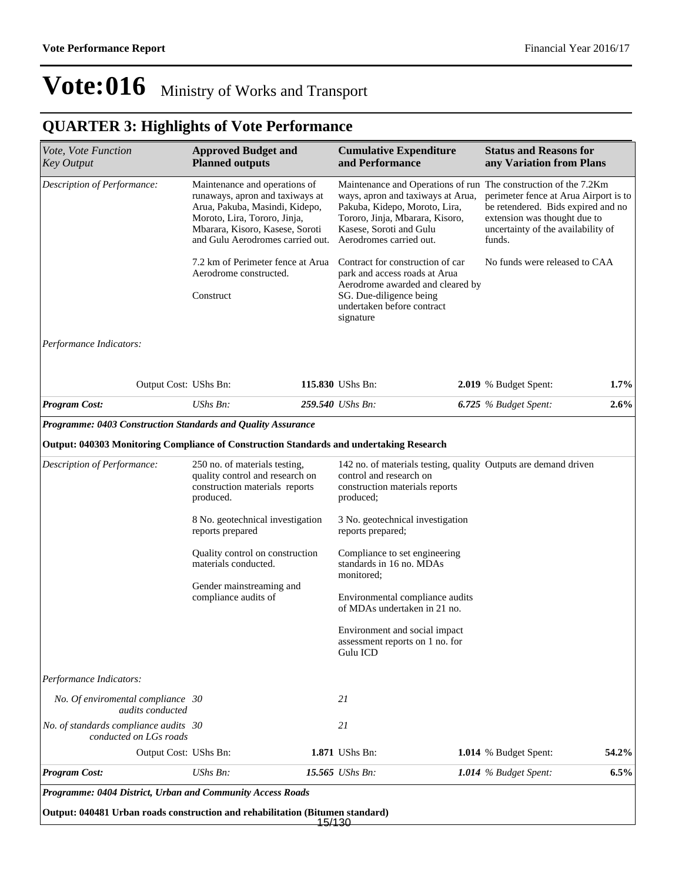### **QUARTER 3: Highlights of Vote Performance**

| Vote, Vote Function<br><b>Key Output</b>                                                | <b>Approved Budget and</b><br><b>Planned outputs</b>                                                                                                                                                                                                         | <b>Cumulative Expenditure</b><br><b>Status and Reasons for</b><br>and Performance<br>any Variation from Plans |                                                                                                                                                                             |  |                                                                                                                                                                                                                                |       |
|-----------------------------------------------------------------------------------------|--------------------------------------------------------------------------------------------------------------------------------------------------------------------------------------------------------------------------------------------------------------|---------------------------------------------------------------------------------------------------------------|-----------------------------------------------------------------------------------------------------------------------------------------------------------------------------|--|--------------------------------------------------------------------------------------------------------------------------------------------------------------------------------------------------------------------------------|-------|
| Description of Performance:                                                             | Maintenance and operations of<br>runaways, apron and taxiways at<br>Arua, Pakuba, Masindi, Kidepo,<br>Moroto, Lira, Tororo, Jinja,<br>Mbarara, Kisoro, Kasese, Soroti<br>and Gulu Aerodromes carried out.                                                    |                                                                                                               | ways, apron and taxiways at Arua,<br>Pakuba, Kidepo, Moroto, Lira,<br>Tororo, Jinja, Mbarara, Kisoro,<br>Kasese, Soroti and Gulu<br>Aerodromes carried out.                 |  | Maintenance and Operations of run The construction of the 7.2Km<br>perimeter fence at Arua Airport is to<br>be retendered. Bids expired and no<br>extension was thought due to<br>uncertainty of the availability of<br>funds. |       |
|                                                                                         | 7.2 km of Perimeter fence at Arua<br>Aerodrome constructed.<br>Construct                                                                                                                                                                                     |                                                                                                               | Contract for construction of car<br>park and access roads at Arua<br>Aerodrome awarded and cleared by<br>SG. Due-diligence being<br>undertaken before contract<br>signature |  | No funds were released to CAA                                                                                                                                                                                                  |       |
| Performance Indicators:                                                                 |                                                                                                                                                                                                                                                              |                                                                                                               |                                                                                                                                                                             |  |                                                                                                                                                                                                                                |       |
| Output Cost: UShs Bn:                                                                   |                                                                                                                                                                                                                                                              |                                                                                                               | 115.830 UShs Bn:                                                                                                                                                            |  | 2.019 % Budget Spent:                                                                                                                                                                                                          | 1.7%  |
| <b>Program Cost:</b>                                                                    | UShs Bn:                                                                                                                                                                                                                                                     |                                                                                                               | 259.540 UShs Bn:                                                                                                                                                            |  | 6.725 $%$ Budget Spent:                                                                                                                                                                                                        | 2.6%  |
| Programme: 0403 Construction Standards and Quality Assurance                            |                                                                                                                                                                                                                                                              |                                                                                                               |                                                                                                                                                                             |  |                                                                                                                                                                                                                                |       |
| Output: 040303 Monitoring Compliance of Construction Standards and undertaking Research |                                                                                                                                                                                                                                                              |                                                                                                               |                                                                                                                                                                             |  |                                                                                                                                                                                                                                |       |
| Description of Performance:                                                             | 142 no. of materials testing, quality Outputs are demand driven<br>250 no. of materials testing,<br>control and research on<br>quality control and research on<br>construction materials reports<br>construction materials reports<br>produced.<br>produced; |                                                                                                               |                                                                                                                                                                             |  |                                                                                                                                                                                                                                |       |
|                                                                                         | 8 No. geotechnical investigation<br>reports prepared                                                                                                                                                                                                         |                                                                                                               | 3 No. geotechnical investigation<br>reports prepared;                                                                                                                       |  |                                                                                                                                                                                                                                |       |
|                                                                                         | materials conducted.                                                                                                                                                                                                                                         | Quality control on construction<br>Compliance to set engineering<br>standards in 16 no. MDAs<br>monitored;    |                                                                                                                                                                             |  |                                                                                                                                                                                                                                |       |
|                                                                                         | Gender mainstreaming and<br>compliance audits of                                                                                                                                                                                                             |                                                                                                               | Environmental compliance audits<br>of MDAs undertaken in 21 no.                                                                                                             |  |                                                                                                                                                                                                                                |       |
|                                                                                         |                                                                                                                                                                                                                                                              |                                                                                                               | Environment and social impact<br>assessment reports on 1 no. for<br>Gulu ICD                                                                                                |  |                                                                                                                                                                                                                                |       |
| Performance Indicators:                                                                 |                                                                                                                                                                                                                                                              |                                                                                                               |                                                                                                                                                                             |  |                                                                                                                                                                                                                                |       |
| No. Of enviromental compliance 30<br>audits conducted                                   |                                                                                                                                                                                                                                                              |                                                                                                               | 21                                                                                                                                                                          |  |                                                                                                                                                                                                                                |       |
|                                                                                         |                                                                                                                                                                                                                                                              |                                                                                                               | 21                                                                                                                                                                          |  |                                                                                                                                                                                                                                |       |
| No. of standards compliance audits 30<br>conducted on LGs roads                         |                                                                                                                                                                                                                                                              |                                                                                                               |                                                                                                                                                                             |  |                                                                                                                                                                                                                                |       |
| Output Cost: UShs Bn:                                                                   |                                                                                                                                                                                                                                                              |                                                                                                               | 1.871 UShs Bn:                                                                                                                                                              |  | 1.014 % Budget Spent:                                                                                                                                                                                                          | 54.2% |

*Programme: 0404 District, Urban and Community Access Roads*

**Output: 040481 Urban roads construction and rehabilitation (Bitumen standard)** 15/130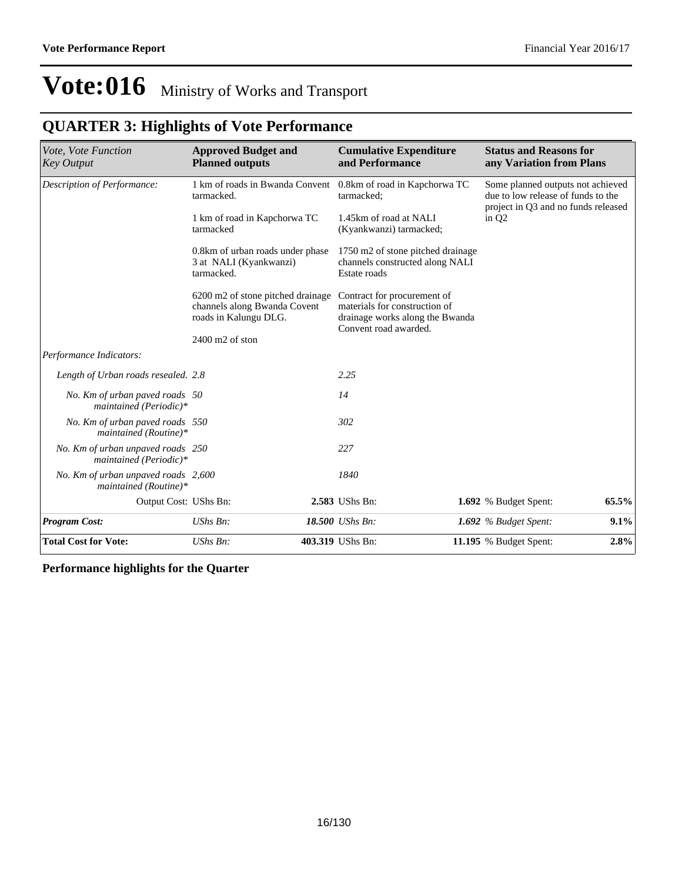### **QUARTER 3: Highlights of Vote Performance**

| Vote, Vote Function<br><b>Key Output</b>                     | <b>Approved Budget and</b><br><b>Planned outputs</b>                                       | <b>Cumulative Expenditure</b><br>and Performance                                                                         | <b>Status and Reasons for</b><br>any Variation from Plans                                                      |
|--------------------------------------------------------------|--------------------------------------------------------------------------------------------|--------------------------------------------------------------------------------------------------------------------------|----------------------------------------------------------------------------------------------------------------|
| Description of Performance:                                  | 1 km of roads in Bwanda Convent<br>tarmacked.                                              | 0.8km of road in Kapchorwa TC<br>tarmacked:                                                                              | Some planned outputs not achieved<br>due to low release of funds to the<br>project in Q3 and no funds released |
|                                                              | 1 km of road in Kapchorwa TC<br>tarmacked                                                  | 1.45km of road at NALI<br>(Kyankwanzi) tarmacked;                                                                        | in $Q2$                                                                                                        |
|                                                              | 0.8km of urban roads under phase<br>3 at NALI (Kyankwanzi)<br>tarmacked.                   | 1750 m2 of stone pitched drainage<br>channels constructed along NALI<br>Estate roads                                     |                                                                                                                |
|                                                              | 6200 m2 of stone pitched drainage<br>channels along Bwanda Covent<br>roads in Kalungu DLG. | Contract for procurement of<br>materials for construction of<br>drainage works along the Bwanda<br>Convent road awarded. |                                                                                                                |
|                                                              | $2400$ m $2$ of ston                                                                       |                                                                                                                          |                                                                                                                |
| Performance Indicators:                                      |                                                                                            |                                                                                                                          |                                                                                                                |
| Length of Urban roads resealed. 2.8                          |                                                                                            | 2.25                                                                                                                     |                                                                                                                |
| No. Km of urban paved roads 50<br>maintained (Periodic)*     |                                                                                            | 14                                                                                                                       |                                                                                                                |
| No. Km of urban paved roads 550<br>maintained (Routine)*     |                                                                                            | 302                                                                                                                      |                                                                                                                |
| No. Km of urban unpaved roads 250<br>maintained (Periodic)*  |                                                                                            | 227                                                                                                                      |                                                                                                                |
| No. Km of urban unpaved roads 2,600<br>maintained (Routine)* |                                                                                            | 1840                                                                                                                     |                                                                                                                |
| Output Cost: UShs Bn:                                        |                                                                                            | 2.583 UShs Bn:                                                                                                           | 65.5%<br>1.692 % Budget Spent:                                                                                 |
| <b>Program Cost:</b>                                         | UShs Bn:                                                                                   | 18.500 UShs Bn:                                                                                                          | 9.1%<br>1.692 $%$ Budget Spent:                                                                                |
| <b>Total Cost for Vote:</b>                                  | UShs Bn:                                                                                   | 403.319 UShs Bn:                                                                                                         | 2.8%<br><b>11.195</b> % Budget Spent:                                                                          |

**Performance highlights for the Quarter**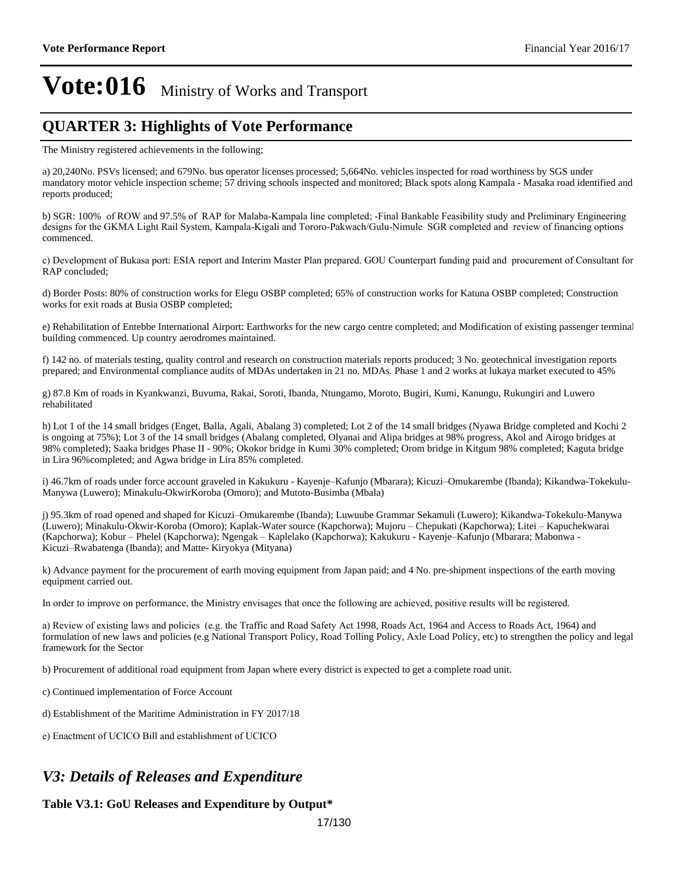#### **QUARTER 3: Highlights of Vote Performance**

The Ministry registered achievements in the following;

a) 20,240No. PSVs licensed; and 679No. bus operator licenses processed; 5,664No. vehicles inspected for road worthiness by SGS under mandatory motor vehicle inspection scheme; 57 driving schools inspected and monitored; Black spots along Kampala - Masaka road identified and reports produced;

b) SGR: 100% of ROW and 97.5% of RAP for Malaba-Kampala line completed; -Final Bankable Feasibility study and Preliminary Engineering designs for the GKMA Light Rail System, Kampala-Kigali and Tororo-Pakwach/Gulu-Nimule SGR completed and review of financing options commenced.

c) Development of Bukasa port: ESIA report and Interim Master Plan prepared. GOU Counterpart funding paid and procurement of Consultant for RAP concluded;

d) Border Posts: 80% of construction works for Elegu OSBP completed; 65% of construction works for Katuna OSBP completed; Construction works for exit roads at Busia OSBP completed;

e) Rehabilitation of Entebbe International Airport: Earthworks for the new cargo centre completed; and Modification of existing passenger terminal building commenced. Up country aerodromes maintained.

f) 142 no. of materials testing, quality control and research on construction materials reports produced; 3 No. geotechnical investigation reports prepared; and Environmental compliance audits of MDAs undertaken in 21 no. MDAs. Phase 1 and 2 works at lukaya market executed to 45%

g) 87.8 Km of roads in Kyankwanzi, Buvuma, Rakai, Soroti, Ibanda, Ntungamo, Moroto, Bugiri, Kumi, Kanungu, Rukungiri and Luwero rehabilitated

h) Lot 1 of the 14 small bridges (Enget, Balla, Agali, Abalang 3) completed; Lot 2 of the 14 small bridges (Nyawa Bridge completed and Kochi 2 is ongoing at 75%); Lot 3 of the 14 small bridges (Abalang completed, Olyanai and Alipa bridges at 98% progress, Akol and Airogo bridges at 98% completed); Saaka bridges Phase II - 90%; Okokor bridge in Kumi 30% completed; Orom bridge in Kitgum 98% completed; Kaguta bridge in Lira 96%completed; and Agwa bridge in Lira 85% completed.

i) 46.7km of roads under force account graveled in Kakukuru - Kayenje-Kafunjo (Mbarara); Kicuzi-Omukarembe (Ibanda); Kikandwa-Tokekulu-Manywa (Luwero); Minakulu-OkwirKoroba (Omoro); and Mutoto-Busimba (Mbala)

j) 95.3km of road opened and shaped for Kicuzi-Omukarembe (Ibanda); Luwuube Grammar Sekamuli (Luwero); Kikandwa-Tokekulu-Manywa (Luwero); Minakulu-Okwir-Koroba (Omoro); Kaplak-Water source (Kapchorwa); Mujoru – Chepukati (Kapchorwa); Litei – Kapuchekwarai (Kapchorwa); Kobur - Phelel (Kapchorwa); Ngengak - Kaplelako (Kapchorwa); Kakukuru - Kayenje-Kafunjo (Mbarara; Mabonwa -Kicuzi-Rwabatenga (Ibanda); and Matte- Kiryokya (Mityana)

k) Advance payment for the procurement of earth moving equipment from Japan paid; and 4 No. pre-shipment inspections of the earth moving equipment carried out.

In order to improve on performance, the Ministry envisages that once the following are achieved, positive results will be registered.

a) Review of existing laws and policies (e.g. the Traffic and Road Safety Act 1998, Roads Act, 1964 and Access to Roads Act, 1964) and formulation of new laws and policies (e.g National Transport Policy, Road Tolling Policy, Axle Load Policy, etc) to strengthen the policy and legal framework for the Sector

b) Procurement of additional road equipment from Japan where every district is expected to get a complete road unit.

c) Continued implementation of Force Account

d) Establishment of the Maritime Administration in FY 2017/18

e) Enactment of UCICO Bill and establishment of UCICO

#### *V3: Details of Releases and Expenditure*

#### **Table V3.1: GoU Releases and Expenditure by Output\***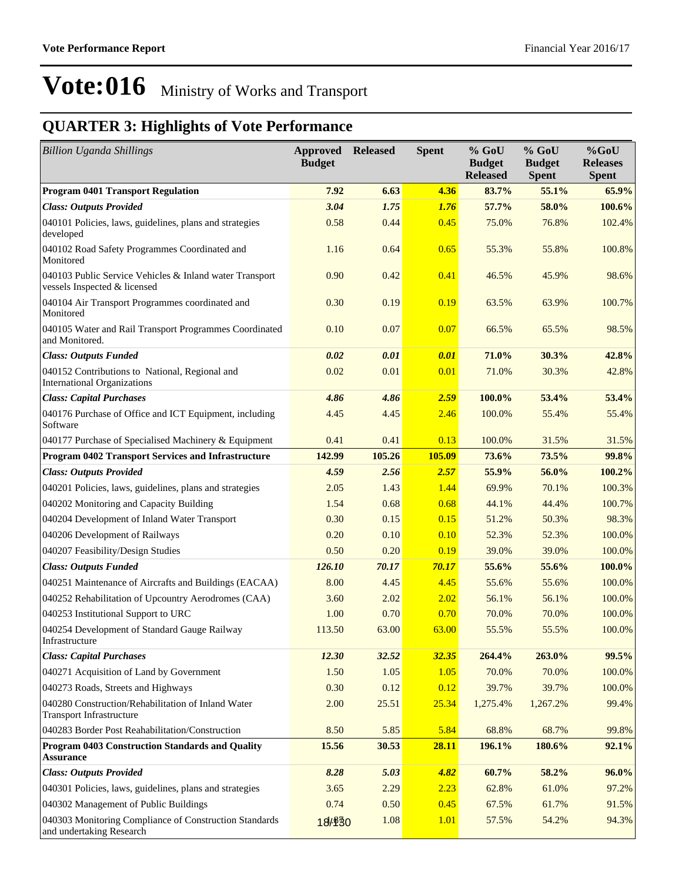| <b>Billion Uganda Shillings</b>                                                         | <b>Approved Released</b><br><b>Budget</b> |        | <b>Spent</b> | $%$ GoU<br><b>Budget</b><br><b>Released</b> | $%$ GoU<br><b>Budget</b><br><b>Spent</b> | %GoU<br><b>Releases</b><br><b>Spent</b> |
|-----------------------------------------------------------------------------------------|-------------------------------------------|--------|--------------|---------------------------------------------|------------------------------------------|-----------------------------------------|
| <b>Program 0401 Transport Regulation</b>                                                | 7.92                                      | 6.63   | 4.36         | 83.7%                                       | 55.1%                                    | 65.9%                                   |
| <b>Class: Outputs Provided</b>                                                          | 3.04                                      | 1.75   | 1.76         | 57.7%                                       | 58.0%                                    | 100.6%                                  |
| 040101 Policies, laws, guidelines, plans and strategies<br>developed                    | 0.58                                      | 0.44   | 0.45         | 75.0%                                       | 76.8%                                    | 102.4%                                  |
| 040102 Road Safety Programmes Coordinated and<br>Monitored                              | 1.16                                      | 0.64   | 0.65         | 55.3%                                       | 55.8%                                    | 100.8%                                  |
| 040103 Public Service Vehicles & Inland water Transport<br>vessels Inspected & licensed | 0.90                                      | 0.42   | 0.41         | 46.5%                                       | 45.9%                                    | 98.6%                                   |
| 040104 Air Transport Programmes coordinated and<br>Monitored                            | 0.30                                      | 0.19   | 0.19         | 63.5%                                       | 63.9%                                    | 100.7%                                  |
| 040105 Water and Rail Transport Programmes Coordinated<br>and Monitored.                | 0.10                                      | 0.07   | 0.07         | 66.5%                                       | 65.5%                                    | 98.5%                                   |
| <b>Class: Outputs Funded</b>                                                            | 0.02                                      | 0.01   | 0.01         | 71.0%                                       | 30.3%                                    | 42.8%                                   |
| 040152 Contributions to National, Regional and<br><b>International Organizations</b>    | 0.02                                      | 0.01   | 0.01         | 71.0%                                       | 30.3%                                    | 42.8%                                   |
| <b>Class: Capital Purchases</b>                                                         | 4.86                                      | 4.86   | 2.59         | 100.0%                                      | 53.4%                                    | 53.4%                                   |
| 040176 Purchase of Office and ICT Equipment, including<br>Software                      | 4.45                                      | 4.45   | 2.46         | 100.0%                                      | 55.4%                                    | 55.4%                                   |
| 040177 Purchase of Specialised Machinery & Equipment                                    | 0.41                                      | 0.41   | 0.13         | 100.0%                                      | 31.5%                                    | 31.5%                                   |
| <b>Program 0402 Transport Services and Infrastructure</b>                               | 142.99                                    | 105.26 | 105.09       | 73.6%                                       | 73.5%                                    | 99.8%                                   |
| <b>Class: Outputs Provided</b>                                                          | 4.59                                      | 2.56   | 2.57         | 55.9%                                       | 56.0%                                    | 100.2%                                  |
| 040201 Policies, laws, guidelines, plans and strategies                                 | 2.05                                      | 1.43   | 1.44         | 69.9%                                       | 70.1%                                    | 100.3%                                  |
| 040202 Monitoring and Capacity Building                                                 | 1.54                                      | 0.68   | 0.68         | 44.1%                                       | 44.4%                                    | 100.7%                                  |
| 040204 Development of Inland Water Transport                                            | 0.30                                      | 0.15   | 0.15         | 51.2%                                       | 50.3%                                    | 98.3%                                   |
| 040206 Development of Railways                                                          | 0.20                                      | 0.10   | 0.10         | 52.3%                                       | 52.3%                                    | 100.0%                                  |
| 040207 Feasibility/Design Studies                                                       | 0.50                                      | 0.20   | 0.19         | 39.0%                                       | 39.0%                                    | 100.0%                                  |
| <b>Class: Outputs Funded</b>                                                            | 126.10                                    | 70.17  | 70.17        | 55.6%                                       | 55.6%                                    | 100.0%                                  |
| 040251 Maintenance of Aircrafts and Buildings (EACAA)                                   | 8.00                                      | 4.45   | 4.45         | 55.6%                                       | 55.6%                                    | 100.0%                                  |
| 040252 Rehabilitation of Upcountry Aerodromes (CAA)                                     | 3.60                                      | 2.02   | 2.02         | 56.1%                                       | 56.1%                                    | 100.0%                                  |
| 040253 Institutional Support to URC                                                     | 1.00                                      | 0.70   | 0.70         | 70.0%                                       | 70.0%                                    | 100.0%                                  |
| 040254 Development of Standard Gauge Railway<br>Infrastructure                          | 113.50                                    | 63.00  | 63.00        | 55.5%                                       | 55.5%                                    | 100.0%                                  |
| <b>Class: Capital Purchases</b>                                                         | 12.30                                     | 32.52  | 32.35        | 264.4%                                      | 263.0%                                   | 99.5%                                   |
| 040271 Acquisition of Land by Government                                                | 1.50                                      | 1.05   | 1.05         | 70.0%                                       | 70.0%                                    | 100.0%                                  |
| 040273 Roads, Streets and Highways                                                      | 0.30                                      | 0.12   | 0.12         | 39.7%                                       | 39.7%                                    | 100.0%                                  |
| 040280 Construction/Rehabilitation of Inland Water<br><b>Transport Infrastructure</b>   | 2.00                                      | 25.51  | 25.34        | 1,275.4%                                    | 1,267.2%                                 | 99.4%                                   |
| 040283 Border Post Reahabilitation/Construction                                         | 8.50                                      | 5.85   | 5.84         | 68.8%                                       | 68.7%                                    | 99.8%                                   |
| <b>Program 0403 Construction Standards and Quality</b><br><b>Assurance</b>              | 15.56                                     | 30.53  | 28.11        | 196.1%                                      | 180.6%                                   | 92.1%                                   |
| <b>Class: Outputs Provided</b>                                                          | 8.28                                      | 5.03   | 4.82         | 60.7%                                       | 58.2%                                    | 96.0%                                   |
| 040301 Policies, laws, guidelines, plans and strategies                                 | 3.65                                      | 2.29   | 2.23         | 62.8%                                       | 61.0%                                    | 97.2%                                   |
| 040302 Management of Public Buildings                                                   | 0.74                                      | 0.50   | 0.45         | 67.5%                                       | 61.7%                                    | 91.5%                                   |
| 040303 Monitoring Compliance of Construction Standards<br>and undertaking Research      | 18/830                                    | 1.08   | <b>1.01</b>  | 57.5%                                       | 54.2%                                    | 94.3%                                   |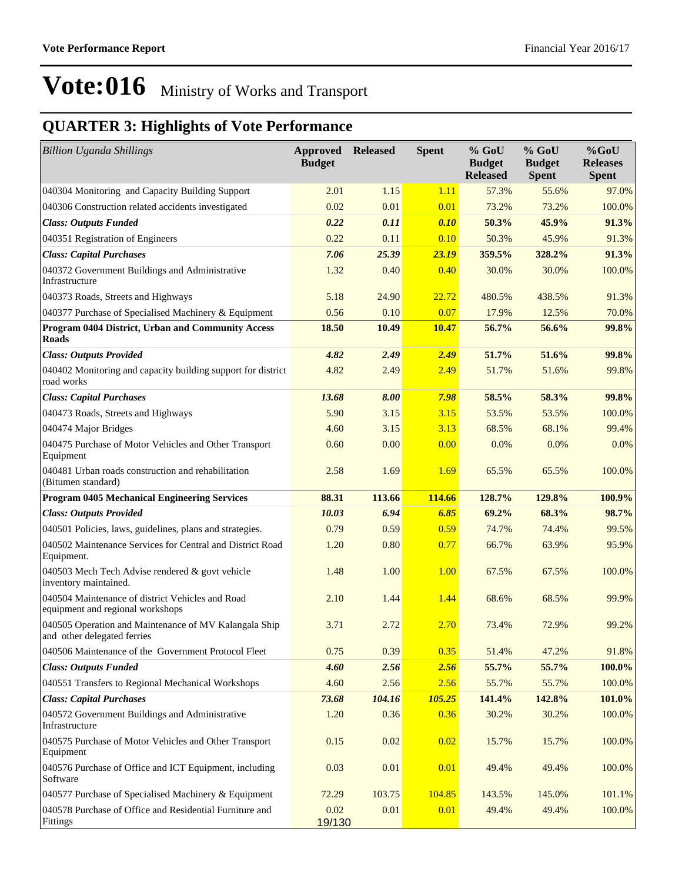| <b>Billion Uganda Shillings</b>                                                      | <b>Approved Released</b><br><b>Budget</b> |        | <b>Spent</b> | $%$ GoU<br><b>Budget</b><br><b>Released</b> | $%$ GoU<br><b>Budget</b><br><b>Spent</b> | $%$ GoU<br><b>Releases</b><br><b>Spent</b> |
|--------------------------------------------------------------------------------------|-------------------------------------------|--------|--------------|---------------------------------------------|------------------------------------------|--------------------------------------------|
| 040304 Monitoring and Capacity Building Support                                      | 2.01                                      | 1.15   | 1.11         | 57.3%                                       | 55.6%                                    | 97.0%                                      |
| 040306 Construction related accidents investigated                                   | 0.02                                      | 0.01   | 0.01         | 73.2%                                       | 73.2%                                    | 100.0%                                     |
| <b>Class: Outputs Funded</b>                                                         | 0.22                                      | 0.11   | 0.10         | 50.3%                                       | 45.9%                                    | 91.3%                                      |
| 040351 Registration of Engineers                                                     | 0.22                                      | 0.11   | 0.10         | 50.3%                                       | 45.9%                                    | 91.3%                                      |
| <b>Class: Capital Purchases</b>                                                      | 7.06                                      | 25.39  | 23.19        | 359.5%                                      | 328.2%                                   | 91.3%                                      |
| 040372 Government Buildings and Administrative<br>Infrastructure                     | 1.32                                      | 0.40   | 0.40         | 30.0%                                       | 30.0%                                    | 100.0%                                     |
| 040373 Roads, Streets and Highways                                                   | 5.18                                      | 24.90  | 22.72        | 480.5%                                      | 438.5%                                   | 91.3%                                      |
| 040377 Purchase of Specialised Machinery & Equipment                                 | 0.56                                      | 0.10   | 0.07         | 17.9%                                       | 12.5%                                    | 70.0%                                      |
| Program 0404 District, Urban and Community Access<br><b>Roads</b>                    | 18.50                                     | 10.49  | <b>10.47</b> | 56.7%                                       | 56.6%                                    | 99.8%                                      |
| <b>Class: Outputs Provided</b>                                                       | 4.82                                      | 2.49   | 2.49         | 51.7%                                       | 51.6%                                    | 99.8%                                      |
| 040402 Monitoring and capacity building support for district<br>road works           | 4.82                                      | 2.49   | 2.49         | 51.7%                                       | 51.6%                                    | 99.8%                                      |
| <b>Class: Capital Purchases</b>                                                      | 13.68                                     | 8.00   | 7.98         | 58.5%                                       | 58.3%                                    | 99.8%                                      |
| 040473 Roads, Streets and Highways                                                   | 5.90                                      | 3.15   | 3.15         | 53.5%                                       | 53.5%                                    | 100.0%                                     |
| 040474 Major Bridges                                                                 | 4.60                                      | 3.15   | 3.13         | 68.5%                                       | 68.1%                                    | 99.4%                                      |
| 040475 Purchase of Motor Vehicles and Other Transport<br>Equipment                   | 0.60                                      | 0.00   | 0.00         | 0.0%                                        | 0.0%                                     | 0.0%                                       |
| 040481 Urban roads construction and rehabilitation<br>(Bitumen standard)             | 2.58                                      | 1.69   | 1.69         | 65.5%                                       | 65.5%                                    | 100.0%                                     |
| <b>Program 0405 Mechanical Engineering Services</b>                                  | 88.31                                     | 113.66 | 114.66       | 128.7%                                      | 129.8%                                   | 100.9%                                     |
| <b>Class: Outputs Provided</b>                                                       | 10.03                                     | 6.94   | 6.85         | 69.2%                                       | 68.3%                                    | 98.7%                                      |
| 040501 Policies, laws, guidelines, plans and strategies.                             | 0.79                                      | 0.59   | 0.59         | 74.7%                                       | 74.4%                                    | 99.5%                                      |
| 040502 Maintenance Services for Central and District Road<br>Equipment.              | 1.20                                      | 0.80   | 0.77         | 66.7%                                       | 63.9%                                    | 95.9%                                      |
| 040503 Mech Tech Advise rendered & govt vehicle<br>inventory maintained.             | 1.48                                      | 1.00   | 1.00         | 67.5%                                       | 67.5%                                    | 100.0%                                     |
| 040504 Maintenance of district Vehicles and Road<br>equipment and regional workshops | 2.10                                      | 1.44   | 1.44         | 68.6%                                       | 68.5%                                    | 99.9%                                      |
| 040505 Operation and Maintenance of MV Kalangala Ship<br>and other delegated ferries | 3.71                                      | 2.72   | 2.70         | 73.4%                                       | 72.9%                                    | 99.2%                                      |
| 040506 Maintenance of the Government Protocol Fleet                                  | 0.75                                      | 0.39   | 0.35         | 51.4%                                       | 47.2%                                    | 91.8%                                      |
| <b>Class: Outputs Funded</b>                                                         | 4.60                                      | 2.56   | 2.56         | 55.7%                                       | 55.7%                                    | 100.0%                                     |
| 040551 Transfers to Regional Mechanical Workshops                                    | 4.60                                      | 2.56   | 2.56         | 55.7%                                       | 55.7%                                    | 100.0%                                     |
| <b>Class: Capital Purchases</b>                                                      | 73.68                                     | 104.16 | 105.25       | 141.4%                                      | 142.8%                                   | 101.0%                                     |
| 040572 Government Buildings and Administrative<br>Infrastructure                     | 1.20                                      | 0.36   | 0.36         | 30.2%                                       | 30.2%                                    | 100.0%                                     |
| 040575 Purchase of Motor Vehicles and Other Transport<br>Equipment                   | 0.15                                      | 0.02   | 0.02         | 15.7%                                       | 15.7%                                    | 100.0%                                     |
| 040576 Purchase of Office and ICT Equipment, including<br>Software                   | 0.03                                      | 0.01   | 0.01         | 49.4%                                       | 49.4%                                    | 100.0%                                     |
| 040577 Purchase of Specialised Machinery & Equipment                                 | 72.29                                     | 103.75 | 104.85       | 143.5%                                      | 145.0%                                   | 101.1%                                     |
| 040578 Purchase of Office and Residential Furniture and<br>Fittings                  | 0.02<br>19/130                            | 0.01   | 0.01         | 49.4%                                       | 49.4%                                    | 100.0%                                     |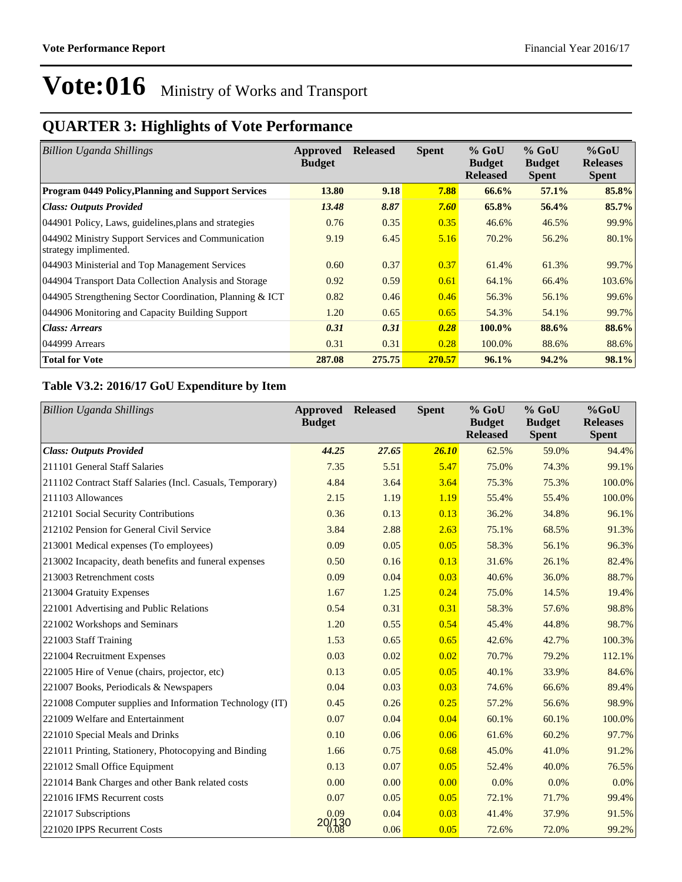### **QUARTER 3: Highlights of Vote Performance**

| <b>Billion Uganda Shillings</b>                                             | Approved<br><b>Budget</b> | <b>Released</b> | <b>Spent</b> | $%$ GoU<br><b>Budget</b><br><b>Released</b> | $%$ GoU<br><b>Budget</b><br><b>Spent</b> | $%$ GoU<br><b>Releases</b><br><b>Spent</b> |
|-----------------------------------------------------------------------------|---------------------------|-----------------|--------------|---------------------------------------------|------------------------------------------|--------------------------------------------|
| <b>Program 0449 Policy, Planning and Support Services</b>                   | 13.80                     | 9.18            | 7.88         | 66.6%                                       | 57.1%                                    | 85.8%                                      |
| <b>Class: Outputs Provided</b>                                              | 13.48                     | 8.87            | 7.60         | 65.8%                                       | 56.4%                                    | 85.7%                                      |
| 044901 Policy, Laws, guidelines, plans and strategies                       | 0.76                      | 0.35            | 0.35         | 46.6%                                       | 46.5%                                    | 99.9%                                      |
| 044902 Ministry Support Services and Communication<br>strategy implimented. | 9.19                      | 6.45            | 5.16         | 70.2%                                       | 56.2%                                    | 80.1%                                      |
| 044903 Ministerial and Top Management Services                              | 0.60                      | 0.37            | 0.37         | 61.4%                                       | 61.3%                                    | 99.7%                                      |
| 044904 Transport Data Collection Analysis and Storage                       | 0.92                      | 0.59            | 0.61         | 64.1%                                       | 66.4%                                    | 103.6%                                     |
| 044905 Strengthening Sector Coordination, Planning & ICT                    | 0.82                      | 0.46            | 0.46         | 56.3%                                       | 56.1%                                    | 99.6%                                      |
| 044906 Monitoring and Capacity Building Support                             | 1.20                      | 0.65            | 0.65         | 54.3%                                       | 54.1%                                    | 99.7%                                      |
| Class: Arrears                                                              | 0.31                      | 0.31            | 0.28         | 100.0%                                      | 88.6%                                    | 88.6%                                      |
| 044999 Arrears                                                              | 0.31                      | 0.31            | 0.28         | 100.0%                                      | 88.6%                                    | 88.6%                                      |
| <b>Total for Vote</b>                                                       | 287.08                    | 275.75          | 270.57       | 96.1%                                       | 94.2%                                    | 98.1%                                      |

#### **Table V3.2: 2016/17 GoU Expenditure by Item**

| <b>Billion Uganda Shillings</b>                           | Approved<br><b>Budget</b> | <b>Released</b> | <b>Spent</b> | % GoU<br><b>Budget</b><br><b>Released</b> | $%$ GoU<br><b>Budget</b><br><b>Spent</b> | %GoU<br><b>Releases</b><br><b>Spent</b> |
|-----------------------------------------------------------|---------------------------|-----------------|--------------|-------------------------------------------|------------------------------------------|-----------------------------------------|
| <b>Class: Outputs Provided</b>                            | 44.25                     | 27.65           | 26.10        | 62.5%                                     | 59.0%                                    | 94.4%                                   |
| 211101 General Staff Salaries                             | 7.35                      | 5.51            | 5.47         | 75.0%                                     | 74.3%                                    | 99.1%                                   |
| 211102 Contract Staff Salaries (Incl. Casuals, Temporary) | 4.84                      | 3.64            | 3.64         | 75.3%                                     | 75.3%                                    | 100.0%                                  |
| 211103 Allowances                                         | 2.15                      | 1.19            | 1.19         | 55.4%                                     | 55.4%                                    | 100.0%                                  |
| 212101 Social Security Contributions                      | 0.36                      | 0.13            | 0.13         | 36.2%                                     | 34.8%                                    | 96.1%                                   |
| 212102 Pension for General Civil Service                  | 3.84                      | 2.88            | 2.63         | 75.1%                                     | 68.5%                                    | 91.3%                                   |
| 213001 Medical expenses (To employees)                    | 0.09                      | 0.05            | 0.05         | 58.3%                                     | 56.1%                                    | 96.3%                                   |
| 213002 Incapacity, death benefits and funeral expenses    | 0.50                      | 0.16            | 0.13         | 31.6%                                     | 26.1%                                    | 82.4%                                   |
| 213003 Retrenchment costs                                 | 0.09                      | 0.04            | 0.03         | 40.6%                                     | 36.0%                                    | 88.7%                                   |
| 213004 Gratuity Expenses                                  | 1.67                      | 1.25            | 0.24         | 75.0%                                     | 14.5%                                    | 19.4%                                   |
| 221001 Advertising and Public Relations                   | 0.54                      | 0.31            | 0.31         | 58.3%                                     | 57.6%                                    | 98.8%                                   |
| 221002 Workshops and Seminars                             | 1.20                      | 0.55            | 0.54         | 45.4%                                     | 44.8%                                    | 98.7%                                   |
| 221003 Staff Training                                     | 1.53                      | 0.65            | 0.65         | 42.6%                                     | 42.7%                                    | 100.3%                                  |
| 221004 Recruitment Expenses                               | 0.03                      | 0.02            | 0.02         | 70.7%                                     | 79.2%                                    | 112.1%                                  |
| 221005 Hire of Venue (chairs, projector, etc)             | 0.13                      | 0.05            | 0.05         | 40.1%                                     | 33.9%                                    | 84.6%                                   |
| 221007 Books, Periodicals & Newspapers                    | 0.04                      | 0.03            | 0.03         | 74.6%                                     | 66.6%                                    | 89.4%                                   |
| 221008 Computer supplies and Information Technology (IT)  | 0.45                      | 0.26            | 0.25         | 57.2%                                     | 56.6%                                    | 98.9%                                   |
| 221009 Welfare and Entertainment                          | 0.07                      | 0.04            | 0.04         | 60.1%                                     | 60.1%                                    | 100.0%                                  |
| 221010 Special Meals and Drinks                           | 0.10                      | 0.06            | 0.06         | 61.6%                                     | 60.2%                                    | 97.7%                                   |
| 221011 Printing, Stationery, Photocopying and Binding     | 1.66                      | 0.75            | 0.68         | 45.0%                                     | 41.0%                                    | 91.2%                                   |
| 221012 Small Office Equipment                             | 0.13                      | 0.07            | 0.05         | 52.4%                                     | 40.0%                                    | 76.5%                                   |
| 221014 Bank Charges and other Bank related costs          | 0.00                      | 0.00            | 0.00         | 0.0%                                      | 0.0%                                     | 0.0%                                    |
| 221016 IFMS Recurrent costs                               | 0.07                      | 0.05            | 0.05         | 72.1%                                     | 71.7%                                    | 99.4%                                   |
| 221017 Subscriptions                                      | 0.09                      | 0.04            | 0.03         | 41.4%                                     | 37.9%                                    | 91.5%                                   |
| 221020 IPPS Recurrent Costs                               | )/130<br>0.08             | 0.06            | 0.05         | 72.6%                                     | 72.0%                                    | 99.2%                                   |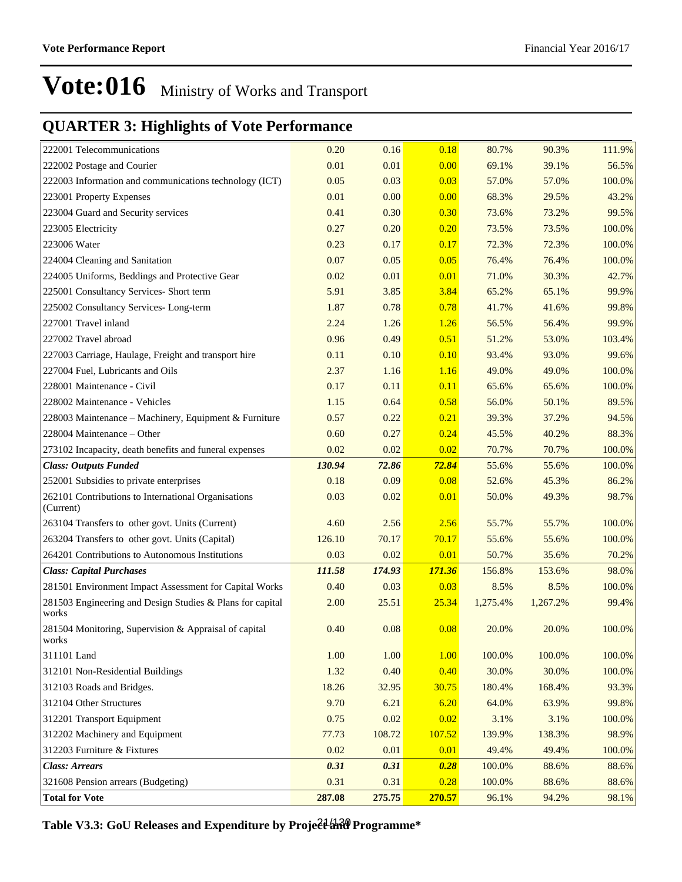#### **QUARTER 3: Highlights of Vote Performance**

| 222001 Telecommunications                                          | 0.20   | 0.16   | 0.18   | 80.7%    | 90.3%    | 111.9% |
|--------------------------------------------------------------------|--------|--------|--------|----------|----------|--------|
| 222002 Postage and Courier                                         | 0.01   | 0.01   | 0.00   | 69.1%    | 39.1%    | 56.5%  |
| 222003 Information and communications technology (ICT)             | 0.05   | 0.03   | 0.03   | 57.0%    | 57.0%    | 100.0% |
| 223001 Property Expenses                                           | 0.01   | 0.00   | 0.00   | 68.3%    | 29.5%    | 43.2%  |
| 223004 Guard and Security services                                 | 0.41   | 0.30   | 0.30   | 73.6%    | 73.2%    | 99.5%  |
| 223005 Electricity                                                 | 0.27   | 0.20   | 0.20   | 73.5%    | 73.5%    | 100.0% |
| 223006 Water                                                       | 0.23   | 0.17   | 0.17   | 72.3%    | 72.3%    | 100.0% |
| 224004 Cleaning and Sanitation                                     | 0.07   | 0.05   | 0.05   | 76.4%    | 76.4%    | 100.0% |
| 224005 Uniforms, Beddings and Protective Gear                      | 0.02   | 0.01   | 0.01   | 71.0%    | 30.3%    | 42.7%  |
| 225001 Consultancy Services- Short term                            | 5.91   | 3.85   | 3.84   | 65.2%    | 65.1%    | 99.9%  |
| 225002 Consultancy Services-Long-term                              | 1.87   | 0.78   | 0.78   | 41.7%    | 41.6%    | 99.8%  |
| 227001 Travel inland                                               | 2.24   | 1.26   | 1.26   | 56.5%    | 56.4%    | 99.9%  |
| 227002 Travel abroad                                               | 0.96   | 0.49   | 0.51   | 51.2%    | 53.0%    | 103.4% |
| 227003 Carriage, Haulage, Freight and transport hire               | 0.11   | 0.10   | 0.10   | 93.4%    | 93.0%    | 99.6%  |
| 227004 Fuel, Lubricants and Oils                                   | 2.37   | 1.16   | 1.16   | 49.0%    | 49.0%    | 100.0% |
| 228001 Maintenance - Civil                                         | 0.17   | 0.11   | 0.11   | 65.6%    | 65.6%    | 100.0% |
| 228002 Maintenance - Vehicles                                      | 1.15   | 0.64   | 0.58   | 56.0%    | 50.1%    | 89.5%  |
| 228003 Maintenance - Machinery, Equipment & Furniture              | 0.57   | 0.22   | 0.21   | 39.3%    | 37.2%    | 94.5%  |
| 228004 Maintenance – Other                                         | 0.60   | 0.27   | 0.24   | 45.5%    | 40.2%    | 88.3%  |
| 273102 Incapacity, death benefits and funeral expenses             | 0.02   | 0.02   | 0.02   | 70.7%    | 70.7%    | 100.0% |
| <b>Class: Outputs Funded</b>                                       | 130.94 | 72.86  | 72.84  | 55.6%    | 55.6%    | 100.0% |
| 252001 Subsidies to private enterprises                            | 0.18   | 0.09   | 0.08   | 52.6%    | 45.3%    | 86.2%  |
| 262101 Contributions to International Organisations<br>(Current)   | 0.03   | 0.02   | 0.01   | 50.0%    | 49.3%    | 98.7%  |
| 263104 Transfers to other govt. Units (Current)                    | 4.60   | 2.56   | 2.56   | 55.7%    | 55.7%    | 100.0% |
| 263204 Transfers to other govt. Units (Capital)                    | 126.10 | 70.17  | 70.17  | 55.6%    | 55.6%    | 100.0% |
| 264201 Contributions to Autonomous Institutions                    | 0.03   | 0.02   | 0.01   | 50.7%    | 35.6%    | 70.2%  |
| <b>Class: Capital Purchases</b>                                    | 111.58 | 174.93 | 171.36 | 156.8%   | 153.6%   | 98.0%  |
| 281501 Environment Impact Assessment for Capital Works             | 0.40   | 0.03   | 0.03   | 8.5%     | 8.5%     | 100.0% |
| 281503 Engineering and Design Studies & Plans for capital<br>works | 2.00   | 25.51  | 25.34  | 1,275.4% | 1,267.2% | 99.4%  |
| 281504 Monitoring, Supervision & Appraisal of capital<br>works     | 0.40   | 0.08   | 0.08   | 20.0%    | 20.0%    | 100.0% |
| 311101 Land                                                        | 1.00   | 1.00   | 1.00   | 100.0%   | 100.0%   | 100.0% |
| 312101 Non-Residential Buildings                                   | 1.32   | 0.40   | 0.40   | 30.0%    | 30.0%    | 100.0% |
| 312103 Roads and Bridges.                                          | 18.26  | 32.95  | 30.75  | 180.4%   | 168.4%   | 93.3%  |
| 312104 Other Structures                                            | 9.70   | 6.21   | 6.20   | 64.0%    | 63.9%    | 99.8%  |
| 312201 Transport Equipment                                         | 0.75   | 0.02   | 0.02   | 3.1%     | 3.1%     | 100.0% |
| 312202 Machinery and Equipment                                     | 77.73  | 108.72 | 107.52 | 139.9%   | 138.3%   | 98.9%  |
| 312203 Furniture & Fixtures                                        | 0.02   | 0.01   | 0.01   | 49.4%    | 49.4%    | 100.0% |
| <b>Class: Arrears</b>                                              | 0.31   | 0.31   | 0.28   | 100.0%   | 88.6%    | 88.6%  |
| 321608 Pension arrears (Budgeting)                                 | 0.31   | 0.31   | 0.28   | 100.0%   | 88.6%    | 88.6%  |
| <b>Total for Vote</b>                                              | 287.08 | 275.75 | 270.57 | 96.1%    | 94.2%    | 98.1%  |

Table V3.3: GoU Releases and Expenditure by Proje<del>ct and</del> Programme\*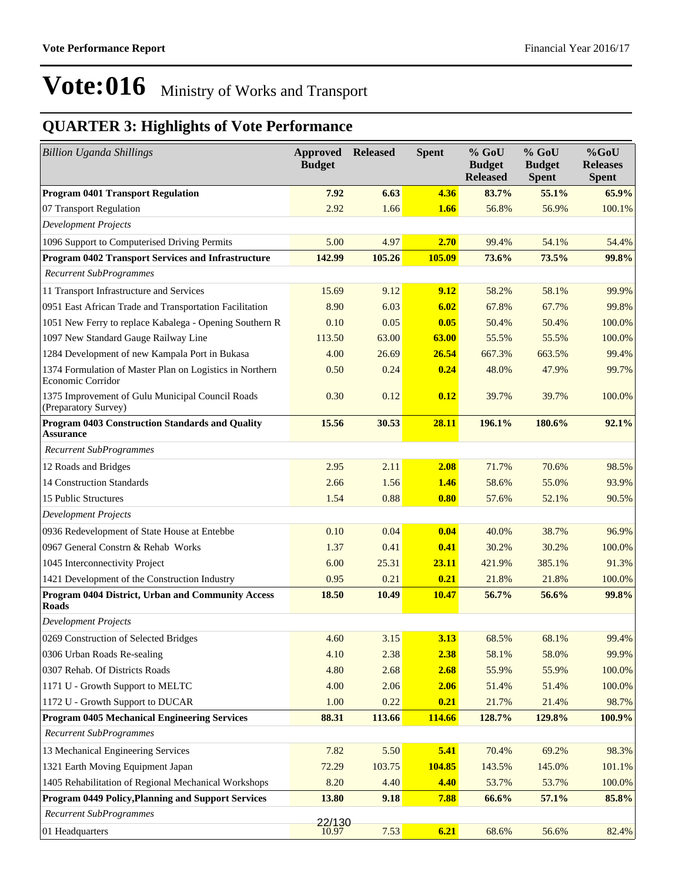| <b>Billion Uganda Shillings</b>                                               | <b>Approved</b><br><b>Budget</b> | <b>Released</b> | <b>Spent</b> | $%$ GoU<br><b>Budget</b><br><b>Released</b> | % GoU<br><b>Budget</b><br><b>Spent</b> | %GoU<br><b>Releases</b><br><b>Spent</b> |
|-------------------------------------------------------------------------------|----------------------------------|-----------------|--------------|---------------------------------------------|----------------------------------------|-----------------------------------------|
| <b>Program 0401 Transport Regulation</b>                                      | 7.92                             | 6.63            | 4.36         | 83.7%                                       | 55.1%                                  | 65.9%                                   |
| 07 Transport Regulation                                                       | 2.92                             | 1.66            | 1.66         | 56.8%                                       | 56.9%                                  | 100.1%                                  |
| <b>Development Projects</b>                                                   |                                  |                 |              |                                             |                                        |                                         |
| 1096 Support to Computerised Driving Permits                                  | 5.00                             | 4.97            | 2.70         | 99.4%                                       | 54.1%                                  | 54.4%                                   |
| <b>Program 0402 Transport Services and Infrastructure</b>                     | 142.99                           | 105.26          | 105.09       | 73.6%                                       | 73.5%                                  | 99.8%                                   |
| <b>Recurrent SubProgrammes</b>                                                |                                  |                 |              |                                             |                                        |                                         |
| 11 Transport Infrastructure and Services                                      | 15.69                            | 9.12            | 9.12         | 58.2%                                       | 58.1%                                  | 99.9%                                   |
| 0951 East African Trade and Transportation Facilitation                       | 8.90                             | 6.03            | 6.02         | 67.8%                                       | 67.7%                                  | 99.8%                                   |
| 1051 New Ferry to replace Kabalega - Opening Southern R                       | 0.10                             | 0.05            | 0.05         | 50.4%                                       | 50.4%                                  | 100.0%                                  |
| 1097 New Standard Gauge Railway Line                                          | 113.50                           | 63.00           | 63.00        | 55.5%                                       | 55.5%                                  | 100.0%                                  |
| 1284 Development of new Kampala Port in Bukasa                                | 4.00                             | 26.69           | 26.54        | 667.3%                                      | 663.5%                                 | 99.4%                                   |
| 1374 Formulation of Master Plan on Logistics in Northern<br>Economic Corridor | 0.50                             | 0.24            | 0.24         | 48.0%                                       | 47.9%                                  | 99.7%                                   |
| 1375 Improvement of Gulu Municipal Council Roads<br>(Preparatory Survey)      | 0.30                             | 0.12            | 0.12         | 39.7%                                       | 39.7%                                  | 100.0%                                  |
| <b>Program 0403 Construction Standards and Quality</b><br><b>Assurance</b>    | 15.56                            | 30.53           | 28.11        | 196.1%                                      | 180.6%                                 | 92.1%                                   |
| <b>Recurrent SubProgrammes</b>                                                |                                  |                 |              |                                             |                                        |                                         |
| 12 Roads and Bridges                                                          | 2.95                             | 2.11            | 2.08         | 71.7%                                       | 70.6%                                  | 98.5%                                   |
| 14 Construction Standards                                                     | 2.66                             | 1.56            | 1.46         | 58.6%                                       | 55.0%                                  | 93.9%                                   |
| 15 Public Structures                                                          | 1.54                             | 0.88            | 0.80         | 57.6%                                       | 52.1%                                  | 90.5%                                   |
| Development Projects                                                          |                                  |                 |              |                                             |                                        |                                         |
| 0936 Redevelopment of State House at Entebbe                                  | 0.10                             | 0.04            | 0.04         | 40.0%                                       | 38.7%                                  | 96.9%                                   |
| 0967 General Constrn & Rehab Works                                            | 1.37                             | 0.41            | 0.41         | 30.2%                                       | 30.2%                                  | 100.0%                                  |
| 1045 Interconnectivity Project                                                | 6.00                             | 25.31           | 23.11        | 421.9%                                      | 385.1%                                 | 91.3%                                   |
| 1421 Development of the Construction Industry                                 | 0.95                             | 0.21            | 0.21         | 21.8%                                       | 21.8%                                  | 100.0%                                  |
| Program 0404 District, Urban and Community Access<br><b>Roads</b>             | 18.50                            | 10.49           | 10.47        | 56.7%                                       | 56.6%                                  | 99.8%                                   |
| <b>Development Projects</b>                                                   |                                  |                 |              |                                             |                                        |                                         |
| 0269 Construction of Selected Bridges                                         | 4.60                             | 3.15            | 3.13         | 68.5%                                       | 68.1%                                  | 99.4%                                   |
| 0306 Urban Roads Re-sealing                                                   | 4.10                             | 2.38            | 2.38         | 58.1%                                       | 58.0%                                  | 99.9%                                   |
| 0307 Rehab. Of Districts Roads                                                | 4.80                             | 2.68            | 2.68         | 55.9%                                       | 55.9%                                  | 100.0%                                  |
| 1171 U - Growth Support to MELTC                                              | 4.00                             | 2.06            | 2.06         | 51.4%                                       | 51.4%                                  | 100.0%                                  |
| 1172 U - Growth Support to DUCAR                                              | 1.00                             | 0.22            | 0.21         | 21.7%                                       | 21.4%                                  | 98.7%                                   |
| <b>Program 0405 Mechanical Engineering Services</b>                           | 88.31                            | 113.66          | 114.66       | 128.7%                                      | 129.8%                                 | 100.9%                                  |
| <b>Recurrent SubProgrammes</b>                                                |                                  |                 |              |                                             |                                        |                                         |
| 13 Mechanical Engineering Services                                            | 7.82                             | 5.50            | 5.41         | 70.4%                                       | 69.2%                                  | 98.3%                                   |
| 1321 Earth Moving Equipment Japan                                             | 72.29                            | 103.75          | 104.85       | 143.5%                                      | 145.0%                                 | 101.1%                                  |
| 1405 Rehabilitation of Regional Mechanical Workshops                          | 8.20                             | 4.40            | 4.40         | 53.7%                                       | 53.7%                                  | 100.0%                                  |
| Program 0449 Policy, Planning and Support Services                            | 13.80                            | 9.18            | 7.88         | 66.6%                                       | 57.1%                                  | 85.8%                                   |
| <b>Recurrent SubProgrammes</b>                                                | 22/130                           |                 |              |                                             |                                        |                                         |
| 01 Headquarters                                                               | 10.97                            | 7.53            | 6.21         | 68.6%                                       | 56.6%                                  | 82.4%                                   |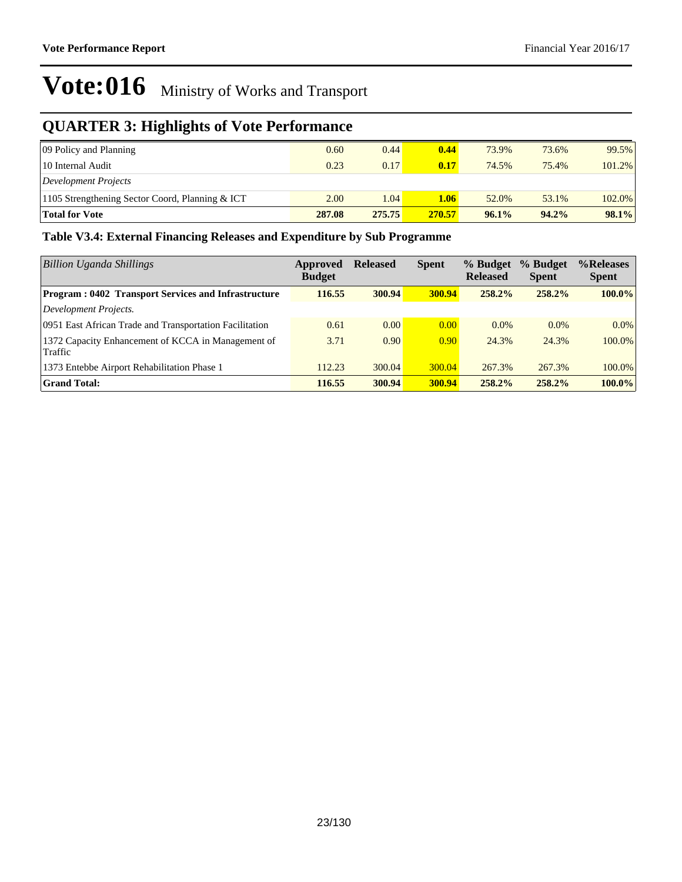### **QUARTER 3: Highlights of Vote Performance**

| 09 Policy and Planning                          | 0.60   | 0.44   | 0.44   | 73.9% | 73.6%    | 99.5%     |
|-------------------------------------------------|--------|--------|--------|-------|----------|-----------|
| 10 Internal Audit                               | 0.23   | 0.17   | 0.17   | 74.5% | 75.4%    | $101.2\%$ |
| Development Projects                            |        |        |        |       |          |           |
| 1105 Strengthening Sector Coord, Planning & ICT | 2.00   | 1.04   | 1.06   | 52.0% | 53.1%    | $102.0\%$ |
| <b>Total for Vote</b>                           | 287.08 | 275.75 | 270.57 | 96.1% | $94.2\%$ | 98.1%     |

#### **Table V3.4: External Financing Releases and Expenditure by Sub Programme**

| Billion Uganda Shillings                                      | Approved<br><b>Budget</b> | <b>Released</b> | <b>Spent</b> | % Budget<br><b>Released</b> | % Budget<br><b>Spent</b> | %Releases<br><b>Spent</b> |
|---------------------------------------------------------------|---------------------------|-----------------|--------------|-----------------------------|--------------------------|---------------------------|
| <b>Program: 0402 Transport Services and Infrastructure</b>    | 116.55                    | 300.94          | 300.94       | 258.2%                      | 258.2%                   | 100.0%                    |
| Development Projects.                                         |                           |                 |              |                             |                          |                           |
| 0951 East African Trade and Transportation Facilitation       | 0.61                      | 0.00            | 0.00         | 0.0%                        | $0.0\%$                  | $0.0\%$                   |
| 1372 Capacity Enhancement of KCCA in Management of<br>Traffic | 3.71                      | 0.90            | 0.90         | 24.3%                       | 24.3%                    | 100.0%                    |
| 1373 Entebbe Airport Rehabilitation Phase 1                   | 112.23                    | 300.04          | 300.04       | 267.3%                      | 267.3%                   | 100.0%                    |
| <b>Grand Total:</b>                                           | 116.55                    | 300.94          | 300.94       | 258.2%                      | 258.2%                   | 100.0%                    |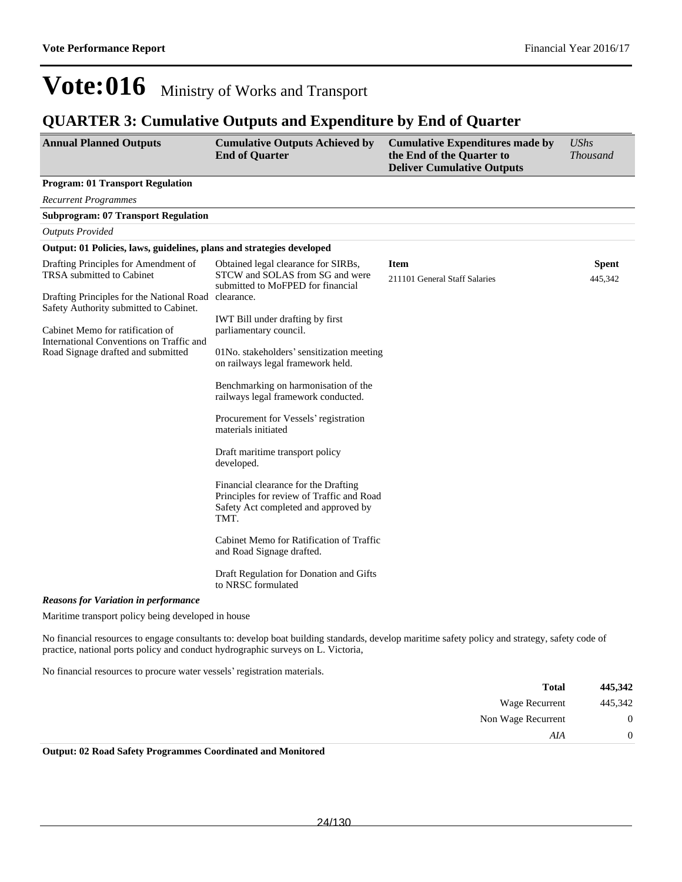#### **QUARTER 3: Cumulative Outputs and Expenditure by End of Quarter**

| <b>Annual Planned Outputs</b>                                                                                                                                | <b>Cumulative Outputs Achieved by</b><br><b>End of Quarter</b>                                                                                      | <b>Cumulative Expenditures made by</b><br>the End of the Quarter to<br><b>Deliver Cumulative Outputs</b> | <b>UShs</b><br><b>Thousand</b> |
|--------------------------------------------------------------------------------------------------------------------------------------------------------------|-----------------------------------------------------------------------------------------------------------------------------------------------------|----------------------------------------------------------------------------------------------------------|--------------------------------|
| <b>Program: 01 Transport Regulation</b>                                                                                                                      |                                                                                                                                                     |                                                                                                          |                                |
| <b>Recurrent Programmes</b>                                                                                                                                  |                                                                                                                                                     |                                                                                                          |                                |
| <b>Subprogram: 07 Transport Regulation</b>                                                                                                                   |                                                                                                                                                     |                                                                                                          |                                |
| <b>Outputs Provided</b>                                                                                                                                      |                                                                                                                                                     |                                                                                                          |                                |
| Output: 01 Policies, laws, guidelines, plans and strategies developed                                                                                        |                                                                                                                                                     |                                                                                                          |                                |
| Drafting Principles for Amendment of<br>TRSA submitted to Cabinet<br>Drafting Principles for the National Road                                               | Obtained legal clearance for SIRBs,<br>STCW and SOLAS from SG and were<br>submitted to MoFPED for financial<br>clearance.                           | <b>Item</b><br>211101 General Staff Salaries                                                             | <b>Spent</b><br>445,342        |
| Safety Authority submitted to Cabinet.<br>Cabinet Memo for ratification of<br>International Conventions on Traffic and<br>Road Signage drafted and submitted | <b>IWT</b> Bill under drafting by first<br>parliamentary council.<br>01No. stakeholders' sensitization meeting<br>on railways legal framework held. |                                                                                                          |                                |
|                                                                                                                                                              | Benchmarking on harmonisation of the<br>railways legal framework conducted.                                                                         |                                                                                                          |                                |
|                                                                                                                                                              | Procurement for Vessels' registration<br>materials initiated                                                                                        |                                                                                                          |                                |
|                                                                                                                                                              | Draft maritime transport policy<br>developed.                                                                                                       |                                                                                                          |                                |
|                                                                                                                                                              | Financial clearance for the Drafting<br>Principles for review of Traffic and Road<br>Safety Act completed and approved by<br>TMT.                   |                                                                                                          |                                |
|                                                                                                                                                              | Cabinet Memo for Ratification of Traffic<br>and Road Signage drafted.                                                                               |                                                                                                          |                                |
|                                                                                                                                                              | Draft Regulation for Donation and Gifts<br>to NRSC formulated                                                                                       |                                                                                                          |                                |
| <b>Reasons for Variation in performance</b>                                                                                                                  |                                                                                                                                                     |                                                                                                          |                                |

Maritime transport policy being developed in house

No financial resources to engage consultants to: develop boat building standards, develop maritime safety policy and strategy, safety code of practice, national ports policy and conduct hydrographic surveys on L. Victoria,

No financial resources to procure water vessels' registration materials.

| 445,342          | <b>Total</b>       |
|------------------|--------------------|
| 445,342          | Wage Recurrent     |
| $\boldsymbol{0}$ | Non Wage Recurrent |
| $\overline{0}$   | AIA                |

**Output: 02 Road Safety Programmes Coordinated and Monitored**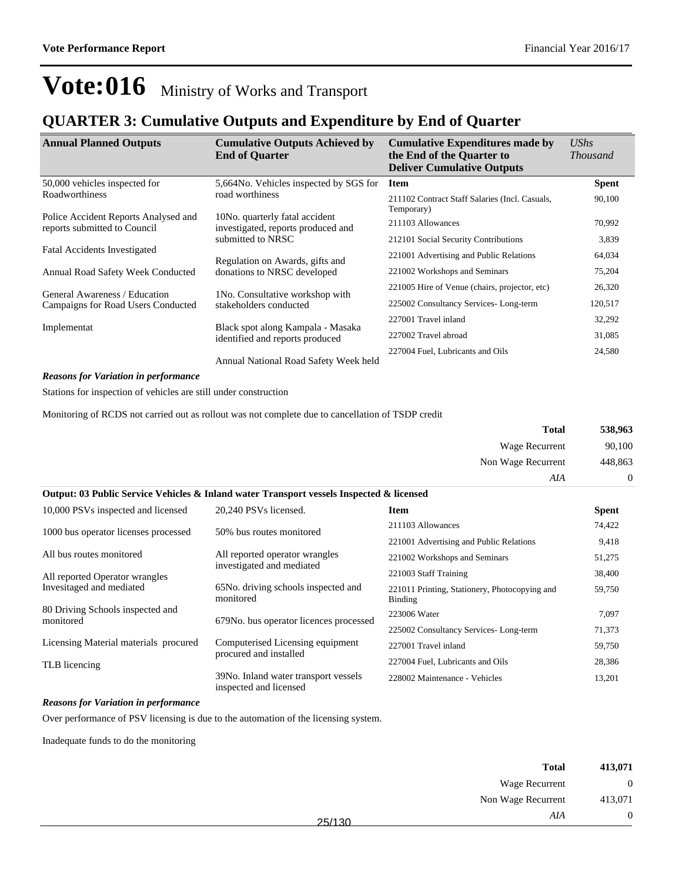#### **QUARTER 3: Cumulative Outputs and Expenditure by End of Quarter**

| <b>Annual Planned Outputs</b>                                        | <b>Cumulative Outputs Achieved by</b><br><b>End of Quarter</b>       | <b>Cumulative Expenditures made by</b><br>the End of the Quarter to<br><b>Deliver Cumulative Outputs</b> | <b>UShs</b><br><i>Thousand</i> |
|----------------------------------------------------------------------|----------------------------------------------------------------------|----------------------------------------------------------------------------------------------------------|--------------------------------|
| 50,000 vehicles inspected for                                        | 5,664No. Vehicles inspected by SGS for                               | <b>Item</b>                                                                                              | <b>Spent</b>                   |
| <b>Roadworthiness</b>                                                | road worthiness                                                      | 211102 Contract Staff Salaries (Incl. Casuals,<br>Temporary)                                             | 90,100                         |
| Police Accident Reports Analysed and<br>reports submitted to Council | 10No. quarterly fatal accident<br>investigated, reports produced and | 211103 Allowances                                                                                        | 70,992                         |
|                                                                      | submitted to NRSC                                                    | 212101 Social Security Contributions                                                                     | 3,839                          |
| <b>Fatal Accidents Investigated</b>                                  | Regulation on Awards, gifts and                                      | 221001 Advertising and Public Relations                                                                  | 64,034                         |
| Annual Road Safety Week Conducted                                    | donations to NRSC developed                                          | 221002 Workshops and Seminars                                                                            | 75,204                         |
| General Awareness / Education                                        | 1No. Consultative workshop with                                      | 221005 Hire of Venue (chairs, projector, etc)                                                            | 26,320                         |
| Campaigns for Road Users Conducted                                   | stakeholders conducted                                               | 225002 Consultancy Services-Long-term                                                                    | 120,517                        |
|                                                                      |                                                                      | 227001 Travel inland                                                                                     | 32,292                         |
| Implementat                                                          | Black spot along Kampala - Masaka<br>identified and reports produced | 227002 Travel abroad                                                                                     | 31,085                         |
|                                                                      | Annual National Road Safety Week held                                | 227004 Fuel, Lubricants and Oils                                                                         | 24,580                         |

#### *Reasons for Variation in performance*

Stations for inspection of vehicles are still under construction

Monitoring of RCDS not carried out as rollout was not complete due to cancellation of TSDP credit

|                                       |                                                                                          | <b>Total</b>                                             | 538,963<br>90,100<br>448,863 |  |
|---------------------------------------|------------------------------------------------------------------------------------------|----------------------------------------------------------|------------------------------|--|
|                                       |                                                                                          | Wage Recurrent                                           |                              |  |
|                                       |                                                                                          | Non Wage Recurrent                                       |                              |  |
|                                       |                                                                                          | AIA                                                      | $\theta$                     |  |
|                                       | Output: 03 Public Service Vehicles & Inland water Transport vessels Inspected & licensed |                                                          |                              |  |
| 10,000 PSVs inspected and licensed    | 20,240 PSVs licensed.                                                                    | Item                                                     | <b>Spent</b>                 |  |
| 1000 bus operator licenses processed  | 50% bus routes monitored                                                                 | 211103 Allowances                                        | 74,422                       |  |
|                                       |                                                                                          | 221001 Advertising and Public Relations                  | 9,418                        |  |
| All bus routes monitored              | All reported operator wrangles                                                           | 221002 Workshops and Seminars                            | 51,275                       |  |
| All reported Operator wrangles        | investigated and mediated                                                                | 221003 Staff Training                                    | 38,400                       |  |
| Invesitaged and mediated              | 65No. driving schools inspected and<br>monitored                                         | 221011 Printing, Stationery, Photocopying and<br>Binding | 59,750                       |  |
| 80 Driving Schools inspected and      |                                                                                          | 223006 Water                                             | 7,097                        |  |
| monitored                             | 679No. bus operator licences processed                                                   | 225002 Consultancy Services-Long-term                    | 71,373                       |  |
| Licensing Material materials procured | Computerised Licensing equipment                                                         | 227001 Travel inland                                     | 59,750                       |  |
| TLB licencing                         | procured and installed                                                                   | 227004 Fuel, Lubricants and Oils                         | 28,386                       |  |
|                                       | 39No. Inland water transport vessels<br>inspected and licensed                           | 228002 Maintenance - Vehicles                            | 13,201                       |  |

#### *Reasons for Variation in performance*

Over performance of PSV licensing is due to the automation of the licensing system.

Inadequate funds to do the monitoring

| 413,071        | <b>Total</b>          |        |
|----------------|-----------------------|--------|
| $\overline{0}$ | <b>Wage Recurrent</b> |        |
| 413,071        | Non Wage Recurrent    |        |
| $\overline{0}$ | AIA                   | 25/130 |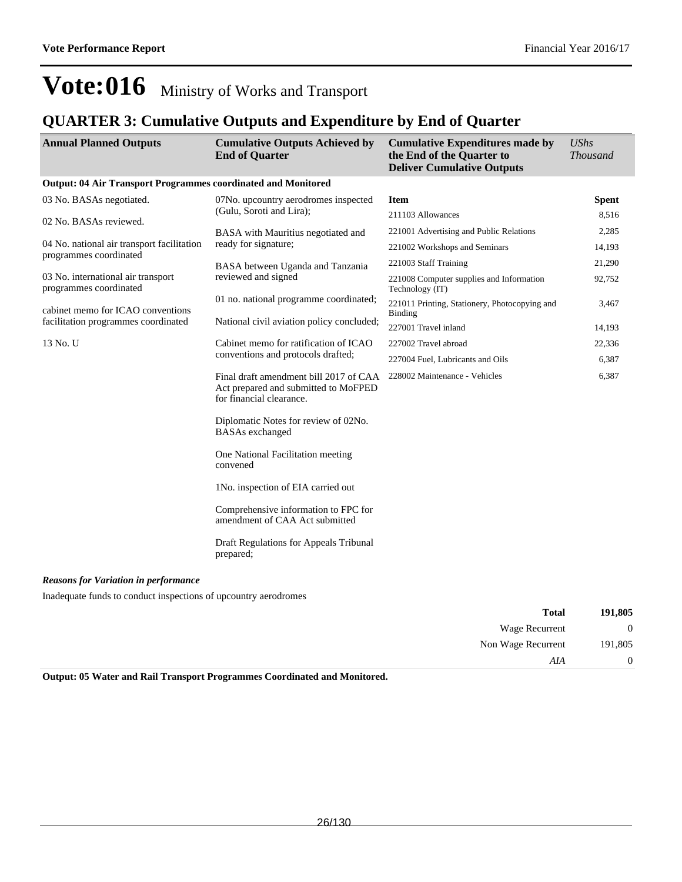#### **QUARTER 3: Cumulative Outputs and Expenditure by End of Quarter**

| <b>Annual Planned Outputs</b>                                        | <b>Cumulative Outputs Achieved by</b><br><b>End of Quarter</b>                                             | <b>Cumulative Expenditures made by</b><br>the End of the Quarter to<br><b>Deliver Cumulative Outputs</b> | <b>UShs</b><br><b>Thousand</b> |
|----------------------------------------------------------------------|------------------------------------------------------------------------------------------------------------|----------------------------------------------------------------------------------------------------------|--------------------------------|
| <b>Output: 04 Air Transport Programmes coordinated and Monitored</b> |                                                                                                            |                                                                                                          |                                |
| 03 No. BASAs negotiated.                                             | 07No. upcountry aerodromes inspected<br>(Gulu, Soroti and Lira);                                           | <b>Item</b>                                                                                              | <b>Spent</b>                   |
| 02 No. BASAs reviewed.                                               |                                                                                                            | 211103 Allowances                                                                                        | 8,516                          |
|                                                                      | BASA with Mauritius negotiated and                                                                         | 221001 Advertising and Public Relations                                                                  | 2,285                          |
| 04 No. national air transport facilitation<br>programmes coordinated | ready for signature;                                                                                       | 221002 Workshops and Seminars                                                                            | 14,193                         |
|                                                                      | BASA between Uganda and Tanzania                                                                           | 221003 Staff Training                                                                                    | 21,290                         |
| 03 No. international air transport<br>programmes coordinated         | reviewed and signed                                                                                        | 221008 Computer supplies and Information<br>Technology (IT)                                              | 92,752                         |
| cabinet memo for ICAO conventions                                    | 01 no. national programme coordinated;                                                                     | 221011 Printing, Stationery, Photocopying and<br><b>Binding</b>                                          | 3,467                          |
| facilitation programmes coordinated                                  | National civil aviation policy concluded;                                                                  | 227001 Travel inland                                                                                     | 14,193                         |
| 13 No. U                                                             | Cabinet memo for ratification of ICAO<br>conventions and protocols drafted;                                | 227002 Travel abroad                                                                                     | 22,336                         |
|                                                                      |                                                                                                            | 227004 Fuel, Lubricants and Oils                                                                         | 6,387                          |
|                                                                      | Final draft amendment bill 2017 of CAA<br>Act prepared and submitted to MoFPED<br>for financial clearance. | 228002 Maintenance - Vehicles                                                                            | 6,387                          |
|                                                                      | Diplomatic Notes for review of 02No.<br><b>BASAs</b> exchanged                                             |                                                                                                          |                                |
|                                                                      | One National Facilitation meeting<br>convened                                                              |                                                                                                          |                                |
|                                                                      | 1No. inspection of EIA carried out                                                                         |                                                                                                          |                                |
|                                                                      | Comprehensive information to FPC for<br>amendment of CAA Act submitted                                     |                                                                                                          |                                |
|                                                                      | Draft Regulations for Appeals Tribunal<br>prepared;                                                        |                                                                                                          |                                |
| <b>Reasons for Variation in performance</b>                          |                                                                                                            |                                                                                                          |                                |

Inadequate funds to conduct inspections of upcountry aerodromes

| 191,805 | <b>Total</b>       |
|---------|--------------------|
| 0       | Wage Recurrent     |
| 191,805 | Non Wage Recurrent |
| 0       | AIA                |
|         |                    |

**Output: 05 Water and Rail Transport Programmes Coordinated and Monitored.**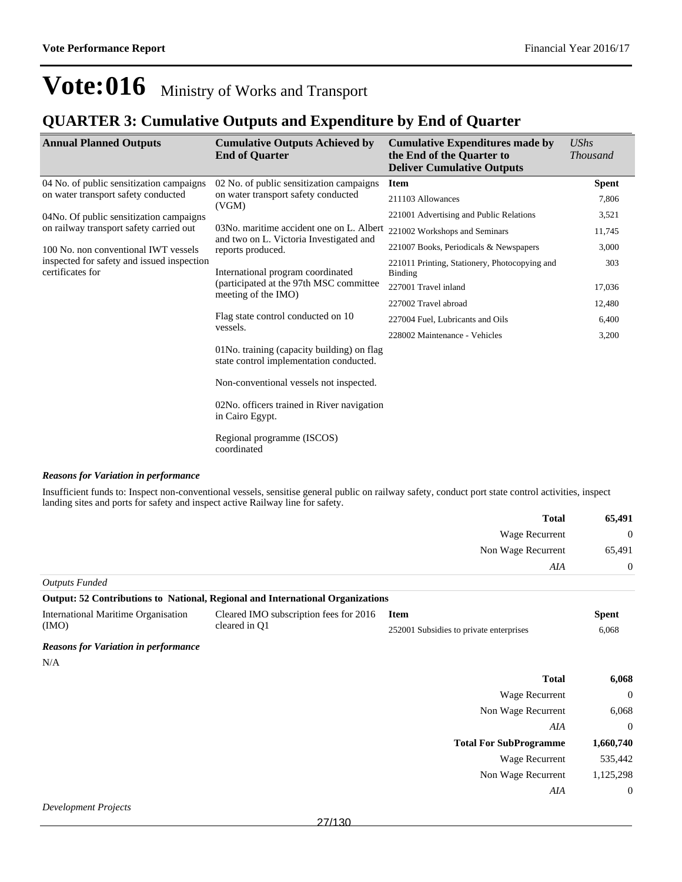Non Wage Recurrent 1,125,298

*AIA* 0

### **Vote:016** Ministry of Works and Transport

#### **QUARTER 3: Cumulative Outputs and Expenditure by End of Quarter**

| <b>Annual Planned Outputs</b>                                  | <b>Cumulative Outputs Achieved by</b><br><b>End of Quarter</b>                        | <b>Cumulative Expenditures made by</b><br>the End of the Quarter to<br><b>Deliver Cumulative Outputs</b> | <b>UShs</b><br><b>Thousand</b> |
|----------------------------------------------------------------|---------------------------------------------------------------------------------------|----------------------------------------------------------------------------------------------------------|--------------------------------|
| 04 No. of public sensitization campaigns                       | 02 No. of public sensitization campaigns                                              | <b>Item</b>                                                                                              | <b>Spent</b>                   |
| on water transport safety conducted                            | on water transport safety conducted<br>(VGM)                                          | 211103 Allowances                                                                                        | 7,806                          |
| 04No. Of public sensitization campaigns                        |                                                                                       | 221001 Advertising and Public Relations                                                                  | 3,521                          |
| on railway transport safety carried out                        | 03No. maritime accident one on L. Albert<br>and two on L. Victoria Investigated and   | 221002 Workshops and Seminars                                                                            | 11,745                         |
| 100 No. non conventional IWT vessels                           | reports produced.                                                                     | 221007 Books, Periodicals & Newspapers                                                                   | 3,000                          |
| inspected for safety and issued inspection<br>certificates for | International program coordinated<br>(participated at the 97th MSC committee)         | 221011 Printing, Stationery, Photocopying and<br><b>Binding</b>                                          | 303                            |
|                                                                |                                                                                       | 227001 Travel inland                                                                                     | 17,036                         |
|                                                                | meeting of the IMO)                                                                   | 227002 Travel abroad                                                                                     | 12,480                         |
|                                                                | Flag state control conducted on 10<br>vessels.                                        | 227004 Fuel, Lubricants and Oils                                                                         | 6,400                          |
|                                                                |                                                                                       | 228002 Maintenance - Vehicles                                                                            | 3,200                          |
|                                                                | 01No. training (capacity building) on flag<br>state control implementation conducted. |                                                                                                          |                                |
|                                                                | Non-conventional vessels not inspected.                                               |                                                                                                          |                                |
|                                                                | 02No. officers trained in River navigation<br>in Cairo Egypt.                         |                                                                                                          |                                |
|                                                                | Regional programme (ISCOS)<br>coordinated                                             |                                                                                                          |                                |

#### *Reasons for Variation in performance*

Insufficient funds to: Inspect non-conventional vessels, sensitise general public on railway safety, conduct port state control activities, inspect landing sites and ports for safety and inspect active Railway line for safety.

| 65,491   | <b>Total</b>          |
|----------|-----------------------|
| $\theta$ | <b>Wage Recurrent</b> |
| 65,491   | Non Wage Recurrent    |
| $\theta$ | AIA                   |

*Outputs Funded* **Output: 52 Contributions to National, Regional and International Organizations** International Maritime Organisation (IMO) Cleared IMO subscription fees for 2016 cleared in Q1 **Item Spent** 252001 Subsidies to private enterprises 6,068 *Reasons for Variation in performance* N/A **Total 6,068** Wage Recurrent 0 Non Wage Recurrent 6,068 *AIA* 0 **Total For SubProgramme 1,660,740** Wage Recurrent 535,442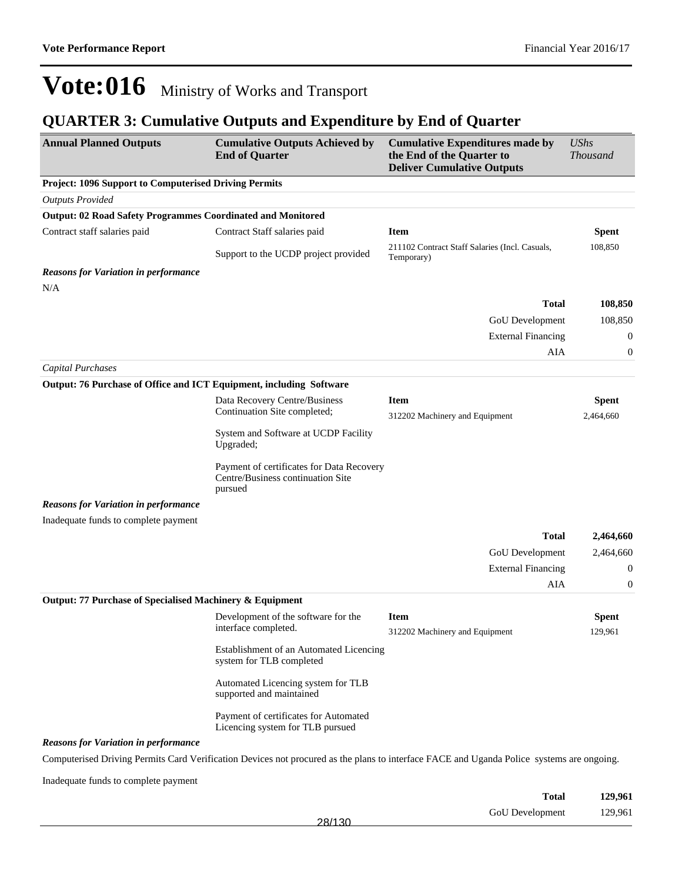### **QUARTER 3: Cumulative Outputs and Expenditure by End of Quarter**

| <b>Annual Planned Outputs</b>                                       | <b>Cumulative Outputs Achieved by</b><br><b>End of Quarter</b>                            | <b>Cumulative Expenditures made by</b><br>the End of the Quarter to<br><b>Deliver Cumulative Outputs</b>                                  | <b>UShs</b><br><b>Thousand</b> |
|---------------------------------------------------------------------|-------------------------------------------------------------------------------------------|-------------------------------------------------------------------------------------------------------------------------------------------|--------------------------------|
| <b>Project: 1096 Support to Computerised Driving Permits</b>        |                                                                                           |                                                                                                                                           |                                |
| <b>Outputs Provided</b>                                             |                                                                                           |                                                                                                                                           |                                |
| <b>Output: 02 Road Safety Programmes Coordinated and Monitored</b>  |                                                                                           |                                                                                                                                           |                                |
| Contract staff salaries paid                                        | Contract Staff salaries paid                                                              | <b>Item</b>                                                                                                                               | <b>Spent</b>                   |
|                                                                     | Support to the UCDP project provided                                                      | 211102 Contract Staff Salaries (Incl. Casuals,<br>Temporary)                                                                              | 108,850                        |
| <b>Reasons for Variation in performance</b>                         |                                                                                           |                                                                                                                                           |                                |
| N/A                                                                 |                                                                                           |                                                                                                                                           |                                |
|                                                                     |                                                                                           | <b>Total</b>                                                                                                                              | 108,850                        |
|                                                                     |                                                                                           | GoU Development                                                                                                                           | 108,850                        |
|                                                                     |                                                                                           | <b>External Financing</b>                                                                                                                 | 0                              |
|                                                                     |                                                                                           | AIA                                                                                                                                       | $\boldsymbol{0}$               |
| <b>Capital Purchases</b>                                            |                                                                                           |                                                                                                                                           |                                |
| Output: 76 Purchase of Office and ICT Equipment, including Software |                                                                                           |                                                                                                                                           |                                |
|                                                                     | Data Recovery Centre/Business<br>Continuation Site completed;                             | <b>Item</b>                                                                                                                               | <b>Spent</b>                   |
|                                                                     |                                                                                           | 312202 Machinery and Equipment                                                                                                            | 2,464,660                      |
|                                                                     | System and Software at UCDP Facility<br>Upgraded;                                         |                                                                                                                                           |                                |
|                                                                     | Payment of certificates for Data Recovery<br>Centre/Business continuation Site<br>pursued |                                                                                                                                           |                                |
| <b>Reasons for Variation in performance</b>                         |                                                                                           |                                                                                                                                           |                                |
| Inadequate funds to complete payment                                |                                                                                           |                                                                                                                                           |                                |
|                                                                     |                                                                                           | <b>Total</b>                                                                                                                              | 2,464,660                      |
|                                                                     |                                                                                           | GoU Development                                                                                                                           | 2,464,660                      |
|                                                                     |                                                                                           | <b>External Financing</b>                                                                                                                 | $\mathbf{0}$                   |
|                                                                     |                                                                                           | AIA                                                                                                                                       | $\boldsymbol{0}$               |
| Output: 77 Purchase of Specialised Machinery & Equipment            |                                                                                           |                                                                                                                                           |                                |
|                                                                     | Development of the software for the                                                       | <b>Item</b>                                                                                                                               | <b>Spent</b>                   |
|                                                                     | interface completed.                                                                      | 312202 Machinery and Equipment                                                                                                            | 129,961                        |
|                                                                     | Establishment of an Automated Licencing<br>system for TLB completed                       |                                                                                                                                           |                                |
|                                                                     | Automated Licencing system for TLB<br>supported and maintained                            |                                                                                                                                           |                                |
|                                                                     | Payment of certificates for Automated<br>Licencing system for TLB pursued                 |                                                                                                                                           |                                |
| <b>Reasons for Variation in performance</b>                         |                                                                                           |                                                                                                                                           |                                |
|                                                                     |                                                                                           | Computerised Driving Permits Card Verification Devices not procured as the plans to interface FACE and Uganda Police systems are ongoing. |                                |
| Inadequate funds to complete payment                                |                                                                                           |                                                                                                                                           |                                |

| <b>Total</b>    | 129,961 |
|-----------------|---------|
| GoU Development | 129,961 |
| 28/130          |         |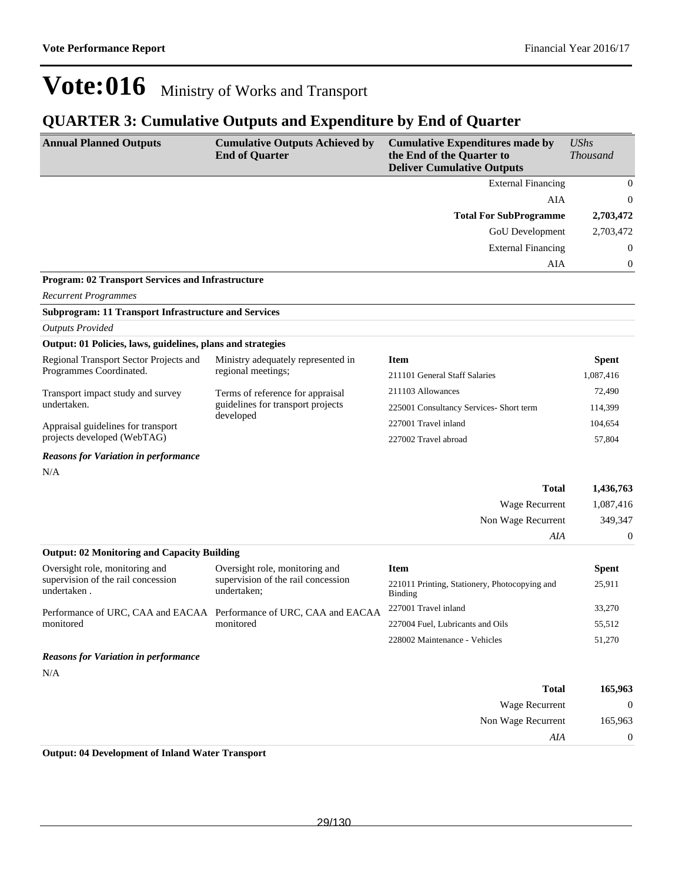#### **QUARTER 3: Cumulative Outputs and Expenditure by End of Quarter**

| <b>Annual Planned Outputs</b>                               | <b>Cumulative Outputs Achieved by</b><br><b>End of Quarter</b>      | <b>Cumulative Expenditures made by</b><br>the End of the Quarter to<br><b>Deliver Cumulative Outputs</b> | <b>UShs</b><br><b>Thousand</b> |
|-------------------------------------------------------------|---------------------------------------------------------------------|----------------------------------------------------------------------------------------------------------|--------------------------------|
|                                                             |                                                                     | <b>External Financing</b>                                                                                | $\mathbf{0}$                   |
|                                                             |                                                                     | AIA                                                                                                      | 0                              |
|                                                             |                                                                     | <b>Total For SubProgramme</b>                                                                            | 2,703,472                      |
|                                                             |                                                                     | GoU Development                                                                                          | 2,703,472                      |
|                                                             |                                                                     | <b>External Financing</b>                                                                                | $\boldsymbol{0}$               |
|                                                             |                                                                     | AIA                                                                                                      | 0                              |
| Program: 02 Transport Services and Infrastructure           |                                                                     |                                                                                                          |                                |
| <b>Recurrent Programmes</b>                                 |                                                                     |                                                                                                          |                                |
| <b>Subprogram: 11 Transport Infrastructure and Services</b> |                                                                     |                                                                                                          |                                |
| <b>Outputs Provided</b>                                     |                                                                     |                                                                                                          |                                |
| Output: 01 Policies, laws, guidelines, plans and strategies |                                                                     |                                                                                                          |                                |
| Regional Transport Sector Projects and                      | Ministry adequately represented in                                  | <b>Item</b>                                                                                              | <b>Spent</b>                   |
| Programmes Coordinated.                                     | regional meetings;                                                  | 211101 General Staff Salaries                                                                            | 1,087,416                      |
| Transport impact study and survey                           | Terms of reference for appraisal                                    | 211103 Allowances                                                                                        | 72,490                         |
| undertaken.                                                 | guidelines for transport projects<br>developed                      | 225001 Consultancy Services- Short term                                                                  | 114,399                        |
| Appraisal guidelines for transport                          |                                                                     | 227001 Travel inland                                                                                     | 104,654                        |
| projects developed (WebTAG)                                 |                                                                     | 227002 Travel abroad                                                                                     | 57.804                         |
| <b>Reasons for Variation in performance</b>                 |                                                                     |                                                                                                          |                                |
| N/A                                                         |                                                                     |                                                                                                          |                                |
|                                                             |                                                                     | <b>Total</b>                                                                                             | 1,436,763                      |
|                                                             |                                                                     | Wage Recurrent                                                                                           | 1,087,416                      |
|                                                             |                                                                     | Non Wage Recurrent                                                                                       | 349,347                        |
|                                                             |                                                                     | AIA                                                                                                      | $\boldsymbol{0}$               |
| <b>Output: 02 Monitoring and Capacity Building</b>          |                                                                     |                                                                                                          |                                |
| Oversight role, monitoring and                              | Oversight role, monitoring and                                      | <b>Item</b>                                                                                              | <b>Spent</b>                   |
| supervision of the rail concession<br>undertaken.           | supervision of the rail concession<br>undertaken;                   | 221011 Printing, Stationery, Photocopying and<br><b>Binding</b>                                          | 25,911                         |
|                                                             | Performance of URC, CAA and EACAA Performance of URC, CAA and EACAA | 227001 Travel inland                                                                                     | 33,270                         |
| monitored                                                   | monitored                                                           | 227004 Fuel, Lubricants and Oils                                                                         | 55,512                         |
|                                                             |                                                                     | 228002 Maintenance - Vehicles                                                                            | 51,270                         |
| <b>Reasons for Variation in performance</b>                 |                                                                     |                                                                                                          |                                |
| N/A                                                         |                                                                     |                                                                                                          |                                |
|                                                             |                                                                     | <b>Total</b>                                                                                             | 165,963                        |
|                                                             |                                                                     | Wage Recurrent                                                                                           | $\boldsymbol{0}$               |
|                                                             |                                                                     | Non Wage Recurrent                                                                                       | 165,963                        |
|                                                             |                                                                     | AIA                                                                                                      | $\boldsymbol{0}$               |

**Output: 04 Development of Inland Water Transport**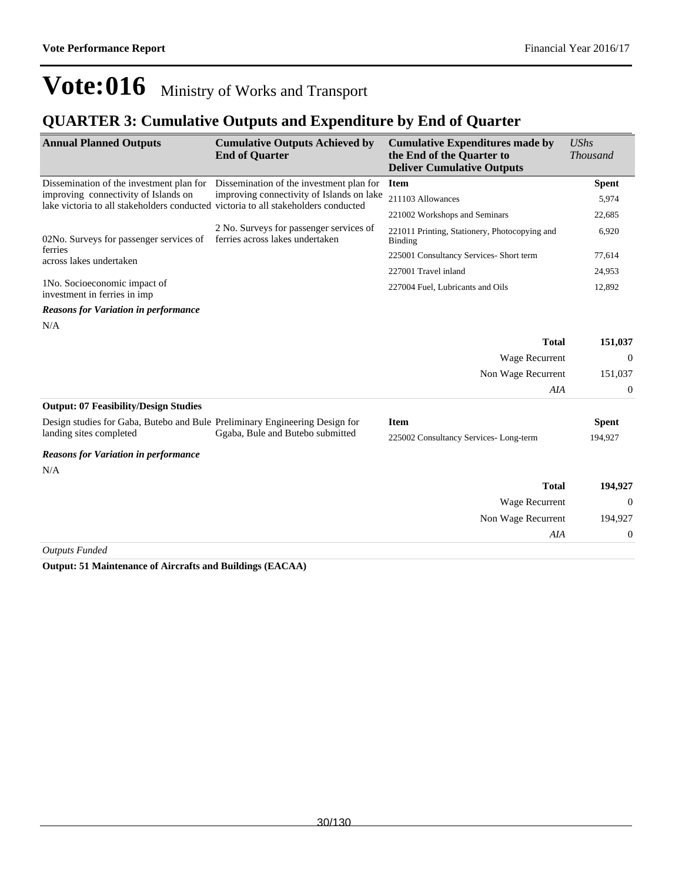#### **QUARTER 3: Cumulative Outputs and Expenditure by End of Quarter**

| <b>Annual Planned Outputs</b>                                                                                              | <b>Cumulative Outputs Achieved by</b><br><b>End of Quarter</b>             | <b>Cumulative Expenditures made by</b><br>the End of the Quarter to<br><b>Deliver Cumulative Outputs</b> | $\mathit{UShs}$<br><b>Thousand</b> |
|----------------------------------------------------------------------------------------------------------------------------|----------------------------------------------------------------------------|----------------------------------------------------------------------------------------------------------|------------------------------------|
| Dissemination of the investment plan for                                                                                   | Dissemination of the investment plan for                                   | <b>Item</b>                                                                                              | <b>Spent</b>                       |
| improving connectivity of Islands on<br>lake victoria to all stakeholders conducted victoria to all stakeholders conducted | improving connectivity of Islands on lake                                  | 211103 Allowances                                                                                        | 5,974                              |
|                                                                                                                            |                                                                            | 221002 Workshops and Seminars                                                                            | 22,685                             |
| 02No. Surveys for passenger services of                                                                                    | 2 No. Surveys for passenger services of<br>ferries across lakes undertaken | 221011 Printing, Stationery, Photocopying and<br>Binding                                                 | 6,920                              |
| ferries<br>across lakes undertaken                                                                                         |                                                                            | 225001 Consultancy Services-Short term                                                                   | 77,614                             |
|                                                                                                                            |                                                                            | 227001 Travel inland                                                                                     | 24,953                             |
| 1No. Socioeconomic impact of<br>investment in ferries in imp                                                               |                                                                            | 227004 Fuel, Lubricants and Oils                                                                         | 12,892                             |
| Reasons for Variation in performance                                                                                       |                                                                            |                                                                                                          |                                    |

#### *Reasons for Variation in performance*

N/A

|                                                                             |                                  | <b>Total</b>                          | 151,037      |
|-----------------------------------------------------------------------------|----------------------------------|---------------------------------------|--------------|
|                                                                             |                                  | Wage Recurrent                        | $\Omega$     |
|                                                                             |                                  | Non Wage Recurrent                    | 151,037      |
|                                                                             |                                  | AIA                                   | $\Omega$     |
| <b>Output: 07 Feasibility/Design Studies</b>                                |                                  |                                       |              |
| Design studies for Gaba, Butebo and Bule Preliminary Engineering Design for |                                  | <b>Item</b>                           | <b>Spent</b> |
| landing sites completed                                                     | Ggaba, Bule and Butebo submitted | 225002 Consultancy Services-Long-term | 194,927      |
| <b>Reasons for Variation in performance</b>                                 |                                  |                                       |              |
| N/A                                                                         |                                  |                                       |              |

| 194,927  | <b>Total</b>       |
|----------|--------------------|
| $\theta$ | Wage Recurrent     |
| 194,927  | Non Wage Recurrent |
| $\theta$ | AIA                |
|          |                    |

*Outputs Funded*

**Output: 51 Maintenance of Aircrafts and Buildings (EACAA)**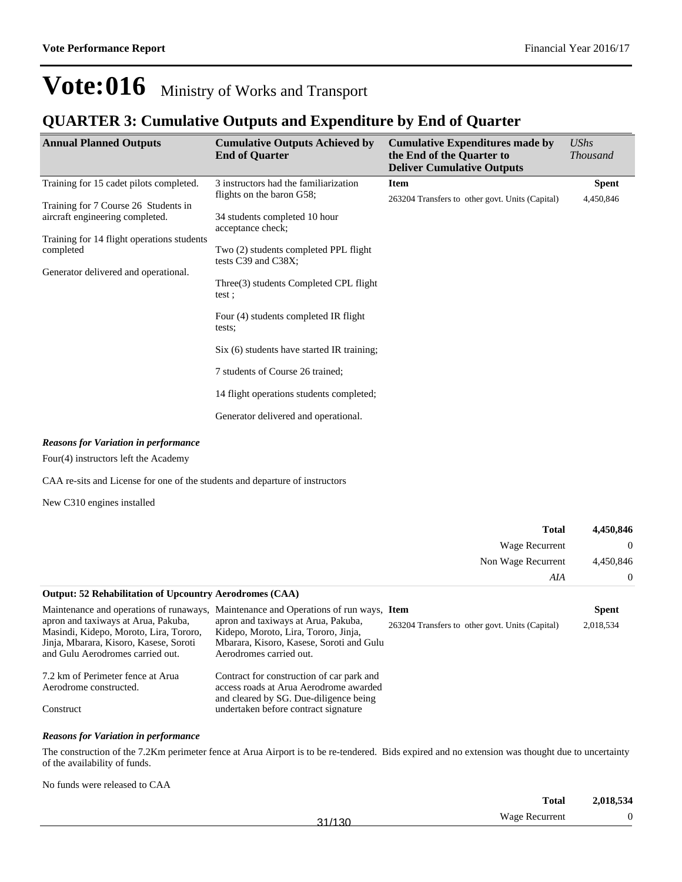#### **QUARTER 3: Cumulative Outputs and Expenditure by End of Quarter**

| <b>Annual Planned Outputs</b>                                                                                                                                              | <b>Cumulative Outputs Achieved by</b><br><b>End of Quarter</b>                                                                                                                                                                                                                                                                                                                                  | <b>Cumulative Expenditures made by</b><br>the End of the Quarter to<br><b>Deliver Cumulative Outputs</b> | <b>UShs</b><br><b>Thousand</b> |
|----------------------------------------------------------------------------------------------------------------------------------------------------------------------------|-------------------------------------------------------------------------------------------------------------------------------------------------------------------------------------------------------------------------------------------------------------------------------------------------------------------------------------------------------------------------------------------------|----------------------------------------------------------------------------------------------------------|--------------------------------|
| Training for 15 cadet pilots completed.                                                                                                                                    | 3 instructors had the familiarization<br>flights on the baron G58;                                                                                                                                                                                                                                                                                                                              | <b>Item</b>                                                                                              | <b>Spent</b>                   |
| Training for 7 Course 26 Students in<br>aircraft engineering completed.<br>Training for 14 flight operations students<br>completed<br>Generator delivered and operational. | 34 students completed 10 hour<br>acceptance check;<br>Two (2) students completed PPL flight<br>tests C39 and C38X;<br>Three (3) students Completed CPL flight<br>test:<br>Four (4) students completed IR flight<br>tests:<br>Six (6) students have started IR training;<br>7 students of Course 26 trained;<br>14 flight operations students completed;<br>Generator delivered and operational. | 263204 Transfers to other govt. Units (Capital)                                                          | 4,450,846                      |
|                                                                                                                                                                            |                                                                                                                                                                                                                                                                                                                                                                                                 |                                                                                                          |                                |

#### *Reasons for Variation in performance*

Four(4) instructors left the Academy

CAA re-sits and License for one of the students and departure of instructors

New C310 engines installed

|                                                                                                                                                                                                        |                                                                                                                                                                                                    | <b>Total</b>                                    | 4,450,846                 |
|--------------------------------------------------------------------------------------------------------------------------------------------------------------------------------------------------------|----------------------------------------------------------------------------------------------------------------------------------------------------------------------------------------------------|-------------------------------------------------|---------------------------|
|                                                                                                                                                                                                        |                                                                                                                                                                                                    | Wage Recurrent                                  | $\theta$                  |
|                                                                                                                                                                                                        |                                                                                                                                                                                                    | Non Wage Recurrent                              | 4,450,846                 |
|                                                                                                                                                                                                        |                                                                                                                                                                                                    | AIA                                             | $\Omega$                  |
| <b>Output: 52 Rehabilitation of Upcountry Aerodromes (CAA)</b>                                                                                                                                         |                                                                                                                                                                                                    |                                                 |                           |
| Maintenance and operations of runaways,<br>apron and taxiways at Arua, Pakuba,<br>Masindi, Kidepo, Moroto, Lira, Tororo,<br>Jinja, Mbarara, Kisoro, Kasese, Soroti<br>and Gulu Aerodromes carried out. | Maintenance and Operations of run ways, Item<br>apron and taxiways at Arua, Pakuba,<br>Kidepo, Moroto, Lira, Tororo, Jinja,<br>Mbarara, Kisoro, Kasese, Soroti and Gulu<br>Aerodromes carried out. | 263204 Transfers to other govt. Units (Capital) | <b>Spent</b><br>2,018,534 |
| 7.2 km of Perimeter fence at Arua<br>Aerodrome constructed.<br>Construct                                                                                                                               | Contract for construction of car park and<br>access roads at Arua Aerodrome awarded<br>and cleared by SG. Due-diligence being<br>undertaken before contract signature                              |                                                 |                           |

#### *Reasons for Variation in performance*

The construction of the 7.2Km perimeter fence at Arua Airport is to be re-tendered. Bids expired and no extension was thought due to uncertainty of the availability of funds.

No funds were released to CAA

|           | <b>Total</b>   | 2,018,534 |
|-----------|----------------|-----------|
| /130<br>ິ | Wage Recurrent | 0         |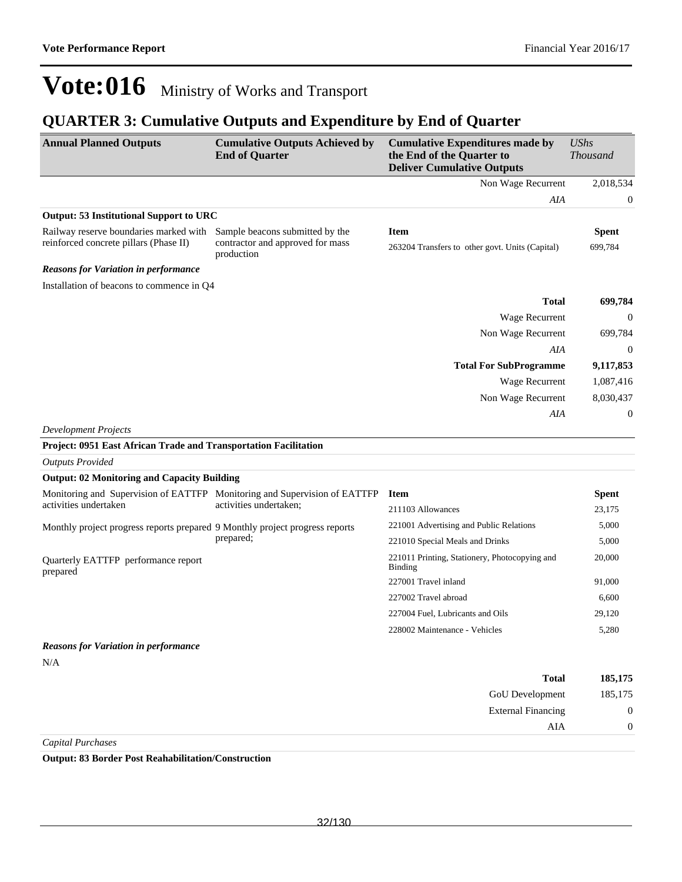#### **QUARTER 3: Cumulative Outputs and Expenditure by End of Quarter**

| <b>Annual Planned Outputs</b>                                                | <b>Cumulative Outputs Achieved by</b><br><b>End of Quarter</b>            | <b>Cumulative Expenditures made by</b><br>the End of the Quarter to<br><b>Deliver Cumulative Outputs</b> | <b>UShs</b><br><b>Thousand</b> |
|------------------------------------------------------------------------------|---------------------------------------------------------------------------|----------------------------------------------------------------------------------------------------------|--------------------------------|
|                                                                              |                                                                           | Non Wage Recurrent                                                                                       | 2,018,534                      |
|                                                                              |                                                                           | AIA                                                                                                      | $\boldsymbol{0}$               |
| <b>Output: 53 Institutional Support to URC</b>                               |                                                                           |                                                                                                          |                                |
| Railway reserve boundaries marked with Sample beacons submitted by the       |                                                                           | <b>Item</b>                                                                                              | <b>Spent</b>                   |
| reinforced concrete pillars (Phase II)                                       | contractor and approved for mass<br>production                            | 263204 Transfers to other govt. Units (Capital)                                                          | 699,784                        |
| <b>Reasons for Variation in performance</b>                                  |                                                                           |                                                                                                          |                                |
| Installation of beacons to commence in Q4                                    |                                                                           |                                                                                                          |                                |
|                                                                              |                                                                           | <b>Total</b>                                                                                             | 699,784                        |
|                                                                              |                                                                           | Wage Recurrent                                                                                           | $\boldsymbol{0}$               |
|                                                                              |                                                                           | Non Wage Recurrent                                                                                       | 699,784                        |
|                                                                              |                                                                           | AIA                                                                                                      | $\boldsymbol{0}$               |
|                                                                              |                                                                           | <b>Total For SubProgramme</b>                                                                            | 9,117,853                      |
|                                                                              |                                                                           | <b>Wage Recurrent</b>                                                                                    | 1,087,416                      |
|                                                                              |                                                                           | Non Wage Recurrent                                                                                       | 8,030,437                      |
|                                                                              |                                                                           | AIA                                                                                                      | $\boldsymbol{0}$               |
| <b>Development Projects</b>                                                  |                                                                           |                                                                                                          |                                |
| Project: 0951 East African Trade and Transportation Facilitation             |                                                                           |                                                                                                          |                                |
| <b>Outputs Provided</b>                                                      |                                                                           |                                                                                                          |                                |
| <b>Output: 02 Monitoring and Capacity Building</b>                           |                                                                           |                                                                                                          |                                |
|                                                                              | Monitoring and Supervision of EATTFP Monitoring and Supervision of EATTFP | <b>Item</b>                                                                                              | <b>Spent</b>                   |
| activities undertaken                                                        | activities undertaken;                                                    | 211103 Allowances                                                                                        | 23,175                         |
| Monthly project progress reports prepared 9 Monthly project progress reports |                                                                           | 221001 Advertising and Public Relations                                                                  | 5,000                          |
|                                                                              | prepared;                                                                 | 221010 Special Meals and Drinks                                                                          | 5,000                          |
| Quarterly EATTFP performance report<br>prepared                              |                                                                           | 221011 Printing, Stationery, Photocopying and<br>Binding                                                 | 20,000                         |
|                                                                              |                                                                           | 227001 Travel inland                                                                                     | 91,000                         |
|                                                                              |                                                                           | 227002 Travel abroad                                                                                     | 6,600                          |
|                                                                              |                                                                           | 227004 Fuel, Lubricants and Oils                                                                         | 29,120                         |
|                                                                              |                                                                           | 228002 Maintenance - Vehicles                                                                            | 5,280                          |
| <b>Reasons for Variation in performance</b>                                  |                                                                           |                                                                                                          |                                |
| N/A                                                                          |                                                                           | <b>Total</b>                                                                                             | 185,175                        |
|                                                                              |                                                                           |                                                                                                          |                                |
|                                                                              |                                                                           | GoU Development<br><b>External Financing</b>                                                             | 185,175                        |
|                                                                              |                                                                           |                                                                                                          | $\boldsymbol{0}$               |
| <b>Capital Purchases</b>                                                     |                                                                           | AIA                                                                                                      | $\boldsymbol{0}$               |

**Output: 83 Border Post Reahabilitation/Construction**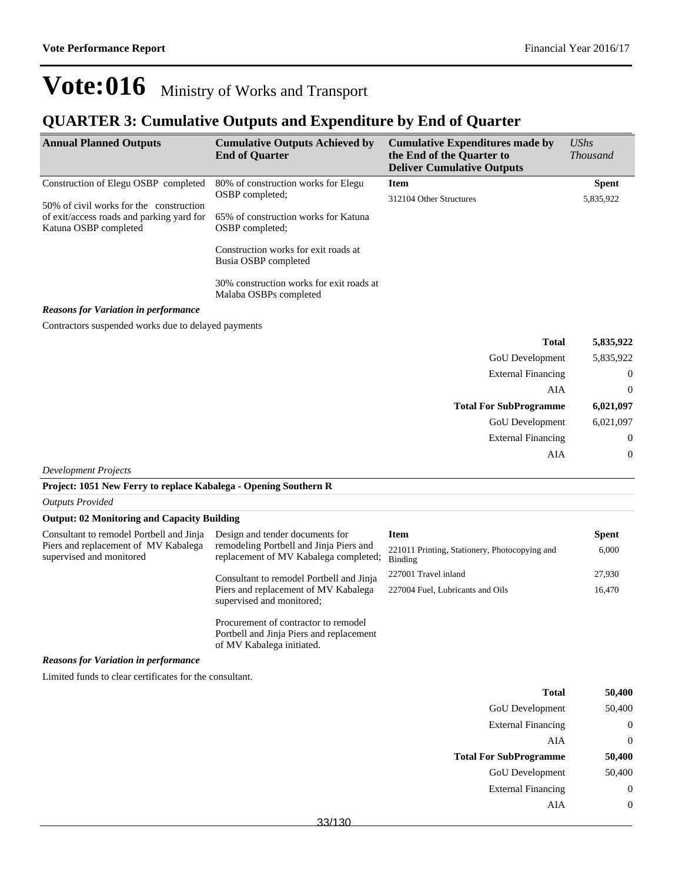#### **QUARTER 3: Cumulative Outputs and Expenditure by End of Quarter**

| <b>Annual Planned Outputs</b>                                                                                 | <b>Cumulative Outputs Achieved by</b><br><b>End of Quarter</b>                                                                                                                                                   | <b>Cumulative Expenditures made by</b><br>the End of the Quarter to<br><b>Deliver Cumulative Outputs</b> | $\mathit{UShs}$<br><b>Thousand</b> |
|---------------------------------------------------------------------------------------------------------------|------------------------------------------------------------------------------------------------------------------------------------------------------------------------------------------------------------------|----------------------------------------------------------------------------------------------------------|------------------------------------|
| Construction of Elegu OSBP completed                                                                          | 80% of construction works for Elegu                                                                                                                                                                              | <b>Item</b>                                                                                              | <b>Spent</b>                       |
| 50% of civil works for the construction<br>of exit/access roads and parking yard for<br>Katuna OSBP completed | OSBP completed:<br>65% of construction works for Katuna<br>OSBP completed:<br>Construction works for exit roads at<br>Busia OSBP completed<br>30% construction works for exit roads at<br>Malaba OSBPs completed | 312104 Other Structures                                                                                  | 5,835,922                          |
| <b>Reasons for Variation in performance</b>                                                                   |                                                                                                                                                                                                                  |                                                                                                          |                                    |

Contractors suspended works due to delayed payments

| 5,835,922      | <b>Total</b>                  |
|----------------|-------------------------------|
| 5,835,922      | <b>GoU</b> Development        |
| $\overline{0}$ | <b>External Financing</b>     |
| $\overline{0}$ | AIA                           |
|                |                               |
| 6,021,097      | <b>Total For SubProgramme</b> |
| 6,021,097      | GoU Development               |
| $\overline{0}$ | <b>External Financing</b>     |

*Development Projects*

#### **Project: 1051 New Ferry to replace Kabalega - Opening Southern R**

*Outputs Provided*

#### **Output: 02 Monitoring and Capacity Building**

| Consultant to remodel Portbell and Jinja                         | Design and tender documents for                                                                               | Item                                                     | <b>Spent</b> |
|------------------------------------------------------------------|---------------------------------------------------------------------------------------------------------------|----------------------------------------------------------|--------------|
| Piers and replacement of MV Kabalega<br>supervised and monitored | remodeling Portbell and Jinja Piers and<br>replacement of MV Kabalega completed;                              | 221011 Printing, Stationery, Photocopying and<br>Binding | 6,000        |
|                                                                  | Consultant to remodel Portbell and Jinja                                                                      | 227001 Travel inland                                     | 27,930       |
|                                                                  | Piers and replacement of MV Kabalega<br>supervised and monitored:                                             | 227004 Fuel, Lubricants and Oils                         | 16,470       |
|                                                                  | Procurement of contractor to remodel<br>Portbell and Jinja Piers and replacement<br>of MV Kabalega initiated. |                                                          |              |

#### *Reasons for Variation in performance*

Limited funds to clear certificates for the consultant.

|                               | Total                     | 50,400 |
|-------------------------------|---------------------------|--------|
|                               | <b>GoU</b> Development    | 50,400 |
|                               | <b>External Financing</b> |        |
|                               | AIA                       | 0      |
| <b>Total For SubProgramme</b> |                           |        |
|                               |                           | 50,400 |
|                               | <b>GoU</b> Development    | 50,400 |
|                               | <b>External Financing</b> |        |
|                               | AIA                       |        |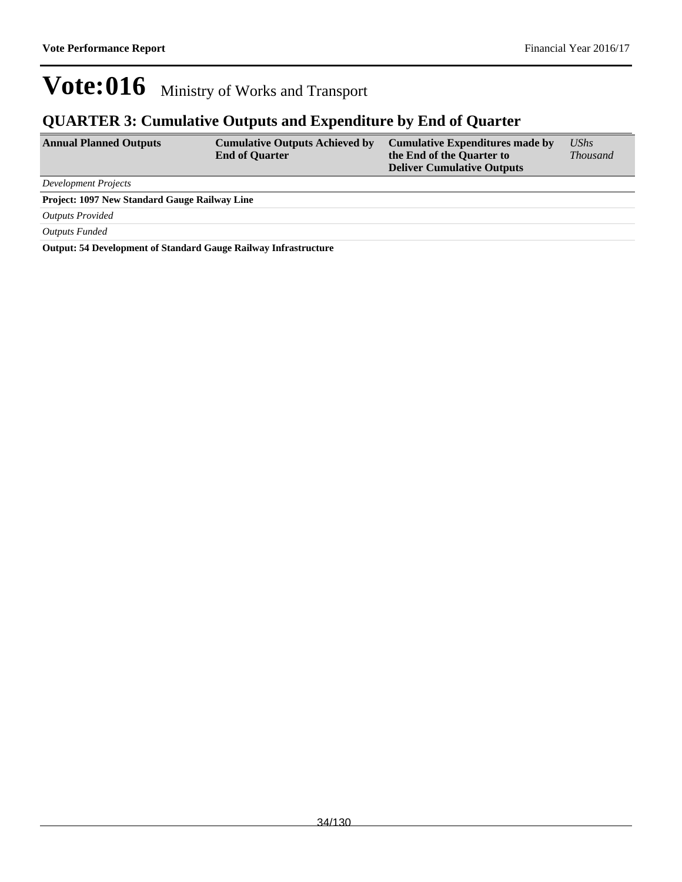#### **QUARTER 3: Cumulative Outputs and Expenditure by End of Quarter**

| <b>Annual Planned Outputs</b>                        | <b>Cumulative Outputs Achieved by</b><br><b>End of Quarter</b> | <b>Cumulative Expenditures made by</b><br>the End of the Quarter to<br><b>Deliver Cumulative Outputs</b> | UShs<br><i>Thousand</i> |  |
|------------------------------------------------------|----------------------------------------------------------------|----------------------------------------------------------------------------------------------------------|-------------------------|--|
| <b>Development Projects</b>                          |                                                                |                                                                                                          |                         |  |
| <b>Project: 1097 New Standard Gauge Railway Line</b> |                                                                |                                                                                                          |                         |  |
| <b>Outputs Provided</b>                              |                                                                |                                                                                                          |                         |  |
| Outputs Funded                                       |                                                                |                                                                                                          |                         |  |

**Output: 54 Development of Standard Gauge Railway Infrastructure**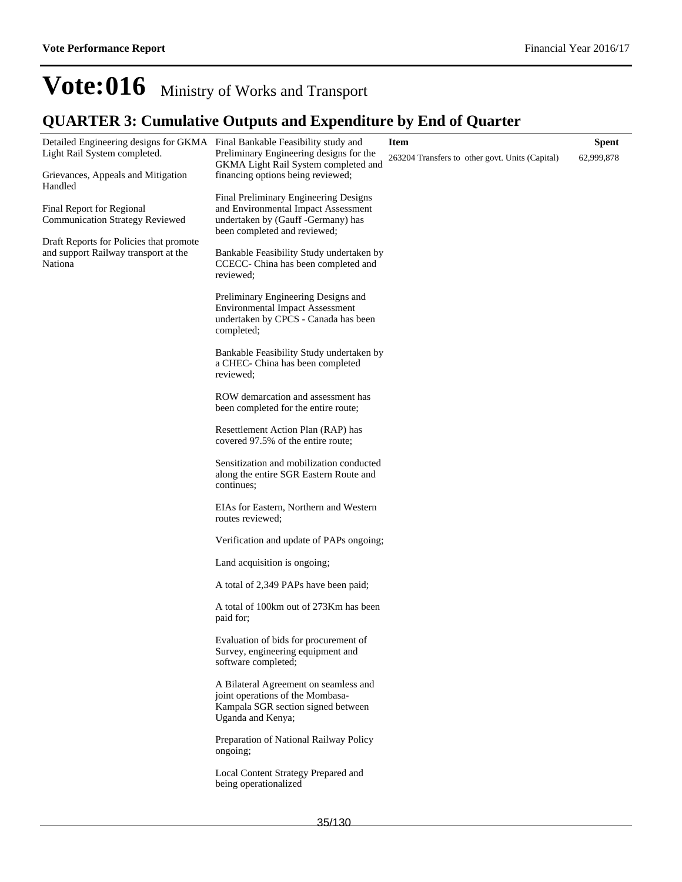#### **QUARTER 3: Cumulative Outputs and Expenditure by End of Quarter**

| Detailed Engineering designs for GKMA Final Bankable Feasibility study and<br>Light Rail System completed. | Preliminary Engineering designs for the<br>GKMA Light Rail System completed and                                                      | <b>Item</b><br>263204 Transfers to other govt. Units (Capital) | <b>Spent</b><br>62,999,878 |
|------------------------------------------------------------------------------------------------------------|--------------------------------------------------------------------------------------------------------------------------------------|----------------------------------------------------------------|----------------------------|
| Grievances, Appeals and Mitigation<br>Handled                                                              | financing options being reviewed;                                                                                                    |                                                                |                            |
| Final Report for Regional<br><b>Communication Strategy Reviewed</b>                                        | Final Preliminary Engineering Designs<br>and Environmental Impact Assessment<br>undertaken by (Gauff -Germany) has                   |                                                                |                            |
| Draft Reports for Policies that promote                                                                    | been completed and reviewed;                                                                                                         |                                                                |                            |
| and support Railway transport at the<br>Nationa                                                            | Bankable Feasibility Study undertaken by<br>CCECC- China has been completed and<br>reviewed:                                         |                                                                |                            |
|                                                                                                            | Preliminary Engineering Designs and<br><b>Environmental Impact Assessment</b><br>undertaken by CPCS - Canada has been<br>completed;  |                                                                |                            |
|                                                                                                            | Bankable Feasibility Study undertaken by<br>a CHEC- China has been completed<br>reviewed;                                            |                                                                |                            |
|                                                                                                            | ROW demarcation and assessment has<br>been completed for the entire route;                                                           |                                                                |                            |
|                                                                                                            | Resettlement Action Plan (RAP) has<br>covered 97.5% of the entire route;                                                             |                                                                |                            |
|                                                                                                            | Sensitization and mobilization conducted<br>along the entire SGR Eastern Route and<br>continues;                                     |                                                                |                            |
|                                                                                                            | EIAs for Eastern, Northern and Western<br>routes reviewed;                                                                           |                                                                |                            |
|                                                                                                            | Verification and update of PAPs ongoing;                                                                                             |                                                                |                            |
|                                                                                                            | Land acquisition is ongoing;                                                                                                         |                                                                |                            |
|                                                                                                            | A total of 2,349 PAPs have been paid;                                                                                                |                                                                |                            |
|                                                                                                            | A total of 100km out of 273Km has been<br>paid for;                                                                                  |                                                                |                            |
|                                                                                                            | Evaluation of bids for procurement of<br>Survey, engineering equipment and<br>software completed;                                    |                                                                |                            |
|                                                                                                            | A Bilateral Agreement on seamless and<br>joint operations of the Mombasa-<br>Kampala SGR section signed between<br>Uganda and Kenya; |                                                                |                            |
|                                                                                                            | Preparation of National Railway Policy<br>ongoing;                                                                                   |                                                                |                            |
|                                                                                                            | Local Content Strategy Prepared and<br>being operationalized                                                                         |                                                                |                            |
|                                                                                                            |                                                                                                                                      |                                                                |                            |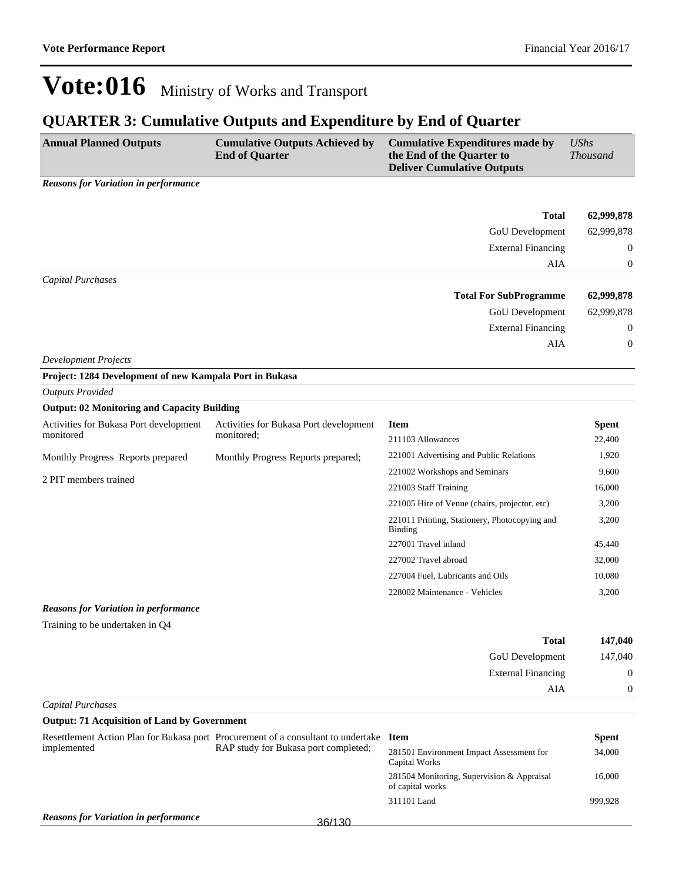### **QUARTER 3: Cumulative Outputs and Expenditure by End of Quarter**

| <b>Annual Planned Outputs</b>                                                   | <b>Cumulative Outputs Achieved by</b><br><b>End of Quarter</b>                         | <b>Cumulative Expenditures made by</b><br>the End of the Quarter to<br><b>Deliver Cumulative Outputs</b> | <b>UShs</b><br><b>Thousand</b> |
|---------------------------------------------------------------------------------|----------------------------------------------------------------------------------------|----------------------------------------------------------------------------------------------------------|--------------------------------|
| <b>Reasons for Variation in performance</b>                                     |                                                                                        |                                                                                                          |                                |
|                                                                                 |                                                                                        |                                                                                                          |                                |
|                                                                                 |                                                                                        | <b>Total</b>                                                                                             | 62,999,878                     |
|                                                                                 |                                                                                        | GoU Development                                                                                          | 62,999,878                     |
|                                                                                 |                                                                                        | <b>External Financing</b>                                                                                | 0                              |
| <b>Capital Purchases</b>                                                        |                                                                                        | AIA                                                                                                      | 0                              |
|                                                                                 |                                                                                        | <b>Total For SubProgramme</b>                                                                            | 62,999,878                     |
|                                                                                 |                                                                                        | GoU Development                                                                                          | 62,999,878                     |
|                                                                                 |                                                                                        | <b>External Financing</b>                                                                                | 0                              |
|                                                                                 |                                                                                        | AIA                                                                                                      | 0                              |
| <b>Development Projects</b>                                                     |                                                                                        |                                                                                                          |                                |
| Project: 1284 Development of new Kampala Port in Bukasa                         |                                                                                        |                                                                                                          |                                |
| <b>Outputs Provided</b>                                                         |                                                                                        |                                                                                                          |                                |
| <b>Output: 02 Monitoring and Capacity Building</b>                              |                                                                                        |                                                                                                          |                                |
| Activities for Bukasa Port development                                          | Activities for Bukasa Port development                                                 | <b>Item</b>                                                                                              | <b>Spent</b>                   |
| monitored                                                                       | monitored;                                                                             | 211103 Allowances                                                                                        | 22,400                         |
| Monthly Progress Reports prepared                                               | Monthly Progress Reports prepared;                                                     | 221001 Advertising and Public Relations                                                                  | 1,920                          |
| 2 PIT members trained                                                           |                                                                                        | 221002 Workshops and Seminars                                                                            | 9,600                          |
|                                                                                 |                                                                                        | 221003 Staff Training                                                                                    | 16,000                         |
|                                                                                 |                                                                                        | 221005 Hire of Venue (chairs, projector, etc)                                                            | 3,200                          |
|                                                                                 |                                                                                        | 221011 Printing, Stationery, Photocopying and<br><b>Binding</b>                                          | 3,200                          |
|                                                                                 |                                                                                        | 227001 Travel inland                                                                                     | 45,440                         |
|                                                                                 |                                                                                        | 227002 Travel abroad                                                                                     | 32,000                         |
|                                                                                 |                                                                                        | 227004 Fuel, Lubricants and Oils                                                                         | 10,080                         |
|                                                                                 |                                                                                        | 228002 Maintenance - Vehicles                                                                            | 3,200                          |
| <b>Reasons for Variation in performance</b>                                     |                                                                                        |                                                                                                          |                                |
| Training to be undertaken in Q4                                                 |                                                                                        |                                                                                                          |                                |
|                                                                                 |                                                                                        | <b>Total</b>                                                                                             | 147,040                        |
|                                                                                 |                                                                                        | GoU Development                                                                                          | 147,040                        |
|                                                                                 |                                                                                        | <b>External Financing</b>                                                                                | $\mathbf{0}$                   |
|                                                                                 |                                                                                        | AIA                                                                                                      | 0                              |
| <b>Capital Purchases</b><br><b>Output: 71 Acquisition of Land by Government</b> |                                                                                        |                                                                                                          |                                |
|                                                                                 | Resettlement Action Plan for Bukasa port Procurement of a consultant to undertake Item |                                                                                                          | <b>Spent</b>                   |
| implemented                                                                     | RAP study for Bukasa port completed;                                                   | 281501 Environment Impact Assessment for<br>Capital Works                                                | 34,000                         |
|                                                                                 |                                                                                        | 281504 Monitoring, Supervision & Appraisal<br>of capital works                                           | 16,000                         |
|                                                                                 |                                                                                        | 311101 Land                                                                                              | 999,928                        |
| <b>Reasons for Variation in performance</b>                                     | 36/130                                                                                 |                                                                                                          |                                |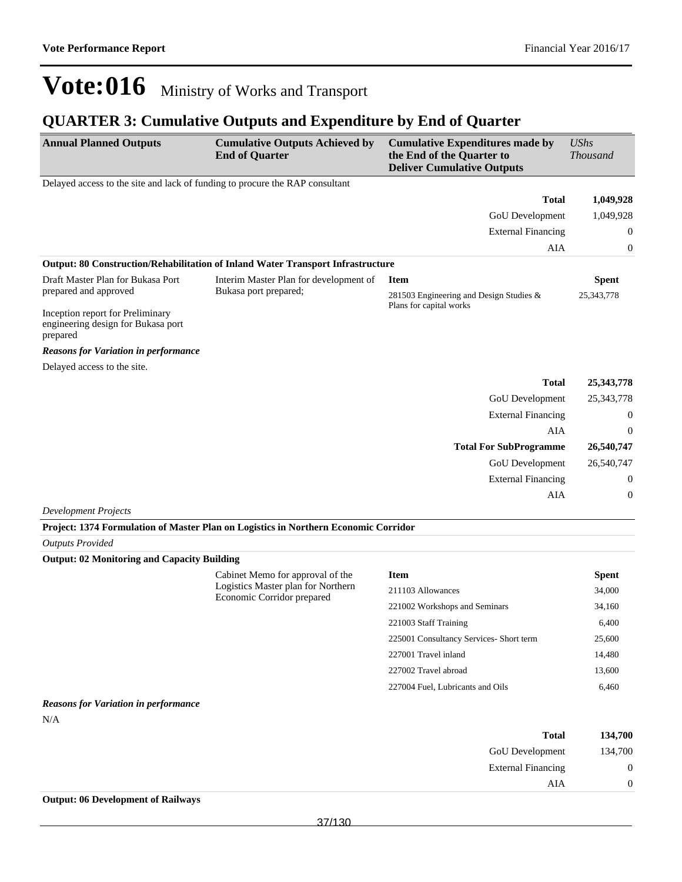## **QUARTER 3: Cumulative Outputs and Expenditure by End of Quarter**

| <b>Annual Planned Outputs</b>                                                      | <b>Cumulative Outputs Achieved by</b><br><b>End of Quarter</b>                      | <b>Cumulative Expenditures made by</b><br>the End of the Quarter to<br><b>Deliver Cumulative Outputs</b> | <b>UShs</b><br><b>Thousand</b> |
|------------------------------------------------------------------------------------|-------------------------------------------------------------------------------------|----------------------------------------------------------------------------------------------------------|--------------------------------|
| Delayed access to the site and lack of funding to procure the RAP consultant       |                                                                                     |                                                                                                          |                                |
|                                                                                    |                                                                                     | <b>Total</b>                                                                                             | 1,049,928                      |
|                                                                                    |                                                                                     | GoU Development                                                                                          | 1,049,928                      |
|                                                                                    |                                                                                     | <b>External Financing</b>                                                                                | 0                              |
|                                                                                    |                                                                                     | AIA                                                                                                      | $\boldsymbol{0}$               |
|                                                                                    | Output: 80 Construction/Rehabilitation of Inland Water Transport Infrastructure     |                                                                                                          |                                |
| Draft Master Plan for Bukasa Port                                                  | Interim Master Plan for development of                                              | <b>Item</b>                                                                                              | <b>Spent</b>                   |
| prepared and approved                                                              | Bukasa port prepared;                                                               | 281503 Engineering and Design Studies &                                                                  | 25, 343, 778                   |
| Inception report for Preliminary<br>engineering design for Bukasa port<br>prepared |                                                                                     | Plans for capital works                                                                                  |                                |
| <b>Reasons for Variation in performance</b>                                        |                                                                                     |                                                                                                          |                                |
| Delayed access to the site.                                                        |                                                                                     |                                                                                                          |                                |
|                                                                                    |                                                                                     | <b>Total</b>                                                                                             | 25, 343, 778                   |
|                                                                                    |                                                                                     | GoU Development                                                                                          | 25, 343, 778                   |
|                                                                                    |                                                                                     | <b>External Financing</b>                                                                                | 0                              |
|                                                                                    |                                                                                     | AIA                                                                                                      | $\mathbf{0}$                   |
|                                                                                    |                                                                                     | <b>Total For SubProgramme</b>                                                                            | 26,540,747                     |
|                                                                                    |                                                                                     | GoU Development                                                                                          | 26,540,747                     |
|                                                                                    |                                                                                     | <b>External Financing</b>                                                                                | 0                              |
|                                                                                    |                                                                                     | <b>AIA</b>                                                                                               | $\boldsymbol{0}$               |
| <b>Development Projects</b>                                                        |                                                                                     |                                                                                                          |                                |
|                                                                                    | Project: 1374 Formulation of Master Plan on Logistics in Northern Economic Corridor |                                                                                                          |                                |
| <b>Outputs Provided</b>                                                            |                                                                                     |                                                                                                          |                                |
| <b>Output: 02 Monitoring and Capacity Building</b>                                 |                                                                                     |                                                                                                          |                                |
|                                                                                    | Cabinet Memo for approval of the                                                    | <b>Item</b>                                                                                              | <b>Spent</b>                   |
|                                                                                    | Logistics Master plan for Northern<br>Economic Corridor prepared                    | 211103 Allowances                                                                                        | 34,000                         |
|                                                                                    |                                                                                     | 221002 Workshops and Seminars                                                                            | 34,160                         |
|                                                                                    |                                                                                     | 221003 Staff Training                                                                                    | 6,400                          |
|                                                                                    |                                                                                     | 225001 Consultancy Services- Short term                                                                  | 25,600                         |
|                                                                                    |                                                                                     | 227001 Travel inland                                                                                     | 14,480                         |
|                                                                                    |                                                                                     | 227002 Travel abroad                                                                                     | 13,600                         |
|                                                                                    |                                                                                     | 227004 Fuel, Lubricants and Oils                                                                         | 6,460                          |
| <b>Reasons for Variation in performance</b>                                        |                                                                                     |                                                                                                          |                                |
| N/A                                                                                |                                                                                     |                                                                                                          |                                |
|                                                                                    |                                                                                     | Total                                                                                                    | 124.700                        |

| 134,700        | Total                     |
|----------------|---------------------------|
| 134,700        | <b>GoU</b> Development    |
| $\mathbf{0}$   | <b>External Financing</b> |
| $\overline{0}$ | AIA                       |

### **Output: 06 Development of Railways**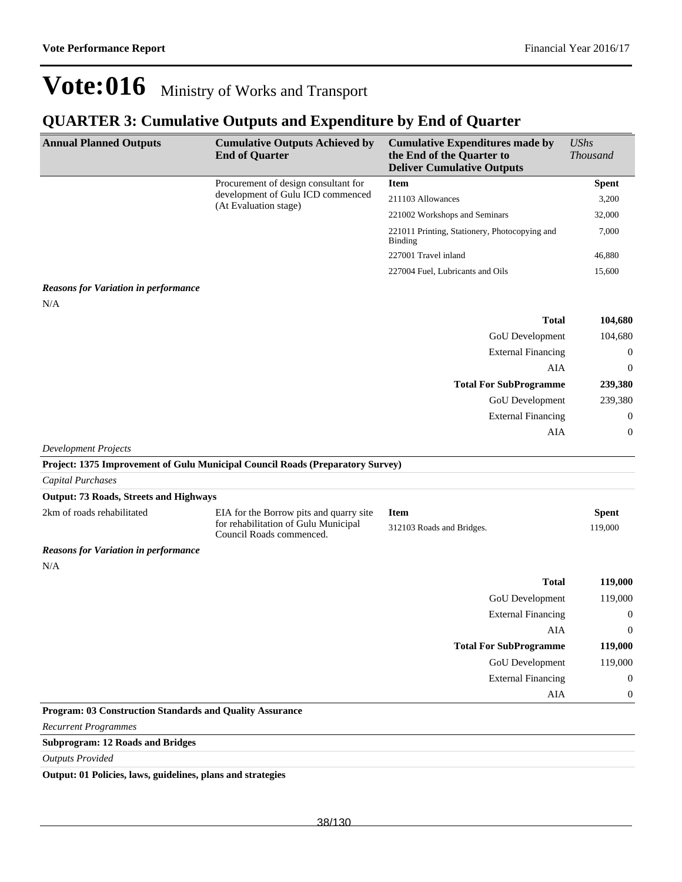### **QUARTER 3: Cumulative Outputs and Expenditure by End of Quarter**

| <b>Annual Planned Outputs</b>                            | <b>Cumulative Outputs Achieved by</b><br><b>End of Quarter</b>                                              | <b>Cumulative Expenditures made by</b><br>the End of the Quarter to<br><b>Deliver Cumulative Outputs</b> | <b>UShs</b><br><b>Thousand</b> |
|----------------------------------------------------------|-------------------------------------------------------------------------------------------------------------|----------------------------------------------------------------------------------------------------------|--------------------------------|
|                                                          | Procurement of design consultant for                                                                        | <b>Item</b>                                                                                              | <b>Spent</b>                   |
|                                                          | development of Gulu ICD commenced<br>(At Evaluation stage)                                                  | 211103 Allowances                                                                                        | 3,200                          |
|                                                          |                                                                                                             | 221002 Workshops and Seminars                                                                            | 32,000                         |
|                                                          |                                                                                                             | 221011 Printing, Stationery, Photocopying and<br><b>Binding</b>                                          | 7,000                          |
|                                                          |                                                                                                             | 227001 Travel inland                                                                                     | 46,880                         |
|                                                          |                                                                                                             | 227004 Fuel, Lubricants and Oils                                                                         | 15,600                         |
| <b>Reasons for Variation in performance</b><br>N/A       |                                                                                                             |                                                                                                          |                                |
|                                                          |                                                                                                             | <b>Total</b>                                                                                             | 104,680                        |
|                                                          |                                                                                                             | GoU Development                                                                                          | 104,680                        |
|                                                          |                                                                                                             | <b>External Financing</b>                                                                                | 0                              |
|                                                          |                                                                                                             | <b>AIA</b>                                                                                               | $\boldsymbol{0}$               |
|                                                          |                                                                                                             | <b>Total For SubProgramme</b>                                                                            | 239,380                        |
|                                                          |                                                                                                             | GoU Development                                                                                          | 239,380                        |
|                                                          |                                                                                                             | <b>External Financing</b>                                                                                | 0                              |
|                                                          |                                                                                                             | AIA                                                                                                      | $\boldsymbol{0}$               |
| <b>Development Projects</b>                              |                                                                                                             |                                                                                                          |                                |
|                                                          | Project: 1375 Improvement of Gulu Municipal Council Roads (Preparatory Survey)                              |                                                                                                          |                                |
| Capital Purchases                                        |                                                                                                             |                                                                                                          |                                |
| <b>Output: 73 Roads, Streets and Highways</b>            |                                                                                                             |                                                                                                          |                                |
| 2km of roads rehabilitated                               | EIA for the Borrow pits and quarry site<br>for rehabilitation of Gulu Municipal<br>Council Roads commenced. | <b>Item</b><br>312103 Roads and Bridges.                                                                 | <b>Spent</b><br>119,000        |
| <b>Reasons for Variation in performance</b>              |                                                                                                             |                                                                                                          |                                |
| N/A                                                      |                                                                                                             |                                                                                                          |                                |
|                                                          |                                                                                                             | <b>Total</b>                                                                                             | 119,000                        |
|                                                          |                                                                                                             | GoU Development                                                                                          | 119,000                        |
|                                                          |                                                                                                             | <b>External Financing</b>                                                                                | $\boldsymbol{0}$               |
|                                                          |                                                                                                             | AIA                                                                                                      | $\mathbf{0}$                   |
|                                                          |                                                                                                             | <b>Total For SubProgramme</b>                                                                            | 119,000                        |
|                                                          |                                                                                                             | <b>GoU</b> Development                                                                                   | 119,000                        |
|                                                          |                                                                                                             | <b>External Financing</b>                                                                                | $\boldsymbol{0}$               |
|                                                          |                                                                                                             | AIA                                                                                                      | $\boldsymbol{0}$               |
| Program: 03 Construction Standards and Quality Assurance |                                                                                                             |                                                                                                          |                                |
| <b>Recurrent Programmes</b>                              |                                                                                                             |                                                                                                          |                                |
| 12B <sub>2</sub><br>والمشرف فالمستور والمراور            |                                                                                                             |                                                                                                          |                                |

**Subprogram: 12 Roads and Bridges**

*Outputs Provided*

**Output: 01 Policies, laws, guidelines, plans and strategies**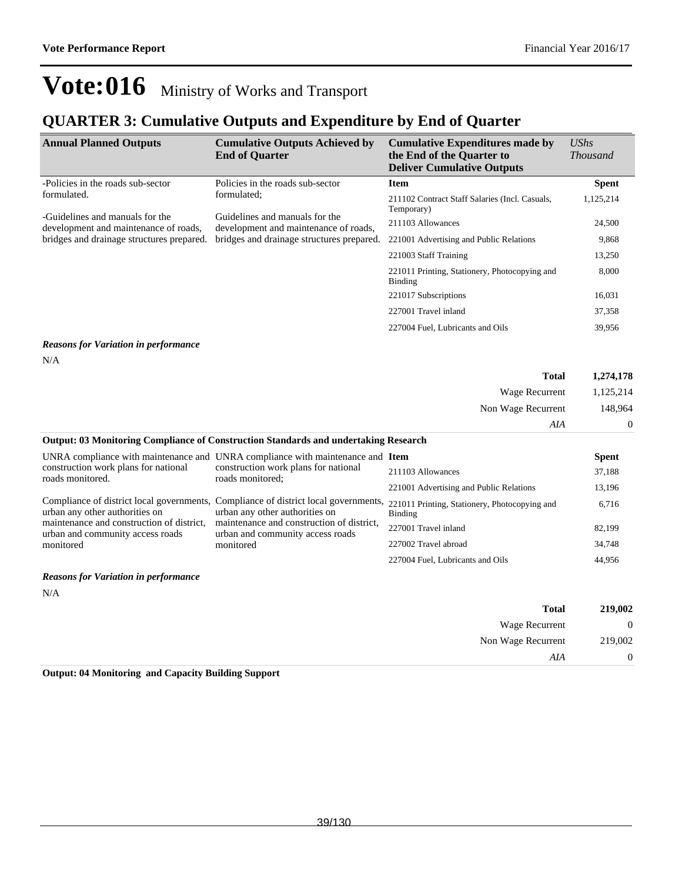## **QUARTER 3: Cumulative Outputs and Expenditure by End of Quarter**

| <b>Annual Planned Outputs</b>                                            | <b>Cumulative Outputs Achieved by</b><br><b>End of Quarter</b>          | <b>Cumulative Expenditures made by</b><br>the End of the Quarter to<br><b>Deliver Cumulative Outputs</b> | UShs<br><i>Thousand</i> |
|--------------------------------------------------------------------------|-------------------------------------------------------------------------|----------------------------------------------------------------------------------------------------------|-------------------------|
| -Policies in the roads sub-sector                                        | Policies in the roads sub-sector                                        | <b>Item</b>                                                                                              | <b>Spent</b>            |
| formulated.<br>formulated;                                               | 211102 Contract Staff Salaries (Incl. Casuals,<br>Temporary)            | 1,125,214                                                                                                |                         |
| -Guidelines and manuals for the<br>development and maintenance of roads, | Guidelines and manuals for the<br>development and maintenance of roads, | 211103 Allowances                                                                                        | 24,500                  |
| bridges and drainage structures prepared.                                | bridges and drainage structures prepared.                               | 221001 Advertising and Public Relations                                                                  | 9,868                   |
|                                                                          |                                                                         | 221003 Staff Training                                                                                    | 13,250                  |
|                                                                          |                                                                         | 221011 Printing, Stationery, Photocopying and<br>Binding                                                 | 8,000                   |
|                                                                          |                                                                         | 221017 Subscriptions                                                                                     | 16,031                  |
|                                                                          |                                                                         | 227001 Travel inland                                                                                     | 37,358                  |
|                                                                          |                                                                         | 227004 Fuel, Lubricants and Oils                                                                         | 39,956                  |
| <b>Reasons for Variation in performance</b>                              |                                                                         |                                                                                                          |                         |
| N/A                                                                      |                                                                         |                                                                                                          |                         |
|                                                                          |                                                                         | Total                                                                                                    | 1.274.178               |

|                                                                               |                                                                                                                                                                           | <b>Total</b><br>Wage Recurrent                           | 1,274,178<br>1,125,214<br>148.964<br>$\theta$ |
|-------------------------------------------------------------------------------|---------------------------------------------------------------------------------------------------------------------------------------------------------------------------|----------------------------------------------------------|-----------------------------------------------|
|                                                                               |                                                                                                                                                                           |                                                          |                                               |
|                                                                               |                                                                                                                                                                           | Non Wage Recurrent                                       |                                               |
|                                                                               |                                                                                                                                                                           | AIA                                                      |                                               |
|                                                                               | <b>Output: 03 Monitoring Compliance of Construction Standards and undertaking Research</b>                                                                                |                                                          |                                               |
|                                                                               | UNRA compliance with maintenance and UNRA compliance with maintenance and Item<br>construction work plans for national<br>roads monitored;                                |                                                          | <b>Spent</b>                                  |
| construction work plans for national<br>roads monitored.                      |                                                                                                                                                                           | 211103 Allowances                                        | 37,188                                        |
|                                                                               |                                                                                                                                                                           | 221001 Advertising and Public Relations                  | 13,196                                        |
| Compliance of district local governments,<br>urban any other authorities on   | Compliance of district local governments,<br>urban any other authorities on<br>maintenance and construction of district,<br>urban and community access roads<br>monitored | 221011 Printing, Stationery, Photocopying and<br>Binding | 6,716                                         |
| maintenance and construction of district.<br>urban and community access roads |                                                                                                                                                                           | 227001 Travel inland                                     | 82,199                                        |
| monitored                                                                     |                                                                                                                                                                           | 227002 Travel abroad                                     | 34,748                                        |
|                                                                               |                                                                                                                                                                           | 227004 Fuel, Lubricants and Oils                         | 44,956                                        |

#### *Reasons for Variation in performance*

N/A

| 219,002        | <b>Total</b>       |
|----------------|--------------------|
| $\overline{0}$ | Wage Recurrent     |
| 219,002        | Non Wage Recurrent |
| $\overline{0}$ | AIA                |
|                |                    |

**Output: 04 Monitoring and Capacity Building Support**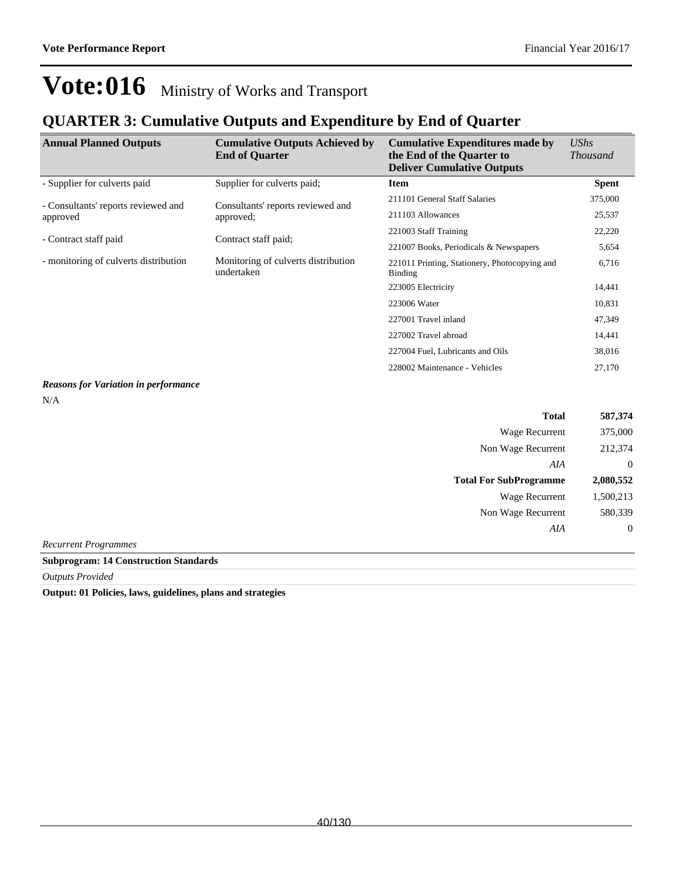### **QUARTER 3: Cumulative Outputs and Expenditure by End of Quarter**

| <b>Annual Planned Outputs</b>         | <b>Cumulative Outputs Achieved by</b><br><b>End of Quarter</b> | <b>Cumulative Expenditures made by</b><br>the End of the Quarter to<br><b>Deliver Cumulative Outputs</b> | <b>UShs</b><br><i>Thousand</i> |
|---------------------------------------|----------------------------------------------------------------|----------------------------------------------------------------------------------------------------------|--------------------------------|
| - Supplier for culverts paid          | Supplier for culverts paid;                                    | <b>Item</b>                                                                                              | <b>Spent</b>                   |
| - Consultants' reports reviewed and   | Consultants' reports reviewed and                              | 211101 General Staff Salaries                                                                            | 375,000                        |
| approved                              | approved;                                                      | 211103 Allowances                                                                                        | 25,537                         |
|                                       |                                                                | 221003 Staff Training                                                                                    | 22,220                         |
| - Contract staff paid                 | Contract staff paid;                                           | 221007 Books, Periodicals & Newspapers                                                                   | 5,654                          |
| - monitoring of culverts distribution | Monitoring of culverts distribution<br>undertaken              | 221011 Printing, Stationery, Photocopying and<br>Binding                                                 | 6,716                          |
|                                       |                                                                | 223005 Electricity                                                                                       | 14,441                         |
|                                       |                                                                | 223006 Water                                                                                             | 10,831                         |
|                                       |                                                                | 227001 Travel inland                                                                                     | 47,349                         |
|                                       |                                                                | 227002 Travel abroad                                                                                     | 14,441                         |
|                                       |                                                                | 227004 Fuel, Lubricants and Oils                                                                         | 38,016                         |
|                                       |                                                                | 228002 Maintenance - Vehicles                                                                            | 27,170                         |
|                                       |                                                                |                                                                                                          |                                |

### *Reasons for Variation in performance*

N/A

|                               | <b>Total</b>          | 587,374        |
|-------------------------------|-----------------------|----------------|
|                               | Wage Recurrent        | 375,000        |
| Non Wage Recurrent            |                       | 212,374        |
|                               | AIA                   | $\overline{0}$ |
| <b>Total For SubProgramme</b> |                       | 2,080,552      |
|                               | <b>Wage Recurrent</b> | 1,500,213      |
| Non Wage Recurrent            |                       | 580,339        |
|                               | AIA                   | $\overline{0}$ |
| <b>Recurrent Programmes</b>   |                       |                |

### **Subprogram: 14 Construction Standards**

*Outputs Provided*

**Output: 01 Policies, laws, guidelines, plans and strategies**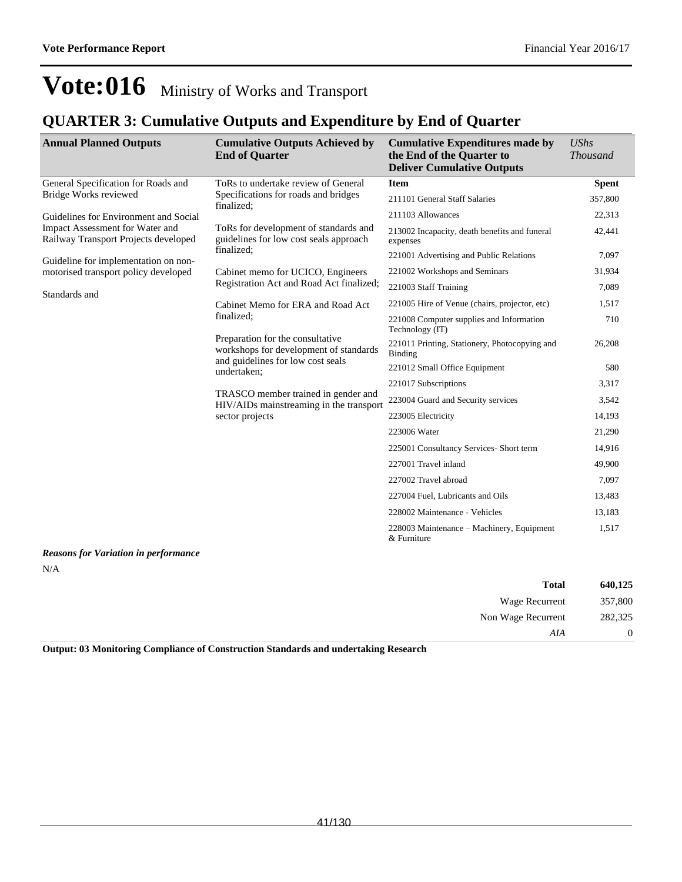### **QUARTER 3: Cumulative Outputs and Expenditure by End of Quarter**

| <b>Annual Planned Outputs</b>                                           | <b>Cumulative Outputs Achieved by</b><br><b>End of Quarter</b>                  | <b>Cumulative Expenditures made by</b><br>the End of the Quarter to<br><b>Deliver Cumulative Outputs</b> | <b>UShs</b><br><b>Thousand</b> |
|-------------------------------------------------------------------------|---------------------------------------------------------------------------------|----------------------------------------------------------------------------------------------------------|--------------------------------|
| General Specification for Roads and                                     | ToRs to undertake review of General                                             | <b>Item</b>                                                                                              | <b>Spent</b>                   |
| Bridge Works reviewed                                                   | Specifications for roads and bridges<br>finalized:                              | 211101 General Staff Salaries                                                                            | 357,800                        |
| Guidelines for Environment and Social                                   |                                                                                 | 211103 Allowances                                                                                        | 22,313                         |
| Impact Assessment for Water and<br>Railway Transport Projects developed | ToRs for development of standards and<br>guidelines for low cost seals approach | 213002 Incapacity, death benefits and funeral<br>expenses                                                | 42,441                         |
| Guideline for implementation on non-                                    | finalized:                                                                      | 221001 Advertising and Public Relations                                                                  | 7,097                          |
| motorised transport policy developed                                    | Cabinet memo for UCICO, Engineers                                               | 221002 Workshops and Seminars                                                                            | 31,934                         |
| Standards and                                                           | Registration Act and Road Act finalized;                                        | 221003 Staff Training                                                                                    | 7.089                          |
|                                                                         | Cabinet Memo for ERA and Road Act                                               | 221005 Hire of Venue (chairs, projector, etc)                                                            | 1,517                          |
|                                                                         | finalized:                                                                      | 221008 Computer supplies and Information<br>Technology (IT)                                              | 710                            |
|                                                                         | Preparation for the consultative<br>workshops for development of standards      | 221011 Printing, Stationery, Photocopying and<br>Binding                                                 | 26,208                         |
|                                                                         | and guidelines for low cost seals<br>undertaken;                                | 221012 Small Office Equipment                                                                            | 580                            |
|                                                                         |                                                                                 | 221017 Subscriptions                                                                                     | 3,317                          |
|                                                                         | TRASCO member trained in gender and<br>HIV/AIDs mainstreaming in the transport  | 223004 Guard and Security services                                                                       | 3,542                          |
|                                                                         | sector projects                                                                 | 223005 Electricity                                                                                       | 14,193                         |
|                                                                         |                                                                                 | 223006 Water                                                                                             | 21,290                         |
|                                                                         |                                                                                 | 225001 Consultancy Services- Short term                                                                  | 14,916                         |
|                                                                         |                                                                                 | 227001 Travel inland                                                                                     | 49,900                         |
|                                                                         |                                                                                 | 227002 Travel abroad                                                                                     | 7,097                          |
|                                                                         |                                                                                 | 227004 Fuel, Lubricants and Oils                                                                         | 13,483                         |
|                                                                         |                                                                                 | 228002 Maintenance - Vehicles                                                                            | 13,183                         |
|                                                                         |                                                                                 | 228003 Maintenance – Machinery, Equipment<br>& Furniture                                                 | 1,517                          |

*Reasons for Variation in performance* N/A

| 640,125  | <b>Total</b>       |
|----------|--------------------|
| 357,800  | Wage Recurrent     |
| 282,325  | Non Wage Recurrent |
| $\theta$ | AIA                |

**Output: 03 Monitoring Compliance of Construction Standards and undertaking Research**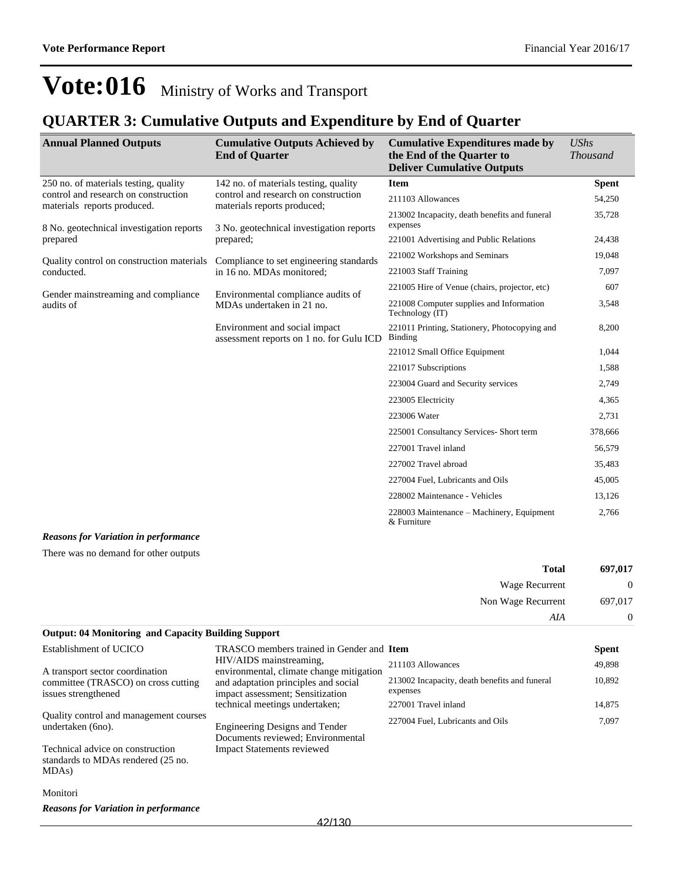### **QUARTER 3: Cumulative Outputs and Expenditure by End of Quarter**

| <b>Annual Planned Outputs</b>                                       | <b>Cumulative Outputs Achieved by</b><br><b>End of Quarter</b>                                                  | <b>Cumulative Expenditures made by</b><br>the End of the Quarter to<br><b>Deliver Cumulative Outputs</b> | <b>UShs</b><br><b>Thousand</b> |
|---------------------------------------------------------------------|-----------------------------------------------------------------------------------------------------------------|----------------------------------------------------------------------------------------------------------|--------------------------------|
| 250 no. of materials testing, quality                               | 142 no. of materials testing, quality                                                                           | <b>Item</b>                                                                                              | <b>Spent</b>                   |
| control and research on construction<br>materials reports produced. | control and research on construction<br>materials reports produced;<br>3 No. geotechnical investigation reports | 211103 Allowances                                                                                        | 54,250                         |
| 8 No. geotechnical investigation reports                            |                                                                                                                 | 213002 Incapacity, death benefits and funeral<br>expenses                                                | 35,728                         |
| prepared                                                            | prepared;                                                                                                       | 221001 Advertising and Public Relations                                                                  | 24,438                         |
| Quality control on construction materials                           | Compliance to set engineering standards                                                                         | 221002 Workshops and Seminars                                                                            | 19,048                         |
| conducted.                                                          | in 16 no. MDAs monitored;                                                                                       | 221003 Staff Training                                                                                    | 7,097                          |
| Gender mainstreaming and compliance                                 | Environmental compliance audits of                                                                              | 221005 Hire of Venue (chairs, projector, etc)                                                            | 607                            |
| audits of                                                           | MDAs undertaken in 21 no.                                                                                       | 221008 Computer supplies and Information<br>Technology (IT)                                              | 3,548                          |
|                                                                     | Environment and social impact<br>assessment reports on 1 no. for Gulu ICD                                       | 221011 Printing, Stationery, Photocopying and<br>Binding                                                 | 8,200                          |
|                                                                     |                                                                                                                 | 221012 Small Office Equipment                                                                            | 1,044                          |
|                                                                     |                                                                                                                 | 221017 Subscriptions                                                                                     | 1,588                          |
|                                                                     |                                                                                                                 | 223004 Guard and Security services                                                                       | 2,749                          |
|                                                                     |                                                                                                                 | 223005 Electricity                                                                                       | 4,365                          |
|                                                                     |                                                                                                                 | 223006 Water                                                                                             | 2,731                          |
|                                                                     |                                                                                                                 | 225001 Consultancy Services- Short term                                                                  | 378,666                        |
|                                                                     |                                                                                                                 | 227001 Travel inland                                                                                     | 56,579                         |
|                                                                     |                                                                                                                 | 227002 Travel abroad                                                                                     | 35,483                         |
|                                                                     |                                                                                                                 | 227004 Fuel, Lubricants and Oils                                                                         | 45,005                         |
|                                                                     |                                                                                                                 | 228002 Maintenance - Vehicles                                                                            | 13,126                         |
|                                                                     |                                                                                                                 | 228003 Maintenance – Machinery, Equipment<br>& Furniture                                                 | 2,766                          |

#### *Reasons for Variation in performance*

There was no demand for other outputs

| 697,017        | <b>Total</b>       |
|----------------|--------------------|
| $\overline{0}$ | Wage Recurrent     |
| 697,017        | Non Wage Recurrent |
| $\overline{0}$ | AIA                |

#### **Output: 04 Monitoring and Capacity Building Support**

| Establishment of UCICO                                                                       | TRASCO members trained in Gender and Item                                  |                                                           | <b>Spent</b> |
|----------------------------------------------------------------------------------------------|----------------------------------------------------------------------------|-----------------------------------------------------------|--------------|
| A transport sector coordination                                                              | HIV/AIDS mainstreaming.<br>environmental, climate change mitigation        | 211103 Allowances                                         | 49,898       |
| committee (TRASCO) on cross cutting<br>issues strengthened                                   | and adaptation principles and social<br>impact assessment; Sensitization   | 213002 Incapacity, death benefits and funeral<br>expenses | 10,892       |
|                                                                                              | technical meetings undertaken;                                             | 227001 Travel inland                                      | 14,875       |
| Quality control and management courses<br>undertaken (6no).                                  | <b>Engineering Designs and Tender</b><br>Documents reviewed; Environmental | 227004 Fuel, Lubricants and Oils                          | 7,097        |
| Technical advice on construction<br>standards to MDAs rendered (25 no.<br>MDA <sub>s</sub> ) | <b>Impact Statements reviewed</b>                                          |                                                           |              |

#### Monitori

*Reasons for Variation in performance*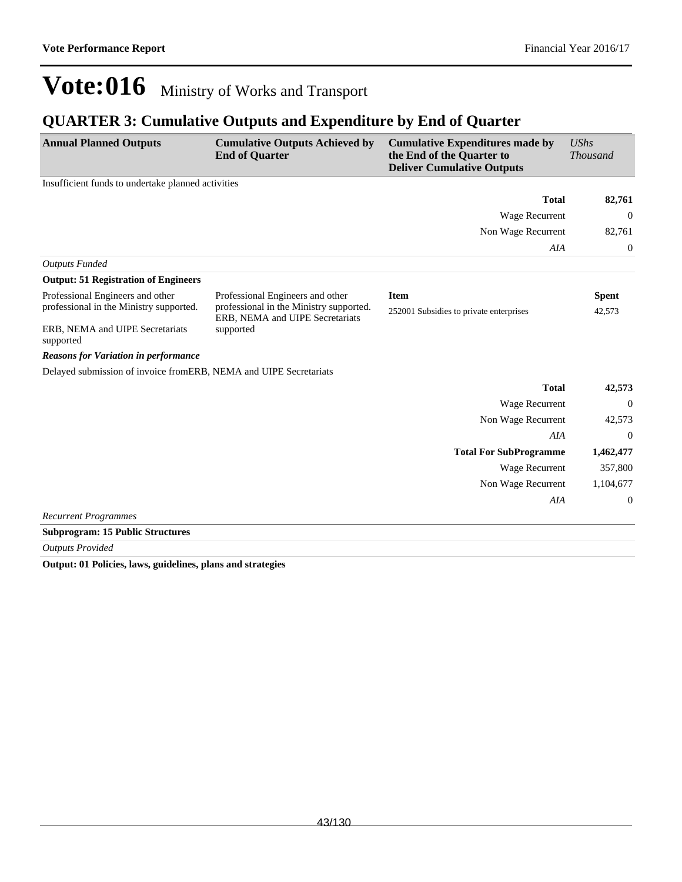### **QUARTER 3: Cumulative Outputs and Expenditure by End of Quarter**

| <b>Annual Planned Outputs</b>                                     | <b>Cumulative Outputs Achieved by</b><br><b>End of Quarter</b>             | <b>Cumulative Expenditures made by</b><br>the End of the Quarter to<br><b>Deliver Cumulative Outputs</b> | <b>UShs</b><br><b>Thousand</b> |
|-------------------------------------------------------------------|----------------------------------------------------------------------------|----------------------------------------------------------------------------------------------------------|--------------------------------|
| Insufficient funds to undertake planned activities                |                                                                            |                                                                                                          |                                |
|                                                                   |                                                                            | <b>Total</b>                                                                                             | 82,761                         |
|                                                                   |                                                                            | Wage Recurrent                                                                                           | $\theta$                       |
|                                                                   |                                                                            | Non Wage Recurrent                                                                                       | 82,761                         |
|                                                                   |                                                                            | AIA                                                                                                      | $\boldsymbol{0}$               |
| <b>Outputs Funded</b>                                             |                                                                            |                                                                                                          |                                |
| <b>Output: 51 Registration of Engineers</b>                       |                                                                            |                                                                                                          |                                |
| Professional Engineers and other                                  | Professional Engineers and other                                           | <b>Item</b>                                                                                              | <b>Spent</b>                   |
| professional in the Ministry supported.                           | professional in the Ministry supported.<br>ERB, NEMA and UIPE Secretariats | 252001 Subsidies to private enterprises                                                                  | 42,573                         |
| ERB, NEMA and UIPE Secretariats<br>supported                      | supported                                                                  |                                                                                                          |                                |
| <b>Reasons for Variation in performance</b>                       |                                                                            |                                                                                                          |                                |
| Delayed submission of invoice fromERB, NEMA and UIPE Secretariats |                                                                            |                                                                                                          |                                |
|                                                                   |                                                                            | <b>Total</b>                                                                                             | 42,573                         |
|                                                                   |                                                                            | Wage Recurrent                                                                                           | $\Omega$                       |
|                                                                   |                                                                            | Non Wage Recurrent                                                                                       | 42,573                         |
|                                                                   |                                                                            | AIA                                                                                                      | $\theta$                       |
|                                                                   |                                                                            | <b>Total For SubProgramme</b>                                                                            | 1,462,477                      |
|                                                                   |                                                                            | Wage Recurrent                                                                                           | 357,800                        |
|                                                                   |                                                                            | Non Wage Recurrent                                                                                       | 1,104,677                      |
|                                                                   |                                                                            | AIA                                                                                                      | $\boldsymbol{0}$               |
| <b>Recurrent Programmes</b>                                       |                                                                            |                                                                                                          |                                |

**Subprogram: 15 Public Structures**

*Outputs Provided*

**Output: 01 Policies, laws, guidelines, plans and strategies**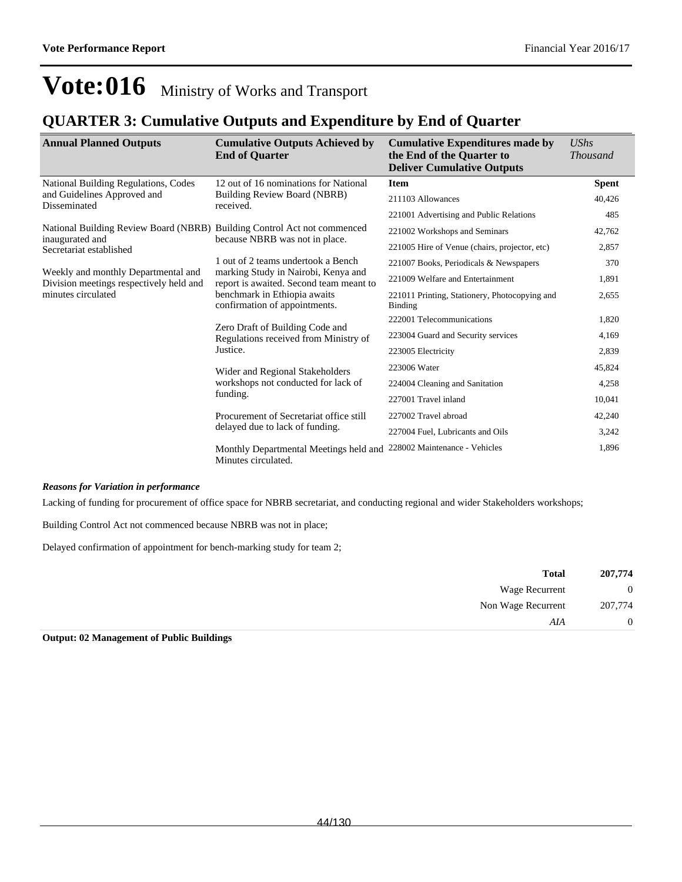### **QUARTER 3: Cumulative Outputs and Expenditure by End of Quarter**

| <b>Annual Planned Outputs</b>                                                  | <b>Cumulative Outputs Achieved by</b><br><b>End of Quarter</b>                       | <b>Cumulative Expenditures made by</b><br>the End of the Quarter to<br><b>Deliver Cumulative Outputs</b> | <b>UShs</b><br><b>Thousand</b> |
|--------------------------------------------------------------------------------|--------------------------------------------------------------------------------------|----------------------------------------------------------------------------------------------------------|--------------------------------|
| National Building Regulations, Codes                                           | 12 out of 16 nominations for National                                                | <b>Item</b>                                                                                              | <b>Spent</b>                   |
| and Guidelines Approved and<br>Disseminated                                    | Building Review Board (NBRB)<br>received.                                            | 211103 Allowances                                                                                        | 40,426                         |
|                                                                                |                                                                                      | 221001 Advertising and Public Relations                                                                  | 485                            |
| National Building Review Board (NBRB) Building Control Act not commenced       |                                                                                      | 221002 Workshops and Seminars                                                                            | 42,762                         |
| inaugurated and<br>Secretariat established                                     | because NBRB was not in place.                                                       | 221005 Hire of Venue (chairs, projector, etc)                                                            | 2,857                          |
|                                                                                | 1 out of 2 teams undertook a Bench                                                   | 221007 Books, Periodicals & Newspapers                                                                   | 370                            |
| Weekly and monthly Departmental and<br>Division meetings respectively held and | marking Study in Nairobi, Kenya and<br>report is awaited. Second team meant to       | 221009 Welfare and Entertainment                                                                         | 1,891                          |
| minutes circulated                                                             | benchmark in Ethiopia awaits<br>confirmation of appointments.                        | 221011 Printing, Stationery, Photocopying and<br><b>Binding</b>                                          | 2,655                          |
|                                                                                | Zero Draft of Building Code and<br>Regulations received from Ministry of<br>Justice. | 222001 Telecommunications                                                                                | 1,820                          |
|                                                                                |                                                                                      | 223004 Guard and Security services                                                                       | 4,169                          |
|                                                                                |                                                                                      | 223005 Electricity                                                                                       | 2,839                          |
|                                                                                | Wider and Regional Stakeholders<br>workshops not conducted for lack of<br>funding.   | 223006 Water                                                                                             | 45,824                         |
|                                                                                |                                                                                      | 224004 Cleaning and Sanitation                                                                           | 4,258                          |
|                                                                                |                                                                                      | 227001 Travel inland                                                                                     | 10,041                         |
|                                                                                | Procurement of Secretariat office still                                              | 227002 Travel abroad                                                                                     | 42,240                         |
|                                                                                | delayed due to lack of funding.                                                      | 227004 Fuel, Lubricants and Oils                                                                         | 3,242                          |
|                                                                                | Monthly Departmental Meetings held and<br>Minutes circulated.                        | 228002 Maintenance - Vehicles                                                                            | 1,896                          |

#### *Reasons for Variation in performance*

Lacking of funding for procurement of office space for NBRB secretariat, and conducting regional and wider Stakeholders workshops;

Building Control Act not commenced because NBRB was not in place;

Delayed confirmation of appointment for bench-marking study for team 2;

| 207,774        | <b>Total</b>       |
|----------------|--------------------|
| $\mathbf{0}$   | Wage Recurrent     |
| 207,774        | Non Wage Recurrent |
| $\overline{0}$ | AIA                |

**Output: 02 Management of Public Buildings**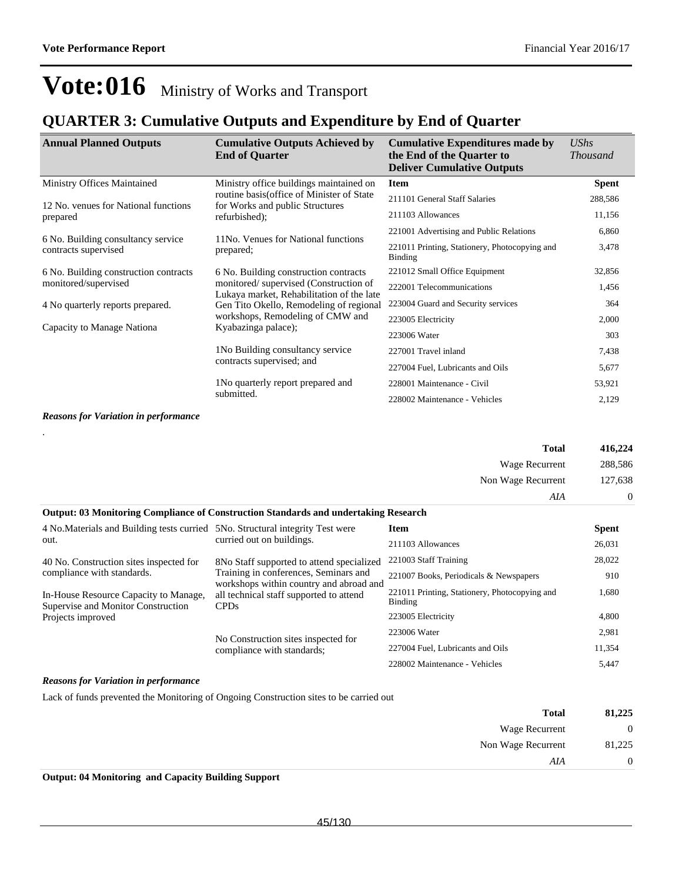### **QUARTER 3: Cumulative Outputs and Expenditure by End of Quarter**

| <b>Annual Planned Outputs</b>                                 | <b>Cumulative Outputs Achieved by</b><br><b>End of Quarter</b>                                                                                                         | <b>Cumulative Expenditures made by</b><br>the End of the Quarter to<br><b>Deliver Cumulative Outputs</b> | <b>UShs</b><br><i>Thousand</i> |
|---------------------------------------------------------------|------------------------------------------------------------------------------------------------------------------------------------------------------------------------|----------------------------------------------------------------------------------------------------------|--------------------------------|
| Ministry Offices Maintained                                   | Ministry office buildings maintained on                                                                                                                                | <b>Item</b>                                                                                              | <b>Spent</b>                   |
| 12 No. venues for National functions                          | routine basis (office of Minister of State<br>for Works and public Structures                                                                                          | 211101 General Staff Salaries                                                                            | 288,586                        |
| prepared                                                      | refurbished);                                                                                                                                                          | 211103 Allowances                                                                                        | 11,156                         |
|                                                               |                                                                                                                                                                        | 221001 Advertising and Public Relations                                                                  | 6,860                          |
| 6 No. Building consultancy service<br>contracts supervised    | 11No. Venues for National functions<br>prepared;                                                                                                                       | 221011 Printing, Stationery, Photocopying and<br><b>Binding</b>                                          | 3,478                          |
| 6 No. Building construction contracts<br>monitored/supervised | 6 No. Building construction contracts<br>monitored/supervised (Construction of<br>Lukaya market, Rehabilitation of the late<br>Gen Tito Okello, Remodeling of regional | 221012 Small Office Equipment                                                                            | 32,856                         |
|                                                               |                                                                                                                                                                        | 222001 Telecommunications                                                                                | 1,456                          |
| 4 No quarterly reports prepared.                              |                                                                                                                                                                        | 223004 Guard and Security services                                                                       | 364                            |
|                                                               | workshops, Remodeling of CMW and                                                                                                                                       | 223005 Electricity                                                                                       | 2,000                          |
| Capacity to Manage Nationa                                    | Kyabazinga palace);                                                                                                                                                    | 223006 Water                                                                                             | 303                            |
|                                                               | 1 No Building consultancy service                                                                                                                                      | 227001 Travel inland                                                                                     | 7,438                          |
| 1 No quarterly report prepared and<br>submitted.              | contracts supervised; and                                                                                                                                              | 227004 Fuel, Lubricants and Oils                                                                         | 5,677                          |
|                                                               |                                                                                                                                                                        | 228001 Maintenance - Civil                                                                               | 53,921                         |
|                                                               |                                                                                                                                                                        | 228002 Maintenance - Vehicles                                                                            | 2,129                          |

*Reasons for Variation in performance*

|                                                                                                  |                                                                                                                                                                                          | <b>Total</b>                                             | 416,224      |
|--------------------------------------------------------------------------------------------------|------------------------------------------------------------------------------------------------------------------------------------------------------------------------------------------|----------------------------------------------------------|--------------|
|                                                                                                  |                                                                                                                                                                                          | Wage Recurrent                                           | 288,586      |
|                                                                                                  |                                                                                                                                                                                          | Non Wage Recurrent                                       | 127,638      |
|                                                                                                  |                                                                                                                                                                                          | AIA                                                      | $\theta$     |
|                                                                                                  | <b>Output: 03 Monitoring Compliance of Construction Standards and undertaking Research</b>                                                                                               |                                                          |              |
| 4 No. Materials and Building tests curried 5 No. Structural integrity Test were                  |                                                                                                                                                                                          | <b>Item</b>                                              | <b>Spent</b> |
| out.                                                                                             | curried out on buildings.                                                                                                                                                                | 211103 Allowances                                        | 26,031       |
| 40 No. Construction sites inspected for                                                          | 8 No Staff supported to attend specialized<br>Training in conferences, Seminars and<br>workshops within country and abroad and<br>all technical staff supported to attend<br><b>CPDs</b> | 221003 Staff Training                                    | 28,022       |
| compliance with standards.                                                                       |                                                                                                                                                                                          | 221007 Books, Periodicals & Newspapers                   | 910          |
| In-House Resource Capacity to Manage,<br>Supervise and Monitor Construction<br>Projects improved |                                                                                                                                                                                          | 221011 Printing, Stationery, Photocopying and<br>Binding | 1,680        |
|                                                                                                  |                                                                                                                                                                                          | 223005 Electricity                                       | 4,800        |
|                                                                                                  | No Construction sites inspected for                                                                                                                                                      | 223006 Water                                             | 2,981        |
|                                                                                                  | compliance with standards;                                                                                                                                                               | 227004 Fuel, Lubricants and Oils                         | 11,354       |
|                                                                                                  |                                                                                                                                                                                          | 228002 Maintenance - Vehicles                            | 5,447        |
| $\sim$ $\sim$ $\sim$ $\sim$ $\sim$                                                               |                                                                                                                                                                                          |                                                          |              |

#### *Reasons for Variation in performance*

Lack of funds prevented the Monitoring of Ongoing Construction sites to be carried out

| 81,225         | Total              |
|----------------|--------------------|
| $\overline{0}$ | Wage Recurrent     |
| 81,225         | Non Wage Recurrent |
| $\overline{0}$ | AIA                |
|                |                    |

**Output: 04 Monitoring and Capacity Building Support**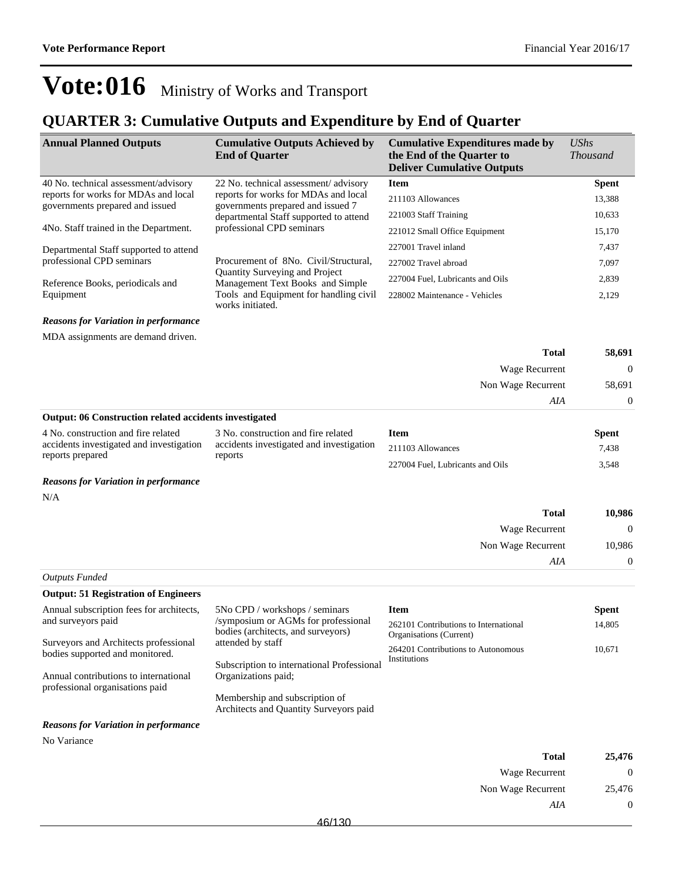### **QUARTER 3: Cumulative Outputs and Expenditure by End of Quarter**

| <b>Annual Planned Outputs</b>                                                                                | <b>Cumulative Outputs Achieved by</b><br><b>End of Quarter</b>            | <b>Cumulative Expenditures made by</b><br>the End of the Quarter to<br><b>Deliver Cumulative Outputs</b> | $\mathit{UShs}$<br><i>Thousand</i> |
|--------------------------------------------------------------------------------------------------------------|---------------------------------------------------------------------------|----------------------------------------------------------------------------------------------------------|------------------------------------|
| 40 No. technical assessment/advisory                                                                         | 22 No. technical assessment/advisory                                      | <b>Item</b>                                                                                              | <b>Spent</b>                       |
| reports for works for MDAs and local<br>governments prepared and issued                                      | reports for works for MDAs and local<br>governments prepared and issued 7 | 211103 Allowances                                                                                        | 13,388                             |
| departmental Staff supported to attend<br>professional CPD seminars<br>4No. Staff trained in the Department. |                                                                           | 221003 Staff Training                                                                                    | 10,633                             |
|                                                                                                              |                                                                           | 221012 Small Office Equipment                                                                            | 15,170                             |
| Departmental Staff supported to attend                                                                       |                                                                           | 227001 Travel inland                                                                                     | 7,437                              |
| professional CPD seminars                                                                                    | Procurement of 8No. Civil/Structural,                                     | 227002 Travel abroad                                                                                     | 7,097                              |
| Reference Books, periodicals and                                                                             | <b>Quantity Surveying and Project</b><br>Management Text Books and Simple | 227004 Fuel, Lubricants and Oils                                                                         | 2,839                              |
| Equipment                                                                                                    | Tools and Equipment for handling civil<br>works initiated.                | 228002 Maintenance - Vehicles                                                                            | 2,129                              |

#### *Reasons for Variation in performance*

MDA assignments are demand driven.

| <b>Total</b>                                                  | 58,691   |
|---------------------------------------------------------------|----------|
| Wage Recurrent                                                | $\Omega$ |
| Non Wage Recurrent                                            | 58,691   |
| AIA                                                           | $\Omega$ |
| <b>Output: 06 Construction related accidents investigated</b> |          |

| 4 No. construction and fire related                          | 3 No. construction and fire related      | Item                             | Spent |
|--------------------------------------------------------------|------------------------------------------|----------------------------------|-------|
| accidents investigated and investigation<br>reports prepared | accidents investigated and investigation | 211103 Allowances                | 7.438 |
|                                                              | reports                                  | 227004 Fuel, Lubricants and Oils | 3.548 |

#### *Reasons for Variation in performance*

|                |                    | N/A |
|----------------|--------------------|-----|
| 10,986         | <b>Total</b>       |     |
| $\overline{0}$ | Wage Recurrent     |     |
| 10,986         | Non Wage Recurrent |     |
| $\overline{0}$ | AIA                |     |

#### *Outputs Funded*

| <b>Output: 51 Registration of Engineers</b>                              |                                                                                                                                              |                                                                  |              |
|--------------------------------------------------------------------------|----------------------------------------------------------------------------------------------------------------------------------------------|------------------------------------------------------------------|--------------|
| Annual subscription fees for architects,                                 | 5No CPD / workshops / seminars                                                                                                               | <b>Item</b>                                                      | <b>Spent</b> |
| and surveyors paid                                                       | /symposium or AGMs for professional<br>bodies (architects, and surveyors)<br>attended by staff<br>Subscription to international Professional | 262101 Contributions to International<br>Organisations (Current) | 14,805       |
| Surveyors and Architects professional<br>bodies supported and monitored. |                                                                                                                                              | 264201 Contributions to Autonomous<br><b>Institutions</b>        | 10.671       |
| Annual contributions to international<br>professional organisations paid | Organizations paid;                                                                                                                          |                                                                  |              |
|                                                                          | Membership and subscription of<br>Architects and Quantity Surveyors paid                                                                     |                                                                  |              |
| <b>Reasons for Variation in performance</b>                              |                                                                                                                                              |                                                                  |              |

No Variance

| <b>Total</b>       | 25,476 |
|--------------------|--------|
| Wage Recurrent     |        |
| Non Wage Recurrent | 25,476 |
| AIA                |        |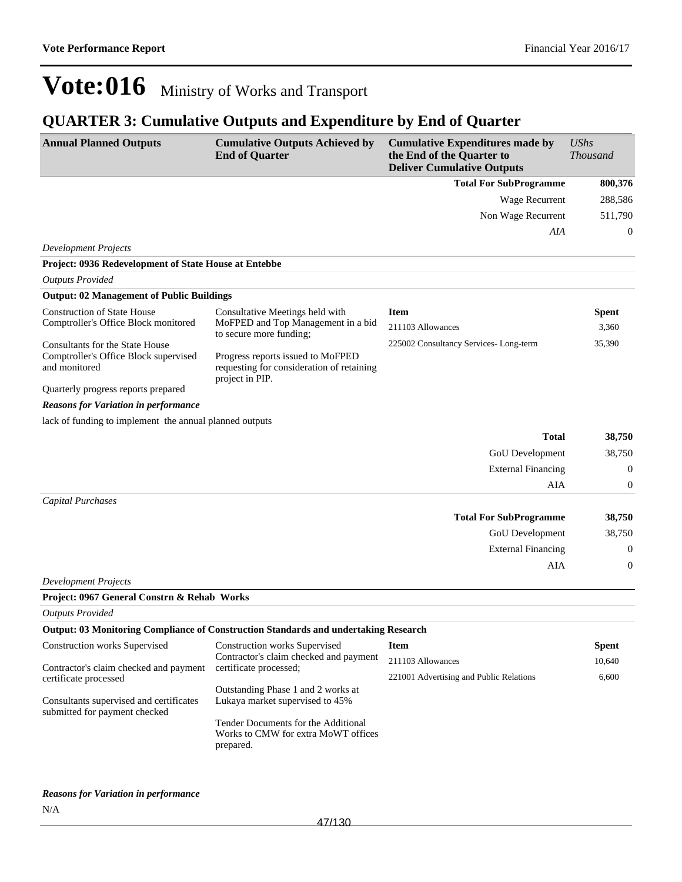## **QUARTER 3: Cumulative Outputs and Expenditure by End of Quarter**

| <b>Annual Planned Outputs</b>                                                                     | <b>Cumulative Outputs Achieved by</b><br><b>End of Quarter</b>                                    | <b>Cumulative Expenditures made by</b><br>the End of the Quarter to<br><b>Deliver Cumulative Outputs</b> | UShs<br><b>Thousand</b> |
|---------------------------------------------------------------------------------------------------|---------------------------------------------------------------------------------------------------|----------------------------------------------------------------------------------------------------------|-------------------------|
|                                                                                                   |                                                                                                   | <b>Total For SubProgramme</b>                                                                            | 800,376                 |
|                                                                                                   |                                                                                                   | Wage Recurrent                                                                                           | 288,586                 |
|                                                                                                   |                                                                                                   | Non Wage Recurrent                                                                                       | 511,790                 |
|                                                                                                   |                                                                                                   | AIA                                                                                                      | $\theta$                |
| <b>Development Projects</b>                                                                       |                                                                                                   |                                                                                                          |                         |
| Project: 0936 Redevelopment of State House at Entebbe                                             |                                                                                                   |                                                                                                          |                         |
| <b>Outputs Provided</b>                                                                           |                                                                                                   |                                                                                                          |                         |
| <b>Output: 02 Management of Public Buildings</b>                                                  |                                                                                                   |                                                                                                          |                         |
| <b>Construction of State House</b>                                                                | Consultative Meetings held with                                                                   | <b>Item</b>                                                                                              | <b>Spent</b>            |
| Comptroller's Office Block monitored                                                              | MoFPED and Top Management in a bid<br>to secure more funding;                                     | 211103 Allowances                                                                                        | 3,360                   |
| <b>Consultants for the State House</b><br>Comptroller's Office Block supervised<br>and monitored  | Progress reports issued to MoFPED<br>requesting for consideration of retaining<br>project in PIP. | 225002 Consultancy Services-Long-term                                                                    | 35,390                  |
| Quarterly progress reports prepared                                                               |                                                                                                   |                                                                                                          |                         |
| <b>Reasons for Variation in performance</b>                                                       |                                                                                                   |                                                                                                          |                         |
| lack of funding to implement the annual planned outputs                                           |                                                                                                   |                                                                                                          |                         |
|                                                                                                   |                                                                                                   | <b>Total</b>                                                                                             | 38,750                  |
|                                                                                                   |                                                                                                   | GoU Development                                                                                          | 38,750                  |
|                                                                                                   |                                                                                                   | <b>External Financing</b>                                                                                | $\theta$                |
|                                                                                                   |                                                                                                   | AIA                                                                                                      | $\mathbf{0}$            |
| <b>Capital Purchases</b>                                                                          |                                                                                                   | <b>Total For SubProgramme</b>                                                                            | 38,750                  |
|                                                                                                   |                                                                                                   | GoU Development                                                                                          | 38,750                  |
|                                                                                                   |                                                                                                   | <b>External Financing</b>                                                                                | $\theta$                |
|                                                                                                   |                                                                                                   | AIA                                                                                                      | $\mathbf{0}$            |
| <b>Development Projects</b>                                                                       |                                                                                                   |                                                                                                          |                         |
| Project: 0967 General Constrn & Rehab Works                                                       |                                                                                                   |                                                                                                          |                         |
| <b>Outputs Provided</b>                                                                           |                                                                                                   |                                                                                                          |                         |
|                                                                                                   | Output: 03 Monitoring Compliance of Construction Standards and undertaking Research               |                                                                                                          |                         |
| <b>Construction works Supervised</b>                                                              | <b>Construction works Supervised</b><br>Contractor's claim checked and payment                    | <b>Item</b><br>211103 Allowances                                                                         | <b>Spent</b><br>10,640  |
| Contractor's claim checked and payment                                                            | certificate processed;                                                                            | 221001 Advertising and Public Relations                                                                  | 6,600                   |
| certificate processed<br>Consultants supervised and certificates<br>submitted for payment checked | Outstanding Phase 1 and 2 works at<br>Lukaya market supervised to 45%                             |                                                                                                          |                         |
|                                                                                                   | Tender Documents for the Additional<br>Works to CMW for extra MoWT offices<br>prepared.           |                                                                                                          |                         |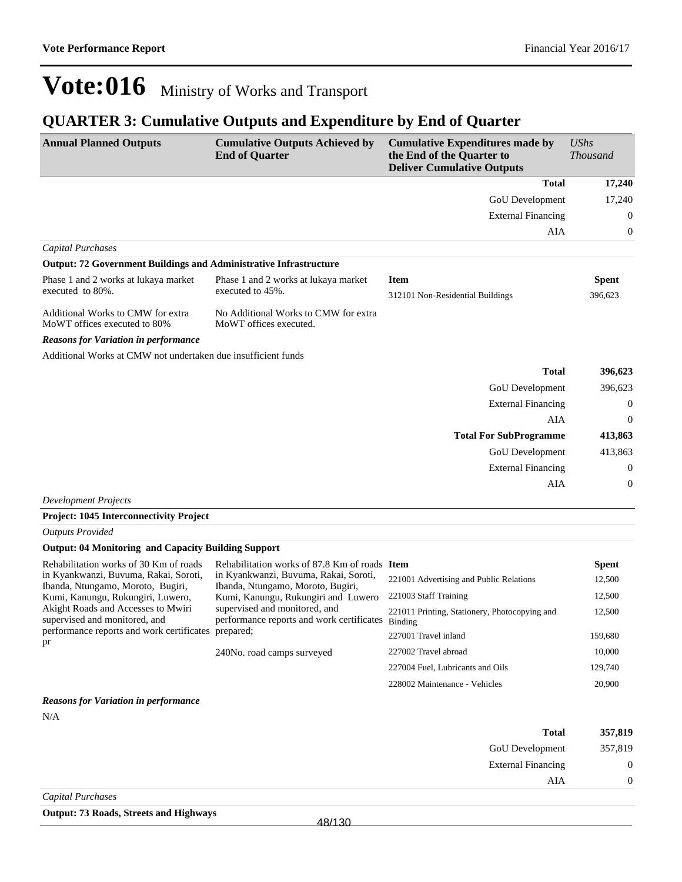## **QUARTER 3: Cumulative Outputs and Expenditure by End of Quarter**

| <b>Annual Planned Outputs</b>                                                                                              | <b>Cumulative Outputs Achieved by</b><br><b>End of Quarter</b>             | <b>Cumulative Expenditures made by</b><br>the End of the Quarter to<br><b>Deliver Cumulative Outputs</b> | <b>UShs</b><br><b>Thousand</b> |
|----------------------------------------------------------------------------------------------------------------------------|----------------------------------------------------------------------------|----------------------------------------------------------------------------------------------------------|--------------------------------|
|                                                                                                                            |                                                                            | Total                                                                                                    | 17,240                         |
|                                                                                                                            |                                                                            | <b>GoU</b> Development                                                                                   | 17,240                         |
|                                                                                                                            |                                                                            | <b>External Financing</b>                                                                                | $\boldsymbol{0}$               |
|                                                                                                                            |                                                                            | AIA                                                                                                      | $\boldsymbol{0}$               |
| <b>Capital Purchases</b>                                                                                                   |                                                                            |                                                                                                          |                                |
| <b>Output: 72 Government Buildings and Administrative Infrastructure</b>                                                   |                                                                            |                                                                                                          |                                |
| Phase 1 and 2 works at lukaya market<br>executed to 80%.                                                                   | Phase 1 and 2 works at lukaya market<br>executed to 45%.                   | <b>Item</b><br>312101 Non-Residential Buildings                                                          | Spent<br>396,623               |
| Additional Works to CMW for extra<br>MoWT offices executed to 80%                                                          | No Additional Works to CMW for extra<br>MoWT offices executed.             |                                                                                                          |                                |
| <b>Reasons for Variation in performance</b>                                                                                |                                                                            |                                                                                                          |                                |
| Additional Works at CMW not undertaken due insufficient funds                                                              |                                                                            |                                                                                                          |                                |
|                                                                                                                            |                                                                            | <b>Total</b>                                                                                             | 396,623                        |
|                                                                                                                            |                                                                            | <b>GoU</b> Development                                                                                   | 396,623                        |
|                                                                                                                            |                                                                            | <b>External Financing</b>                                                                                | $\boldsymbol{0}$               |
|                                                                                                                            |                                                                            | AIA                                                                                                      | $\boldsymbol{0}$               |
|                                                                                                                            |                                                                            | <b>Total For SubProgramme</b>                                                                            | 413,863                        |
|                                                                                                                            |                                                                            | GoU Development                                                                                          | 413,863                        |
|                                                                                                                            |                                                                            | <b>External Financing</b>                                                                                | $\mathbf{0}$                   |
|                                                                                                                            |                                                                            | AIA                                                                                                      | $\Omega$                       |
| <b>Development Projects</b>                                                                                                |                                                                            |                                                                                                          |                                |
| Project: 1045 Interconnectivity Project                                                                                    |                                                                            |                                                                                                          |                                |
| <b>Outputs Provided</b>                                                                                                    |                                                                            |                                                                                                          |                                |
| <b>Output: 04 Monitoring and Capacity Building Support</b>                                                                 |                                                                            |                                                                                                          |                                |
| Rehabilitation works of 30 Km of roads                                                                                     | Rehabilitation works of 87.8 Km of roads Item                              |                                                                                                          | Spent                          |
| in Kyankwanzi, Buvuma, Rakai, Soroti,<br>Ibanda, Ntungamo, Moroto, Bugiri,                                                 | in Kyankwanzi, Buvuma, Rakai, Soroti,<br>Ibanda, Ntungamo, Moroto, Bugiri, | 221001 Advertising and Public Relations                                                                  | 12,500                         |
| Kumi, Kanungu, Rukungiri, Luwero,                                                                                          | Kumi, Kanungu, Rukungiri and Luwero                                        | 221003 Staff Training                                                                                    | 12,500                         |
| Akight Roads and Accesses to Mwiri<br>supervised and monitored, and<br>performance reports and work certificates prepared; | supervised and monitored, and<br>performance reports and work certificates | 221011 Printing, Stationery, Photocopying and<br>Binding                                                 | 12,500                         |
| pr                                                                                                                         |                                                                            | 227001 Travel inland                                                                                     | 159,680                        |
|                                                                                                                            | 240No. road camps surveyed                                                 | 227002 Travel abroad                                                                                     | 10,000                         |
|                                                                                                                            |                                                                            | 227004 Fuel, Lubricants and Oils                                                                         | 129,740                        |

*Reasons for Variation in performance* N/A

| <b>Total</b>              | 357,819        |
|---------------------------|----------------|
| GoU Development           | 357,819        |
| <b>External Financing</b> | $\overline{0}$ |
| AIA                       | $\overline{0}$ |
| Capital Purchases         |                |

228002 Maintenance - Vehicles 20,900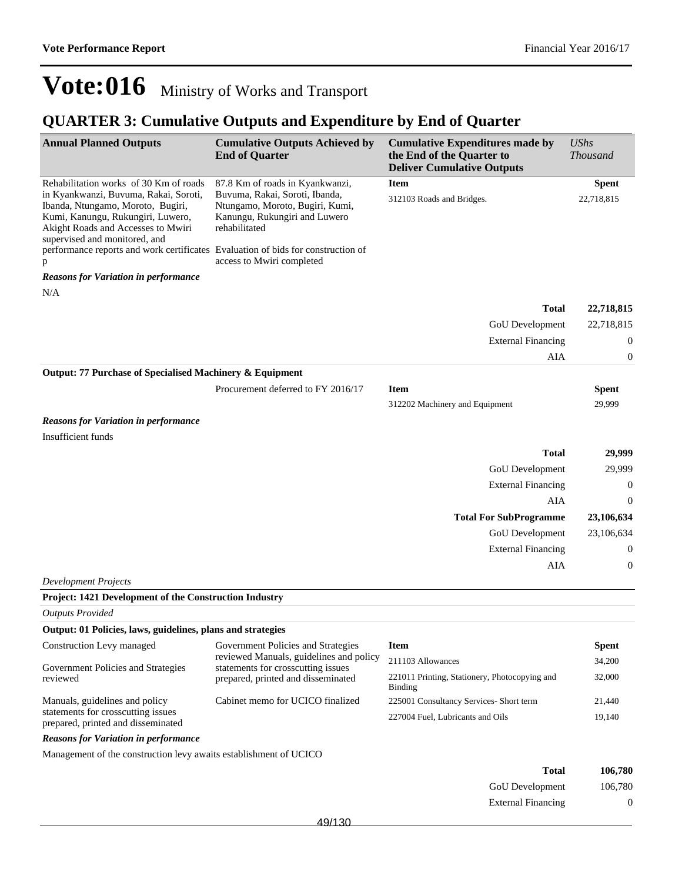External Financing 0

## **Vote:016** Ministry of Works and Transport

## **QUARTER 3: Cumulative Outputs and Expenditure by End of Quarter**

| <b>Annual Planned Outputs</b>                                                                                                                                                          | <b>Cumulative Outputs Achieved by</b><br><b>End of Quarter</b>                                                      | <b>Cumulative Expenditures made by</b><br>the End of the Quarter to<br><b>Deliver Cumulative Outputs</b> | <b>UShs</b><br><b>Thousand</b> |
|----------------------------------------------------------------------------------------------------------------------------------------------------------------------------------------|---------------------------------------------------------------------------------------------------------------------|----------------------------------------------------------------------------------------------------------|--------------------------------|
| Rehabilitation works of 30 Km of roads                                                                                                                                                 | 87.8 Km of roads in Kyankwanzi,                                                                                     | <b>Item</b>                                                                                              | <b>Spent</b>                   |
| in Kyankwanzi, Buvuma, Rakai, Soroti,<br>Ibanda, Ntungamo, Moroto, Bugiri,<br>Kumi, Kanungu, Rukungiri, Luwero,<br>Akight Roads and Accesses to Mwiri<br>supervised and monitored, and | Buvuma, Rakai, Soroti, Ibanda,<br>Ntungamo, Moroto, Bugiri, Kumi,<br>Kanungu, Rukungiri and Luwero<br>rehabilitated | 312103 Roads and Bridges.                                                                                | 22,718,815                     |
| performance reports and work certificates Evaluation of bids for construction of<br>p                                                                                                  | access to Mwiri completed                                                                                           |                                                                                                          |                                |
| <b>Reasons for Variation in performance</b>                                                                                                                                            |                                                                                                                     |                                                                                                          |                                |
| N/A                                                                                                                                                                                    |                                                                                                                     |                                                                                                          |                                |
|                                                                                                                                                                                        |                                                                                                                     | <b>Total</b>                                                                                             | 22,718,815                     |
|                                                                                                                                                                                        |                                                                                                                     | GoU Development                                                                                          | 22,718,815                     |
|                                                                                                                                                                                        |                                                                                                                     | <b>External Financing</b>                                                                                | $\boldsymbol{0}$               |
|                                                                                                                                                                                        |                                                                                                                     | AIA                                                                                                      | $\boldsymbol{0}$               |
| Output: 77 Purchase of Specialised Machinery & Equipment                                                                                                                               |                                                                                                                     |                                                                                                          |                                |
|                                                                                                                                                                                        | Procurement deferred to FY 2016/17                                                                                  | <b>Item</b>                                                                                              | <b>Spent</b>                   |
|                                                                                                                                                                                        |                                                                                                                     | 312202 Machinery and Equipment                                                                           | 29,999                         |
| <b>Reasons for Variation in performance</b>                                                                                                                                            |                                                                                                                     |                                                                                                          |                                |
| Insufficient funds                                                                                                                                                                     |                                                                                                                     |                                                                                                          |                                |
|                                                                                                                                                                                        |                                                                                                                     | <b>Total</b>                                                                                             | 29,999                         |
|                                                                                                                                                                                        |                                                                                                                     | GoU Development                                                                                          | 29,999                         |
|                                                                                                                                                                                        |                                                                                                                     | <b>External Financing</b>                                                                                | $\boldsymbol{0}$               |
|                                                                                                                                                                                        |                                                                                                                     | AIA                                                                                                      | $\theta$                       |
|                                                                                                                                                                                        |                                                                                                                     | <b>Total For SubProgramme</b>                                                                            | 23,106,634                     |
|                                                                                                                                                                                        |                                                                                                                     | GoU Development                                                                                          | 23,106,634                     |
|                                                                                                                                                                                        |                                                                                                                     | <b>External Financing</b>                                                                                | $\boldsymbol{0}$               |
|                                                                                                                                                                                        |                                                                                                                     | AIA                                                                                                      | $\boldsymbol{0}$               |
| <b>Development Projects</b>                                                                                                                                                            |                                                                                                                     |                                                                                                          |                                |
| Project: 1421 Development of the Construction Industry                                                                                                                                 |                                                                                                                     |                                                                                                          |                                |
| <b>Outputs Provided</b>                                                                                                                                                                |                                                                                                                     |                                                                                                          |                                |
| Output: 01 Policies, laws, guidelines, plans and strategies                                                                                                                            |                                                                                                                     |                                                                                                          |                                |
| Construction Levy managed                                                                                                                                                              | Government Policies and Strategies                                                                                  | <b>Item</b>                                                                                              | <b>Spent</b>                   |
|                                                                                                                                                                                        | reviewed Manuals, guidelines and policy                                                                             | 211103 Allowances                                                                                        | 34,200                         |
| Government Policies and Strategies<br>reviewed                                                                                                                                         | statements for crosscutting issues<br>prepared, printed and disseminated                                            | 221011 Printing, Stationery, Photocopying and                                                            | 32,000                         |
|                                                                                                                                                                                        |                                                                                                                     | Binding                                                                                                  |                                |
| Manuals, guidelines and policy                                                                                                                                                         | Cabinet memo for UCICO finalized                                                                                    | 225001 Consultancy Services- Short term                                                                  | 21,440                         |
| statements for crosscutting issues<br>prepared, printed and disseminated                                                                                                               |                                                                                                                     | 227004 Fuel, Lubricants and Oils                                                                         | 19,140                         |
| <b>Reasons for Variation in performance</b>                                                                                                                                            |                                                                                                                     |                                                                                                          |                                |
| Management of the construction levy awaits establishment of UCICO                                                                                                                      |                                                                                                                     |                                                                                                          |                                |
|                                                                                                                                                                                        |                                                                                                                     | <b>Total</b>                                                                                             | 106,780                        |
|                                                                                                                                                                                        |                                                                                                                     | GoU Development                                                                                          | 106,780                        |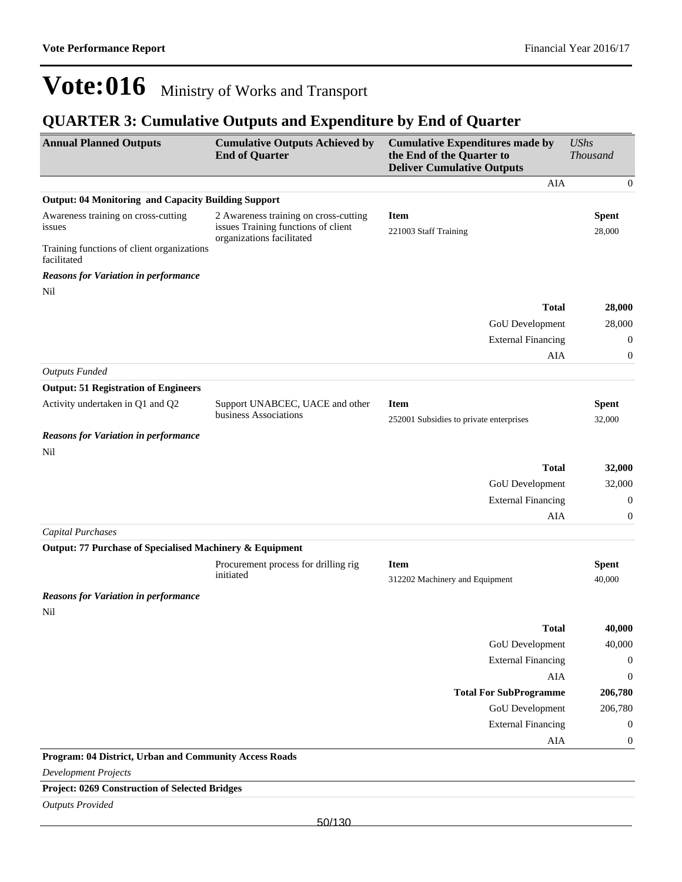## **QUARTER 3: Cumulative Outputs and Expenditure by End of Quarter**

| <b>Annual Planned Outputs</b>                              | <b>Cumulative Outputs Achieved by</b><br><b>End of Quarter</b>               | <b>Cumulative Expenditures made by</b><br>the End of the Quarter to<br><b>Deliver Cumulative Outputs</b> | <b>UShs</b><br><b>Thousand</b> |
|------------------------------------------------------------|------------------------------------------------------------------------------|----------------------------------------------------------------------------------------------------------|--------------------------------|
|                                                            |                                                                              | <b>AIA</b>                                                                                               | $\boldsymbol{0}$               |
| <b>Output: 04 Monitoring and Capacity Building Support</b> |                                                                              |                                                                                                          |                                |
| Awareness training on cross-cutting<br>issues              | 2 Awareness training on cross-cutting<br>issues Training functions of client | <b>Item</b><br>221003 Staff Training                                                                     | <b>Spent</b><br>28,000         |
| Training functions of client organizations<br>facilitated  | organizations facilitated                                                    |                                                                                                          |                                |
| <b>Reasons for Variation in performance</b>                |                                                                              |                                                                                                          |                                |
| Nil                                                        |                                                                              |                                                                                                          |                                |
|                                                            |                                                                              | <b>Total</b>                                                                                             | 28,000                         |
|                                                            |                                                                              | GoU Development                                                                                          | 28,000                         |
|                                                            |                                                                              | <b>External Financing</b>                                                                                | $\boldsymbol{0}$               |
|                                                            |                                                                              | AIA                                                                                                      | $\boldsymbol{0}$               |
| <b>Outputs Funded</b>                                      |                                                                              |                                                                                                          |                                |
| <b>Output: 51 Registration of Engineers</b>                |                                                                              |                                                                                                          |                                |
| Activity undertaken in Q1 and Q2                           | Support UNABCEC, UACE and other<br>business Associations                     | <b>Item</b>                                                                                              | <b>Spent</b>                   |
|                                                            |                                                                              | 252001 Subsidies to private enterprises                                                                  | 32,000                         |
| <b>Reasons for Variation in performance</b>                |                                                                              |                                                                                                          |                                |
| Nil                                                        |                                                                              | <b>Total</b>                                                                                             |                                |
|                                                            |                                                                              |                                                                                                          | 32,000                         |
|                                                            |                                                                              | GoU Development                                                                                          | 32,000                         |
|                                                            |                                                                              | <b>External Financing</b><br>AIA                                                                         | $\boldsymbol{0}$               |
| <b>Capital Purchases</b>                                   |                                                                              |                                                                                                          | $\boldsymbol{0}$               |
| Output: 77 Purchase of Specialised Machinery & Equipment   |                                                                              |                                                                                                          |                                |
|                                                            | Procurement process for drilling rig                                         | <b>Item</b>                                                                                              | <b>Spent</b>                   |
|                                                            | initiated                                                                    | 312202 Machinery and Equipment                                                                           | 40,000                         |
| <b>Reasons for Variation in performance</b>                |                                                                              |                                                                                                          |                                |
| Nil                                                        |                                                                              | Total                                                                                                    | 40,000                         |
|                                                            |                                                                              | GoU Development                                                                                          | 40,000                         |
|                                                            |                                                                              | <b>External Financing</b>                                                                                | $\boldsymbol{0}$               |
|                                                            |                                                                              | AIA                                                                                                      | $\boldsymbol{0}$               |
|                                                            |                                                                              | <b>Total For SubProgramme</b>                                                                            | 206,780                        |
|                                                            |                                                                              | GoU Development                                                                                          | 206,780                        |
|                                                            |                                                                              | <b>External Financing</b>                                                                                | $\boldsymbol{0}$               |
|                                                            |                                                                              | AIA                                                                                                      | $\boldsymbol{0}$               |
| Program: 04 District, Urban and Community Access Roads     |                                                                              |                                                                                                          |                                |
| <b>Development Projects</b>                                |                                                                              |                                                                                                          |                                |
| Project: 0269 Construction of Selected Bridges             |                                                                              |                                                                                                          |                                |
| <b>Outputs Provided</b>                                    |                                                                              |                                                                                                          |                                |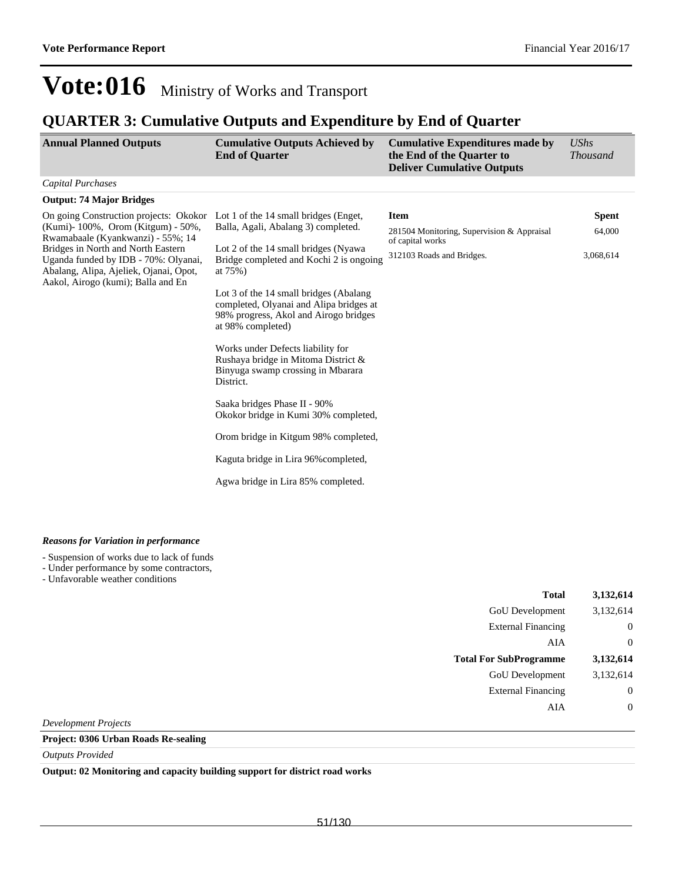### **QUARTER 3: Cumulative Outputs and Expenditure by End of Quarter**

| <b>Annual Planned Outputs</b>                                                                                                                                                                                                                                                                                          | <b>Cumulative Outputs Achieved by</b><br><b>End of Quarter</b>                                                                                                                                                                                                                                                                                                                                                                                                                                                                                                              | <b>Cumulative Expenditures made by</b><br>the End of the Quarter to<br><b>Deliver Cumulative Outputs</b>   | <b>UShs</b><br><i>Thousand</i>      |
|------------------------------------------------------------------------------------------------------------------------------------------------------------------------------------------------------------------------------------------------------------------------------------------------------------------------|-----------------------------------------------------------------------------------------------------------------------------------------------------------------------------------------------------------------------------------------------------------------------------------------------------------------------------------------------------------------------------------------------------------------------------------------------------------------------------------------------------------------------------------------------------------------------------|------------------------------------------------------------------------------------------------------------|-------------------------------------|
| <b>Capital Purchases</b>                                                                                                                                                                                                                                                                                               |                                                                                                                                                                                                                                                                                                                                                                                                                                                                                                                                                                             |                                                                                                            |                                     |
| <b>Output: 74 Major Bridges</b>                                                                                                                                                                                                                                                                                        |                                                                                                                                                                                                                                                                                                                                                                                                                                                                                                                                                                             |                                                                                                            |                                     |
| On going Construction projects: Okokor Lot 1 of the 14 small bridges (Enget,<br>(Kumi) - 100%, Orom (Kitgum) - 50%,<br>Rwamabaale (Kyankwanzi) - 55%; 14<br>Bridges in North and North Eastern<br>Uganda funded by IDB - 70%: Olyanai,<br>Abalang, Alipa, Ajeliek, Ojanai, Opot,<br>Aakol, Airogo (kumi); Balla and En | Balla, Agali, Abalang 3) completed.<br>Lot 2 of the 14 small bridges (Nyawa<br>Bridge completed and Kochi 2 is ongoing<br>at 75%)<br>Lot 3 of the 14 small bridges (Abalang)<br>completed, Olyanai and Alipa bridges at<br>98% progress, Akol and Airogo bridges<br>at 98% completed)<br>Works under Defects liability for<br>Rushaya bridge in Mitoma District &<br>Binyuga swamp crossing in Mbarara<br>District.<br>Saaka bridges Phase II - 90%<br>Okokor bridge in Kumi 30% completed,<br>Orom bridge in Kitgum 98% completed,<br>Kaguta bridge in Lira 96% completed, | <b>Item</b><br>281504 Monitoring, Supervision & Appraisal<br>of capital works<br>312103 Roads and Bridges. | <b>Spent</b><br>64,000<br>3,068,614 |
|                                                                                                                                                                                                                                                                                                                        | Agwa bridge in Lira 85% completed.                                                                                                                                                                                                                                                                                                                                                                                                                                                                                                                                          |                                                                                                            |                                     |

#### *Reasons for Variation in performance*

- Suspension of works due to lack of funds

- Under performance by some contractors,

- Unfavorable weather conditions

| Total                         | 3,132,614 |
|-------------------------------|-----------|
| <b>GoU</b> Development        | 3,132,614 |
| <b>External Financing</b>     | 0         |
| AIA                           | $\theta$  |
|                               |           |
| <b>Total For SubProgramme</b> | 3,132,614 |
| <b>GoU</b> Development        | 3,132,614 |
| <b>External Financing</b>     | $\theta$  |
| AIA                           |           |

*Development Projects*

### **Project: 0306 Urban Roads Re-sealing**

*Outputs Provided*

**Output: 02 Monitoring and capacity building support for district road works**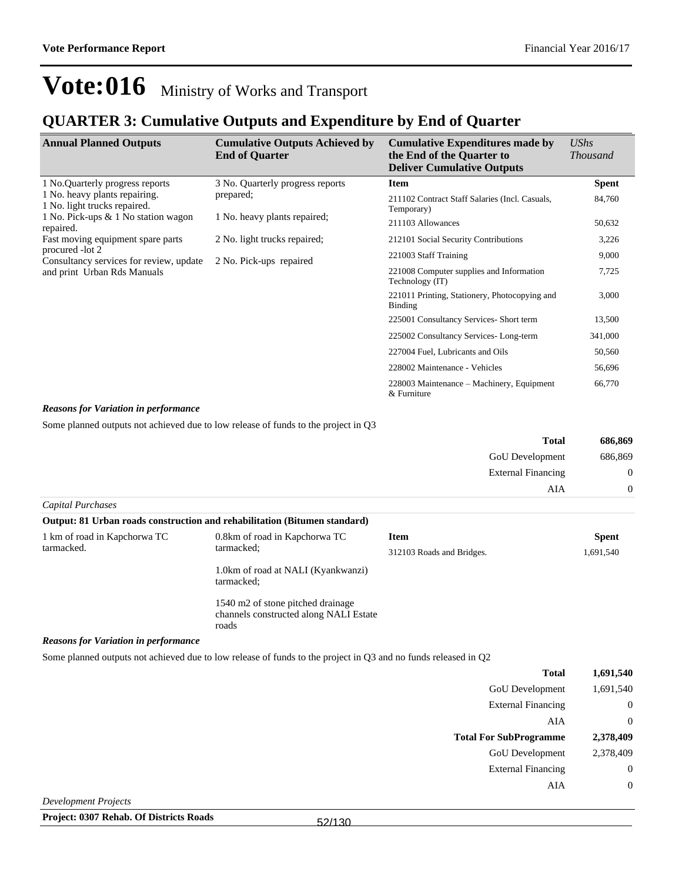### **QUARTER 3: Cumulative Outputs and Expenditure by End of Quarter**

| <b>Annual Planned Outputs</b>                                 | <b>Cumulative Outputs Achieved by</b><br><b>End of Quarter</b> | <b>Cumulative Expenditures made by</b><br>the End of the Quarter to<br><b>Deliver Cumulative Outputs</b> | <b>UShs</b><br><i>Thousand</i> |
|---------------------------------------------------------------|----------------------------------------------------------------|----------------------------------------------------------------------------------------------------------|--------------------------------|
| 1 No. Quarterly progress reports                              | 3 No. Quarterly progress reports                               | <b>Item</b>                                                                                              | <b>Spent</b>                   |
| 1 No. heavy plants repairing.<br>1 No. light trucks repaired. | prepared;                                                      | 211102 Contract Staff Salaries (Incl. Casuals,<br>Temporary)                                             | 84,760                         |
| 1 No. Pick-ups & 1 No station wagon<br>repaired.              | 1 No. heavy plants repaired;                                   | 211103 Allowances                                                                                        | 50,632                         |
| Fast moving equipment spare parts                             | 2 No. light trucks repaired;                                   | 212101 Social Security Contributions                                                                     | 3,226                          |
| procured -lot 2<br>Consultancy services for review, update    | 2 No. Pick-ups repaired                                        | 221003 Staff Training                                                                                    | 9,000                          |
| and print Urban Rds Manuals                                   |                                                                | 221008 Computer supplies and Information<br>Technology (IT)                                              | 7,725                          |
|                                                               |                                                                | 221011 Printing, Stationery, Photocopying and<br>Binding                                                 | 3,000                          |
|                                                               |                                                                | 225001 Consultancy Services- Short term                                                                  | 13,500                         |
|                                                               |                                                                | 225002 Consultancy Services-Long-term                                                                    | 341,000                        |
|                                                               |                                                                | 227004 Fuel, Lubricants and Oils                                                                         | 50,560                         |
|                                                               |                                                                | 228002 Maintenance - Vehicles                                                                            | 56,696                         |
|                                                               |                                                                | 228003 Maintenance – Machinery, Equipment<br>& Furniture                                                 | 66,770                         |

#### *Reasons for Variation in performance*

Some planned outputs not achieved due to low release of funds to the project in Q3

| <b>Total</b>              | 686,869        |
|---------------------------|----------------|
| <b>GoU</b> Development    | 686,869        |
| <b>External Financing</b> | $\overline{0}$ |
| AIA                       | $\theta$       |
| Capital Purchases         |                |

|                              | Output: 81 Urban roads construction and rehabilitation (Bitumen standard)            |                           |              |
|------------------------------|--------------------------------------------------------------------------------------|---------------------------|--------------|
| 1 km of road in Kapchorwa TC | 0.8km of road in Kapchorwa TC                                                        | Item                      | <b>Spent</b> |
|                              | tarmacked.<br>tarmacked:                                                             | 312103 Roads and Bridges. | 1,691,540    |
|                              | 1.0km of road at NALI (Kyankwanzi)<br>tarmacked;                                     |                           |              |
|                              | 1540 m2 of stone pitched drainage<br>channels constructed along NALI Estate<br>roads |                           |              |

#### *Reasons for Variation in performance*

Some planned outputs not achieved due to low release of funds to the project in Q3 and no funds released in Q2

| 1,691,540        | <b>Total</b>                  |
|------------------|-------------------------------|
| 1,691,540        | GoU Development               |
| $\boldsymbol{0}$ | <b>External Financing</b>     |
| $\overline{0}$   | AIA                           |
| 2,378,409        | <b>Total For SubProgramme</b> |
| 2,378,409        | GoU Development               |
| $\boldsymbol{0}$ | <b>External Financing</b>     |
| $\boldsymbol{0}$ | AIA                           |
|                  | _____                         |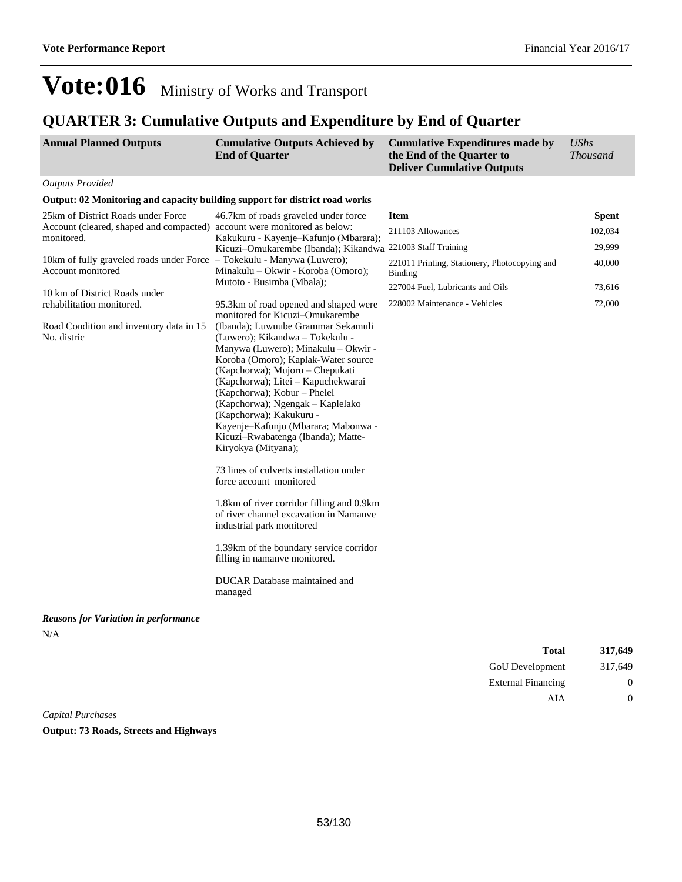### **QUARTER 3: Cumulative Outputs and Expenditure by End of Quarter**

| <b>Annual Planned Outputs</b>                                                               | <b>Cumulative Outputs Achieved by</b><br><b>End of Quarter</b>                                                                                                                                                                                                                                                                                                                                                                                                                                                                                                                   | <b>Cumulative Expenditures made by</b><br>the End of the Quarter to<br><b>Deliver Cumulative Outputs</b> | <b>UShs</b><br><b>Thousand</b> |
|---------------------------------------------------------------------------------------------|----------------------------------------------------------------------------------------------------------------------------------------------------------------------------------------------------------------------------------------------------------------------------------------------------------------------------------------------------------------------------------------------------------------------------------------------------------------------------------------------------------------------------------------------------------------------------------|----------------------------------------------------------------------------------------------------------|--------------------------------|
| <b>Outputs Provided</b>                                                                     |                                                                                                                                                                                                                                                                                                                                                                                                                                                                                                                                                                                  |                                                                                                          |                                |
| Output: 02 Monitoring and capacity building support for district road works                 |                                                                                                                                                                                                                                                                                                                                                                                                                                                                                                                                                                                  |                                                                                                          |                                |
| 25km of District Roads under Force                                                          | 46.7km of roads graveled under force                                                                                                                                                                                                                                                                                                                                                                                                                                                                                                                                             | <b>Item</b>                                                                                              | <b>Spent</b>                   |
| Account (cleared, shaped and compacted) account were monitored as below:<br>monitored.      | Kakukuru - Kayenje-Kafunjo (Mbarara);                                                                                                                                                                                                                                                                                                                                                                                                                                                                                                                                            | 211103 Allowances                                                                                        | 102,034                        |
|                                                                                             | Kicuzi-Omukarembe (Ibanda); Kikandwa                                                                                                                                                                                                                                                                                                                                                                                                                                                                                                                                             | 221003 Staff Training                                                                                    | 29,999                         |
| 10km of fully graveled roads under Force - Tokekulu - Manywa (Luwero);<br>Account monitored | Minakulu – Okwir - Koroba (Omoro);                                                                                                                                                                                                                                                                                                                                                                                                                                                                                                                                               | 221011 Printing, Stationery, Photocopying and<br><b>Binding</b>                                          | 40,000                         |
| 10 km of District Roads under                                                               | Mutoto - Busimba (Mbala);                                                                                                                                                                                                                                                                                                                                                                                                                                                                                                                                                        | 227004 Fuel, Lubricants and Oils                                                                         | 73,616                         |
| rehabilitation monitored.<br>Road Condition and inventory data in 15<br>No. distric         | 95.3km of road opened and shaped were<br>monitored for Kicuzi-Omukarembe<br>(Ibanda); Luwuube Grammar Sekamuli<br>(Luwero); Kikandwa – Tokekulu -<br>Manywa (Luwero); Minakulu - Okwir -<br>Koroba (Omoro); Kaplak-Water source<br>(Kapchorwa); Mujoru - Chepukati<br>(Kapchorwa); Litei - Kapuchekwarai<br>(Kapchorwa); Kobur - Phelel<br>(Kapchorwa); Ngengak – Kaplelako<br>(Kapchorwa); Kakukuru -<br>Kayenje-Kafunjo (Mbarara; Mabonwa -<br>Kicuzi-Rwabatenga (Ibanda); Matte-<br>Kiryokya (Mityana);<br>73 lines of culverts installation under<br>force account monitored | 228002 Maintenance - Vehicles                                                                            | 72,000                         |
|                                                                                             | 1.8km of river corridor filling and 0.9km<br>of river channel excavation in Namanve<br>industrial park monitored<br>1.39km of the boundary service corridor<br>filling in namanye monitored.                                                                                                                                                                                                                                                                                                                                                                                     |                                                                                                          |                                |
|                                                                                             | DUCAR Database maintained and<br>managed                                                                                                                                                                                                                                                                                                                                                                                                                                                                                                                                         |                                                                                                          |                                |
| <b>Reasons for Variation in performance</b>                                                 |                                                                                                                                                                                                                                                                                                                                                                                                                                                                                                                                                                                  |                                                                                                          |                                |
| N/A                                                                                         |                                                                                                                                                                                                                                                                                                                                                                                                                                                                                                                                                                                  | <b>Total</b>                                                                                             | 317,649                        |

| 317,049 | 1 otal                    |
|---------|---------------------------|
| 317,649 | GoU Development           |
| 0       | <b>External Financing</b> |
|         | AIA                       |
|         |                           |

*Capital Purchases*

**Output: 73 Roads, Streets and Highways**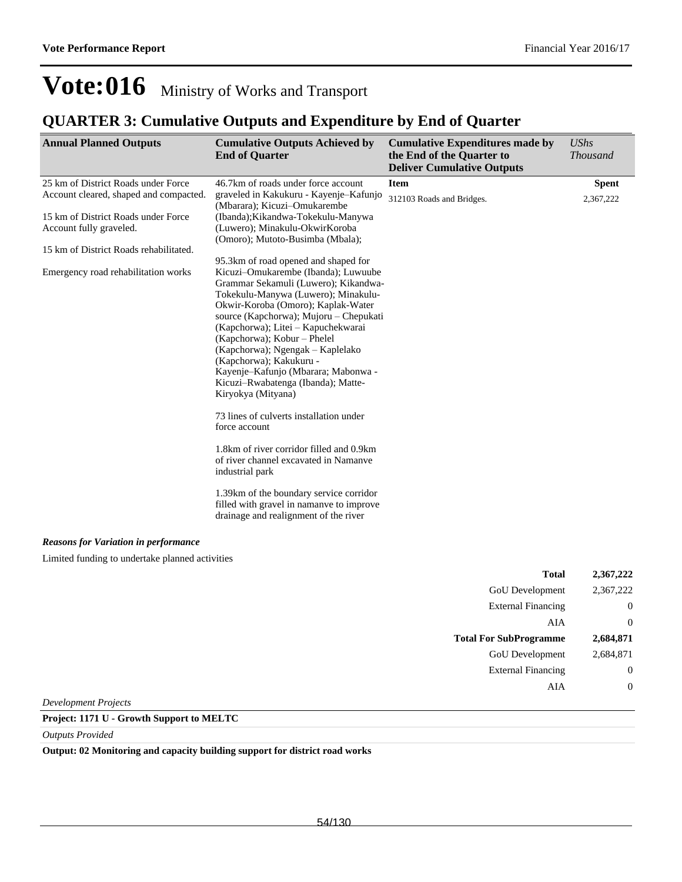## **QUARTER 3: Cumulative Outputs and Expenditure by End of Quarter**

| <b>Annual Planned Outputs</b>                                                 | <b>Cumulative Outputs Achieved by</b><br><b>End of Quarter</b>                                                                                                                                                                                                                                                                                                                                                                                                                                                                                | <b>Cumulative Expenditures made by</b><br>the End of the Quarter to<br><b>Deliver Cumulative Outputs</b> | <b>UShs</b><br><b>Thousand</b> |
|-------------------------------------------------------------------------------|-----------------------------------------------------------------------------------------------------------------------------------------------------------------------------------------------------------------------------------------------------------------------------------------------------------------------------------------------------------------------------------------------------------------------------------------------------------------------------------------------------------------------------------------------|----------------------------------------------------------------------------------------------------------|--------------------------------|
| 25 km of District Roads under Force<br>Account cleared, shaped and compacted. | 46.7km of roads under force account<br>graveled in Kakukuru - Kayenje-Kafunjo<br>(Mbarara); Kicuzi-Omukarembe                                                                                                                                                                                                                                                                                                                                                                                                                                 | <b>Item</b><br>312103 Roads and Bridges.                                                                 | <b>Spent</b><br>2,367,222      |
| 15 km of District Roads under Force<br>Account fully graveled.                | (Ibanda); Kikandwa-Tokekulu-Manywa<br>(Luwero); Minakulu-OkwirKoroba<br>(Omoro); Mutoto-Busimba (Mbala);                                                                                                                                                                                                                                                                                                                                                                                                                                      |                                                                                                          |                                |
| 15 km of District Roads rehabilitated.                                        |                                                                                                                                                                                                                                                                                                                                                                                                                                                                                                                                               |                                                                                                          |                                |
| Emergency road rehabilitation works                                           | 95.3km of road opened and shaped for<br>Kicuzi-Omukarembe (Ibanda); Luwuube<br>Grammar Sekamuli (Luwero); Kikandwa-<br>Tokekulu-Manywa (Luwero); Minakulu-<br>Okwir-Koroba (Omoro); Kaplak-Water<br>source (Kapchorwa); Mujoru - Chepukati<br>(Kapchorwa); Litei - Kapuchekwarai<br>(Kapchorwa); Kobur - Phelel<br>(Kapchorwa); Ngengak – Kaplelako<br>(Kapchorwa); Kakukuru -<br>Kayenje-Kafunjo (Mbarara; Mabonwa -<br>Kicuzi-Rwabatenga (Ibanda); Matte-<br>Kiryokya (Mityana)<br>73 lines of culverts installation under<br>force account |                                                                                                          |                                |
|                                                                               | 1.8km of river corridor filled and 0.9km<br>of river channel excavated in Namanve<br>industrial park                                                                                                                                                                                                                                                                                                                                                                                                                                          |                                                                                                          |                                |
|                                                                               | 1.39km of the boundary service corridor<br>filled with gravel in namanve to improve<br>drainage and realignment of the river                                                                                                                                                                                                                                                                                                                                                                                                                  |                                                                                                          |                                |
| <b>Reasons for Variation in performance</b>                                   |                                                                                                                                                                                                                                                                                                                                                                                                                                                                                                                                               |                                                                                                          |                                |
| Limited funding to undertake planned activities                               |                                                                                                                                                                                                                                                                                                                                                                                                                                                                                                                                               |                                                                                                          |                                |
|                                                                               |                                                                                                                                                                                                                                                                                                                                                                                                                                                                                                                                               | <b>Total</b>                                                                                             | 2,367,222                      |
|                                                                               |                                                                                                                                                                                                                                                                                                                                                                                                                                                                                                                                               | <b>GoU</b> Development                                                                                   | 2,367,222                      |

| л отн                         | --------- |
|-------------------------------|-----------|
| <b>GoU</b> Development        | 2,367,222 |
| <b>External Financing</b>     |           |
| AIA                           | 0         |
| <b>Total For SubProgramme</b> | 2,684,871 |
|                               |           |
| <b>GoU</b> Development        | 2,684,871 |
| <b>External Financing</b>     |           |
| AIA                           |           |

*Development Projects*

### **Project: 1171 U - Growth Support to MELTC**

*Outputs Provided*

**Output: 02 Monitoring and capacity building support for district road works**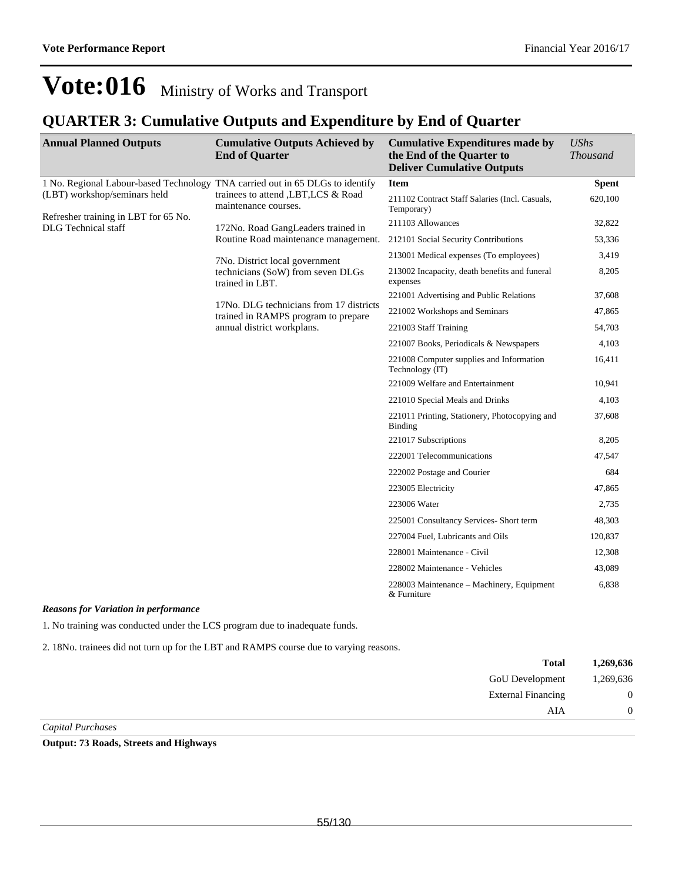### **QUARTER 3: Cumulative Outputs and Expenditure by End of Quarter**

| <b>Annual Planned Outputs</b>                                                 | <b>Cumulative Outputs Achieved by</b><br><b>End of Quarter</b>                 | <b>Cumulative Expenditures made by</b><br>the End of the Quarter to<br><b>Deliver Cumulative Outputs</b> | <b>UShs</b><br><b>Thousand</b> |
|-------------------------------------------------------------------------------|--------------------------------------------------------------------------------|----------------------------------------------------------------------------------------------------------|--------------------------------|
| 1 No. Regional Labour-based Technology TNA carried out in 65 DLGs to identify | trainees to attend , LBT, LCS & Road<br>maintenance courses.                   | <b>Item</b>                                                                                              | <b>Spent</b>                   |
| (LBT) workshop/seminars held                                                  |                                                                                | 211102 Contract Staff Salaries (Incl. Casuals,<br>Temporary)                                             | 620,100                        |
| Refresher training in LBT for 65 No.<br><b>DLG</b> Technical staff            | 172No. Road GangLeaders trained in                                             | 211103 Allowances                                                                                        | 32,822                         |
|                                                                               | Routine Road maintenance management.                                           | 212101 Social Security Contributions                                                                     | 53,336                         |
|                                                                               | 7No. District local government                                                 | 213001 Medical expenses (To employees)                                                                   | 3,419                          |
|                                                                               | technicians (SoW) from seven DLGs<br>trained in LBT.                           | 213002 Incapacity, death benefits and funeral<br>expenses                                                | 8,205                          |
|                                                                               |                                                                                | 221001 Advertising and Public Relations                                                                  | 37,608                         |
|                                                                               | 17No. DLG technicians from 17 districts<br>trained in RAMPS program to prepare | 221002 Workshops and Seminars                                                                            | 47,865                         |
|                                                                               | annual district workplans.                                                     | 221003 Staff Training                                                                                    | 54,703                         |
|                                                                               |                                                                                | 221007 Books, Periodicals & Newspapers                                                                   | 4,103                          |
|                                                                               |                                                                                | 221008 Computer supplies and Information<br>Technology (IT)                                              | 16,411                         |
|                                                                               |                                                                                | 221009 Welfare and Entertainment                                                                         | 10,941                         |
|                                                                               |                                                                                | 221010 Special Meals and Drinks                                                                          | 4,103                          |
|                                                                               |                                                                                | 221011 Printing, Stationery, Photocopying and<br>Binding                                                 | 37,608                         |
|                                                                               |                                                                                | 221017 Subscriptions                                                                                     | 8,205                          |
|                                                                               |                                                                                | 222001 Telecommunications                                                                                | 47,547                         |
|                                                                               |                                                                                | 222002 Postage and Courier                                                                               | 684                            |
|                                                                               |                                                                                | 223005 Electricity                                                                                       | 47,865                         |
|                                                                               |                                                                                | 223006 Water                                                                                             | 2,735                          |
|                                                                               |                                                                                | 225001 Consultancy Services- Short term                                                                  | 48,303                         |
|                                                                               |                                                                                | 227004 Fuel, Lubricants and Oils                                                                         | 120,837                        |
|                                                                               |                                                                                | 228001 Maintenance - Civil                                                                               | 12,308                         |
|                                                                               |                                                                                | 228002 Maintenance - Vehicles                                                                            | 43,089                         |
|                                                                               |                                                                                | 228003 Maintenance – Machinery, Equipment<br>& Furniture                                                 | 6,838                          |

#### *Reasons for Variation in performance*

1. No training was conducted under the LCS program due to inadequate funds.

2. 18No. trainees did not turn up for the LBT and RAMPS course due to varying reasons.

| 1,269,636      | <b>Total</b>              |
|----------------|---------------------------|
| 1,269,636      | GoU Development           |
| $\overline{0}$ | <b>External Financing</b> |
| 0              | AIA                       |
|                |                           |

*Capital Purchases*

**Output: 73 Roads, Streets and Highways**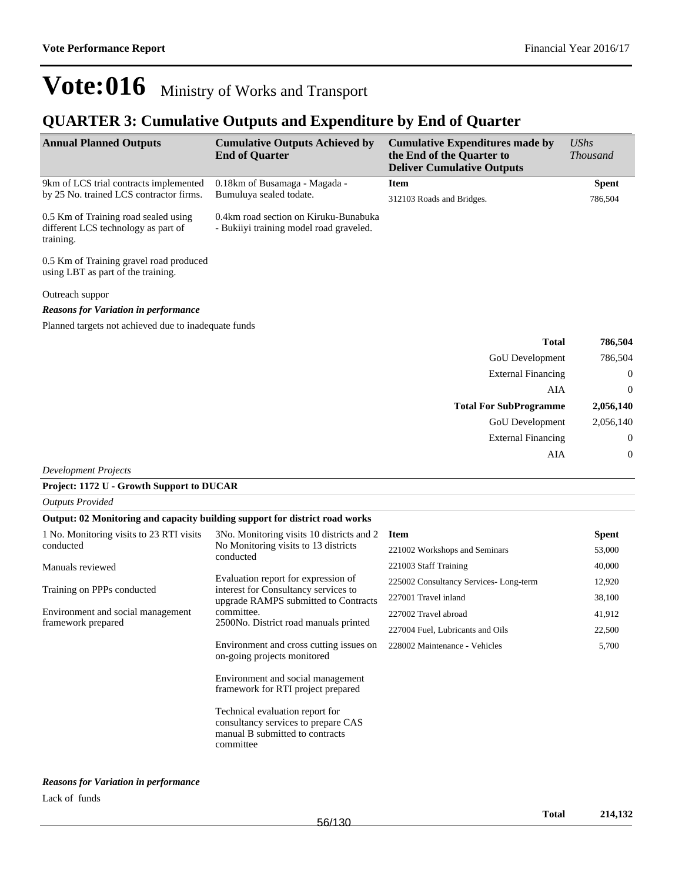### **QUARTER 3: Cumulative Outputs and Expenditure by End of Quarter**

| <b>Annual Planned Outputs</b>                                                            | <b>Cumulative Outputs Achieved by</b><br><b>End of Quarter</b>                   | <b>Cumulative Expenditures made by</b><br>the End of the Quarter to<br><b>Deliver Cumulative Outputs</b> | <b>UShs</b><br><b>Thousand</b> |
|------------------------------------------------------------------------------------------|----------------------------------------------------------------------------------|----------------------------------------------------------------------------------------------------------|--------------------------------|
| 9km of LCS trial contracts implemented                                                   | 0.18km of Busamaga - Magada -                                                    | <b>Item</b>                                                                                              | <b>Spent</b>                   |
| by 25 No. trained LCS contractor firms.                                                  | Bumuluya sealed todate.                                                          | 312103 Roads and Bridges.                                                                                | 786,504                        |
| 0.5 Km of Training road sealed using<br>different LCS technology as part of<br>training. | 0.4km road section on Kiruku-Bunabuka<br>- Bukiiyi training model road graveled. |                                                                                                          |                                |
| 0.5 Km of Training gravel road produced<br>using LBT as part of the training.            |                                                                                  |                                                                                                          |                                |
| Outreach suppor                                                                          |                                                                                  |                                                                                                          |                                |
| <b>Reasons for Variation in performance</b>                                              |                                                                                  |                                                                                                          |                                |
| Planned targets not achieved due to inadequate funds                                     |                                                                                  |                                                                                                          |                                |
|                                                                                          |                                                                                  | <b>Total</b>                                                                                             | 786,504                        |
|                                                                                          |                                                                                  | <b>GoU</b> Development                                                                                   | 786,504                        |
|                                                                                          |                                                                                  | <b>External Financing</b>                                                                                | $\mathbf{0}$                   |
|                                                                                          |                                                                                  | <b>AIA</b>                                                                                               | $\theta$                       |
|                                                                                          |                                                                                  | <b>Total For SubProgramme</b>                                                                            | 2,056,140                      |
|                                                                                          |                                                                                  | GoU Development                                                                                          | 2,056,140                      |
|                                                                                          |                                                                                  | <b>External Financing</b>                                                                                | $\boldsymbol{0}$               |
|                                                                                          |                                                                                  | AIA                                                                                                      | $\mathbf{0}$                   |

*Development Projects*

#### **Project: 1172 U - Growth Support to DUCAR**

*Outputs Provided*

#### **Output: 02 Monitoring and capacity building support for district road works**

| 1 No. Monitoring visits to 23 RTI visits<br>conducted | 3No. Monitoring visits 10 districts and 2<br>No Monitoring visits to 13 districts<br>conducted                         | <b>Item</b>                           | <b>Spent</b> |
|-------------------------------------------------------|------------------------------------------------------------------------------------------------------------------------|---------------------------------------|--------------|
|                                                       |                                                                                                                        | 221002 Workshops and Seminars         | 53,000       |
| Manuals reviewed                                      |                                                                                                                        | 221003 Staff Training                 | 40,000       |
|                                                       | Evaluation report for expression of                                                                                    | 225002 Consultancy Services-Long-term | 12,920       |
| Training on PPPs conducted                            | interest for Consultancy services to<br>upgrade RAMPS submitted to Contracts                                           | 227001 Travel inland                  | 38,100       |
| Environment and social management                     | committee.                                                                                                             | 227002 Travel abroad                  | 41,912       |
| framework prepared                                    | 2500No. District road manuals printed                                                                                  | 227004 Fuel, Lubricants and Oils      | 22,500       |
|                                                       | Environment and cross cutting issues on<br>on-going projects monitored                                                 | 228002 Maintenance - Vehicles         | 5,700        |
|                                                       | Environment and social management<br>framework for RTI project prepared                                                |                                       |              |
|                                                       | Technical evaluation report for<br>consultancy services to prepare CAS<br>manual B submitted to contracts<br>committee |                                       |              |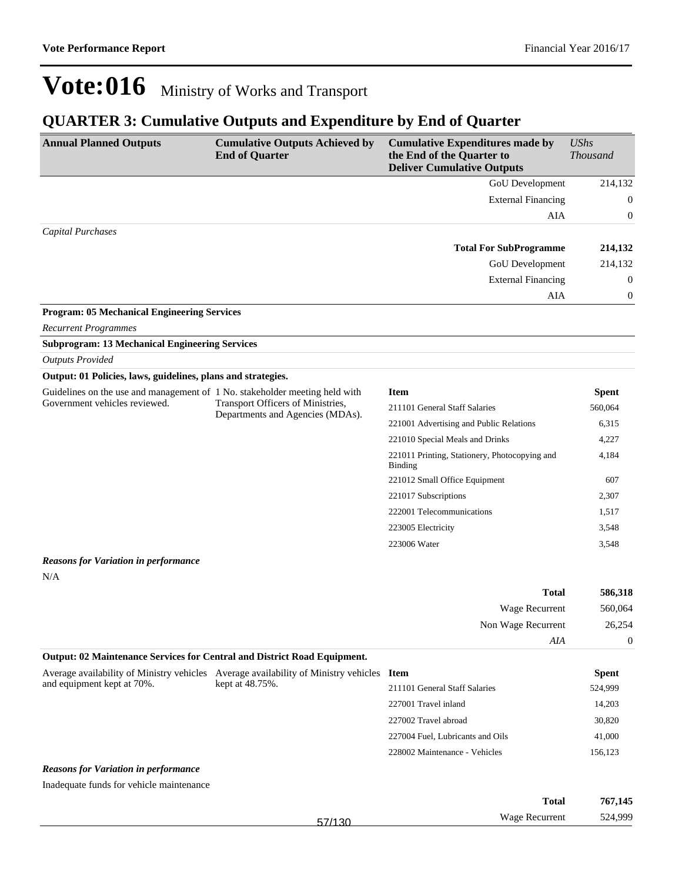### **QUARTER 3: Cumulative Outputs and Expenditure by End of Quarter**

| <b>Annual Planned Outputs</b>                                                                                | <b>Cumulative Outputs Achieved by</b><br><b>End of Quarter</b>                           | <b>Cumulative Expenditures made by</b><br>the End of the Quarter to<br><b>Deliver Cumulative Outputs</b> | UShs<br><b>Thousand</b> |
|--------------------------------------------------------------------------------------------------------------|------------------------------------------------------------------------------------------|----------------------------------------------------------------------------------------------------------|-------------------------|
|                                                                                                              |                                                                                          | <b>GoU</b> Development                                                                                   | 214,132                 |
|                                                                                                              |                                                                                          | <b>External Financing</b>                                                                                | $\left($                |
|                                                                                                              |                                                                                          | AIA                                                                                                      | $\mathbf{0}$            |
| <b>Capital Purchases</b>                                                                                     |                                                                                          |                                                                                                          |                         |
|                                                                                                              |                                                                                          | <b>Total For SubProgramme</b>                                                                            | 214,132                 |
|                                                                                                              |                                                                                          | GoU Development                                                                                          | 214,132                 |
|                                                                                                              |                                                                                          | <b>External Financing</b>                                                                                | $\mathbf{0}$            |
|                                                                                                              |                                                                                          | AIA                                                                                                      | $\mathbf{0}$            |
| <b>Program: 05 Mechanical Engineering Services</b>                                                           |                                                                                          |                                                                                                          |                         |
| <b>Recurrent Programmes</b>                                                                                  |                                                                                          |                                                                                                          |                         |
| <b>Subprogram: 13 Mechanical Engineering Services</b>                                                        |                                                                                          |                                                                                                          |                         |
| <b>Outputs Provided</b>                                                                                      |                                                                                          |                                                                                                          |                         |
| Output: 01 Policies, laws, guidelines, plans and strategies.                                                 |                                                                                          |                                                                                                          |                         |
| Guidelines on the use and management of 1 No. stakeholder meeting held with<br>Government vehicles reviewed. | Transport Officers of Ministries,<br>Departments and Agencies (MDAs).                    | <b>Item</b>                                                                                              | <b>Spent</b>            |
|                                                                                                              |                                                                                          | 211101 General Staff Salaries                                                                            | 560,064                 |
|                                                                                                              |                                                                                          | 221001 Advertising and Public Relations                                                                  | 6,315                   |
|                                                                                                              |                                                                                          | 221010 Special Meals and Drinks                                                                          | 4,227                   |
|                                                                                                              |                                                                                          | 221011 Printing, Stationery, Photocopying and<br><b>Binding</b>                                          | 4,184                   |
|                                                                                                              |                                                                                          | 221012 Small Office Equipment                                                                            | 607                     |
|                                                                                                              |                                                                                          | 221017 Subscriptions                                                                                     | 2,307                   |
|                                                                                                              |                                                                                          | 222001 Telecommunications                                                                                | 1,517                   |
|                                                                                                              |                                                                                          | 223005 Electricity                                                                                       | 3,548                   |
|                                                                                                              |                                                                                          | 223006 Water                                                                                             | 3,548                   |
| <b>Reasons for Variation in performance</b>                                                                  |                                                                                          |                                                                                                          |                         |
| N/A                                                                                                          |                                                                                          |                                                                                                          |                         |
|                                                                                                              |                                                                                          | <b>Total</b>                                                                                             | 586,318                 |
|                                                                                                              |                                                                                          | Wage Recurrent                                                                                           | 560,064                 |
|                                                                                                              |                                                                                          | Non Wage Recurrent                                                                                       | 26,254                  |
|                                                                                                              |                                                                                          | AIA                                                                                                      | $\boldsymbol{0}$        |
| <b>Output: 02 Maintenance Services for Central and District Road Equipment.</b>                              |                                                                                          |                                                                                                          |                         |
|                                                                                                              | Average availability of Ministry vehicles Average availability of Ministry vehicles Item |                                                                                                          | <b>Spent</b>            |
| and equipment kept at 70%.                                                                                   | kept at 48.75%.                                                                          | 211101 General Staff Salaries                                                                            | 524,999                 |

#### *Reasons for Variation in performance*

Inadequate funds for vehicle maintenance

|        | <b>Total</b>   | 767,145 |
|--------|----------------|---------|
| 57/130 | Wage Recurrent | 524,999 |

227001 Travel inland 14,203 227002 Travel abroad 30,820 227004 Fuel, Lubricants and Oils 41,000 228002 Maintenance - Vehicles 156,123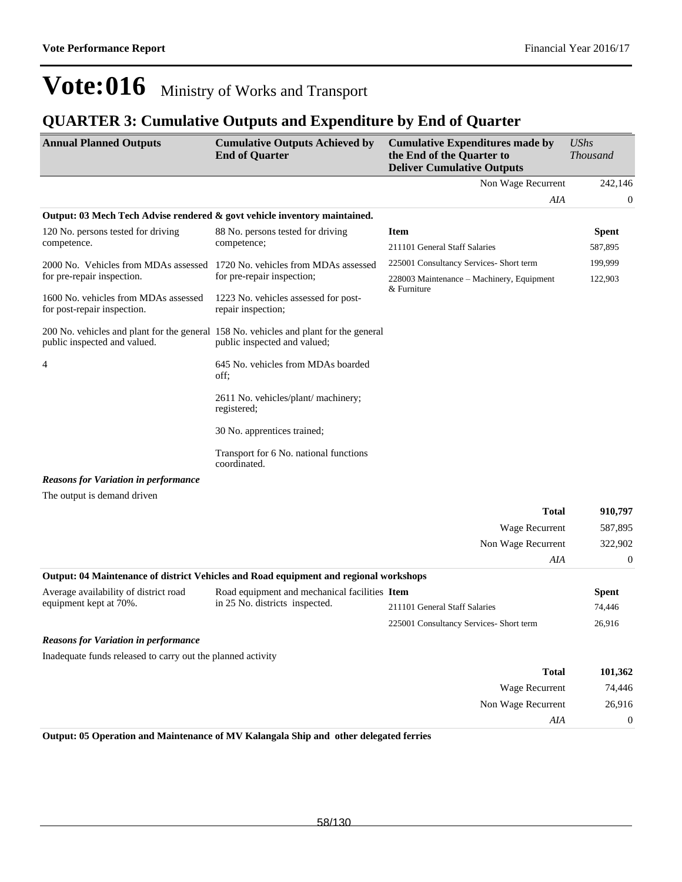### **QUARTER 3: Cumulative Outputs and Expenditure by End of Quarter**

| <b>Annual Planned Outputs</b>                                             | <b>Cumulative Outputs Achieved by</b><br><b>End of Quarter</b>                                                        | <b>Cumulative Expenditures made by</b><br>the End of the Quarter to<br><b>Deliver Cumulative Outputs</b> | <b>UShs</b><br><b>Thousand</b> |
|---------------------------------------------------------------------------|-----------------------------------------------------------------------------------------------------------------------|----------------------------------------------------------------------------------------------------------|--------------------------------|
|                                                                           |                                                                                                                       | Non Wage Recurrent                                                                                       | 242,146                        |
|                                                                           |                                                                                                                       | AIA                                                                                                      | $\boldsymbol{0}$               |
| Output: 03 Mech Tech Advise rendered & govt vehicle inventory maintained. |                                                                                                                       |                                                                                                          |                                |
| 120 No. persons tested for driving                                        | 88 No. persons tested for driving                                                                                     | <b>Item</b>                                                                                              | <b>Spent</b>                   |
| competence.                                                               | competence;                                                                                                           | 211101 General Staff Salaries                                                                            | 587,895                        |
| 2000 No. Vehicles from MDAs assessed                                      | 1720 No. vehicles from MDAs assessed                                                                                  | 225001 Consultancy Services- Short term                                                                  | 199,999                        |
| for pre-repair inspection.                                                | for pre-repair inspection;                                                                                            | 228003 Maintenance - Machinery, Equipment                                                                | 122,903                        |
| 1600 No. vehicles from MDAs assessed<br>for post-repair inspection.       | 1223 No. vehicles assessed for post-<br>repair inspection;                                                            | & Furniture                                                                                              |                                |
| public inspected and valued.                                              | 200 No. vehicles and plant for the general 158 No. vehicles and plant for the general<br>public inspected and valued; |                                                                                                          |                                |
| 4                                                                         | 645 No. vehicles from MDAs boarded<br>off;                                                                            |                                                                                                          |                                |
|                                                                           | 2611 No. vehicles/plant/ machinery;<br>registered;                                                                    |                                                                                                          |                                |
|                                                                           | 30 No. apprentices trained;                                                                                           |                                                                                                          |                                |
|                                                                           | Transport for 6 No. national functions<br>coordinated.                                                                |                                                                                                          |                                |
| <b>Reasons for Variation in performance</b>                               |                                                                                                                       |                                                                                                          |                                |
| The output is demand driven                                               |                                                                                                                       |                                                                                                          |                                |
|                                                                           |                                                                                                                       | <b>Total</b>                                                                                             | 910,797                        |
|                                                                           |                                                                                                                       | Wage Recurrent                                                                                           | 587,895                        |
|                                                                           |                                                                                                                       | Non Wage Recurrent                                                                                       | 322,902                        |
|                                                                           |                                                                                                                       | AIA                                                                                                      | $\mathbf{0}$                   |
|                                                                           | Output: 04 Maintenance of district Vehicles and Road equipment and regional workshops                                 |                                                                                                          |                                |
| Average availability of district road                                     | Road equipment and mechanical facilities Item                                                                         |                                                                                                          | <b>Spent</b>                   |
| equipment kept at 70%.                                                    | in 25 No. districts inspected.                                                                                        | 211101 General Staff Salaries                                                                            | 74,446                         |
|                                                                           |                                                                                                                       | 225001 Consultancy Services- Short term                                                                  | 26,916                         |
| <b>Reasons for Variation in performance</b>                               |                                                                                                                       |                                                                                                          |                                |
| Inadequate funds released to carry out the planned activity               |                                                                                                                       |                                                                                                          |                                |
|                                                                           |                                                                                                                       | <b>Total</b>                                                                                             | 101,362                        |
|                                                                           |                                                                                                                       | Wage Recurrent                                                                                           | 74,446                         |
|                                                                           |                                                                                                                       | Non Wage Recurrent                                                                                       | 26,916                         |
|                                                                           |                                                                                                                       | AIA                                                                                                      | $\boldsymbol{0}$               |

**Output: 05 Operation and Maintenance of MV Kalangala Ship and other delegated ferries**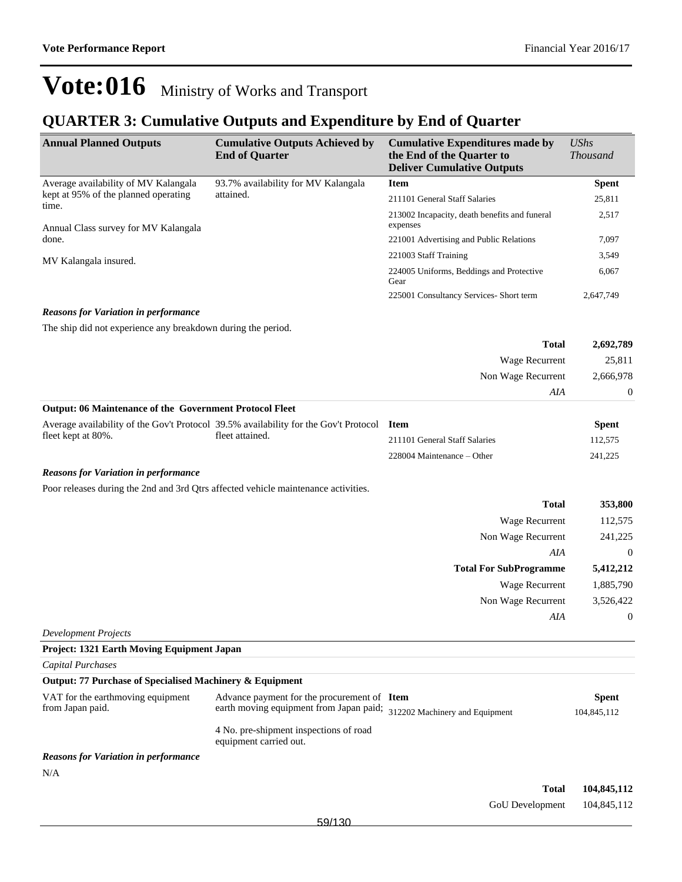### **QUARTER 3: Cumulative Outputs and Expenditure by End of Quarter**

| <b>Annual Planned Outputs</b>                                                      | <b>Cumulative Outputs Achieved by</b><br><b>End of Quarter</b>                       | <b>Cumulative Expenditures made by</b><br>the End of the Quarter to<br><b>Deliver Cumulative Outputs</b> | <b>UShs</b><br><b>Thousand</b> |
|------------------------------------------------------------------------------------|--------------------------------------------------------------------------------------|----------------------------------------------------------------------------------------------------------|--------------------------------|
| Average availability of MV Kalangala                                               | 93.7% availability for MV Kalangala                                                  | <b>Item</b>                                                                                              | <b>Spent</b>                   |
| kept at 95% of the planned operating                                               | attained.                                                                            | 211101 General Staff Salaries                                                                            | 25,811                         |
| time.<br>Annual Class survey for MV Kalangala                                      |                                                                                      | 213002 Incapacity, death benefits and funeral<br>expenses                                                | 2,517                          |
| done.                                                                              |                                                                                      | 221001 Advertising and Public Relations                                                                  | 7,097                          |
| MV Kalangala insured.                                                              |                                                                                      | 221003 Staff Training                                                                                    | 3,549                          |
|                                                                                    |                                                                                      | 224005 Uniforms, Beddings and Protective<br>Gear                                                         | 6,067                          |
|                                                                                    |                                                                                      | 225001 Consultancy Services- Short term                                                                  | 2,647,749                      |
| <b>Reasons for Variation in performance</b>                                        |                                                                                      |                                                                                                          |                                |
| The ship did not experience any breakdown during the period.                       |                                                                                      |                                                                                                          |                                |
|                                                                                    |                                                                                      | <b>Total</b>                                                                                             | 2,692,789                      |
|                                                                                    |                                                                                      | Wage Recurrent                                                                                           | 25,811                         |
|                                                                                    |                                                                                      | Non Wage Recurrent                                                                                       | 2,666,978                      |
|                                                                                    |                                                                                      | AIA                                                                                                      | $\boldsymbol{0}$               |
| Output: 06 Maintenance of the Government Protocol Fleet                            |                                                                                      |                                                                                                          |                                |
|                                                                                    | Average availability of the Gov't Protocol 39.5% availability for the Gov't Protocol | <b>Item</b>                                                                                              | <b>Spent</b>                   |
| fleet kept at 80%.                                                                 | fleet attained.                                                                      | 211101 General Staff Salaries                                                                            | 112,575                        |
|                                                                                    |                                                                                      | 228004 Maintenance – Other                                                                               | 241,225                        |
| <b>Reasons for Variation in performance</b>                                        |                                                                                      |                                                                                                          |                                |
| Poor releases during the 2nd and 3rd Qtrs affected vehicle maintenance activities. |                                                                                      |                                                                                                          |                                |
|                                                                                    |                                                                                      | <b>Total</b>                                                                                             | 353,800                        |
|                                                                                    |                                                                                      | Wage Recurrent                                                                                           | 112,575                        |
|                                                                                    |                                                                                      | Non Wage Recurrent                                                                                       | 241,225                        |
|                                                                                    |                                                                                      | AIA                                                                                                      | $\boldsymbol{0}$               |
|                                                                                    |                                                                                      | <b>Total For SubProgramme</b>                                                                            | 5,412,212                      |
|                                                                                    |                                                                                      | Wage Recurrent                                                                                           | 1,885,790                      |
|                                                                                    |                                                                                      | Non Wage Recurrent                                                                                       | 3,526,422                      |
|                                                                                    |                                                                                      | AIA                                                                                                      | $\boldsymbol{0}$               |
| Development Projects                                                               |                                                                                      |                                                                                                          |                                |
| <b>Project: 1321 Earth Moving Equipment Japan</b>                                  |                                                                                      |                                                                                                          |                                |
| <b>Capital Purchases</b>                                                           |                                                                                      |                                                                                                          |                                |
| Output: 77 Purchase of Specialised Machinery & Equipment                           |                                                                                      |                                                                                                          |                                |
| VAT for the earthmoving equipment                                                  | Advance payment for the procurement of Item                                          |                                                                                                          | <b>Spent</b>                   |
| from Japan paid.                                                                   | earth moving equipment from Japan paid; 312202 Machinery and Equipment               |                                                                                                          | 104,845,112                    |
|                                                                                    | 4 No. pre-shipment inspections of road<br>equipment carried out.                     |                                                                                                          |                                |
| <b>Reasons for Variation in performance</b>                                        |                                                                                      |                                                                                                          |                                |
| N/A                                                                                |                                                                                      |                                                                                                          |                                |
|                                                                                    |                                                                                      | <b>Total</b>                                                                                             | 104,845,112                    |
|                                                                                    |                                                                                      | GoU Development                                                                                          | 104,845,112                    |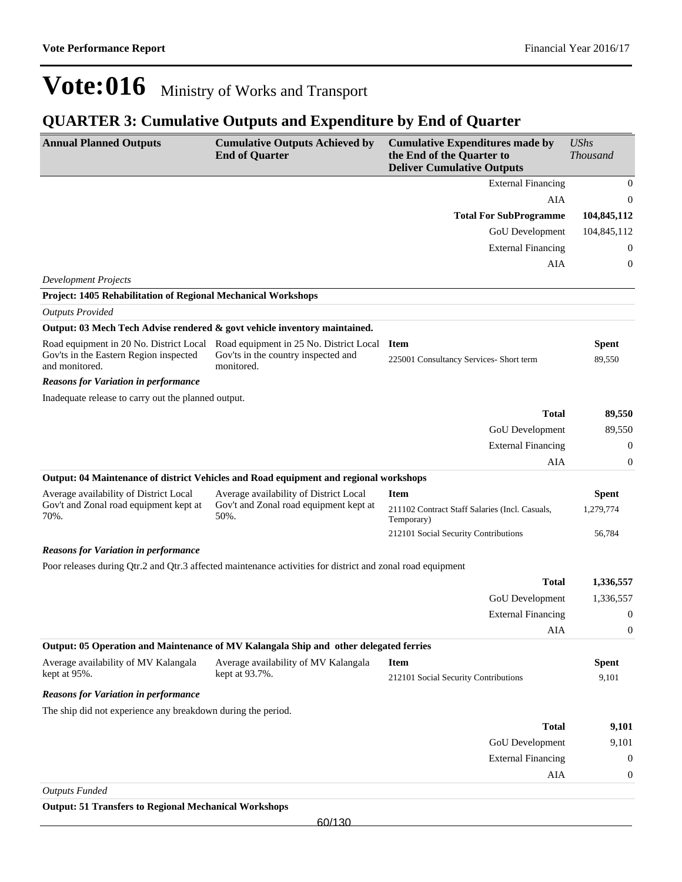### **QUARTER 3: Cumulative Outputs and Expenditure by End of Quarter**

| <b>Annual Planned Outputs</b>                                                                       | <b>Cumulative Outputs Achieved by</b><br><b>End of Quarter</b>                                             | <b>Cumulative Expenditures made by</b><br>the End of the Quarter to<br><b>Deliver Cumulative Outputs</b> | <b>UShs</b><br><b>Thousand</b> |
|-----------------------------------------------------------------------------------------------------|------------------------------------------------------------------------------------------------------------|----------------------------------------------------------------------------------------------------------|--------------------------------|
|                                                                                                     |                                                                                                            | <b>External Financing</b>                                                                                | 0                              |
|                                                                                                     |                                                                                                            | AIA                                                                                                      | $\boldsymbol{0}$               |
|                                                                                                     |                                                                                                            | <b>Total For SubProgramme</b>                                                                            | 104,845,112                    |
|                                                                                                     |                                                                                                            | <b>GoU</b> Development                                                                                   | 104,845,112                    |
|                                                                                                     |                                                                                                            | <b>External Financing</b>                                                                                | 0                              |
|                                                                                                     |                                                                                                            | AIA                                                                                                      | 0                              |
| <b>Development Projects</b>                                                                         |                                                                                                            |                                                                                                          |                                |
| <b>Project: 1405 Rehabilitation of Regional Mechanical Workshops</b>                                |                                                                                                            |                                                                                                          |                                |
| <b>Outputs Provided</b>                                                                             |                                                                                                            |                                                                                                          |                                |
| Output: 03 Mech Tech Advise rendered & govt vehicle inventory maintained.                           |                                                                                                            |                                                                                                          |                                |
| Road equipment in 20 No. District Local<br>Gov'ts in the Eastern Region inspected<br>and monitored. | Road equipment in 25 No. District Local<br>Gov'ts in the country inspected and<br>monitored.               | <b>Item</b><br>225001 Consultancy Services- Short term                                                   | Spent<br>89,550                |
| <b>Reasons for Variation in performance</b>                                                         |                                                                                                            |                                                                                                          |                                |
| Inadequate release to carry out the planned output.                                                 |                                                                                                            |                                                                                                          |                                |
|                                                                                                     |                                                                                                            | <b>Total</b>                                                                                             | 89,550                         |
|                                                                                                     |                                                                                                            | GoU Development                                                                                          | 89,550                         |
|                                                                                                     |                                                                                                            | <b>External Financing</b>                                                                                | $\boldsymbol{0}$               |
|                                                                                                     |                                                                                                            | <b>AIA</b>                                                                                               | $\boldsymbol{0}$               |
|                                                                                                     | Output: 04 Maintenance of district Vehicles and Road equipment and regional workshops                      |                                                                                                          |                                |
| Average availability of District Local                                                              | Average availability of District Local                                                                     | <b>Item</b>                                                                                              | Spent                          |
| Gov't and Zonal road equipment kept at<br>70%.                                                      | Gov't and Zonal road equipment kept at<br>50%.                                                             | 211102 Contract Staff Salaries (Incl. Casuals,<br>Temporary)                                             | 1,279,774                      |
|                                                                                                     |                                                                                                            | 212101 Social Security Contributions                                                                     | 56,784                         |
| <b>Reasons for Variation in performance</b>                                                         |                                                                                                            |                                                                                                          |                                |
|                                                                                                     | Poor releases during Qtr.2 and Qtr.3 affected maintenance activities for district and zonal road equipment |                                                                                                          |                                |
|                                                                                                     |                                                                                                            | <b>Total</b>                                                                                             | 1,336,557                      |
|                                                                                                     |                                                                                                            | GoU Development                                                                                          | 1,336,557                      |
|                                                                                                     |                                                                                                            | <b>External Financing</b>                                                                                | $\boldsymbol{0}$               |
|                                                                                                     |                                                                                                            | AIA                                                                                                      | 0                              |
|                                                                                                     | Output: 05 Operation and Maintenance of MV Kalangala Ship and other delegated ferries                      |                                                                                                          |                                |
| Average availability of MV Kalangala                                                                | Average availability of MV Kalangala                                                                       | <b>Item</b>                                                                                              | <b>Spent</b>                   |
| kept at 95%.                                                                                        | kept at 93.7%.                                                                                             | 212101 Social Security Contributions                                                                     | 9,101                          |
| <b>Reasons for Variation in performance</b>                                                         |                                                                                                            |                                                                                                          |                                |
| The ship did not experience any breakdown during the period.                                        |                                                                                                            |                                                                                                          |                                |
|                                                                                                     |                                                                                                            | <b>Total</b>                                                                                             | 9,101                          |
|                                                                                                     |                                                                                                            | GoU Development                                                                                          | 9,101                          |
|                                                                                                     |                                                                                                            | <b>External Financing</b>                                                                                | $\mathbf{0}$                   |
|                                                                                                     |                                                                                                            | AIA                                                                                                      | 0                              |
| <b>Outputs Funded</b>                                                                               |                                                                                                            |                                                                                                          |                                |

**Output: 51 Transfers to Regional Mechanical Workshops**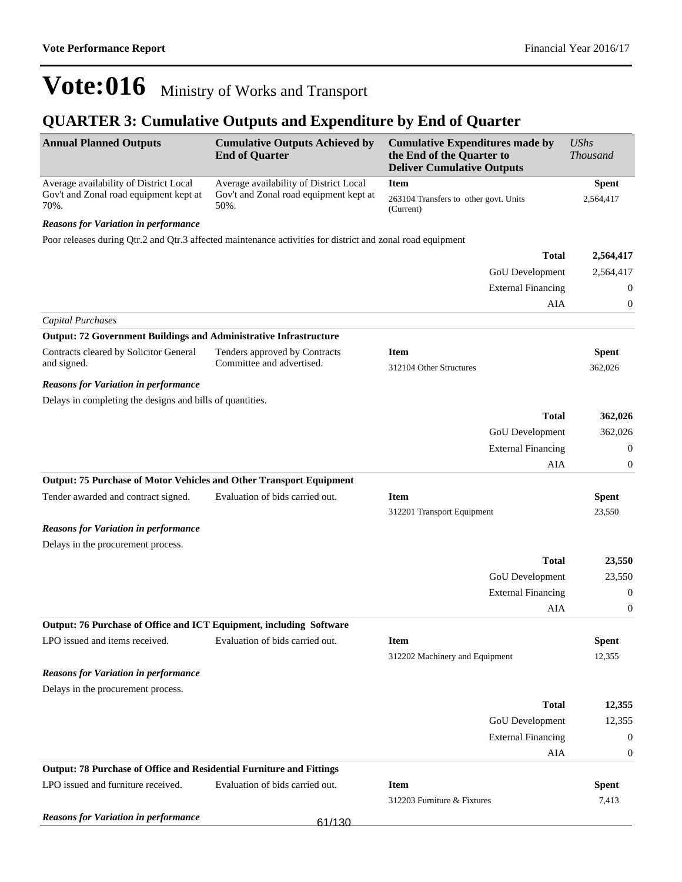## **QUARTER 3: Cumulative Outputs and Expenditure by End of Quarter**

| <b>Annual Planned Outputs</b>                                              | <b>Cumulative Outputs Achieved by</b><br><b>End of Quarter</b>                                             | <b>Cumulative Expenditures made by</b><br>the End of the Quarter to<br><b>Deliver Cumulative Outputs</b> | <b>UShs</b><br><b>Thousand</b> |
|----------------------------------------------------------------------------|------------------------------------------------------------------------------------------------------------|----------------------------------------------------------------------------------------------------------|--------------------------------|
| Average availability of District Local                                     | Average availability of District Local                                                                     | <b>Item</b>                                                                                              | <b>Spent</b>                   |
| Gov't and Zonal road equipment kept at<br>70%.                             | Gov't and Zonal road equipment kept at<br>50%.                                                             | 263104 Transfers to other govt. Units<br>(Current)                                                       | 2,564,417                      |
| <b>Reasons for Variation in performance</b>                                |                                                                                                            |                                                                                                          |                                |
|                                                                            | Poor releases during Qtr.2 and Qtr.3 affected maintenance activities for district and zonal road equipment |                                                                                                          |                                |
|                                                                            |                                                                                                            | <b>Total</b>                                                                                             | 2,564,417                      |
|                                                                            |                                                                                                            | GoU Development                                                                                          | 2,564,417                      |
|                                                                            |                                                                                                            | <b>External Financing</b>                                                                                | 0                              |
|                                                                            |                                                                                                            | AIA                                                                                                      | 0                              |
| <b>Capital Purchases</b>                                                   |                                                                                                            |                                                                                                          |                                |
| <b>Output: 72 Government Buildings and Administrative Infrastructure</b>   |                                                                                                            |                                                                                                          |                                |
| Contracts cleared by Solicitor General<br>and signed.                      | Tenders approved by Contracts<br>Committee and advertised.                                                 | <b>Item</b><br>312104 Other Structures                                                                   | <b>Spent</b><br>362,026        |
| <b>Reasons for Variation in performance</b>                                |                                                                                                            |                                                                                                          |                                |
| Delays in completing the designs and bills of quantities.                  |                                                                                                            |                                                                                                          |                                |
|                                                                            |                                                                                                            | <b>Total</b>                                                                                             | 362,026                        |
|                                                                            |                                                                                                            | GoU Development                                                                                          | 362,026                        |
|                                                                            |                                                                                                            | <b>External Financing</b>                                                                                | 0                              |
|                                                                            |                                                                                                            | AIA                                                                                                      | 0                              |
| <b>Output: 75 Purchase of Motor Vehicles and Other Transport Equipment</b> |                                                                                                            |                                                                                                          |                                |
| Tender awarded and contract signed.                                        | Evaluation of bids carried out.                                                                            | <b>Item</b>                                                                                              | <b>Spent</b>                   |
|                                                                            |                                                                                                            | 312201 Transport Equipment                                                                               | 23,550                         |
| <b>Reasons for Variation in performance</b>                                |                                                                                                            |                                                                                                          |                                |
| Delays in the procurement process.                                         |                                                                                                            |                                                                                                          |                                |
|                                                                            |                                                                                                            | <b>Total</b>                                                                                             | 23,550                         |
|                                                                            |                                                                                                            | GoU Development                                                                                          | 23,550                         |
|                                                                            |                                                                                                            | <b>External Financing</b>                                                                                | 0                              |
|                                                                            |                                                                                                            | <b>AIA</b>                                                                                               | $\boldsymbol{0}$               |
| Output: 76 Purchase of Office and ICT Equipment, including Software        |                                                                                                            |                                                                                                          |                                |
| LPO issued and items received.                                             | Evaluation of bids carried out.                                                                            | <b>Item</b>                                                                                              | <b>Spent</b>                   |
|                                                                            |                                                                                                            | 312202 Machinery and Equipment                                                                           | 12,355                         |
| <b>Reasons for Variation in performance</b>                                |                                                                                                            |                                                                                                          |                                |
| Delays in the procurement process.                                         |                                                                                                            |                                                                                                          |                                |
|                                                                            |                                                                                                            | <b>Total</b>                                                                                             | 12,355                         |
|                                                                            |                                                                                                            | GoU Development                                                                                          | 12,355                         |
|                                                                            |                                                                                                            | <b>External Financing</b>                                                                                | 0                              |
|                                                                            |                                                                                                            | AIA                                                                                                      | 0                              |
| Output: 78 Purchase of Office and Residential Furniture and Fittings       |                                                                                                            |                                                                                                          |                                |
| LPO issued and furniture received.                                         | Evaluation of bids carried out.                                                                            | <b>Item</b>                                                                                              | <b>Spent</b>                   |
|                                                                            |                                                                                                            | 312203 Furniture & Fixtures                                                                              | 7,413                          |
| <b>Reasons for Variation in performance</b>                                | 61/130                                                                                                     |                                                                                                          |                                |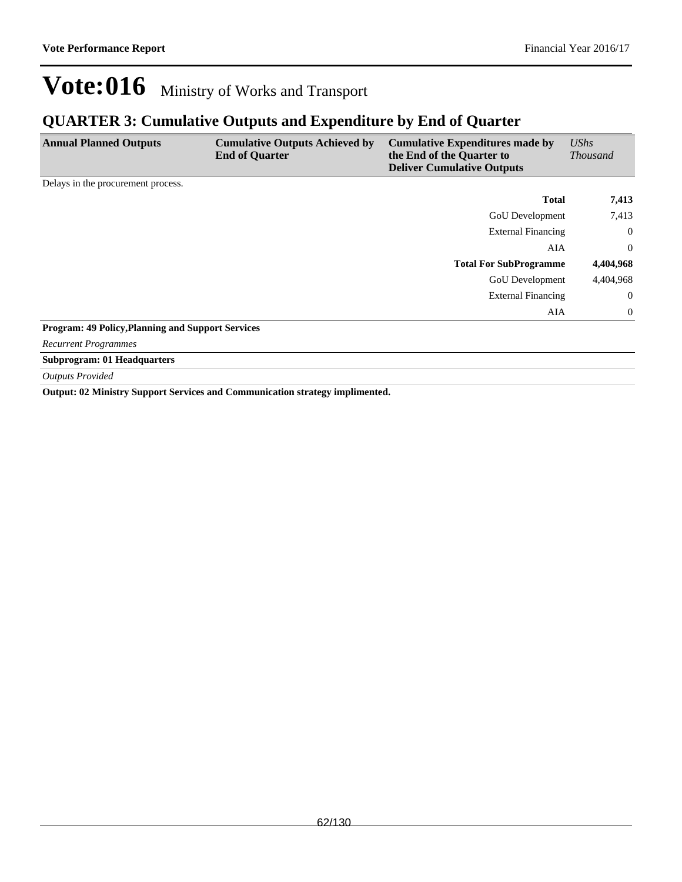### **QUARTER 3: Cumulative Outputs and Expenditure by End of Quarter**

| <b>Annual Planned Outputs</b>                            | <b>Cumulative Outputs Achieved by</b><br><b>End of Quarter</b> | <b>Cumulative Expenditures made by</b><br>the End of the Quarter to<br><b>Deliver Cumulative Outputs</b> | UShs<br><i>Thousand</i> |
|----------------------------------------------------------|----------------------------------------------------------------|----------------------------------------------------------------------------------------------------------|-------------------------|
| Delays in the procurement process.                       |                                                                |                                                                                                          |                         |
|                                                          |                                                                | <b>Total</b>                                                                                             | 7,413                   |
|                                                          |                                                                | <b>GoU</b> Development                                                                                   | 7,413                   |
|                                                          |                                                                | <b>External Financing</b>                                                                                | $\mathbf{0}$            |
|                                                          |                                                                | AIA                                                                                                      | $\overline{0}$          |
|                                                          |                                                                | <b>Total For SubProgramme</b>                                                                            | 4,404,968               |
|                                                          |                                                                | <b>GoU</b> Development                                                                                   | 4,404,968               |
|                                                          |                                                                | <b>External Financing</b>                                                                                | $\mathbf{0}$            |
|                                                          |                                                                | AIA                                                                                                      | $\mathbf{0}$            |
| <b>Program: 49 Policy, Planning and Support Services</b> |                                                                |                                                                                                          |                         |

*Recurrent Programmes*

**Subprogram: 01 Headquarters**

*Outputs Provided*

**Output: 02 Ministry Support Services and Communication strategy implimented.**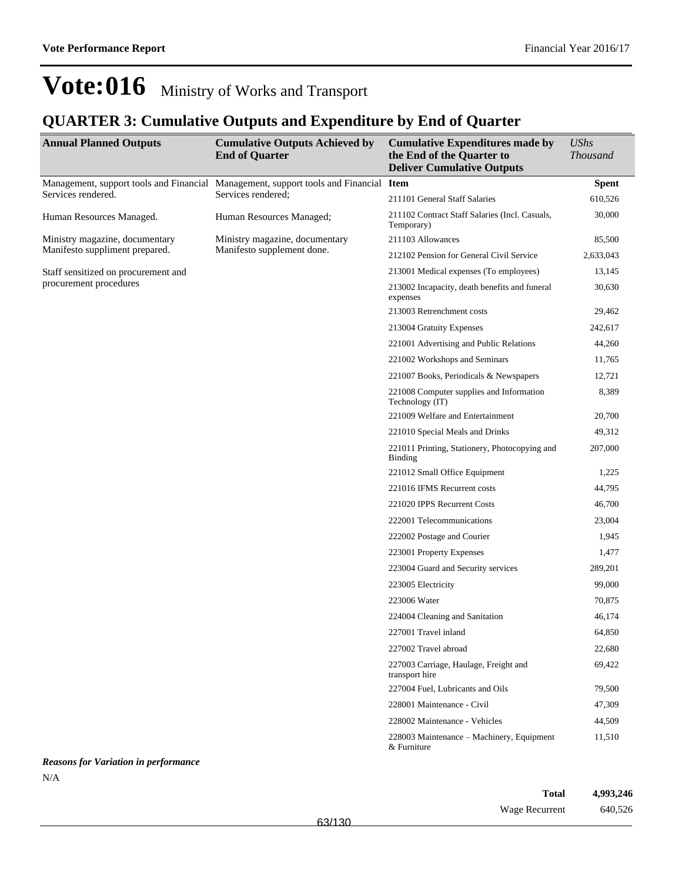## **QUARTER 3: Cumulative Outputs and Expenditure by End of Quarter**

| <b>Annual Planned Outputs</b>               | <b>Cumulative Outputs Achieved by</b><br><b>End of Quarter</b>                       | <b>Cumulative Expenditures made by</b><br>the End of the Quarter to<br><b>Deliver Cumulative Outputs</b> | <b>UShs</b><br><b>Thousand</b> |
|---------------------------------------------|--------------------------------------------------------------------------------------|----------------------------------------------------------------------------------------------------------|--------------------------------|
|                                             | Management, support tools and Financial Management, support tools and Financial Item |                                                                                                          | <b>Spent</b>                   |
| Services rendered.                          | Services rendered;                                                                   | 211101 General Staff Salaries                                                                            | 610,526                        |
| Human Resources Managed.                    | Human Resources Managed;                                                             | 211102 Contract Staff Salaries (Incl. Casuals,<br>Temporary)                                             | 30,000                         |
| Ministry magazine, documentary              | Ministry magazine, documentary                                                       | 211103 Allowances                                                                                        | 85,500                         |
| Manifesto suppliment prepared.              | Manifesto supplement done.                                                           | 212102 Pension for General Civil Service                                                                 | 2,633,043                      |
| Staff sensitized on procurement and         |                                                                                      | 213001 Medical expenses (To employees)                                                                   | 13,145                         |
| procurement procedures                      |                                                                                      | 213002 Incapacity, death benefits and funeral<br>expenses                                                | 30,630                         |
|                                             |                                                                                      | 213003 Retrenchment costs                                                                                | 29,462                         |
|                                             |                                                                                      | 213004 Gratuity Expenses                                                                                 | 242,617                        |
|                                             |                                                                                      | 221001 Advertising and Public Relations                                                                  | 44,260                         |
|                                             |                                                                                      | 221002 Workshops and Seminars                                                                            | 11,765                         |
|                                             |                                                                                      | 221007 Books, Periodicals & Newspapers                                                                   | 12,721                         |
|                                             |                                                                                      | 221008 Computer supplies and Information<br>Technology (IT)                                              | 8,389                          |
|                                             |                                                                                      | 221009 Welfare and Entertainment                                                                         | 20,700                         |
|                                             |                                                                                      | 221010 Special Meals and Drinks                                                                          | 49,312                         |
|                                             |                                                                                      | 221011 Printing, Stationery, Photocopying and<br>Binding                                                 | 207,000                        |
|                                             |                                                                                      | 221012 Small Office Equipment                                                                            | 1,225                          |
|                                             |                                                                                      | 221016 IFMS Recurrent costs                                                                              | 44,795                         |
|                                             |                                                                                      | 221020 IPPS Recurrent Costs                                                                              | 46,700                         |
|                                             |                                                                                      | 222001 Telecommunications                                                                                | 23,004                         |
|                                             |                                                                                      | 222002 Postage and Courier                                                                               | 1,945                          |
|                                             |                                                                                      | 223001 Property Expenses                                                                                 | 1,477                          |
|                                             |                                                                                      | 223004 Guard and Security services                                                                       | 289,201                        |
|                                             |                                                                                      | 223005 Electricity                                                                                       | 99,000                         |
|                                             |                                                                                      | 223006 Water                                                                                             | 70,875                         |
|                                             |                                                                                      | 224004 Cleaning and Sanitation                                                                           | 46,174                         |
|                                             |                                                                                      | 227001 Travel inland                                                                                     | 64,850                         |
|                                             |                                                                                      | 227002 Travel abroad                                                                                     | 22,680                         |
|                                             |                                                                                      | 227003 Carriage, Haulage, Freight and<br>transport hire                                                  | 69,422                         |
|                                             |                                                                                      | 227004 Fuel, Lubricants and Oils                                                                         | 79,500                         |
|                                             |                                                                                      | 228001 Maintenance - Civil                                                                               | 47,309                         |
|                                             |                                                                                      | 228002 Maintenance - Vehicles                                                                            | 44,509                         |
|                                             |                                                                                      | 228003 Maintenance - Machinery, Equipment<br>& Furniture                                                 | 11,510                         |
| <b>Reasons for Variation in performance</b> |                                                                                      |                                                                                                          |                                |

 $\rm N/A$ 

| <b>Total</b>   | 4,993,246 |
|----------------|-----------|
| Wage Recurrent | 640,526   |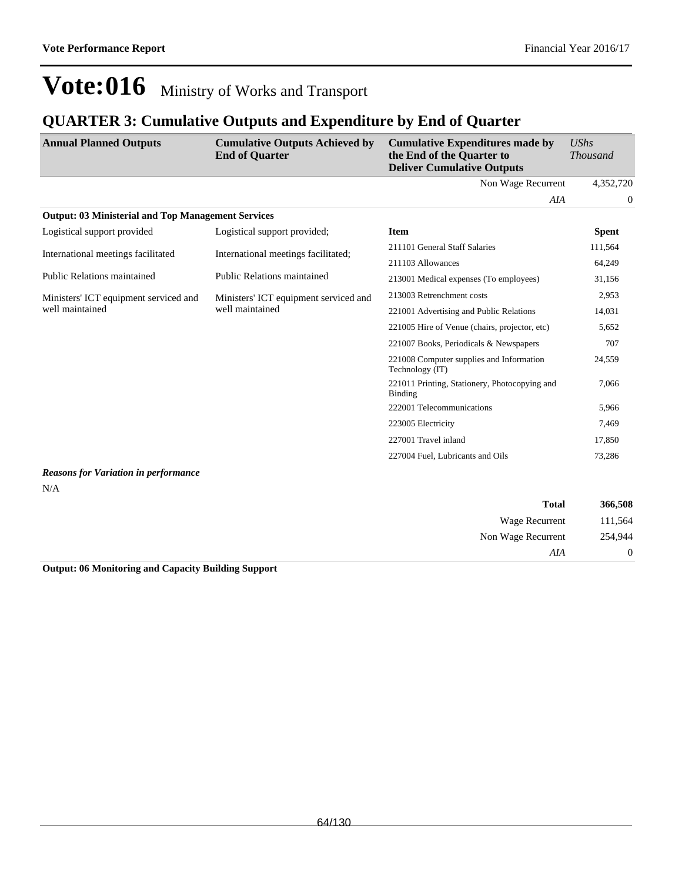### **QUARTER 3: Cumulative Outputs and Expenditure by End of Quarter**

| <b>Annual Planned Outputs</b>                             | <b>Cumulative Outputs Achieved by</b><br><b>End of Quarter</b> | <b>Cumulative Expenditures made by</b><br>the End of the Quarter to<br><b>Deliver Cumulative Outputs</b> | $\mathit{UShs}$<br><b>Thousand</b> |
|-----------------------------------------------------------|----------------------------------------------------------------|----------------------------------------------------------------------------------------------------------|------------------------------------|
|                                                           |                                                                | Non Wage Recurrent                                                                                       | 4,352,720                          |
|                                                           |                                                                | AIA                                                                                                      | $\mathbf{0}$                       |
| <b>Output: 03 Ministerial and Top Management Services</b> |                                                                |                                                                                                          |                                    |
| Logistical support provided                               | Logistical support provided;                                   | <b>Item</b>                                                                                              | <b>Spent</b>                       |
| International meetings facilitated                        | International meetings facilitated;                            | 211101 General Staff Salaries                                                                            | 111,564                            |
|                                                           |                                                                | 211103 Allowances                                                                                        | 64,249                             |
| <b>Public Relations maintained</b>                        | <b>Public Relations maintained</b>                             | 213001 Medical expenses (To employees)                                                                   | 31,156                             |
| Ministers' ICT equipment serviced and<br>well maintained  | Ministers' ICT equipment serviced and<br>well maintained       | 213003 Retrenchment costs                                                                                | 2,953                              |
|                                                           |                                                                | 221001 Advertising and Public Relations                                                                  | 14,031                             |
|                                                           |                                                                | 221005 Hire of Venue (chairs, projector, etc)                                                            | 5,652                              |
|                                                           |                                                                | 221007 Books, Periodicals & Newspapers                                                                   | 707                                |
|                                                           |                                                                | 221008 Computer supplies and Information<br>Technology (IT)                                              | 24,559                             |
|                                                           |                                                                | 221011 Printing, Stationery, Photocopying and<br><b>Binding</b>                                          | 7,066                              |
|                                                           |                                                                | 222001 Telecommunications                                                                                | 5,966                              |
|                                                           |                                                                | 223005 Electricity                                                                                       | 7,469                              |
|                                                           |                                                                | 227001 Travel inland                                                                                     | 17,850                             |
|                                                           |                                                                | 227004 Fuel, Lubricants and Oils                                                                         | 73,286                             |
| <b>Reasons for Variation in performance</b>               |                                                                |                                                                                                          |                                    |

#### *Reasons for Variation in performance* N/A

| 366,508  | <b>Total</b>       |
|----------|--------------------|
| 111,564  | Wage Recurrent     |
| 254,944  | Non Wage Recurrent |
| $\theta$ | AIA                |

### **Output: 06 Monitoring and Capacity Building Support**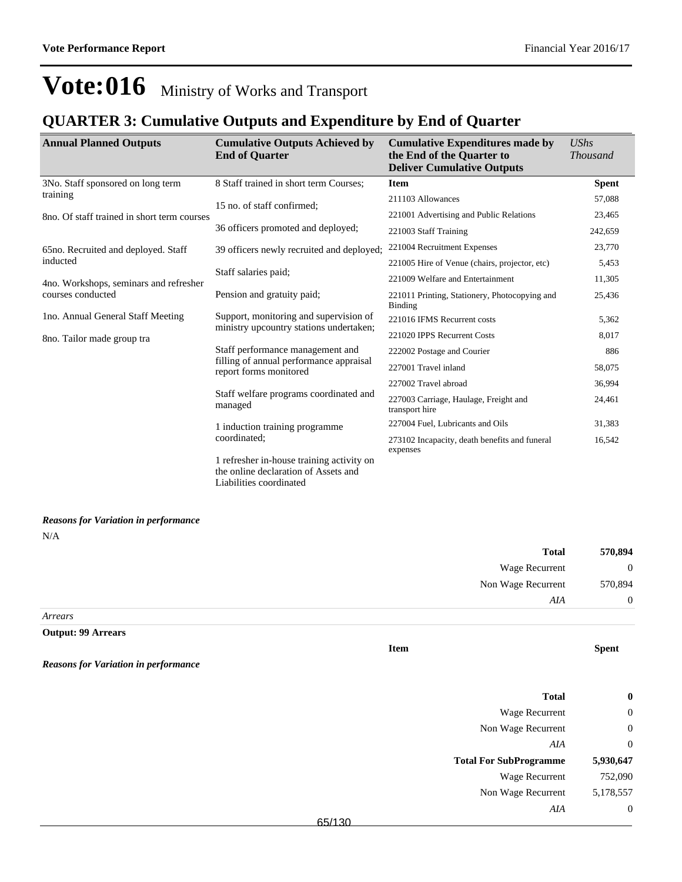### **QUARTER 3: Cumulative Outputs and Expenditure by End of Quarter**

Liabilities coordinated

| <b>Annual Planned Outputs</b>               | <b>Cumulative Outputs Achieved by</b><br><b>End of Quarter</b>                                        | <b>Cumulative Expenditures made by</b><br>the End of the Quarter to<br><b>Deliver Cumulative Outputs</b> | $\mathit{UShs}$<br><b>Thousand</b> |
|---------------------------------------------|-------------------------------------------------------------------------------------------------------|----------------------------------------------------------------------------------------------------------|------------------------------------|
| 3No. Staff sponsored on long term           | 8 Staff trained in short term Courses;                                                                | <b>Item</b>                                                                                              | <b>Spent</b>                       |
| training                                    | 15 no. of staff confirmed;                                                                            | 211103 Allowances                                                                                        | 57,088                             |
| 8no. Of staff trained in short term courses |                                                                                                       | 221001 Advertising and Public Relations                                                                  | 23,465                             |
|                                             | 36 officers promoted and deployed;                                                                    | 221003 Staff Training                                                                                    | 242,659                            |
| 65 no. Recruited and deployed. Staff        | 39 officers newly recruited and deployed;                                                             | 221004 Recruitment Expenses                                                                              | 23,770                             |
| inducted                                    |                                                                                                       | 221005 Hire of Venue (chairs, projector, etc)                                                            | 5,453                              |
| 4no. Workshops, seminars and refresher      | Staff salaries paid;                                                                                  | 221009 Welfare and Entertainment                                                                         | 11,305                             |
| courses conducted                           | Pension and gratuity paid;                                                                            | 221011 Printing, Stationery, Photocopying and<br>Binding                                                 | 25,436                             |
| Ino. Annual General Staff Meeting           | Support, monitoring and supervision of                                                                | 221016 IFMS Recurrent costs                                                                              | 5,362                              |
| 8no. Tailor made group tra                  | ministry upcountry stations undertaken;                                                               | 221020 IPPS Recurrent Costs                                                                              | 8,017                              |
|                                             | Staff performance management and<br>filling of annual performance appraisal<br>report forms monitored | 222002 Postage and Courier                                                                               | 886                                |
|                                             |                                                                                                       | 227001 Travel inland                                                                                     | 58,075                             |
|                                             | Staff welfare programs coordinated and<br>managed                                                     | 227002 Travel abroad                                                                                     | 36,994                             |
|                                             |                                                                                                       | 227003 Carriage, Haulage, Freight and<br>transport hire                                                  | 24,461                             |
|                                             | 1 induction training programme                                                                        | 227004 Fuel, Lubricants and Oils                                                                         | 31,383                             |
|                                             | coordinated;                                                                                          | 273102 Incapacity, death benefits and funeral<br>expenses                                                | 16,542                             |
|                                             | 1 refresher in-house training activity on<br>the online declaration of Assets and                     |                                                                                                          |                                    |

*Reasons for Variation in performance* N/A

| <b>Total</b>       | 570,894        |
|--------------------|----------------|
| Wage Recurrent     | $\overline{0}$ |
| Non Wage Recurrent | 570,894        |
| AIA                | $\overline{0}$ |
| Arrears            |                |

**Output: 99 Arrears**

*Reasons for Variation in performance*

**Item Spent**

| Total                         |           |
|-------------------------------|-----------|
| <b>Wage Recurrent</b>         | 0         |
| Non Wage Recurrent            | 0         |
| AIA                           | 0         |
|                               |           |
| <b>Total For SubProgramme</b> | 5,930,647 |
| <b>Wage Recurrent</b>         | 752,090   |
| Non Wage Recurrent            | 5,178,557 |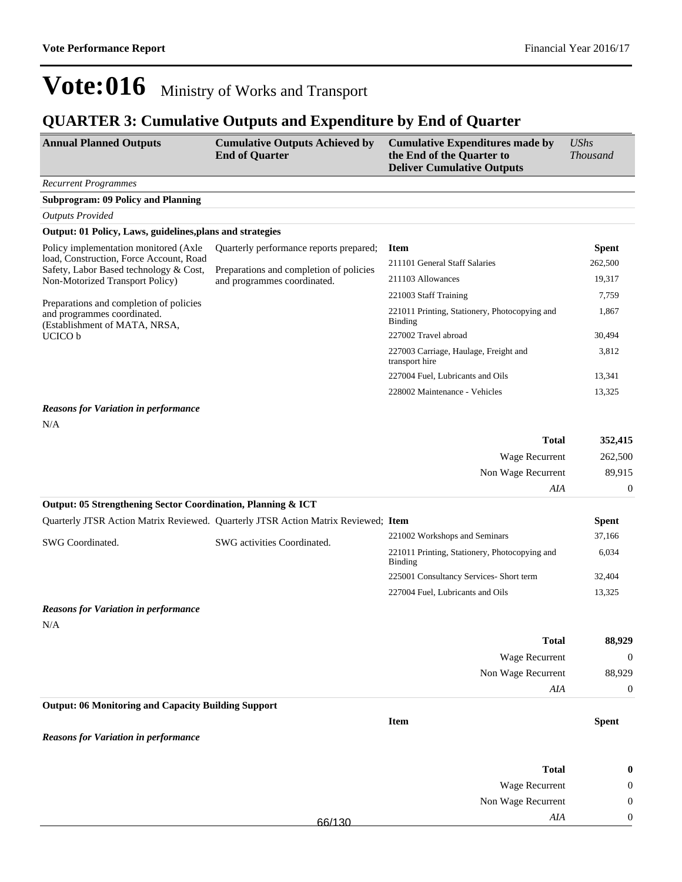### **QUARTER 3: Cumulative Outputs and Expenditure by End of Quarter**

| <b>Annual Planned Outputs</b>                                                     | <b>Cumulative Outputs Achieved by</b><br><b>End of Quarter</b> | <b>Cumulative Expenditures made by</b><br>the End of the Quarter to<br><b>Deliver Cumulative Outputs</b> | <b>UShs</b><br><i>Thousand</i> |
|-----------------------------------------------------------------------------------|----------------------------------------------------------------|----------------------------------------------------------------------------------------------------------|--------------------------------|
| <b>Recurrent Programmes</b>                                                       |                                                                |                                                                                                          |                                |
| <b>Subprogram: 09 Policy and Planning</b>                                         |                                                                |                                                                                                          |                                |
| <b>Outputs Provided</b>                                                           |                                                                |                                                                                                          |                                |
| Output: 01 Policy, Laws, guidelines, plans and strategies                         |                                                                |                                                                                                          |                                |
| Policy implementation monitored (Axle                                             | Quarterly performance reports prepared;                        | Item                                                                                                     | <b>Spent</b>                   |
| load, Construction, Force Account, Road<br>Safety, Labor Based technology & Cost, | Preparations and completion of policies                        | 211101 General Staff Salaries                                                                            | 262,500                        |
| Non-Motorized Transport Policy)                                                   | and programmes coordinated.                                    | 211103 Allowances                                                                                        | 19.317                         |
|                                                                                   |                                                                | 221003 Staff Training                                                                                    | 7,759                          |
| Preparations and completion of policies<br>and programmes coordinated.            |                                                                | 221011 Printing, Stationery, Photocopying and                                                            | 1,867                          |

(Establishment of MATA, NRSA, UCICO b

### 011 Printing, Stationery, Photocopying and Binding 227002 Travel abroad 30,494 227003 Carriage, Haulage, Freight and transport hire 227004 Fuel, Lubricants and Oils 13,341 228002 Maintenance - Vehicles 13,325

### *Reasons for Variation in performance*

N/A

| <b>Total</b>                                                 | 352,415  |
|--------------------------------------------------------------|----------|
| Wage Recurrent                                               | 262,500  |
| Non Wage Recurrent                                           | 89.915   |
| AIA                                                          | $\Omega$ |
| Output: 05 Strengthening Sector Coordination, Planning & ICT |          |

|                  | Quarterly JTSR Action Matrix Reviewed. Quarterly JTSR Action Matrix Reviewed; Item |                                                          | <b>Spent</b> |
|------------------|------------------------------------------------------------------------------------|----------------------------------------------------------|--------------|
| SWG Coordinated. | SWG activities Coordinated.                                                        | 221002 Workshops and Seminars                            | 37,166       |
|                  |                                                                                    | 221011 Printing, Stationery, Photocopying and<br>Binding | 6,034        |
|                  |                                                                                    | 225001 Consultancy Services- Short term                  | 32,404       |
|                  |                                                                                    | 227004 Fuel, Lubricants and Oils                         | 13,325       |

### *Reasons for Variation in performance* N/A

| 88,929           | <b>Total</b>       |
|------------------|--------------------|
| $\boldsymbol{0}$ | Wage Recurrent     |
| 88,929           | Non Wage Recurrent |
| $\overline{0}$   | AIA                |

#### **Output: 06 Monitoring and Capacity Building Support**

**Item Spent**

3,812

#### *Reasons for Variation in performance*

| $\bf{0}$     | <b>Total</b>          |        |
|--------------|-----------------------|--------|
| $\theta$     | <b>Wage Recurrent</b> |        |
| $\mathbf{0}$ | Non Wage Recurrent    |        |
| $\theta$     | AIA                   | 66/130 |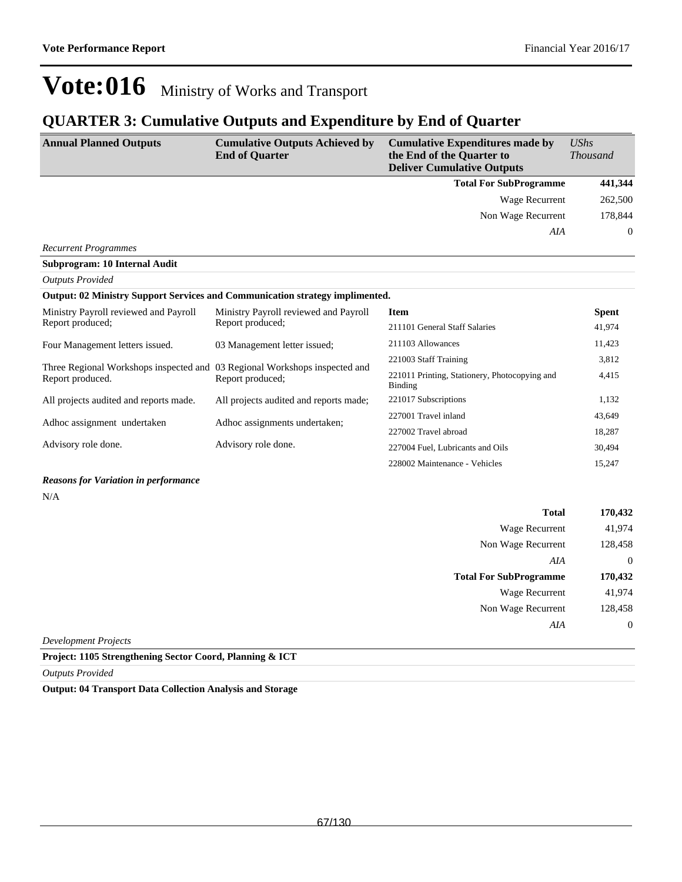## **QUARTER 3: Cumulative Outputs and Expenditure by End of Quarter**

| <b>Annual Planned Outputs</b>                                                                  | <b>Cumulative Outputs Achieved by</b><br><b>End of Quarter</b> | <b>Cumulative Expenditures made by</b><br>the End of the Quarter to<br><b>Deliver Cumulative Outputs</b> | $\mathit{UShs}$<br><b>Thousand</b> |
|------------------------------------------------------------------------------------------------|----------------------------------------------------------------|----------------------------------------------------------------------------------------------------------|------------------------------------|
|                                                                                                |                                                                | <b>Total For SubProgramme</b>                                                                            | 441,344                            |
|                                                                                                |                                                                | Wage Recurrent                                                                                           | 262,500                            |
|                                                                                                |                                                                | Non Wage Recurrent                                                                                       | 178,844                            |
|                                                                                                |                                                                | AIA                                                                                                      | $\overline{0}$                     |
| <b>Recurrent Programmes</b>                                                                    |                                                                |                                                                                                          |                                    |
| <b>Subprogram: 10 Internal Audit</b>                                                           |                                                                |                                                                                                          |                                    |
| <b>Outputs Provided</b>                                                                        |                                                                |                                                                                                          |                                    |
| Output: 02 Ministry Support Services and Communication strategy implimented.                   |                                                                |                                                                                                          |                                    |
| Ministry Payroll reviewed and Payroll                                                          | Ministry Payroll reviewed and Payroll                          | <b>Item</b>                                                                                              | <b>Spent</b>                       |
| Report produced;                                                                               | Report produced;                                               | 211101 General Staff Salaries                                                                            | 41,974                             |
| Four Management letters issued.                                                                | 03 Management letter issued;                                   | 211103 Allowances                                                                                        | 11,423                             |
|                                                                                                |                                                                | 221003 Staff Training                                                                                    | 3,812                              |
| Three Regional Workshops inspected and 03 Regional Workshops inspected and<br>Report produced. | Report produced;                                               | 221011 Printing, Stationery, Photocopying and<br><b>Binding</b>                                          | 4,415                              |
| All projects audited and reports made.                                                         | All projects audited and reports made;                         | 221017 Subscriptions                                                                                     | 1.132                              |
| Adhoc assignment undertaken                                                                    | Adhoc assignments undertaken;                                  | 227001 Travel inland                                                                                     | 43,649                             |
|                                                                                                |                                                                | 227002 Travel abroad                                                                                     | 18,287                             |
| Advisory role done.                                                                            | Advisory role done.                                            | 227004 Fuel, Lubricants and Oils                                                                         | 30,494                             |
|                                                                                                |                                                                | 228002 Maintenance - Vehicles                                                                            | 15,247                             |

#### *Reasons for Variation in performance*

N/A

| <b>Total</b>                  | 170,432        |
|-------------------------------|----------------|
| Wage Recurrent                | 41,974         |
| Non Wage Recurrent            | 128,458        |
| AIA                           | $\overline{0}$ |
| <b>Total For SubProgramme</b> | 170,432        |
| <b>Wage Recurrent</b>         | 41,974         |
| Non Wage Recurrent            | 128,458        |
| AIA                           | $\bf{0}$       |
| <b>Development Projects</b>   |                |

**Project: 1105 Strengthening Sector Coord, Planning & ICT**

*Outputs Provided*

**Output: 04 Transport Data Collection Analysis and Storage**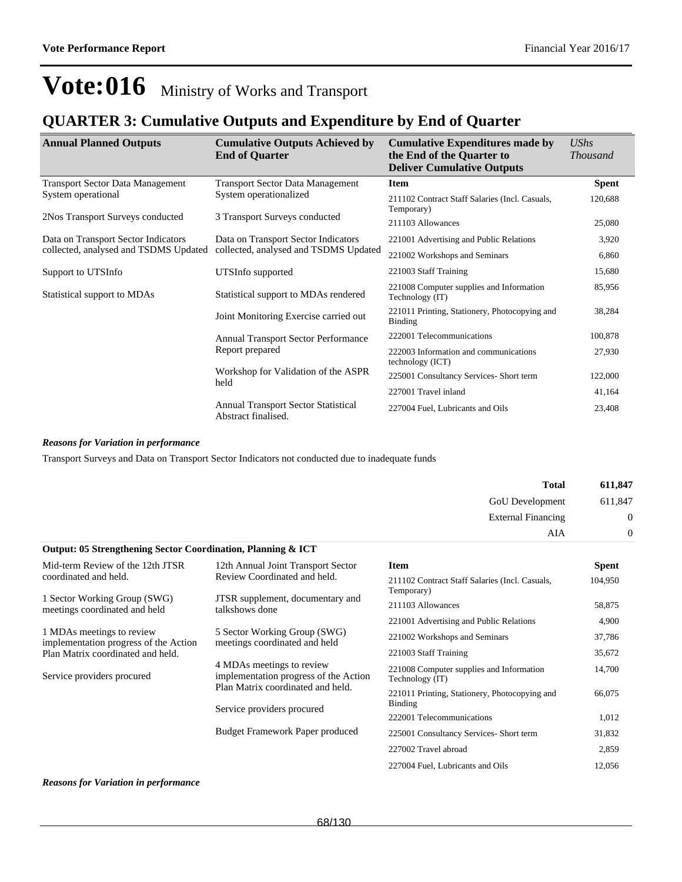### **QUARTER 3: Cumulative Outputs and Expenditure by End of Quarter**

| <b>Annual Planned Outputs</b>           | <b>Cumulative Outputs Achieved by</b><br><b>End of Quarter</b>    | <b>Cumulative Expenditures made by</b><br>the End of the Quarter to<br><b>Deliver Cumulative Outputs</b> | <b>UShs</b><br><b>Thousand</b> |
|-----------------------------------------|-------------------------------------------------------------------|----------------------------------------------------------------------------------------------------------|--------------------------------|
| <b>Transport Sector Data Management</b> | <b>Transport Sector Data Management</b>                           | <b>Item</b>                                                                                              | <b>Spent</b>                   |
| System operational                      | System operationalized                                            | 211102 Contract Staff Salaries (Incl. Casuals,<br>Temporary)                                             | 120,688                        |
| 2Nos Transport Surveys conducted        | 3 Transport Surveys conducted                                     | 211103 Allowances                                                                                        | 25,080                         |
| Data on Transport Sector Indicators     | Data on Transport Sector Indicators                               | 221001 Advertising and Public Relations                                                                  | 3,920                          |
| collected, analysed and TSDMS Updated   | collected, analysed and TSDMS Updated                             | 221002 Workshops and Seminars                                                                            | 6,860                          |
| Support to UTSInfo                      | UTSInfo supported                                                 | 221003 Staff Training                                                                                    | 15,680                         |
| Statistical support to MDAs             | Statistical support to MDAs rendered                              | 221008 Computer supplies and Information<br>Technology (IT)                                              | 85,956                         |
|                                         | Joint Monitoring Exercise carried out                             | 221011 Printing, Stationery, Photocopying and<br><b>Binding</b>                                          | 38,284                         |
|                                         | Annual Transport Sector Performance                               | 222001 Telecommunications                                                                                | 100,878                        |
|                                         | Report prepared                                                   | 222003 Information and communications<br>technology (ICT)                                                | 27,930                         |
|                                         | Workshop for Validation of the ASPR<br>held                       | 225001 Consultancy Services- Short term                                                                  | 122,000                        |
|                                         |                                                                   | 227001 Travel inland                                                                                     | 41,164                         |
|                                         | <b>Annual Transport Sector Statistical</b><br>Abstract finalised. | 227004 Fuel, Lubricants and Oils                                                                         | 23,408                         |

#### *Reasons for Variation in performance*

Transport Surveys and Data on Transport Sector Indicators not conducted due to inadequate funds

| 611,847        | <b>Total</b>              |
|----------------|---------------------------|
| 611,847        | GoU Development           |
| $\mathbf{0}$   | <b>External Financing</b> |
| $\overline{0}$ | AIA                       |

| <b>Output: 05 Strengthening Sector Coordination, Planning &amp; ICT</b> |                                                                    |                                                                 |              |
|-------------------------------------------------------------------------|--------------------------------------------------------------------|-----------------------------------------------------------------|--------------|
| Mid-term Review of the 12th JTSR                                        | 12th Annual Joint Transport Sector                                 | Item                                                            | <b>Spent</b> |
| coordinated and held.                                                   | Review Coordinated and held.                                       | 211102 Contract Staff Salaries (Incl. Casuals,<br>Temporary)    | 104,950      |
| 1 Sector Working Group (SWG)<br>meetings coordinated and held           | JTSR supplement, documentary and<br>talkshows done                 | 211103 Allowances                                               | 58,875       |
|                                                                         |                                                                    | 221001 Advertising and Public Relations                         | 4,900        |
| 1 MDAs meetings to review<br>implementation progress of the Action      | 5 Sector Working Group (SWG)<br>meetings coordinated and held      | 221002 Workshops and Seminars                                   | 37,786       |
| Plan Matrix coordinated and held.                                       |                                                                    | 221003 Staff Training                                           | 35,672       |
| Service providers procured                                              | 4 MDAs meetings to review<br>implementation progress of the Action | 221008 Computer supplies and Information<br>Technology (IT)     | 14,700       |
|                                                                         | Plan Matrix coordinated and held.<br>Service providers procured    | 221011 Printing, Stationery, Photocopying and<br><b>Binding</b> | 66,075       |
|                                                                         |                                                                    | 222001 Telecommunications                                       | 1,012        |
|                                                                         | <b>Budget Framework Paper produced</b>                             | 225001 Consultancy Services- Short term                         | 31,832       |
|                                                                         |                                                                    | 227002 Travel abroad                                            | 2,859        |
|                                                                         |                                                                    | 227004 Fuel, Lubricants and Oils                                | 12,056       |

#### *Reasons for Variation in performance*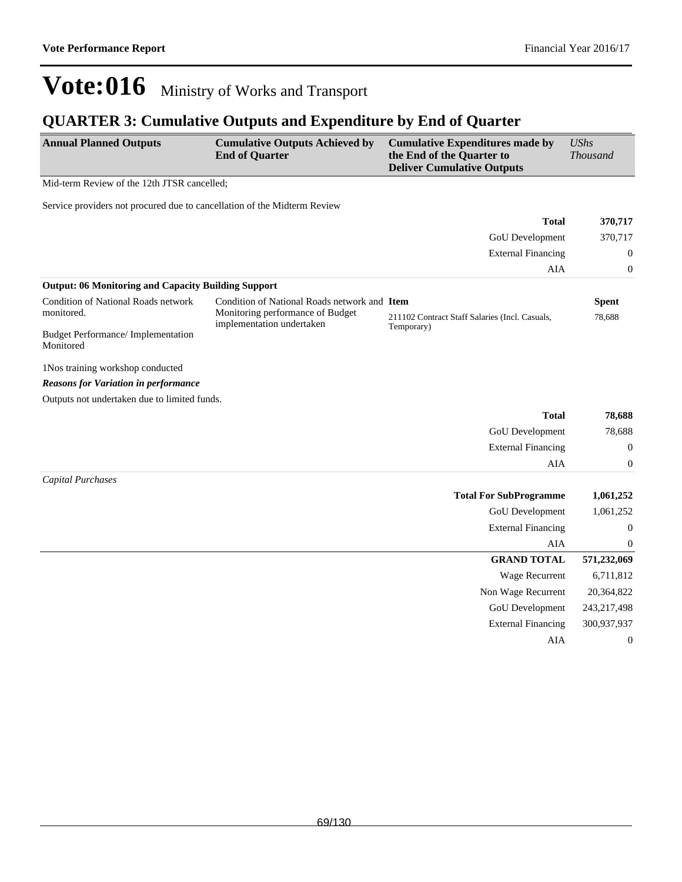### **QUARTER 3: Cumulative Outputs and Expenditure by End of Quarter**

| <b>Annual Planned Outputs</b>                                            | <b>Cumulative Outputs Achieved by</b><br><b>End of Quarter</b> | <b>Cumulative Expenditures made by</b><br>the End of the Quarter to<br><b>Deliver Cumulative Outputs</b> | <b>UShs</b><br><b>Thousand</b> |
|--------------------------------------------------------------------------|----------------------------------------------------------------|----------------------------------------------------------------------------------------------------------|--------------------------------|
| Mid-term Review of the 12th JTSR cancelled;                              |                                                                |                                                                                                          |                                |
| Service providers not procured due to cancellation of the Midterm Review |                                                                |                                                                                                          |                                |
|                                                                          |                                                                | <b>Total</b>                                                                                             | 370,717                        |
|                                                                          |                                                                | GoU Development                                                                                          | 370,717                        |
|                                                                          |                                                                | <b>External Financing</b>                                                                                | 0                              |
|                                                                          |                                                                | AIA                                                                                                      | 0                              |
| <b>Output: 06 Monitoring and Capacity Building Support</b>               |                                                                |                                                                                                          |                                |
| Condition of National Roads network                                      | Condition of National Roads network and Item                   |                                                                                                          | <b>Spent</b>                   |
| monitored.                                                               | Monitoring performance of Budget<br>implementation undertaken  | 211102 Contract Staff Salaries (Incl. Casuals,                                                           | 78,688                         |
| <b>Budget Performance/ Implementation</b><br>Monitored                   |                                                                | Temporary)                                                                                               |                                |
| 1Nos training workshop conducted                                         |                                                                |                                                                                                          |                                |
| <b>Reasons for Variation in performance</b>                              |                                                                |                                                                                                          |                                |
| Outputs not undertaken due to limited funds.                             |                                                                |                                                                                                          |                                |
|                                                                          |                                                                | <b>Total</b>                                                                                             | 78,688                         |
|                                                                          |                                                                | GoU Development                                                                                          | 78,688                         |
|                                                                          |                                                                | <b>External Financing</b>                                                                                | $\boldsymbol{0}$               |
|                                                                          |                                                                | AIA                                                                                                      | $\boldsymbol{0}$               |
| <b>Capital Purchases</b>                                                 |                                                                |                                                                                                          |                                |
|                                                                          |                                                                | <b>Total For SubProgramme</b>                                                                            | 1,061,252                      |
|                                                                          |                                                                | GoU Development                                                                                          | 1,061,252                      |
|                                                                          |                                                                | <b>External Financing</b>                                                                                | $\boldsymbol{0}$               |
|                                                                          |                                                                | AIA                                                                                                      | 0                              |
|                                                                          |                                                                | <b>GRAND TOTAL</b>                                                                                       | 571,232,069                    |
|                                                                          |                                                                | Wage Recurrent                                                                                           | 6,711,812                      |
|                                                                          |                                                                | Non Wage Recurrent                                                                                       | 20,364,822                     |
|                                                                          |                                                                | GoU Development                                                                                          | 243,217,498                    |
|                                                                          |                                                                | <b>External Financing</b>                                                                                | 300,937,937                    |
|                                                                          |                                                                | <b>AIA</b>                                                                                               | $\boldsymbol{0}$               |
|                                                                          |                                                                |                                                                                                          |                                |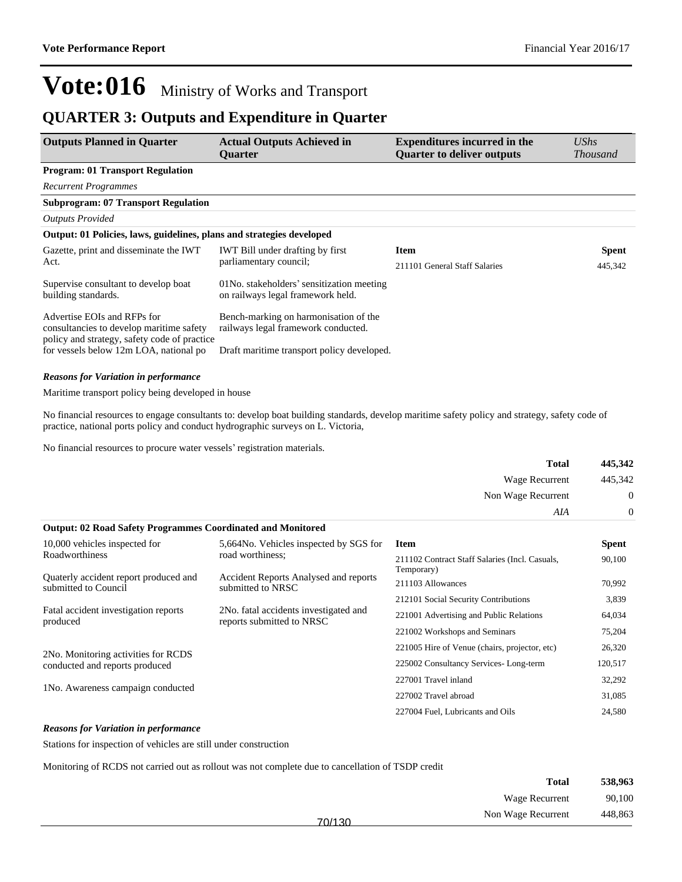### **QUARTER 3: Outputs and Expenditure in Quarter**

| <b>Outputs Planned in Quarter</b>                                                                                       | <b>Actual Outputs Achieved in</b><br><b>Ouarter</b>                            | <b>Expenditures incurred in the</b><br><b>Quarter to deliver outputs</b> | <b>UShs</b><br><b>Thousand</b> |
|-------------------------------------------------------------------------------------------------------------------------|--------------------------------------------------------------------------------|--------------------------------------------------------------------------|--------------------------------|
| <b>Program: 01 Transport Regulation</b>                                                                                 |                                                                                |                                                                          |                                |
| <b>Recurrent Programmes</b>                                                                                             |                                                                                |                                                                          |                                |
| <b>Subprogram: 07 Transport Regulation</b>                                                                              |                                                                                |                                                                          |                                |
| <b>Outputs Provided</b>                                                                                                 |                                                                                |                                                                          |                                |
| Output: 01 Policies, laws, guidelines, plans and strategies developed                                                   |                                                                                |                                                                          |                                |
| Gazette, print and disseminate the IWT                                                                                  | <b>IWT</b> Bill under drafting by first                                        | <b>Item</b>                                                              | <b>Spent</b>                   |
| Act.                                                                                                                    | parliamentary council;                                                         | 211101 General Staff Salaries                                            | 445,342                        |
| Supervise consultant to develop boat<br>building standards.                                                             | 01No. stakeholders' sensitization meeting<br>on railways legal framework held. |                                                                          |                                |
| Advertise EOIs and RFPs for<br>consultancies to develop maritime safety<br>policy and strategy, safety code of practice | Bench-marking on harmonisation of the<br>railways legal framework conducted.   |                                                                          |                                |
| for vessels below 12m LOA, national po                                                                                  | Draft maritime transport policy developed.                                     |                                                                          |                                |

#### *Reasons for Variation in performance*

Maritime transport policy being developed in house

No financial resources to engage consultants to: develop boat building standards, develop maritime safety policy and strategy, safety code of practice, national ports policy and conduct hydrographic surveys on L. Victoria,

No financial resources to procure water vessels' registration materials.

|                                                                    |                                                                    | Total                                                        | 445,342          |
|--------------------------------------------------------------------|--------------------------------------------------------------------|--------------------------------------------------------------|------------------|
|                                                                    |                                                                    | Wage Recurrent                                               | 445,342          |
|                                                                    |                                                                    | Non Wage Recurrent                                           | $\overline{0}$   |
|                                                                    |                                                                    | AIA                                                          | $\boldsymbol{0}$ |
| <b>Output: 02 Road Safety Programmes Coordinated and Monitored</b> |                                                                    |                                                              |                  |
| 10,000 vehicles inspected for                                      | 5,664No. Vehicles inspected by SGS for                             | <b>Item</b>                                                  | <b>Spent</b>     |
| Roadworthiness                                                     | road worthiness:                                                   | 211102 Contract Staff Salaries (Incl. Casuals,<br>Temporary) | 90,100           |
| Quaterly accident report produced and<br>submitted to Council      | <b>Accident Reports Analysed and reports</b><br>submitted to NRSC  | 211103 Allowances                                            | 70,992           |
|                                                                    |                                                                    | 212101 Social Security Contributions                         | 3,839            |
| Fatal accident investigation reports<br>produced                   | 2No. fatal accidents investigated and<br>reports submitted to NRSC | 221001 Advertising and Public Relations                      | 64,034           |
|                                                                    |                                                                    | 221002 Workshops and Seminars                                | 75,204           |
| 2No. Monitoring activities for RCDS                                |                                                                    | 221005 Hire of Venue (chairs, projector, etc)                | 26,320           |
| conducted and reports produced                                     |                                                                    | 225002 Consultancy Services-Long-term                        | 120,517          |
|                                                                    |                                                                    | 227001 Travel inland                                         | 32,292           |
| 1No. Awareness campaign conducted                                  |                                                                    | 227002 Travel abroad                                         | 31,085           |
|                                                                    |                                                                    | 227004 Fuel, Lubricants and Oils                             | 24,580           |
|                                                                    |                                                                    |                                                              |                  |

#### *Reasons for Variation in performance*

Stations for inspection of vehicles are still under construction

Monitoring of RCDS not carried out as rollout was not complete due to cancellation of TSDP credit

| 538,963 | <b>Total</b>       |        |
|---------|--------------------|--------|
| 90,100  | Wage Recurrent     |        |
| 448,863 | Non Wage Recurrent | 70/130 |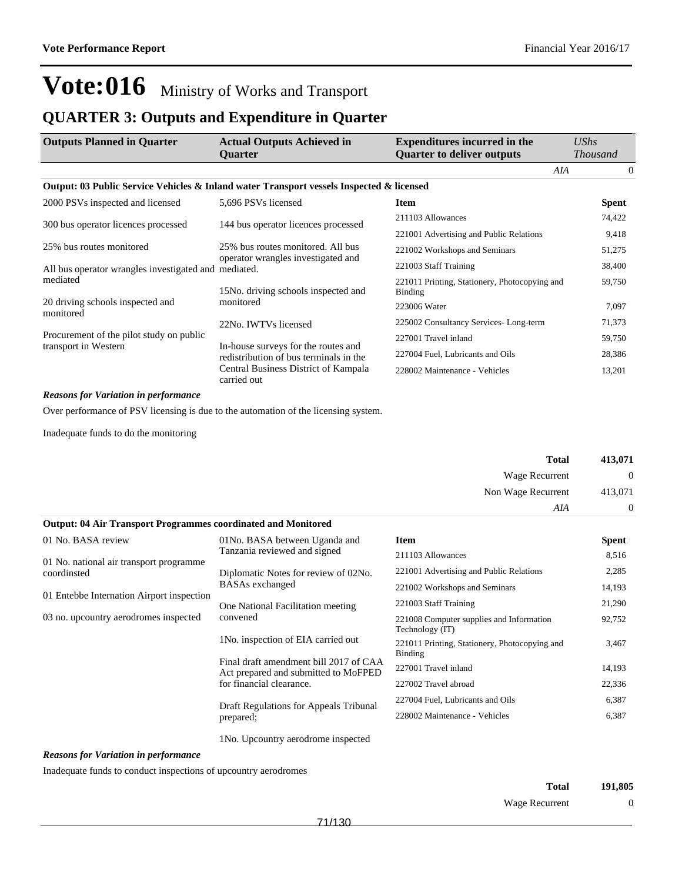### **QUARTER 3: Outputs and Expenditure in Quarter**

| <b>Outputs Planned in Quarter</b>                                                        | <b>Actual Outputs Achieved in</b><br><b>Ouarter</b>                           | <b>Expenditures incurred in the</b><br><b>Quarter to deliver outputs</b> | <b>UShs</b><br><b>Thousand</b> |
|------------------------------------------------------------------------------------------|-------------------------------------------------------------------------------|--------------------------------------------------------------------------|--------------------------------|
|                                                                                          |                                                                               | AIA                                                                      | $\Omega$                       |
| Output: 03 Public Service Vehicles & Inland water Transport vessels Inspected & licensed |                                                                               |                                                                          |                                |
| 2000 PSVs inspected and licensed                                                         | 5,696 PSVs licensed                                                           | <b>Item</b>                                                              | <b>Spent</b>                   |
| 300 bus operator licences processed                                                      |                                                                               | 211103 Allowances                                                        | 74,422                         |
|                                                                                          | 144 bus operator licences processed                                           | 221001 Advertising and Public Relations                                  | 9,418                          |
| 25% bus routes monitored                                                                 | 25% bus routes monitored. All bus                                             | 221002 Workshops and Seminars                                            | 51,275                         |
| All bus operator wrangles investigated and mediated.                                     | operator wrangles investigated and                                            | 221003 Staff Training                                                    | 38,400                         |
| mediated                                                                                 | 15No. driving schools inspected and                                           | 221011 Printing, Stationery, Photocopying and<br><b>Binding</b>          | 59,750                         |
| 20 driving schools inspected and<br>monitored                                            | monitored                                                                     | 223006 Water                                                             | 7,097                          |
|                                                                                          | 22No. IWTVs licensed                                                          | 225002 Consultancy Services-Long-term                                    | 71,373                         |
| Procurement of the pilot study on public<br>transport in Western                         |                                                                               | 227001 Travel inland                                                     | 59,750                         |
|                                                                                          | In-house surveys for the routes and<br>redistribution of bus terminals in the | 227004 Fuel, Lubricants and Oils                                         | 28,386                         |
|                                                                                          | Central Business District of Kampala<br>carried out                           | 228002 Maintenance - Vehicles                                            | 13,201                         |

#### *Reasons for Variation in performance*

Over performance of PSV licensing is due to the automation of the licensing system.

Inadequate funds to do the monitoring

| 413,071          | <b>Total</b>          |  |
|------------------|-----------------------|--|
| $\boldsymbol{0}$ | <b>Wage Recurrent</b> |  |
| 413,071          | Non Wage Recurrent    |  |
| 0                | AIA                   |  |

| <b>Output: 04 Air Transport Programmes coordinated and Monitored</b>                              |                                                                                                                                                                                                                                             |                                                             |        |
|---------------------------------------------------------------------------------------------------|---------------------------------------------------------------------------------------------------------------------------------------------------------------------------------------------------------------------------------------------|-------------------------------------------------------------|--------|
| 01 No. BASA review                                                                                | 01No. BASA between Uganda and                                                                                                                                                                                                               | <b>Item</b>                                                 | Spent  |
| 01 No. national air transport programme                                                           | Tanzania reviewed and signed                                                                                                                                                                                                                | 211103 Allowances                                           | 8,516  |
| coordinsted<br>01 Entebbe Internation Airport inspection<br>03 no. upcountry aerodromes inspected | 221001 Advertising and Public Relations<br>Diplomatic Notes for review of 02No.<br><b>BASAs</b> exchanged<br>221002 Workshops and Seminars                                                                                                  |                                                             | 2,285  |
|                                                                                                   |                                                                                                                                                                                                                                             |                                                             | 14,193 |
|                                                                                                   | One National Facilitation meeting<br>convened<br>1No. inspection of EIA carried out<br>Final draft amendment bill 2017 of CAA<br>Act prepared and submitted to MoFPED<br>for financial clearance.<br>Draft Regulations for Appeals Tribunal | 221003 Staff Training                                       | 21,290 |
|                                                                                                   |                                                                                                                                                                                                                                             | 221008 Computer supplies and Information<br>Technology (IT) | 92,752 |
|                                                                                                   |                                                                                                                                                                                                                                             | 221011 Printing, Stationery, Photocopying and<br>Binding    | 3,467  |
|                                                                                                   |                                                                                                                                                                                                                                             | 227001 Travel inland                                        | 14,193 |
|                                                                                                   |                                                                                                                                                                                                                                             | 227002 Travel abroad                                        | 22,336 |
|                                                                                                   |                                                                                                                                                                                                                                             | 227004 Fuel, Lubricants and Oils                            | 6,387  |
|                                                                                                   | prepared;                                                                                                                                                                                                                                   | 228002 Maintenance - Vehicles                               | 6,387  |
|                                                                                                   | 1 No. Upcountry aerodrome inspected                                                                                                                                                                                                         |                                                             |        |

#### *Reasons for Variation in performance*

Inadequate funds to conduct inspections of upcountry aerodromes

| Total          | 191,805  |
|----------------|----------|
| Wage Recurrent | $\theta$ |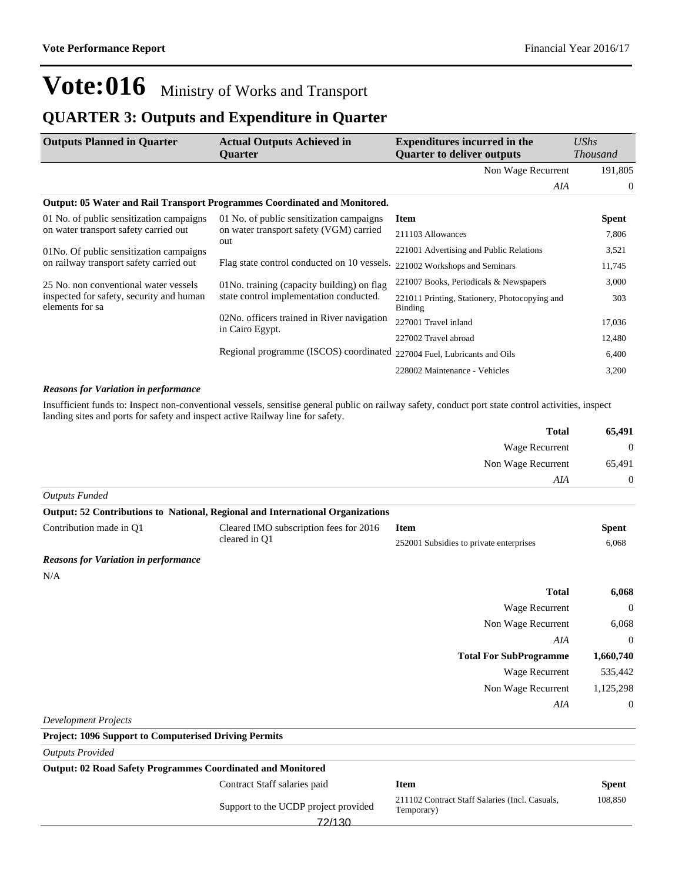### **QUARTER 3: Outputs and Expenditure in Quarter**

| <b>Outputs Planned in Quarter</b>                                                                                           | <b>Actual Outputs Achieved in</b><br><b>Ouarter</b>                              | <b>Expenditures incurred in the</b><br><b>Quarter to deliver outputs</b> | $\mathit{UShs}$<br><i>Thousand</i> |
|-----------------------------------------------------------------------------------------------------------------------------|----------------------------------------------------------------------------------|--------------------------------------------------------------------------|------------------------------------|
|                                                                                                                             |                                                                                  | Non Wage Recurrent                                                       | 191,805                            |
|                                                                                                                             |                                                                                  | AIA                                                                      | $\overline{0}$                     |
|                                                                                                                             | <b>Output: 05 Water and Rail Transport Programmes Coordinated and Monitored.</b> |                                                                          |                                    |
| 01 No. of public sensitization campaigns                                                                                    | 01 No. of public sensitization campaigns                                         | <b>Item</b>                                                              | Spent                              |
| on water transport safety carried out<br>01No. Of public sensitization campaigns<br>on railway transport safety carried out | on water transport safety (VGM) carried<br>out                                   | 211103 Allowances                                                        | 7,806                              |
|                                                                                                                             |                                                                                  | 221001 Advertising and Public Relations                                  | 3,521                              |
|                                                                                                                             | Flag state control conducted on 10 vessels.                                      | 221002 Workshops and Seminars                                            | 11,745                             |
| 25 No. non conventional water vessels<br>inspected for safety, security and human<br>elements for sa                        | 01No. training (capacity building) on flag                                       | 221007 Books, Periodicals & Newspapers                                   | 3,000                              |
|                                                                                                                             | state control implementation conducted.                                          | 221011 Printing, Stationery, Photocopying and<br>Binding                 | 303                                |
|                                                                                                                             | 02No. officers trained in River navigation                                       | 227001 Travel inland                                                     | 17,036                             |
|                                                                                                                             | in Cairo Egypt.                                                                  | 227002 Travel abroad                                                     | 12,480                             |
|                                                                                                                             | Regional programme (ISCOS) coordinated                                           | 227004 Fuel, Lubricants and Oils                                         | 6,400                              |
|                                                                                                                             |                                                                                  | 228002 Maintenance - Vehicles                                            | 3,200                              |

#### *Reasons for Variation in performance*

Insufficient funds to: Inspect non-conventional vessels, sensitise general public on railway safety, conduct port state control activities, inspect landing sites and ports for safety and inspect active Railway line for safety.

| <b>Total</b>          | 65,491         |
|-----------------------|----------------|
| Wage Recurrent        | $\theta$       |
| Non Wage Recurrent    | 65,491         |
| AIA                   | $\overline{0}$ |
| <b>Outputs Funded</b> |                |

| <b>Output: 52 Contributions to National, Regional and International Organizations</b> |                                                         |                                         |       |
|---------------------------------------------------------------------------------------|---------------------------------------------------------|-----------------------------------------|-------|
| Contribution made in O1                                                               | Cleared IMO subscription fees for 2016<br>cleared in O1 | <b>Item</b>                             | Spent |
|                                                                                       |                                                         | 252001 Subsidies to private enterprises | 6.068 |

#### *Reasons for Variation in performance*

N/A

| 6,068            | <b>Total</b>                  |
|------------------|-------------------------------|
| $\mathbf 0$      | <b>Wage Recurrent</b>         |
| 6,068            | Non Wage Recurrent            |
| $\theta$         | AIA                           |
| 1,660,740        | <b>Total For SubProgramme</b> |
| 535,442          | <b>Wage Recurrent</b>         |
| 1,125,298        | Non Wage Recurrent            |
| $\boldsymbol{0}$ | AIA                           |
|                  |                               |

*Development Projects*

| <b>Project: 1096 Support to Computerised Driving Permits</b>       |                                                              |              |  |
|--------------------------------------------------------------------|--------------------------------------------------------------|--------------|--|
|                                                                    |                                                              |              |  |
| <b>Output: 02 Road Safety Programmes Coordinated and Monitored</b> |                                                              |              |  |
| Contract Staff salaries paid                                       | <b>Item</b>                                                  | <b>Spent</b> |  |
| Support to the UCDP project provided<br>72/130                     | 211102 Contract Staff Salaries (Incl. Casuals,<br>Temporary) | 108,850      |  |
|                                                                    |                                                              |              |  |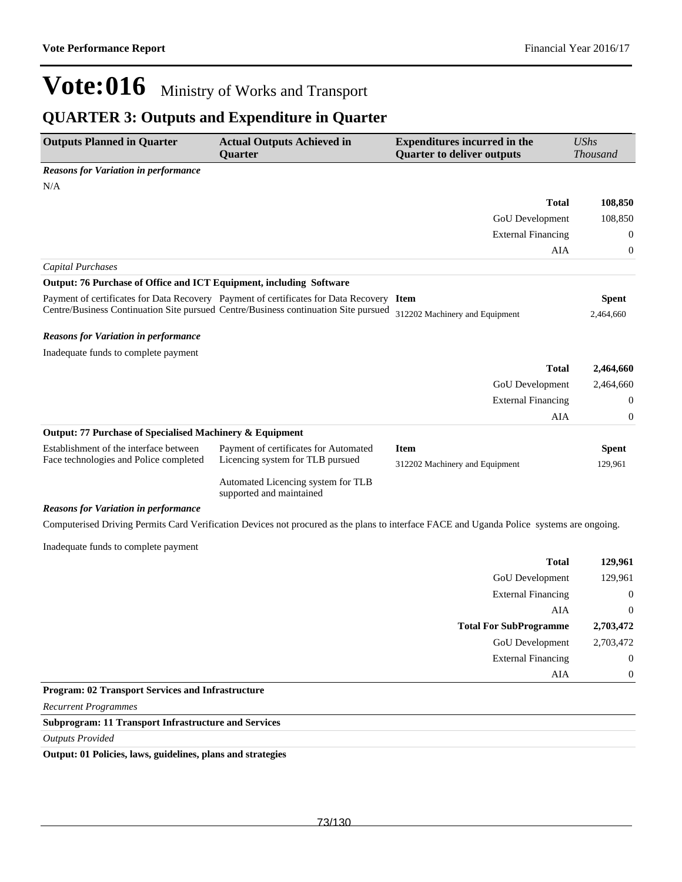### **QUARTER 3: Outputs and Expenditure in Quarter**

| <b>Outputs Planned in Quarter</b>                                   | <b>Actual Outputs Achieved in</b><br>Quarter                                             | <b>Expenditures incurred in the</b><br><b>Quarter to deliver outputs</b>                                                                  | <b>UShs</b><br><b>Thousand</b> |
|---------------------------------------------------------------------|------------------------------------------------------------------------------------------|-------------------------------------------------------------------------------------------------------------------------------------------|--------------------------------|
| <b>Reasons for Variation in performance</b>                         |                                                                                          |                                                                                                                                           |                                |
| N/A                                                                 |                                                                                          |                                                                                                                                           |                                |
|                                                                     |                                                                                          | <b>Total</b>                                                                                                                              | 108,850                        |
|                                                                     |                                                                                          | <b>GoU</b> Development                                                                                                                    | 108,850                        |
|                                                                     |                                                                                          | <b>External Financing</b>                                                                                                                 | $\mathbf{0}$                   |
|                                                                     |                                                                                          | AIA                                                                                                                                       | $\boldsymbol{0}$               |
| <b>Capital Purchases</b>                                            |                                                                                          |                                                                                                                                           |                                |
| Output: 76 Purchase of Office and ICT Equipment, including Software |                                                                                          |                                                                                                                                           |                                |
|                                                                     | Payment of certificates for Data Recovery Payment of certificates for Data Recovery Item |                                                                                                                                           | <b>Spent</b>                   |
|                                                                     | Centre/Business Continuation Site pursued Centre/Business continuation Site pursued      | 312202 Machinery and Equipment                                                                                                            | 2,464,660                      |
| <b>Reasons for Variation in performance</b>                         |                                                                                          |                                                                                                                                           |                                |
| Inadequate funds to complete payment                                |                                                                                          |                                                                                                                                           |                                |
|                                                                     |                                                                                          | <b>Total</b>                                                                                                                              | 2,464,660                      |
|                                                                     |                                                                                          | <b>GoU</b> Development                                                                                                                    | 2,464,660                      |
|                                                                     |                                                                                          | <b>External Financing</b>                                                                                                                 | $\overline{0}$                 |
|                                                                     |                                                                                          | AIA                                                                                                                                       | $\boldsymbol{0}$               |
| <b>Output: 77 Purchase of Specialised Machinery &amp; Equipment</b> |                                                                                          |                                                                                                                                           |                                |
| Establishment of the interface between                              | Payment of certificates for Automated                                                    | <b>Item</b>                                                                                                                               | <b>Spent</b>                   |
| Face technologies and Police completed                              | Licencing system for TLB pursued                                                         | 312202 Machinery and Equipment                                                                                                            | 129,961                        |
|                                                                     | Automated Licencing system for TLB<br>supported and maintained                           |                                                                                                                                           |                                |
| <b>Reasons for Variation in performance</b>                         |                                                                                          |                                                                                                                                           |                                |
|                                                                     |                                                                                          | Computerised Driving Permits Card Verification Devices not procured as the plans to interface FACE and Uganda Police systems are ongoing. |                                |
| Inadequate funds to complete payment                                |                                                                                          |                                                                                                                                           |                                |
|                                                                     |                                                                                          | <b>Total</b>                                                                                                                              | 129,961                        |
|                                                                     |                                                                                          | GoU Development                                                                                                                           | 129,961                        |
|                                                                     |                                                                                          | <b>External Financing</b>                                                                                                                 | $\boldsymbol{0}$               |
|                                                                     |                                                                                          | AIA                                                                                                                                       | $\boldsymbol{0}$               |
|                                                                     |                                                                                          | <b>Total For SubProgramme</b>                                                                                                             | 2,703,472                      |
|                                                                     |                                                                                          | GoU Development                                                                                                                           | 2,703,472                      |
|                                                                     |                                                                                          | <b>External Financing</b>                                                                                                                 | $\boldsymbol{0}$               |
|                                                                     |                                                                                          | AIA                                                                                                                                       | $\boldsymbol{0}$               |
| <b>Program: 02 Transport Services and Infrastructure</b>            |                                                                                          |                                                                                                                                           |                                |
| <b>Recurrent Programmes</b>                                         |                                                                                          |                                                                                                                                           |                                |

#### **Subprogram: 11 Transport Infrastructure and Services**

*Outputs Provided*

**Output: 01 Policies, laws, guidelines, plans and strategies**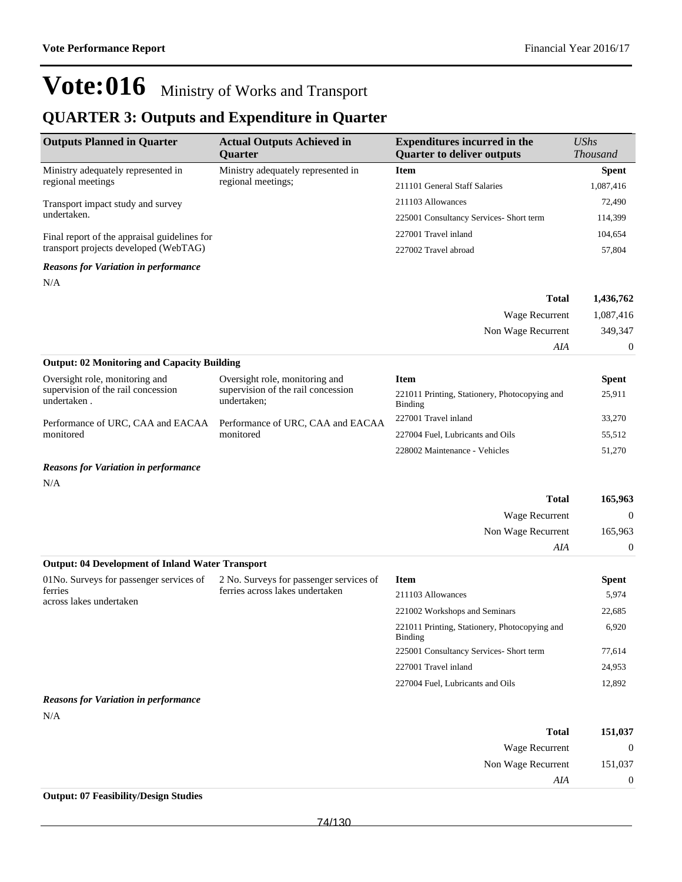### **QUARTER 3: Outputs and Expenditure in Quarter**

| <b>Outputs Planned in Quarter</b>                  | <b>Actual Outputs Achieved in</b><br><b>Ouarter</b>                                 | <b>Expenditures incurred in the</b><br><b>Quarter to deliver outputs</b> | UShs<br><b>Thousand</b> |
|----------------------------------------------------|-------------------------------------------------------------------------------------|--------------------------------------------------------------------------|-------------------------|
| Ministry adequately represented in                 | Ministry adequately represented in                                                  | <b>Item</b>                                                              | <b>Spent</b>            |
| regional meetings                                  | regional meetings;                                                                  | 211101 General Staff Salaries                                            | 1,087,416               |
| Transport impact study and survey                  |                                                                                     | 211103 Allowances                                                        | 72,490                  |
| undertaken.                                        |                                                                                     | 225001 Consultancy Services- Short term                                  | 114,399                 |
| Final report of the appraisal guidelines for       |                                                                                     | 227001 Travel inland                                                     | 104,654                 |
| transport projects developed (WebTAG)              |                                                                                     | 227002 Travel abroad                                                     | 57,804                  |
| <b>Reasons for Variation in performance</b>        |                                                                                     |                                                                          |                         |
| N/A                                                |                                                                                     |                                                                          |                         |
|                                                    |                                                                                     | <b>Total</b>                                                             | 1,436,762               |
|                                                    |                                                                                     | Wage Recurrent                                                           | 1,087,416               |
|                                                    |                                                                                     | Non Wage Recurrent                                                       | 349,347                 |
|                                                    |                                                                                     | AIA                                                                      | $\theta$                |
| <b>Output: 02 Monitoring and Capacity Building</b> |                                                                                     |                                                                          |                         |
| Oversight role, monitoring and                     | Oversight role, monitoring and<br>supervision of the rail concession<br>undertaken; | <b>Item</b>                                                              | <b>Spent</b>            |
| supervision of the rail concession<br>undertaken.  |                                                                                     | 221011 Printing, Stationery, Photocopying and<br>Binding                 | 25,911                  |
| Performance of URC, CAA and EACAA                  | Performance of URC, CAA and EACAA<br>monitored                                      | 227001 Travel inland                                                     | 33,270                  |
| monitored                                          |                                                                                     | 227004 Fuel, Lubricants and Oils                                         | 55,512                  |
|                                                    |                                                                                     | 228002 Maintenance - Vehicles                                            | 51,270                  |

#### *Reasons for Variation in performance*

N/A

| <b>Total</b>                                            | 165,963        |
|---------------------------------------------------------|----------------|
| Wage Recurrent                                          | $\overline{0}$ |
| Non Wage Recurrent                                      | 165,963        |
| AIA                                                     | $\Omega$       |
| <b>Output: 04 Development of Inland Water Transport</b> |                |

| 01No. Surveys for passenger services of<br>ferries<br>across lakes undertaken | 2 No. Surveys for passenger services of<br>ferries across lakes undertaken | <b>Item</b>                                              | <b>Spent</b> |
|-------------------------------------------------------------------------------|----------------------------------------------------------------------------|----------------------------------------------------------|--------------|
|                                                                               |                                                                            | 211103 Allowances                                        | 5,974        |
|                                                                               |                                                                            | 221002 Workshops and Seminars                            | 22,685       |
|                                                                               |                                                                            | 221011 Printing, Stationery, Photocopying and<br>Binding | 6.920        |
|                                                                               |                                                                            | 225001 Consultancy Services- Short term                  | 77.614       |
|                                                                               |                                                                            | 227001 Travel inland                                     | 24,953       |
|                                                                               |                                                                            | 227004 Fuel, Lubricants and Oils                         | 12,892       |
| .                                                                             |                                                                            |                                                          |              |

#### *Reasons for Variation in performance*

| i |  |  |
|---|--|--|
|   |  |  |

| 151,037      | <b>Total</b>       |
|--------------|--------------------|
| $\mathbf{0}$ | Wage Recurrent     |
| 151,037      | Non Wage Recurrent |
| $\theta$     | AIA                |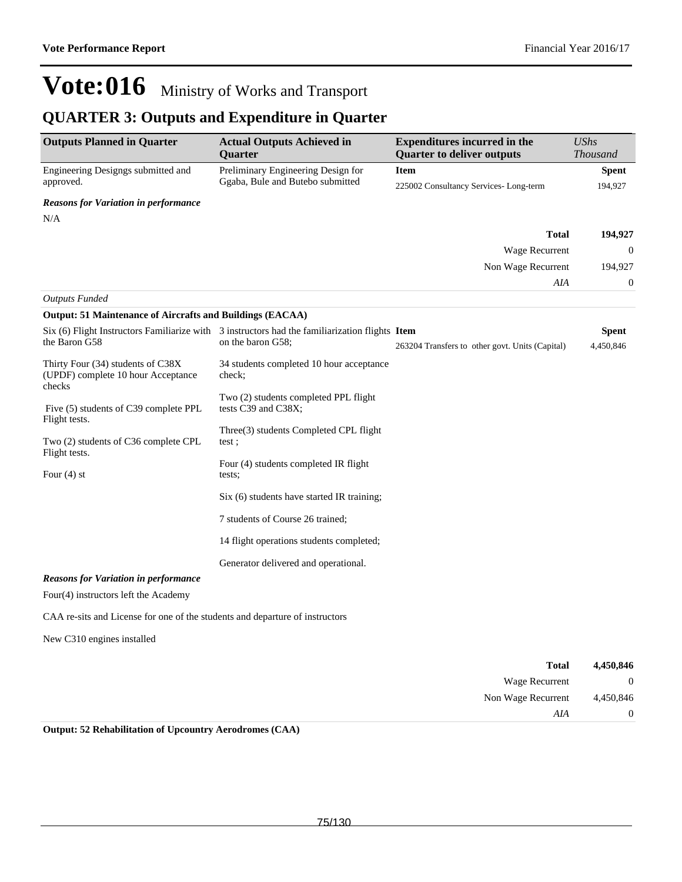### **QUARTER 3: Outputs and Expenditure in Quarter**

| <b>Outputs Planned in Quarter</b>                                                 | <b>Actual Outputs Achieved in</b><br><b>Ouarter</b>                                              | <b>Expenditures incurred in the</b><br><b>Quarter to deliver outputs</b> | <b>UShs</b><br><b>Thousand</b> |
|-----------------------------------------------------------------------------------|--------------------------------------------------------------------------------------------------|--------------------------------------------------------------------------|--------------------------------|
| Engineering Designgs submitted and                                                | Preliminary Engineering Design for                                                               | <b>Item</b>                                                              | <b>Spent</b>                   |
| approved.                                                                         | Ggaba, Bule and Butebo submitted                                                                 | 225002 Consultancy Services-Long-term                                    | 194,927                        |
| <b>Reasons for Variation in performance</b>                                       |                                                                                                  |                                                                          |                                |
| N/A                                                                               |                                                                                                  |                                                                          |                                |
|                                                                                   |                                                                                                  | <b>Total</b>                                                             | 194,927                        |
|                                                                                   |                                                                                                  | Wage Recurrent                                                           | $\boldsymbol{0}$               |
|                                                                                   |                                                                                                  | Non Wage Recurrent                                                       | 194,927                        |
|                                                                                   |                                                                                                  | AIA                                                                      | $\boldsymbol{0}$               |
| <b>Outputs Funded</b>                                                             |                                                                                                  |                                                                          |                                |
| <b>Output: 51 Maintenance of Aircrafts and Buildings (EACAA)</b>                  |                                                                                                  |                                                                          |                                |
|                                                                                   | Six $(6)$ Flight Instructors Familiarize with 3 instructors had the familiarization flights Item |                                                                          | <b>Spent</b>                   |
| the Baron G58                                                                     | on the baron G58;                                                                                | 263204 Transfers to other govt. Units (Capital)                          | 4,450,846                      |
| Thirty Four (34) students of C38X<br>(UPDF) complete 10 hour Acceptance<br>checks | 34 students completed 10 hour acceptance<br>check;                                               |                                                                          |                                |
| Five (5) students of C39 complete PPL<br>Flight tests.                            | Two (2) students completed PPL flight<br>tests C39 and C38X;                                     |                                                                          |                                |
| Two (2) students of C36 complete CPL<br>Flight tests.                             | Three(3) students Completed CPL flight<br>test;                                                  |                                                                          |                                |
|                                                                                   | Four (4) students completed IR flight                                                            |                                                                          |                                |
| Four $(4)$ st                                                                     | tests;                                                                                           |                                                                          |                                |
|                                                                                   | Six (6) students have started IR training;                                                       |                                                                          |                                |
|                                                                                   | 7 students of Course 26 trained;                                                                 |                                                                          |                                |
|                                                                                   | 14 flight operations students completed;                                                         |                                                                          |                                |
|                                                                                   | Generator delivered and operational.                                                             |                                                                          |                                |
| <b>Reasons for Variation in performance</b>                                       |                                                                                                  |                                                                          |                                |
| Four(4) instructors left the Academy                                              |                                                                                                  |                                                                          |                                |
| CAA re-sits and License for one of the students and departure of instructors      |                                                                                                  |                                                                          |                                |
| New C310 engines installed                                                        |                                                                                                  |                                                                          |                                |

| 4,450,846      | <b>Total</b>       |
|----------------|--------------------|
| $\overline{0}$ | Wage Recurrent     |
| 4,450,846      | Non Wage Recurrent |
| $\overline{0}$ | AIA                |

**Output: 52 Rehabilitation of Upcountry Aerodromes (CAA)**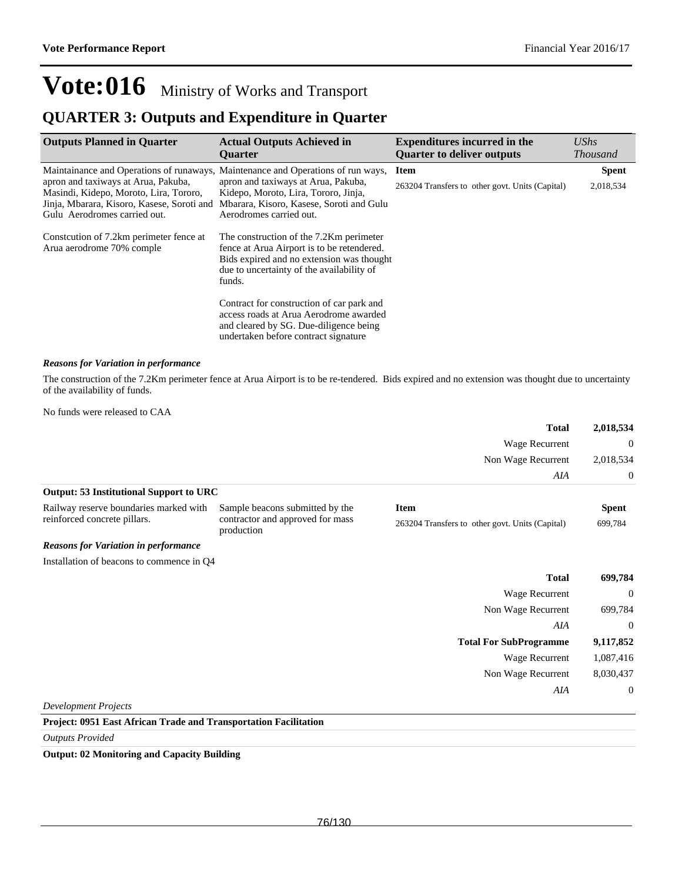### **QUARTER 3: Outputs and Expenditure in Quarter**

| <b>Outputs Planned in Quarter</b>                                                                                                                                                                                                               | <b>Actual Outputs Achieved in</b><br><b>Ouarter</b>                                                                                                                                       | <b>Expenditures incurred in the</b><br><b>Quarter to deliver outputs</b> | UShs<br><b>Thousand</b>   |
|-------------------------------------------------------------------------------------------------------------------------------------------------------------------------------------------------------------------------------------------------|-------------------------------------------------------------------------------------------------------------------------------------------------------------------------------------------|--------------------------------------------------------------------------|---------------------------|
| Maintainance and Operations of runaways, Maintenance and Operations of run ways,<br>apron and taxiways at Arua, Pakuba,<br>Masindi, Kidepo, Moroto, Lira, Tororo,<br>Jinja, Mbarara, Kisoro, Kasese, Soroti and<br>Gulu Aerodromes carried out. | apron and taxiways at Arua, Pakuba,<br>Kidepo, Moroto, Lira, Tororo, Jinja,<br>Mbarara, Kisoro, Kasese, Soroti and Gulu<br>Aerodromes carried out.                                        | <b>Item</b><br>263204 Transfers to other govt. Units (Capital)           | <b>Spent</b><br>2,018,534 |
| Constrution of 7.2km perimeter fence at<br>Arua aerodrome 70% comple                                                                                                                                                                            | The construction of the 7.2Km perimeter<br>fence at Arua Airport is to be retendered.<br>Bids expired and no extension was thought<br>due to uncertainty of the availability of<br>funds. |                                                                          |                           |
|                                                                                                                                                                                                                                                 | Contract for construction of car park and<br>access roads at Arua Aerodrome awarded<br>and cleared by SG. Due-diligence being<br>undertaken before contract signature                     |                                                                          |                           |

#### *Reasons for Variation in performance*

The construction of the 7.2Km perimeter fence at Arua Airport is to be re-tendered. Bids expired and no extension was thought due to uncertainty of the availability of funds.

|                                                |                                                | <b>Total</b>                                    | 2,018,534    |
|------------------------------------------------|------------------------------------------------|-------------------------------------------------|--------------|
|                                                |                                                | Wage Recurrent                                  | $\mathbf{0}$ |
|                                                |                                                | Non Wage Recurrent                              | 2,018,534    |
|                                                |                                                | AIA                                             | $\mathbf{0}$ |
| <b>Output: 53 Institutional Support to URC</b> |                                                |                                                 |              |
| Railway reserve boundaries marked with         | Sample beacons submitted by the                | <b>Item</b>                                     | <b>Spent</b> |
| reinforced concrete pillars.                   | contractor and approved for mass<br>production | 263204 Transfers to other govt. Units (Capital) | 699,784      |
| <b>Reasons for Variation in performance</b>    |                                                |                                                 |              |
| Installation of beacons to commence in Q4      |                                                |                                                 |              |
|                                                |                                                | <b>Total</b>                                    | 699,784      |
|                                                |                                                | Wage Recurrent                                  | $\mathbf{0}$ |
|                                                |                                                | Non Wage Recurrent                              | 699,784      |
|                                                |                                                | AIA                                             | $\mathbf{0}$ |
|                                                |                                                | <b>Total For SubProgramme</b>                   | 9,117,852    |
|                                                |                                                | Wage Recurrent                                  | 1,087,416    |
|                                                |                                                | Non Wage Recurrent                              | 8,030,437    |
|                                                |                                                | AIA                                             | $\mathbf{0}$ |
| <b>Development Projects</b>                    |                                                |                                                 |              |

#### **Project: 0951 East African Trade and Transportation Facilitation**

*Outputs Provided*

#### **Output: 02 Monitoring and Capacity Building**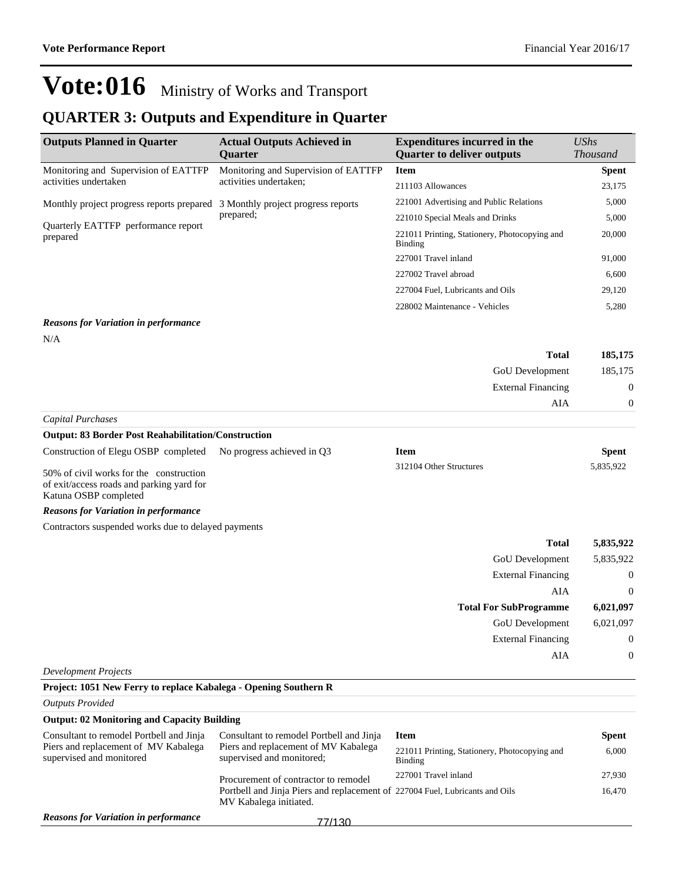### **QUARTER 3: Outputs and Expenditure in Quarter**

| <b>Outputs Planned in Quarter</b>                                            | <b>Actual Outputs Achieved in</b><br><b>Ouarter</b>            | <b>Expenditures incurred in the</b><br><b>Ouarter to deliver outputs</b> | $\mathit{UShs}$<br><i>Thousand</i> |
|------------------------------------------------------------------------------|----------------------------------------------------------------|--------------------------------------------------------------------------|------------------------------------|
| Monitoring and Supervision of EATTFP                                         | Monitoring and Supervision of EATTFP<br>activities undertaken; | <b>Item</b>                                                              | <b>Spent</b>                       |
| activities undertaken                                                        |                                                                | 211103 Allowances                                                        | 23,175                             |
| Monthly project progress reports prepared 3 Monthly project progress reports | prepared;                                                      | 221001 Advertising and Public Relations                                  | 5,000                              |
| Quarterly EATTFP performance report<br>prepared                              |                                                                | 221010 Special Meals and Drinks                                          | 5,000                              |
|                                                                              |                                                                | 221011 Printing, Stationery, Photocopying and<br>Binding                 | 20,000                             |
|                                                                              |                                                                | 227001 Travel inland                                                     | 91,000                             |
|                                                                              |                                                                | 227002 Travel abroad                                                     | 6,600                              |
|                                                                              |                                                                | 227004 Fuel, Lubricants and Oils                                         | 29,120                             |
|                                                                              |                                                                | 228002 Maintenance - Vehicles                                            | 5,280                              |

#### *Reasons for Variation in performance*

N/A

| 185,175        | <b>Total</b>              |  |
|----------------|---------------------------|--|
| 185,175        | GoU Development           |  |
| $\overline{0}$ | <b>External Financing</b> |  |
| $\Omega$       | AIA                       |  |
|                |                           |  |

#### *Capital Purchases* **Output: 83 Border Post Reahabilitation/Construction**

| Construction of Elegu OSBP completed No progress achieved in Q3                                  | Item                    | Spent     |
|--------------------------------------------------------------------------------------------------|-------------------------|-----------|
| $\epsilon$ $\alpha$ $\beta$ $\beta$ $\gamma$ $\beta$ $\gamma$ $\beta$ $\gamma$ $\gamma$ $\gamma$ | 312104 Other Structures | 5.835.922 |

50% of civil works for the construction of exit/access roads and parking yard for Katuna OSBP completed

#### *Reasons for Variation in performance*

Contractors suspended works due to delayed payments

| <b>Total</b>                  | 5,835,922      |
|-------------------------------|----------------|
| GoU Development               | 5,835,922      |
| <b>External Financing</b>     | $\overline{0}$ |
| AIA                           | $\overline{0}$ |
|                               |                |
| <b>Total For SubProgramme</b> | 6,021,097      |
| GoU Development               | 6,021,097      |
| <b>External Financing</b>     | $\overline{0}$ |

*Development Projects*

| Project: 1051 New Ferry to replace Kabalega - Opening Southern R |                                                                                                        |                                                          |              |
|------------------------------------------------------------------|--------------------------------------------------------------------------------------------------------|----------------------------------------------------------|--------------|
| <b>Outputs Provided</b>                                          |                                                                                                        |                                                          |              |
| <b>Output: 02 Monitoring and Capacity Building</b>               |                                                                                                        |                                                          |              |
| Consultant to remodel Portbell and Jinja                         | Consultant to remodel Portbell and Jinja                                                               | <b>Item</b>                                              | <b>Spent</b> |
| Piers and replacement of MV Kabalega<br>supervised and monitored | Piers and replacement of MV Kabalega<br>supervised and monitored;                                      | 221011 Printing, Stationery, Photocopying and<br>Binding | 6,000        |
|                                                                  | Procurement of contractor to remodel                                                                   | 227001 Travel inland                                     | 27,930       |
|                                                                  | Portbell and Jinja Piers and replacement of 227004 Fuel, Lubricants and Oils<br>MV Kabalega initiated. |                                                          | 16.470       |
| <b>Reasons for Variation in performance</b>                      | 77/130                                                                                                 |                                                          |              |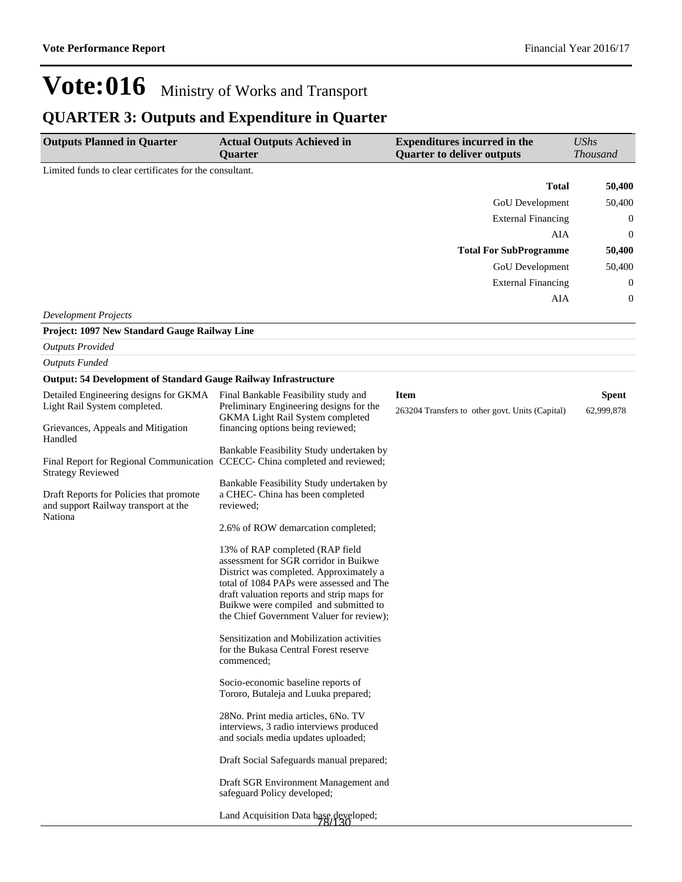### **QUARTER 3: Outputs and Expenditure in Quarter**

| <b>Outputs Planned in Quarter</b>                                                                        | <b>Actual Outputs Achieved in</b><br>Quarter                                                                                                                                                                                                                                                       | <b>Expenditures incurred in the</b><br><b>Quarter to deliver outputs</b> | <b>UShs</b><br><b>Thousand</b> |
|----------------------------------------------------------------------------------------------------------|----------------------------------------------------------------------------------------------------------------------------------------------------------------------------------------------------------------------------------------------------------------------------------------------------|--------------------------------------------------------------------------|--------------------------------|
| Limited funds to clear certificates for the consultant.                                                  |                                                                                                                                                                                                                                                                                                    |                                                                          |                                |
|                                                                                                          |                                                                                                                                                                                                                                                                                                    | <b>Total</b>                                                             | 50,400                         |
|                                                                                                          |                                                                                                                                                                                                                                                                                                    | GoU Development                                                          | 50,400                         |
|                                                                                                          |                                                                                                                                                                                                                                                                                                    | <b>External Financing</b>                                                | 0                              |
|                                                                                                          |                                                                                                                                                                                                                                                                                                    | AIA                                                                      | 0                              |
|                                                                                                          |                                                                                                                                                                                                                                                                                                    | <b>Total For SubProgramme</b>                                            | 50,400                         |
|                                                                                                          |                                                                                                                                                                                                                                                                                                    | GoU Development                                                          | 50,400                         |
|                                                                                                          |                                                                                                                                                                                                                                                                                                    | <b>External Financing</b>                                                | 0                              |
|                                                                                                          |                                                                                                                                                                                                                                                                                                    | AIA                                                                      | 0                              |
| <b>Development Projects</b>                                                                              |                                                                                                                                                                                                                                                                                                    |                                                                          |                                |
| Project: 1097 New Standard Gauge Railway Line                                                            |                                                                                                                                                                                                                                                                                                    |                                                                          |                                |
| <b>Outputs Provided</b>                                                                                  |                                                                                                                                                                                                                                                                                                    |                                                                          |                                |
| <b>Outputs Funded</b>                                                                                    |                                                                                                                                                                                                                                                                                                    |                                                                          |                                |
| <b>Output: 54 Development of Standard Gauge Railway Infrastructure</b>                                   |                                                                                                                                                                                                                                                                                                    |                                                                          |                                |
| Detailed Engineering designs for GKMA<br>Light Rail System completed.                                    | Final Bankable Feasibility study and<br>Preliminary Engineering designs for the<br><b>GKMA</b> Light Rail System completed                                                                                                                                                                         | <b>Item</b><br>263204 Transfers to other govt. Units (Capital)           | Spent<br>62,999,878            |
| Grievances, Appeals and Mitigation<br>Handled                                                            | financing options being reviewed;                                                                                                                                                                                                                                                                  |                                                                          |                                |
| Final Report for Regional Communication CCECC- China completed and reviewed;<br><b>Strategy Reviewed</b> | Bankable Feasibility Study undertaken by                                                                                                                                                                                                                                                           |                                                                          |                                |
| Draft Reports for Policies that promote<br>and support Railway transport at the<br>Nationa               | Bankable Feasibility Study undertaken by<br>a CHEC- China has been completed<br>reviewed;                                                                                                                                                                                                          |                                                                          |                                |
|                                                                                                          | 2.6% of ROW demarcation completed;                                                                                                                                                                                                                                                                 |                                                                          |                                |
|                                                                                                          | 13% of RAP completed (RAP field<br>assessment for SGR corridor in Buikwe<br>District was completed. Approximately a<br>total of 1084 PAPs were assessed and The<br>draft valuation reports and strip maps for<br>Buikwe were compiled and submitted to<br>the Chief Government Valuer for review); |                                                                          |                                |
|                                                                                                          | Sensitization and Mobilization activities<br>for the Bukasa Central Forest reserve<br>commenced;                                                                                                                                                                                                   |                                                                          |                                |
|                                                                                                          | Socio-economic baseline reports of<br>Tororo, Butaleja and Luuka prepared;                                                                                                                                                                                                                         |                                                                          |                                |
|                                                                                                          | 28No. Print media articles, 6No. TV<br>interviews, 3 radio interviews produced<br>and socials media updates uploaded;                                                                                                                                                                              |                                                                          |                                |
|                                                                                                          | Draft Social Safeguards manual prepared;                                                                                                                                                                                                                                                           |                                                                          |                                |
|                                                                                                          | Draft SGR Environment Management and<br>safeguard Policy developed;                                                                                                                                                                                                                                |                                                                          |                                |
|                                                                                                          | Land Acquisition Data base developed;                                                                                                                                                                                                                                                              |                                                                          |                                |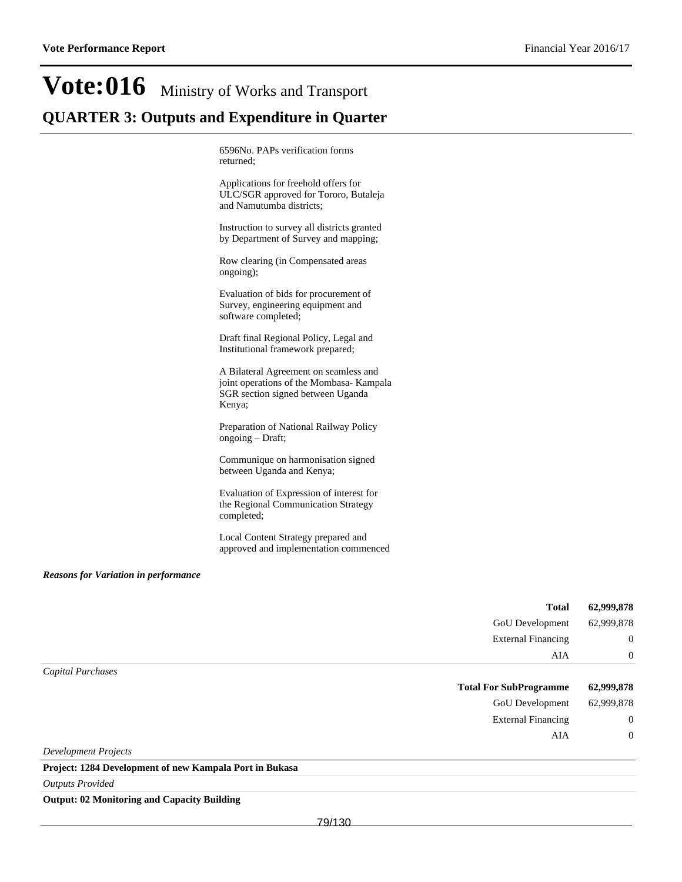## **Vote:016** Ministry of Works and Transport **QUARTER 3: Outputs and Expenditure in Quarter**

6596No. PAPs verification forms returned;

Applications for freehold offers for ULC/SGR approved for Tororo, Butaleja and Namutumba districts;

Instruction to survey all districts granted by Department of Survey and mapping;

Row clearing (in Compensated areas ongoing);

Evaluation of bids for procurement of Survey, engineering equipment and software completed;

Draft final Regional Policy, Legal and Institutional framework prepared;

A Bilateral Agreement on seamless and joint operations of the Mombasa- Kampala SGR section signed between Uganda Kenya;

Preparation of National Railway Policy ongoing  $-Draft$ ;

Communique on harmonisation signed between Uganda and Kenya;

Evaluation of Expression of interest for the Regional Communication Strategy completed;

Local Content Strategy prepared and approved and implementation commenced

#### *Reasons for Variation in performance*

|                   | <b>Total</b>                  | 62,999,878     |
|-------------------|-------------------------------|----------------|
|                   | GoU Development               | 62,999,878     |
|                   | <b>External Financing</b>     | $\overline{0}$ |
|                   | AIA                           | $\overline{0}$ |
| Capital Purchases |                               |                |
|                   |                               |                |
|                   | <b>Total For SubProgramme</b> | 62,999,878     |
|                   | GoU Development               | 62,999,878     |
|                   | <b>External Financing</b>     | $\overline{0}$ |
|                   | AIA                           | $\overline{0}$ |

**Project: 1284 Development of new Kampala Port in Bukasa**

*Outputs Provided*

**Output: 02 Monitoring and Capacity Building**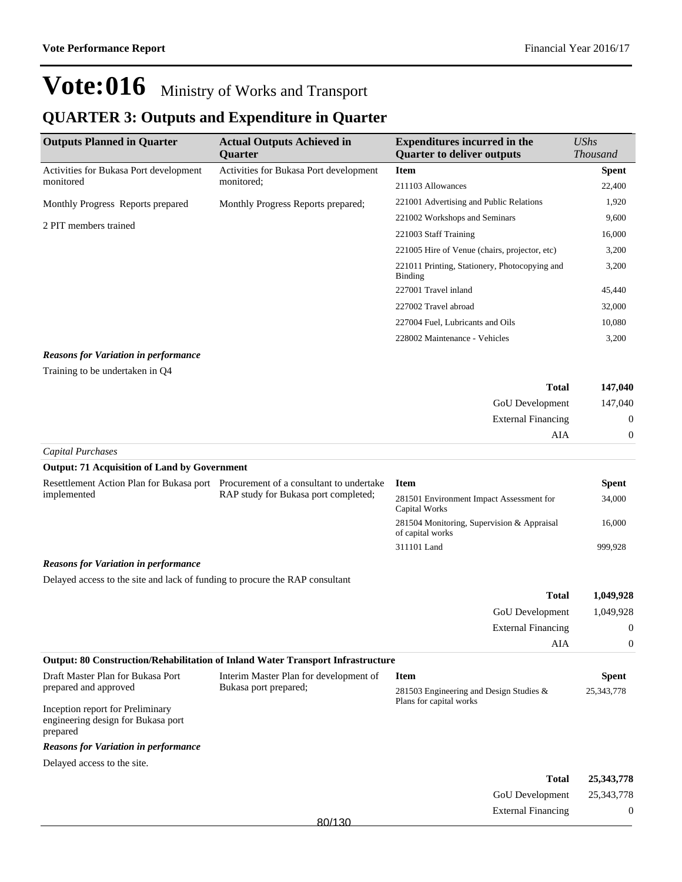### **QUARTER 3: Outputs and Expenditure in Quarter**

| <b>Outputs Planned in Quarter</b>           | <b>Actual Outputs Achieved in</b><br><b>Ouarter</b> | <b>Expenditures incurred in the</b><br><b>Ouarter to deliver outputs</b> | UShs<br><i>Thousand</i> |
|---------------------------------------------|-----------------------------------------------------|--------------------------------------------------------------------------|-------------------------|
| Activities for Bukasa Port development      | Activities for Bukasa Port development              | <b>Item</b>                                                              | <b>Spent</b>            |
| monitored                                   | monitored;                                          | 211103 Allowances                                                        | 22,400                  |
| Monthly Progress Reports prepared           | Monthly Progress Reports prepared;                  | 221001 Advertising and Public Relations                                  | 1,920                   |
| 2 PIT members trained                       |                                                     | 221002 Workshops and Seminars                                            | 9,600                   |
|                                             |                                                     | 221003 Staff Training                                                    | 16,000                  |
|                                             |                                                     | 221005 Hire of Venue (chairs, projector, etc)                            | 3,200                   |
|                                             |                                                     | 221011 Printing, Stationery, Photocopying and<br><b>Binding</b>          | 3,200                   |
|                                             |                                                     | 227001 Travel inland                                                     | 45,440                  |
|                                             |                                                     | 227002 Travel abroad                                                     | 32,000                  |
|                                             |                                                     | 227004 Fuel, Lubricants and Oils                                         | 10,080                  |
|                                             |                                                     | 228002 Maintenance - Vehicles                                            | 3,200                   |
| <b>Reasons for Variation in performance</b> |                                                     |                                                                          |                         |

Training to be undertaken in Q4

| <b>Total</b>              | 147,040        |
|---------------------------|----------------|
| GoU Development           | 147,040        |
| <b>External Financing</b> | $\mathbf{0}$   |
| AIA                       | $\overline{0}$ |
| Capital Purchases         |                |

#### **Output: 71 Acquisition of Land by Government**

| Resettlement Action Plan for Bukasa port<br>implemented | Procurement of a consultant to undertake<br>RAP study for Bukasa port completed; | <b>Item</b>                                                    | Spent   |
|---------------------------------------------------------|----------------------------------------------------------------------------------|----------------------------------------------------------------|---------|
|                                                         |                                                                                  | 281501 Environment Impact Assessment for<br>Capital Works      | 34,000  |
|                                                         |                                                                                  | 281504 Monitoring, Supervision & Appraisal<br>of capital works | 16,000  |
|                                                         |                                                                                  | 311101 Land                                                    | 999.928 |

#### *Reasons for Variation in performance*

Delayed access to the site and lack of funding to procure the RAP consultant

| 1,049,928 | <b>Total</b>              |
|-----------|---------------------------|
|           | GoU Development 1,049,928 |
| U         | <b>External Financing</b> |
|           | AIA                       |

|                                                                                    | <b>Output: 80 Construction/Rehabilitation of Inland Water Transport Infrastructure</b> |                                            |              |
|------------------------------------------------------------------------------------|----------------------------------------------------------------------------------------|--------------------------------------------|--------------|
| Draft Master Plan for Bukasa Port                                                  | Interim Master Plan for development of                                                 | <b>Item</b>                                | Spent        |
| prepared and approved                                                              | Bukasa port prepared;                                                                  | 281503 Engineering and Design Studies $\&$ | 25, 343, 778 |
| Inception report for Preliminary<br>engineering design for Bukasa port<br>prepared |                                                                                        | Plans for capital works                    |              |
| <b>Reasons for Variation in performance</b>                                        |                                                                                        |                                            |              |
| Delayed access to the site.                                                        |                                                                                        |                                            |              |

| 25,343,778     | <b>Total</b>               |        |
|----------------|----------------------------|--------|
|                | GoU Development 25,343,778 |        |
| $\overline{0}$ | <b>External Financing</b>  |        |
|                |                            | 80/130 |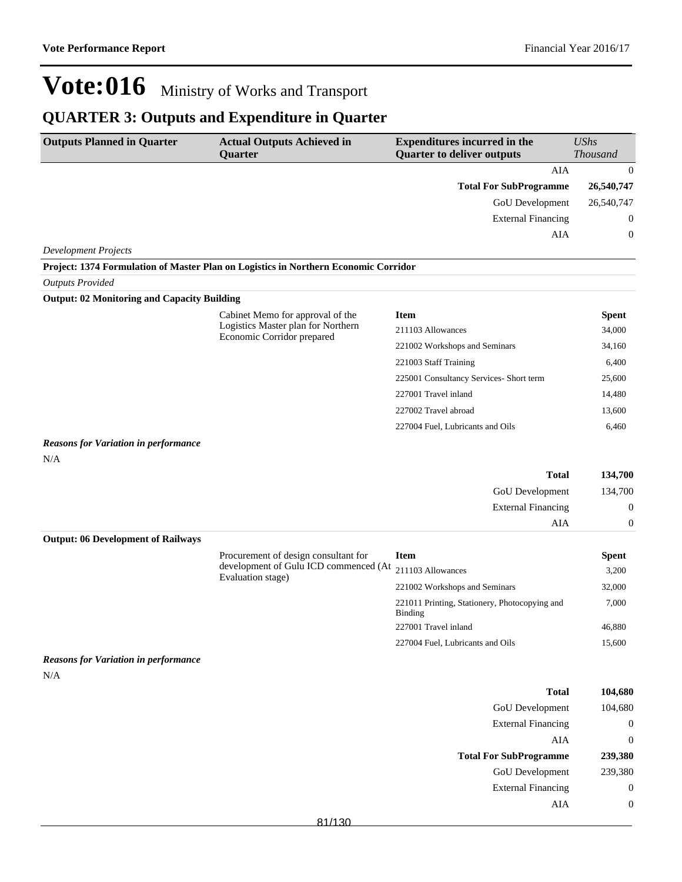### **QUARTER 3: Outputs and Expenditure in Quarter**

| <b>Outputs Planned in Quarter</b>                  | <b>Actual Outputs Achieved in</b><br>Quarter                                        | <b>Expenditures incurred in the</b><br><b>Quarter to deliver outputs</b> | <b>UShs</b><br>Thousand |
|----------------------------------------------------|-------------------------------------------------------------------------------------|--------------------------------------------------------------------------|-------------------------|
|                                                    |                                                                                     | <b>AIA</b>                                                               | $\boldsymbol{0}$        |
|                                                    |                                                                                     | <b>Total For SubProgramme</b>                                            | 26,540,747              |
|                                                    |                                                                                     | GoU Development                                                          | 26,540,747              |
|                                                    |                                                                                     | <b>External Financing</b>                                                | $\boldsymbol{0}$        |
|                                                    |                                                                                     | AIA                                                                      | $\boldsymbol{0}$        |
| <b>Development Projects</b>                        |                                                                                     |                                                                          |                         |
|                                                    | Project: 1374 Formulation of Master Plan on Logistics in Northern Economic Corridor |                                                                          |                         |
| <b>Outputs Provided</b>                            |                                                                                     |                                                                          |                         |
| <b>Output: 02 Monitoring and Capacity Building</b> |                                                                                     |                                                                          |                         |
|                                                    | Cabinet Memo for approval of the                                                    | <b>Item</b>                                                              | <b>Spent</b>            |
|                                                    | Logistics Master plan for Northern<br>Economic Corridor prepared                    | 211103 Allowances                                                        | 34,000                  |
|                                                    |                                                                                     | 221002 Workshops and Seminars                                            | 34,160                  |
|                                                    |                                                                                     | 221003 Staff Training                                                    | 6,400                   |
|                                                    |                                                                                     | 225001 Consultancy Services- Short term                                  | 25,600                  |
|                                                    |                                                                                     | 227001 Travel inland                                                     | 14,480                  |
|                                                    |                                                                                     | 227002 Travel abroad                                                     | 13,600                  |
|                                                    |                                                                                     | 227004 Fuel, Lubricants and Oils                                         | 6,460                   |
| <b>Reasons for Variation in performance</b><br>N/A |                                                                                     |                                                                          |                         |
|                                                    |                                                                                     | <b>Total</b>                                                             | 134,700                 |
|                                                    |                                                                                     | GoU Development                                                          | 134,700                 |
|                                                    |                                                                                     | <b>External Financing</b>                                                | $\boldsymbol{0}$        |
|                                                    |                                                                                     | AIA                                                                      | $\mathbf{0}$            |
| <b>Output: 06 Development of Railways</b>          |                                                                                     |                                                                          |                         |
|                                                    | Procurement of design consultant for<br>development of Gulu ICD commenced (At       | <b>Item</b>                                                              | <b>Spent</b>            |
|                                                    | Evaluation stage)                                                                   | 211103 Allowances                                                        | 3,200                   |
|                                                    |                                                                                     | 221002 Workshops and Seminars                                            | 32,000                  |
|                                                    |                                                                                     | 221011 Printing, Stationery, Photocopying and<br><b>Binding</b>          | 7,000                   |
|                                                    |                                                                                     | 227001 Travel inland                                                     | 46,880                  |
|                                                    |                                                                                     | 227004 Fuel, Lubricants and Oils                                         | 15,600                  |
| <b>Reasons for Variation in performance</b><br>N/A |                                                                                     |                                                                          |                         |
|                                                    |                                                                                     | <b>Total</b>                                                             | 104,680                 |
|                                                    |                                                                                     | GoU Development                                                          | 104,680                 |
|                                                    |                                                                                     | <b>External Financing</b>                                                | $\boldsymbol{0}$        |
|                                                    |                                                                                     | AIA                                                                      | $\boldsymbol{0}$        |
|                                                    |                                                                                     | <b>Total For SubProgramme</b>                                            | 239,380                 |
|                                                    |                                                                                     | GoU Development                                                          | 239,380                 |
|                                                    |                                                                                     | <b>External Financing</b>                                                | $\boldsymbol{0}$        |
|                                                    |                                                                                     | AIA                                                                      | $\boldsymbol{0}$        |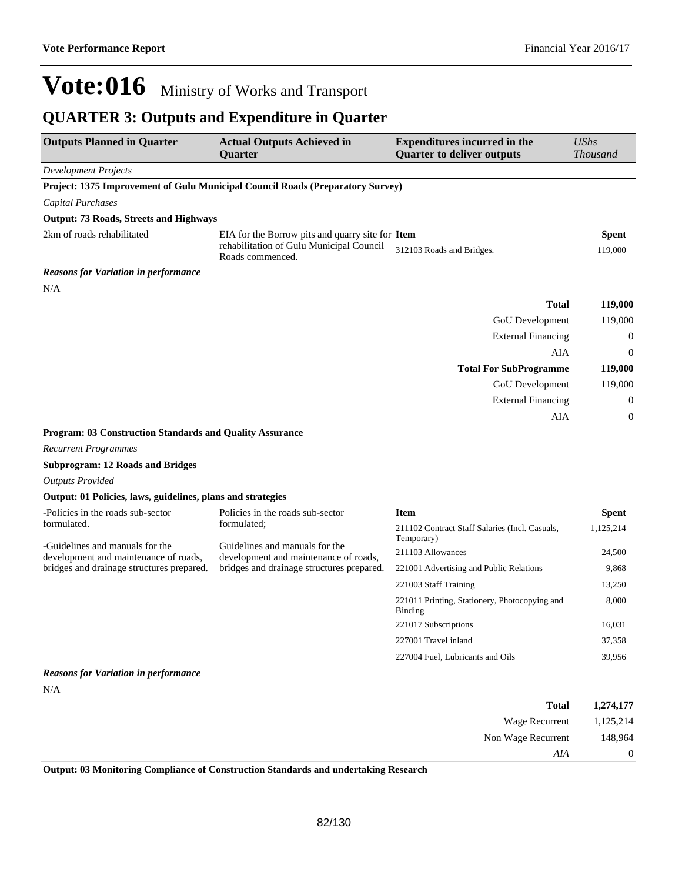### **QUARTER 3: Outputs and Expenditure in Quarter**

| <b>Outputs Planned in Quarter</b>                                        | <b>Actual Outputs Achieved in</b><br><b>Ouarter</b>                                                              | <b>Expenditures incurred in the</b><br><b>Quarter to deliver outputs</b> | <b>UShs</b><br><b>Thousand</b> |
|--------------------------------------------------------------------------|------------------------------------------------------------------------------------------------------------------|--------------------------------------------------------------------------|--------------------------------|
| Development Projects                                                     |                                                                                                                  |                                                                          |                                |
|                                                                          | Project: 1375 Improvement of Gulu Municipal Council Roads (Preparatory Survey)                                   |                                                                          |                                |
| <b>Capital Purchases</b>                                                 |                                                                                                                  |                                                                          |                                |
| <b>Output: 73 Roads, Streets and Highways</b>                            |                                                                                                                  |                                                                          |                                |
| 2km of roads rehabilitated                                               | EIA for the Borrow pits and quarry site for Item<br>rehabilitation of Gulu Municipal Council<br>Roads commenced. | 312103 Roads and Bridges.                                                | <b>Spent</b><br>119,000        |
| <b>Reasons for Variation in performance</b>                              |                                                                                                                  |                                                                          |                                |
| N/A                                                                      |                                                                                                                  |                                                                          |                                |
|                                                                          |                                                                                                                  | <b>Total</b>                                                             | 119,000                        |
|                                                                          |                                                                                                                  | GoU Development                                                          | 119,000                        |
|                                                                          |                                                                                                                  | <b>External Financing</b>                                                | $\boldsymbol{0}$               |
|                                                                          |                                                                                                                  | AIA                                                                      | $\theta$                       |
|                                                                          |                                                                                                                  | <b>Total For SubProgramme</b>                                            | 119,000                        |
|                                                                          |                                                                                                                  | <b>GoU</b> Development                                                   | 119,000                        |
|                                                                          |                                                                                                                  | <b>External Financing</b>                                                | $\mathbf{0}$                   |
|                                                                          |                                                                                                                  | AIA                                                                      | $\theta$                       |
| Program: 03 Construction Standards and Quality Assurance                 |                                                                                                                  |                                                                          |                                |
| <b>Recurrent Programmes</b>                                              |                                                                                                                  |                                                                          |                                |
| <b>Subprogram: 12 Roads and Bridges</b>                                  |                                                                                                                  |                                                                          |                                |
| <b>Outputs Provided</b>                                                  |                                                                                                                  |                                                                          |                                |
| Output: 01 Policies, laws, guidelines, plans and strategies              |                                                                                                                  |                                                                          |                                |
| -Policies in the roads sub-sector                                        | Policies in the roads sub-sector                                                                                 | <b>Item</b>                                                              | Spent                          |
| formulated.                                                              | formulated;                                                                                                      | 211102 Contract Staff Salaries (Incl. Casuals,<br>Temporary)             | 1,125,214                      |
| -Guidelines and manuals for the<br>development and maintenance of roads, | Guidelines and manuals for the<br>development and maintenance of roads,                                          | 211103 Allowances                                                        | 24,500                         |
| bridges and drainage structures prepared.                                | bridges and drainage structures prepared.                                                                        | 221001 Advertising and Public Relations                                  | 9,868                          |
|                                                                          |                                                                                                                  | 221003 Staff Training                                                    | 13,250                         |
|                                                                          |                                                                                                                  | 221011 Printing, Stationery, Photocopying and<br>Binding                 | 8,000                          |
|                                                                          |                                                                                                                  | 221017 Subscriptions                                                     | 16,031                         |
|                                                                          |                                                                                                                  | 227001 Travel inland                                                     | 37,358                         |
|                                                                          |                                                                                                                  | 227004 Fuel, Lubricants and Oils                                         | 39,956                         |
| <b>Reasons for Variation in performance</b>                              |                                                                                                                  |                                                                          |                                |
| N/A                                                                      |                                                                                                                  |                                                                          |                                |
|                                                                          |                                                                                                                  |                                                                          |                                |

| Wage Recurrent<br>Non Wage Recurrent<br>AIA | 1,274,177 | Total |
|---------------------------------------------|-----------|-------|
|                                             | 1,125,214 |       |
|                                             | 148,964   |       |
|                                             | $\theta$  |       |

**Output: 03 Monitoring Compliance of Construction Standards and undertaking Research**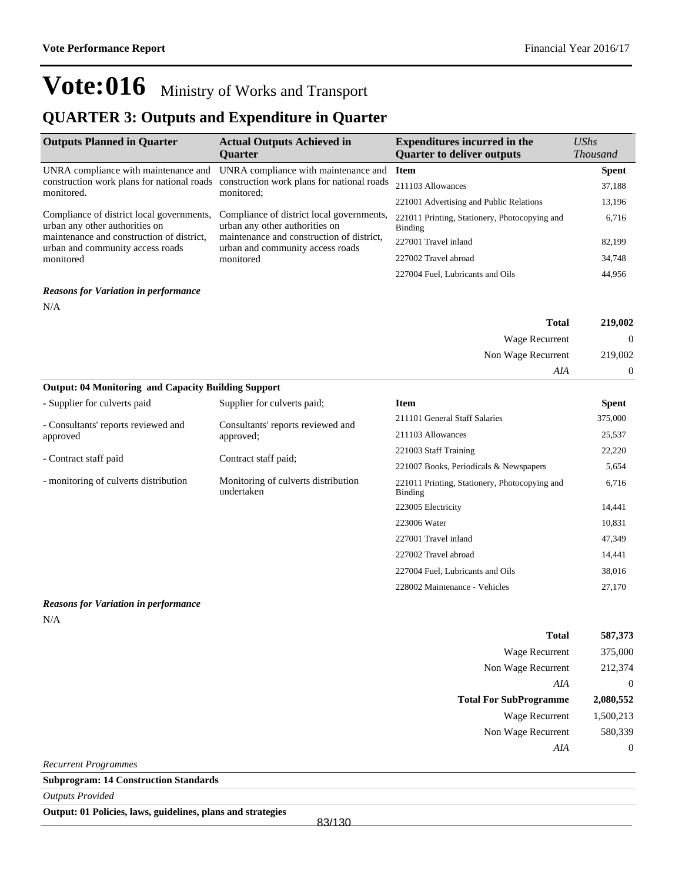### **QUARTER 3: Outputs and Expenditure in Quarter**

| <b>Outputs Planned in Quarter</b>                                                                                                                                         | <b>Actual Outputs Achieved in</b><br><b>Ouarter</b>                                                                                                                       | <b>Expenditures incurred in the</b><br><b>Quarter to deliver outputs</b> | $\mathit{UShs}$<br><b>Thousand</b> |
|---------------------------------------------------------------------------------------------------------------------------------------------------------------------------|---------------------------------------------------------------------------------------------------------------------------------------------------------------------------|--------------------------------------------------------------------------|------------------------------------|
| UNRA compliance with maintenance and                                                                                                                                      | UNRA compliance with maintenance and                                                                                                                                      | <b>Item</b>                                                              | <b>Spent</b>                       |
| monitored.                                                                                                                                                                | construction work plans for national roads construction work plans for national roads<br>monitored:                                                                       | 211103 Allowances                                                        | 37,188                             |
|                                                                                                                                                                           |                                                                                                                                                                           | 221001 Advertising and Public Relations                                  | 13,196                             |
| Compliance of district local governments,<br>urban any other authorities on<br>maintenance and construction of district,<br>urban and community access roads<br>monitored | Compliance of district local governments,<br>urban any other authorities on<br>maintenance and construction of district,<br>urban and community access roads<br>monitored | 221011 Printing, Stationery, Photocopying and<br>Binding                 | 6,716                              |
|                                                                                                                                                                           |                                                                                                                                                                           | 227001 Travel inland                                                     | 82,199                             |
|                                                                                                                                                                           |                                                                                                                                                                           | 227002 Travel abroad                                                     | 34,748                             |
|                                                                                                                                                                           |                                                                                                                                                                           | 227004 Fuel, Lubricants and Oils                                         | 44,956                             |
| <b>Reasons for Variation in performance</b>                                                                                                                               |                                                                                                                                                                           |                                                                          |                                    |

**Total 219,002** Wage Recurrent 0 Non Wage Recurrent 219,002 *AIA* 0

| <b>Output: 04 Monitoring and Capacity Building Support</b> |                                                   |                                                          |              |
|------------------------------------------------------------|---------------------------------------------------|----------------------------------------------------------|--------------|
| - Supplier for culverts paid                               | Supplier for culverts paid:                       | <b>Item</b>                                              | <b>Spent</b> |
| - Consultants' reports reviewed and                        | Consultants' reports reviewed and                 | 211101 General Staff Salaries                            | 375,000      |
| approved                                                   | approved;                                         | 211103 Allowances                                        | 25,537       |
|                                                            |                                                   | 221003 Staff Training                                    | 22,220       |
| - Contract staff paid                                      | Contract staff paid;                              | 221007 Books, Periodicals & Newspapers                   | 5,654        |
| - monitoring of culverts distribution                      | Monitoring of culverts distribution<br>undertaken | 221011 Printing, Stationery, Photocopying and<br>Binding | 6,716        |
|                                                            |                                                   | 223005 Electricity                                       | 14,441       |
|                                                            |                                                   | 223006 Water                                             | 10,831       |
|                                                            |                                                   | 227001 Travel inland                                     | 47,349       |
|                                                            |                                                   | 227002 Travel abroad                                     | 14,441       |
|                                                            |                                                   | 227004 Fuel, Lubricants and Oils                         | 38,016       |
|                                                            |                                                   | 228002 Maintenance - Vehicles                            | 27,170       |

#### *Reasons for Variation in performance*

 $\rm N/A$ 

N/A

| <b>Total</b>                  | 587,373          |
|-------------------------------|------------------|
| <b>Wage Recurrent</b>         | 375,000          |
| Non Wage Recurrent            | 212,374          |
| AIA                           | $\mathbf 0$      |
| <b>Total For SubProgramme</b> | 2,080,552        |
| <b>Wage Recurrent</b>         | 1,500,213        |
| Non Wage Recurrent            | 580,339          |
| AIA                           | $\boldsymbol{0}$ |
| <b>Recurrent Programmes</b>   |                  |

**Subprogram: 14 Construction Standards**

*Outputs Provided*

**Output: 01 Policies, laws, guidelines, plans and strategies**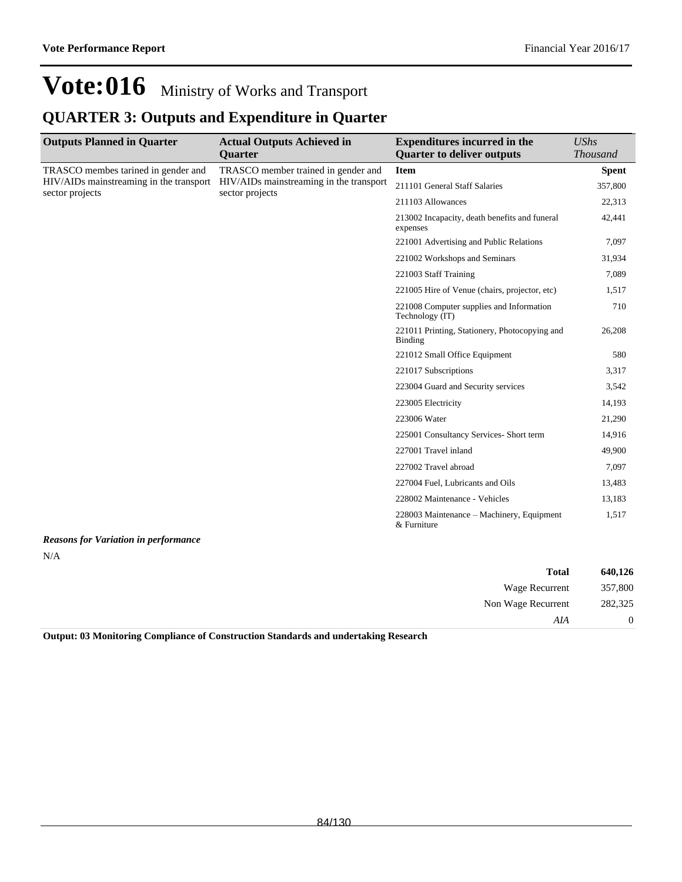### **QUARTER 3: Outputs and Expenditure in Quarter**

| <b>Outputs Planned in Quarter</b>                                                                 | <b>Actual Outputs Achieved in</b>                                                                 | <b>Expenditures incurred in the</b>                         | <b>UShs</b>     |
|---------------------------------------------------------------------------------------------------|---------------------------------------------------------------------------------------------------|-------------------------------------------------------------|-----------------|
|                                                                                                   | <b>Quarter</b>                                                                                    | <b>Quarter to deliver outputs</b>                           | <b>Thousand</b> |
| TRASCO membes tarined in gender and<br>HIV/AIDs mainstreaming in the transport<br>sector projects | TRASCO member trained in gender and<br>HIV/AIDs mainstreaming in the transport<br>sector projects | <b>Item</b>                                                 | <b>Spent</b>    |
|                                                                                                   |                                                                                                   | 211101 General Staff Salaries                               | 357,800         |
|                                                                                                   |                                                                                                   | 211103 Allowances                                           | 22,313          |
|                                                                                                   |                                                                                                   | 213002 Incapacity, death benefits and funeral<br>expenses   | 42,441          |
|                                                                                                   |                                                                                                   | 221001 Advertising and Public Relations                     | 7,097           |
|                                                                                                   |                                                                                                   | 221002 Workshops and Seminars                               | 31,934          |
|                                                                                                   |                                                                                                   | 221003 Staff Training                                       | 7,089           |
|                                                                                                   |                                                                                                   | 221005 Hire of Venue (chairs, projector, etc)               | 1,517           |
|                                                                                                   |                                                                                                   | 221008 Computer supplies and Information<br>Technology (IT) | 710             |
|                                                                                                   |                                                                                                   | 221011 Printing, Stationery, Photocopying and<br>Binding    | 26,208          |
|                                                                                                   |                                                                                                   | 221012 Small Office Equipment                               | 580             |
|                                                                                                   |                                                                                                   | 221017 Subscriptions                                        | 3,317           |
|                                                                                                   |                                                                                                   | 223004 Guard and Security services                          | 3,542           |
|                                                                                                   |                                                                                                   | 223005 Electricity                                          | 14,193          |
|                                                                                                   |                                                                                                   | 223006 Water                                                | 21,290          |
|                                                                                                   |                                                                                                   | 225001 Consultancy Services- Short term                     | 14,916          |
|                                                                                                   |                                                                                                   | 227001 Travel inland                                        | 49,900          |
|                                                                                                   |                                                                                                   | 227002 Travel abroad                                        | 7,097           |
|                                                                                                   |                                                                                                   | 227004 Fuel, Lubricants and Oils                            | 13,483          |
|                                                                                                   |                                                                                                   | 228002 Maintenance - Vehicles                               | 13,183          |
|                                                                                                   |                                                                                                   | 228003 Maintenance – Machinery, Equipment<br>& Furniture    | 1,517           |
| <b>Reasons for Variation in performance</b>                                                       |                                                                                                   |                                                             |                 |
| N/A                                                                                               |                                                                                                   |                                                             |                 |

| 640,126        | <b>Total</b>       |
|----------------|--------------------|
| 357,800        | Wage Recurrent     |
| 282,325        | Non Wage Recurrent |
| $\overline{0}$ | AIA                |

**Output: 03 Monitoring Compliance of Construction Standards and undertaking Research**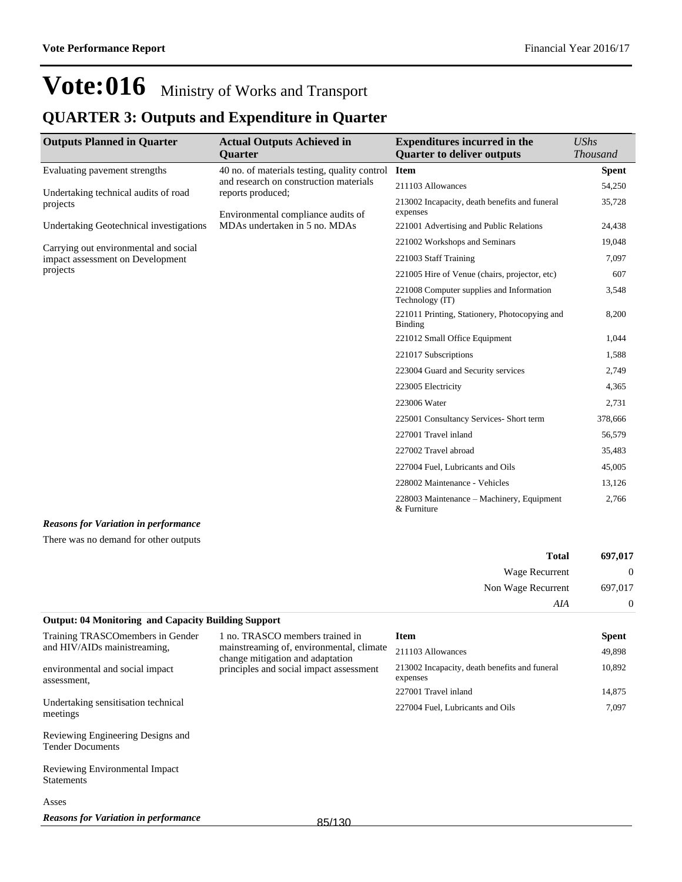## **QUARTER 3: Outputs and Expenditure in Quarter**

| <b>Outputs Planned in Quarter</b>                | <b>Actual Outputs Achieved in</b><br><b>Quarter</b>                                                                                               | <b>Expenditures incurred in the</b><br><b>Quarter to deliver outputs</b> | $\mathit{UShs}$<br><b>Thousand</b> |
|--------------------------------------------------|---------------------------------------------------------------------------------------------------------------------------------------------------|--------------------------------------------------------------------------|------------------------------------|
| Evaluating pavement strengths                    | 40 no. of materials testing, quality control<br>and research on construction materials<br>reports produced;<br>Environmental compliance audits of | <b>Item</b>                                                              | <b>Spent</b>                       |
| Undertaking technical audits of road<br>projects |                                                                                                                                                   | 211103 Allowances                                                        | 54,250                             |
|                                                  |                                                                                                                                                   | 213002 Incapacity, death benefits and funeral<br>expenses                | 35,728                             |
| Undertaking Geotechnical investigations          | MDAs undertaken in 5 no. MDAs                                                                                                                     | 221001 Advertising and Public Relations                                  | 24,438                             |
| Carrying out environmental and social            |                                                                                                                                                   | 221002 Workshops and Seminars                                            | 19,048                             |
| impact assessment on Development                 |                                                                                                                                                   | 221003 Staff Training                                                    | 7,097                              |
| projects                                         |                                                                                                                                                   | 221005 Hire of Venue (chairs, projector, etc)                            | 607                                |
|                                                  |                                                                                                                                                   | 221008 Computer supplies and Information<br>Technology (IT)              | 3,548                              |
|                                                  |                                                                                                                                                   | 221011 Printing, Stationery, Photocopying and<br><b>Binding</b>          | 8,200                              |
|                                                  |                                                                                                                                                   | 221012 Small Office Equipment                                            | 1,044                              |
|                                                  |                                                                                                                                                   | 221017 Subscriptions                                                     | 1,588                              |
|                                                  |                                                                                                                                                   | 223004 Guard and Security services                                       | 2,749                              |
|                                                  |                                                                                                                                                   | 223005 Electricity                                                       | 4,365                              |
|                                                  |                                                                                                                                                   | 223006 Water                                                             | 2,731                              |
|                                                  |                                                                                                                                                   | 225001 Consultancy Services- Short term                                  | 378,666                            |
|                                                  |                                                                                                                                                   | 227001 Travel inland                                                     | 56,579                             |
|                                                  |                                                                                                                                                   | 227002 Travel abroad                                                     | 35,483                             |
|                                                  |                                                                                                                                                   | 227004 Fuel, Lubricants and Oils                                         | 45,005                             |
|                                                  |                                                                                                                                                   | 228002 Maintenance - Vehicles                                            | 13,126                             |
|                                                  |                                                                                                                                                   | 228003 Maintenance – Machinery, Equipment<br>& Furniture                 | 2,766                              |

#### *Reasons for Variation in performance*

There was no demand for other outputs

| 697,017        | <b>Total</b>       |
|----------------|--------------------|
| $\mathbf{0}$   | Wage Recurrent     |
| 697,017        | Non Wage Recurrent |
| $\overline{0}$ | AIA                |

### **Output: 04 Monitoring and Capacity Building Support**

| Training TRASCOmembers in Gender                             | 1 no. TRASCO members trained in                                              | <b>Item</b>                                               | <b>Spent</b> |
|--------------------------------------------------------------|------------------------------------------------------------------------------|-----------------------------------------------------------|--------------|
| and HIV/AIDs mainistreaming.                                 | mainstreaming of, environmental, climate<br>change mitigation and adaptation | 211103 Allowances                                         | 49,898       |
| environmental and social impact<br>assessment.               | principles and social impact assessment                                      | 213002 Incapacity, death benefits and funeral<br>expenses | 10,892       |
|                                                              |                                                                              | 227001 Travel inland                                      | 14,875       |
| Undertaking sensitisation technical<br>meetings              |                                                                              | 227004 Fuel, Lubricants and Oils                          | 7,097        |
| Reviewing Engineering Designs and<br><b>Tender Documents</b> |                                                                              |                                                           |              |
| Reviewing Environmental Impact<br><b>Statements</b>          |                                                                              |                                                           |              |
| Asses                                                        |                                                                              |                                                           |              |
| <b>Reasons for Variation in performance</b>                  | 0E/120                                                                       |                                                           |              |

85/130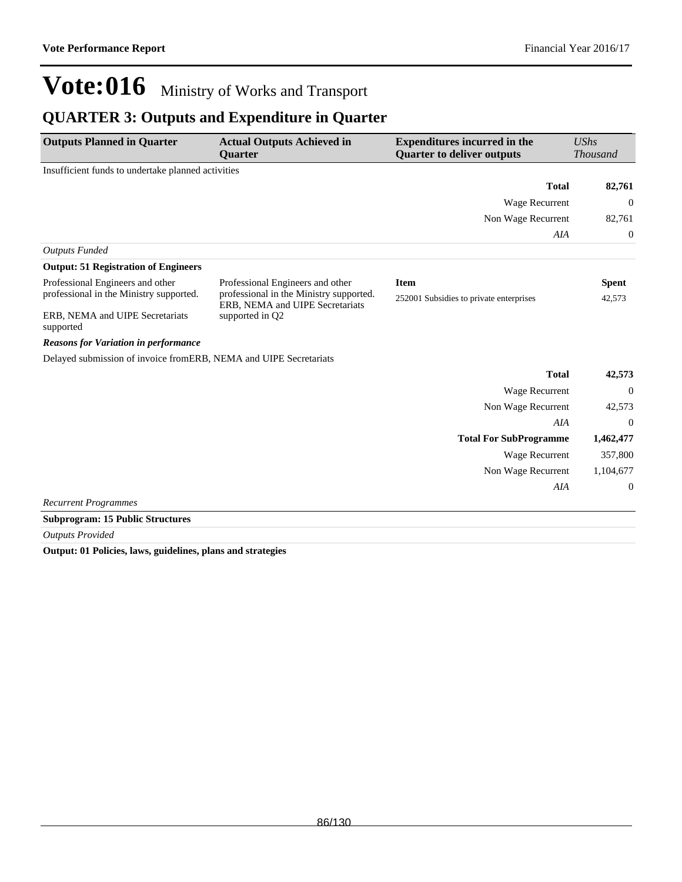### **QUARTER 3: Outputs and Expenditure in Quarter**

| Insufficient funds to undertake planned activities<br><b>Total</b><br>Wage Recurrent<br>Non Wage Recurrent<br>AIA<br><b>Outputs Funded</b><br><b>Output: 51 Registration of Engineers</b><br>Professional Engineers and other<br>Professional Engineers and other<br><b>Item</b><br><b>Spent</b><br>professional in the Ministry supported.<br>professional in the Ministry supported.<br>252001 Subsidies to private enterprises<br>42,573<br>ERB, NEMA and UIPE Secretariats | <b>Thousand</b> |
|--------------------------------------------------------------------------------------------------------------------------------------------------------------------------------------------------------------------------------------------------------------------------------------------------------------------------------------------------------------------------------------------------------------------------------------------------------------------------------|-----------------|
|                                                                                                                                                                                                                                                                                                                                                                                                                                                                                |                 |
|                                                                                                                                                                                                                                                                                                                                                                                                                                                                                | 82,761          |
|                                                                                                                                                                                                                                                                                                                                                                                                                                                                                | $\theta$        |
|                                                                                                                                                                                                                                                                                                                                                                                                                                                                                | 82,761          |
|                                                                                                                                                                                                                                                                                                                                                                                                                                                                                | $\mathbf 0$     |
|                                                                                                                                                                                                                                                                                                                                                                                                                                                                                |                 |
|                                                                                                                                                                                                                                                                                                                                                                                                                                                                                |                 |
|                                                                                                                                                                                                                                                                                                                                                                                                                                                                                |                 |
|                                                                                                                                                                                                                                                                                                                                                                                                                                                                                |                 |
| ERB, NEMA and UIPE Secretariats<br>supported in Q2<br>supported                                                                                                                                                                                                                                                                                                                                                                                                                |                 |
| <b>Reasons for Variation in performance</b>                                                                                                                                                                                                                                                                                                                                                                                                                                    |                 |
| Delayed submission of invoice fromERB, NEMA and UIPE Secretariats                                                                                                                                                                                                                                                                                                                                                                                                              |                 |
| <b>Total</b>                                                                                                                                                                                                                                                                                                                                                                                                                                                                   | 42,573          |
| <b>Wage Recurrent</b>                                                                                                                                                                                                                                                                                                                                                                                                                                                          | $\overline{0}$  |
| Non Wage Recurrent                                                                                                                                                                                                                                                                                                                                                                                                                                                             | 42,573          |
| AIA                                                                                                                                                                                                                                                                                                                                                                                                                                                                            | $\Omega$        |
| <b>Total For SubProgramme</b><br>1,462,477                                                                                                                                                                                                                                                                                                                                                                                                                                     |                 |
| <b>Wage Recurrent</b>                                                                                                                                                                                                                                                                                                                                                                                                                                                          | 357,800         |
| 1,104,677<br>Non Wage Recurrent                                                                                                                                                                                                                                                                                                                                                                                                                                                |                 |
| AIA                                                                                                                                                                                                                                                                                                                                                                                                                                                                            | $\theta$        |
| <b>Recurrent Programmes</b>                                                                                                                                                                                                                                                                                                                                                                                                                                                    |                 |

**Subprogram: 15 Public Structures**

*Outputs Provided*

**Output: 01 Policies, laws, guidelines, plans and strategies**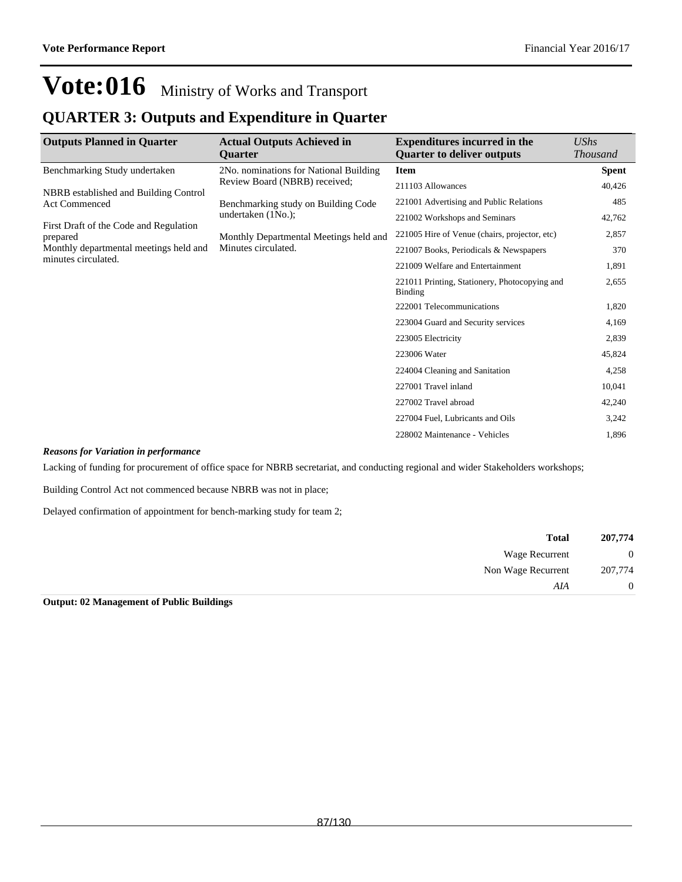### **QUARTER 3: Outputs and Expenditure in Quarter**

| <b>Outputs Planned in Quarter</b>                             | <b>Actual Outputs Achieved in</b>      | <b>Expenditures incurred in the</b>                      | UShs            |
|---------------------------------------------------------------|----------------------------------------|----------------------------------------------------------|-----------------|
|                                                               | <b>Ouarter</b>                         | <b>Quarter to deliver outputs</b>                        | <b>Thousand</b> |
| Benchmarking Study undertaken                                 | 2No. nominations for National Building | <b>Item</b>                                              | Spent           |
|                                                               | Review Board (NBRB) received;          | 211103 Allowances                                        | 40,426          |
| NBRB established and Building Control<br><b>Act Commenced</b> | Benchmarking study on Building Code    | 221001 Advertising and Public Relations                  | 485             |
|                                                               | undertaken $(1No.);$                   | 221002 Workshops and Seminars                            | 42,762          |
| First Draft of the Code and Regulation<br>prepared            | Monthly Departmental Meetings held and | 221005 Hire of Venue (chairs, projector, etc)            | 2,857           |
| Monthly departmental meetings held and                        | Minutes circulated.                    | 221007 Books, Periodicals & Newspapers                   | 370             |
| minutes circulated.                                           |                                        | 221009 Welfare and Entertainment                         | 1,891           |
|                                                               |                                        | 221011 Printing, Stationery, Photocopying and<br>Binding | 2,655           |
|                                                               |                                        | 222001 Telecommunications                                | 1,820           |
|                                                               |                                        | 223004 Guard and Security services                       | 4,169           |
|                                                               |                                        | 223005 Electricity                                       | 2,839           |
|                                                               |                                        | 223006 Water                                             | 45,824          |
|                                                               |                                        | 224004 Cleaning and Sanitation                           | 4,258           |
|                                                               |                                        | 227001 Travel inland                                     | 10,041          |
|                                                               |                                        | 227002 Travel abroad                                     | 42,240          |
|                                                               |                                        | 227004 Fuel, Lubricants and Oils                         | 3,242           |
|                                                               |                                        | 228002 Maintenance - Vehicles                            | 1,896           |

#### *Reasons for Variation in performance*

Lacking of funding for procurement of office space for NBRB secretariat, and conducting regional and wider Stakeholders workshops;

Building Control Act not commenced because NBRB was not in place;

Delayed confirmation of appointment for bench-marking study for team 2;

| <b>Total</b>       | 207,774        |  |
|--------------------|----------------|--|
| Wage Recurrent     | $\overline{0}$ |  |
| Non Wage Recurrent | 207,774        |  |
| AIA                | $\overline{0}$ |  |

**Output: 02 Management of Public Buildings**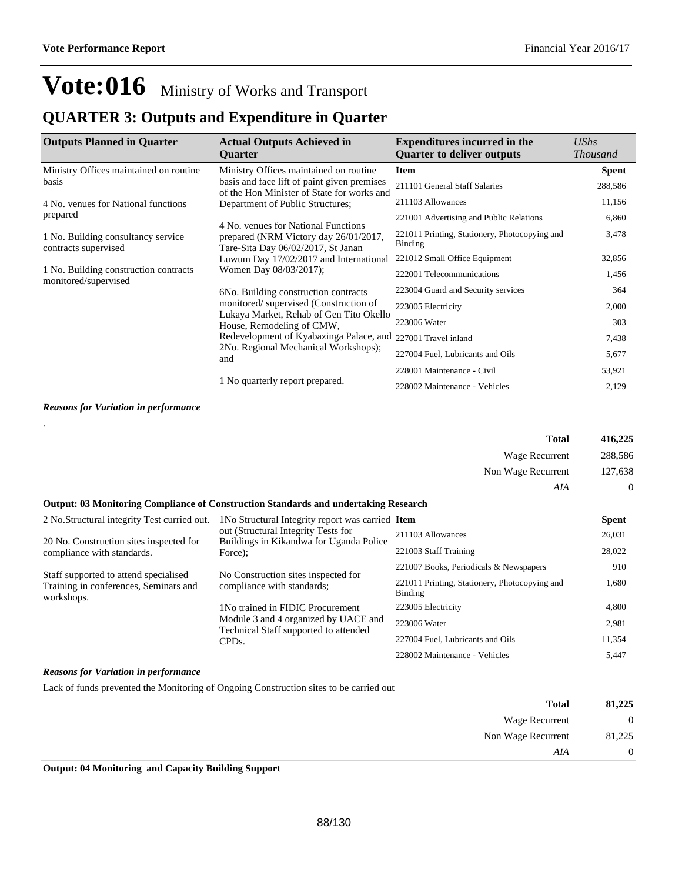### **QUARTER 3: Outputs and Expenditure in Quarter**

| <b>Outputs Planned in Quarter</b>                             | <b>Actual Outputs Achieved in</b><br><b>Ouarter</b>                                                                | <b>Expenditures incurred in the</b><br><b>Quarter to deliver outputs</b> | UShs<br><b>Thousand</b> |
|---------------------------------------------------------------|--------------------------------------------------------------------------------------------------------------------|--------------------------------------------------------------------------|-------------------------|
| Ministry Offices maintained on routine                        | Ministry Offices maintained on routine                                                                             | <b>Item</b>                                                              | <b>Spent</b>            |
| basis                                                         | basis and face lift of paint given premises<br>of the Hon Minister of State for works and                          | 211101 General Staff Salaries                                            | 288,586                 |
| 4 No. venues for National functions                           | Department of Public Structures;                                                                                   | 211103 Allowances                                                        | 11,156                  |
| prepared                                                      |                                                                                                                    | 221001 Advertising and Public Relations                                  | 6,860                   |
| 1 No. Building consultancy service<br>contracts supervised    | 4 No. venues for National Functions<br>prepared (NRM Victory day 26/01/2017,<br>Tare-Sita Day 06/02/2017, St Janan | 221011 Printing, Stationery, Photocopying and<br><b>Binding</b>          | 3,478                   |
|                                                               | Luwum Day 17/02/2017 and International                                                                             | 221012 Small Office Equipment                                            | 32,856                  |
| 1 No. Building construction contracts<br>monitored/supervised | Women Day 08/03/2017);                                                                                             | 222001 Telecommunications                                                | 1,456                   |
|                                                               | 6No. Building construction contracts                                                                               | 223004 Guard and Security services                                       | 364                     |
|                                                               | monitored/supervised (Construction of                                                                              | 223005 Electricity                                                       | 2,000                   |
|                                                               | Lukaya Market, Rehab of Gen Tito Okello<br>House, Remodeling of CMW,                                               | 223006 Water                                                             | 303                     |
|                                                               | Redevelopment of Kyabazinga Palace, and                                                                            | 227001 Travel inland                                                     | 7,438                   |
|                                                               | 2No. Regional Mechanical Workshops);<br>and                                                                        | 227004 Fuel, Lubricants and Oils                                         | 5,677                   |
|                                                               |                                                                                                                    | 228001 Maintenance - Civil                                               | 53,921                  |
|                                                               | 1 No quarterly report prepared.                                                                                    | 228002 Maintenance - Vehicles                                            | 2,129                   |

#### *Reasons for Variation in performance*

|                                                                                                | <b>Total</b>       | 416,225  |
|------------------------------------------------------------------------------------------------|--------------------|----------|
|                                                                                                | Wage Recurrent     | 288.586  |
|                                                                                                | Non Wage Recurrent | 127,638  |
|                                                                                                | AIA                | $\Omega$ |
| <b>Output: 03 Monitoring Compliance of Construction Standards and undertaking Research</b>     |                    |          |
| 2 No. Structural integrity Test curried out. 1 No Structural Integrity report was carried Item |                    | Spent    |

| 2 NO. Structural integrity Test curried out.                                                 | The Structural Integrity report was carried <b>Ttelli</b>                     |                                                          | эреш   |
|----------------------------------------------------------------------------------------------|-------------------------------------------------------------------------------|----------------------------------------------------------|--------|
|                                                                                              | out (Structural Integrity Tests for                                           | 211103 Allowances                                        | 26,031 |
| 20 No. Construction sites inspected for<br>compliance with standards.                        | Buildings in Kikandwa for Uganda Police<br>Force);                            | 221003 Staff Training                                    | 28,022 |
|                                                                                              |                                                                               | 221007 Books, Periodicals & Newspapers                   | 910    |
| Staff supported to attend specialised<br>Training in conferences, Seminars and<br>workshops. | No Construction sites inspected for<br>compliance with standards;             | 221011 Printing, Stationery, Photocopying and<br>Binding | 1,680  |
|                                                                                              | 1 No trained in FIDIC Procurement                                             | 223005 Electricity                                       | 4,800  |
|                                                                                              | Module 3 and 4 organized by UACE and<br>Technical Staff supported to attended | 223006 Water                                             | 2,981  |
|                                                                                              | CPD <sub>s</sub> .                                                            | 227004 Fuel, Lubricants and Oils                         | 11,354 |
|                                                                                              |                                                                               | 228002 Maintenance - Vehicles                            | 5,447  |

#### *Reasons for Variation in performance*

Lack of funds prevented the Monitoring of Ongoing Construction sites to be carried out

| 81,225         | <b>Total</b>          |
|----------------|-----------------------|
| $\overline{0}$ | <b>Wage Recurrent</b> |
| 81,225         | Non Wage Recurrent    |
| $\overline{0}$ | AIA                   |
|                | ___<br>___<br>.       |

**Output: 04 Monitoring and Capacity Building Support**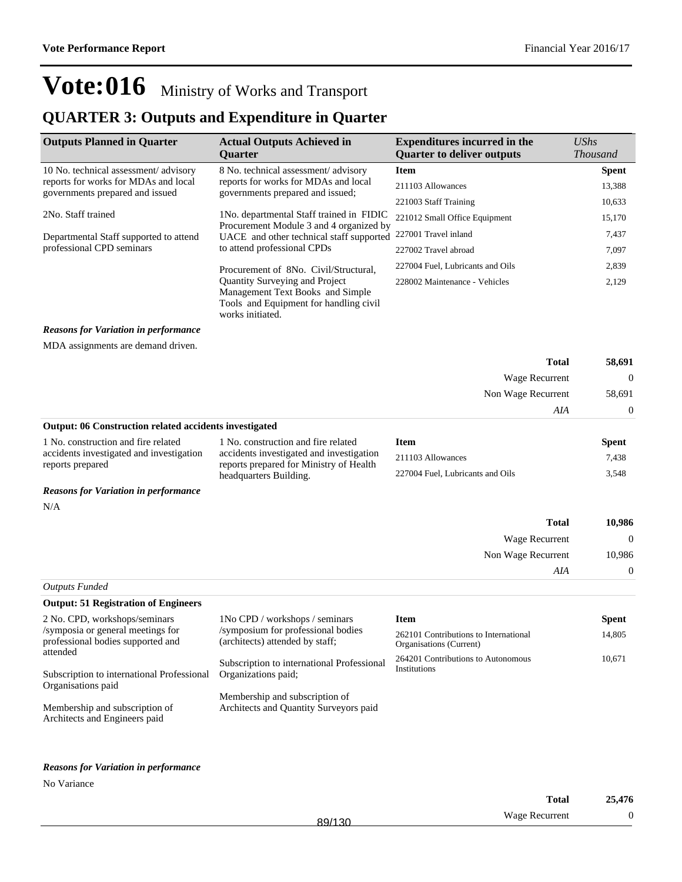**Spent** 

14,805

10,671

# **Vote:016** Ministry of Works and Transport

### **QUARTER 3: Outputs and Expenditure in Quarter**

| <b>Outputs Planned in Quarter</b>                            | <b>Actual Outputs Achieved in</b><br>Quarter                                                                                     | <b>Expenditures incurred in the</b><br><b>Quarter to deliver outputs</b> | UShs<br><b>Thousand</b> |
|--------------------------------------------------------------|----------------------------------------------------------------------------------------------------------------------------------|--------------------------------------------------------------------------|-------------------------|
| 10 No. technical assessment/advisory                         | 8 No. technical assessment/advisory                                                                                              | <b>Item</b>                                                              | <b>Spent</b>            |
| reports for works for MDAs and local                         | reports for works for MDAs and local                                                                                             | 211103 Allowances                                                        | 13,388                  |
| governments prepared and issued                              | governments prepared and issued;                                                                                                 | 221003 Staff Training                                                    | 10,633                  |
| 2No. Staff trained                                           | 1 No. departmental Staff trained in FIDIC                                                                                        | 221012 Small Office Equipment                                            | 15,170                  |
| Departmental Staff supported to attend                       | Procurement Module 3 and 4 organized by<br>UACE and other technical staff supported                                              | 227001 Travel inland                                                     | 7,437                   |
| professional CPD seminars                                    | to attend professional CPDs                                                                                                      | 227002 Travel abroad                                                     | 7,097                   |
|                                                              | Procurement of 8No. Civil/Structural.                                                                                            | 227004 Fuel, Lubricants and Oils                                         | 2,839                   |
|                                                              | Quantity Surveying and Project<br>Management Text Books and Simple<br>Tools and Equipment for handling civil<br>works initiated. | 228002 Maintenance - Vehicles                                            | 2,129                   |
| <b>Reasons for Variation in performance</b>                  |                                                                                                                                  |                                                                          |                         |
| MDA assignments are demand driven.                           |                                                                                                                                  |                                                                          |                         |
|                                                              |                                                                                                                                  | <b>Total</b>                                                             | 58,691                  |
|                                                              |                                                                                                                                  | <b>Wage Recurrent</b>                                                    | $\overline{0}$          |
|                                                              |                                                                                                                                  | Non Wage Recurrent                                                       | 58,691                  |
|                                                              |                                                                                                                                  | AIA                                                                      | 0                       |
| Output: 06 Construction related accidents investigated       |                                                                                                                                  |                                                                          |                         |
| 1 No. construction and fire related                          | 1 No. construction and fire related                                                                                              | <b>Item</b>                                                              | <b>Spent</b>            |
| accidents investigated and investigation<br>reports prepared | accidents investigated and investigation<br>reports prepared for Ministry of Health                                              | 211103 Allowances                                                        | 7,438                   |
|                                                              | headquarters Building.                                                                                                           | 227004 Fuel, Lubricants and Oils                                         | 3,548                   |
| <b>Reasons for Variation in performance</b>                  |                                                                                                                                  |                                                                          |                         |
| N/A                                                          |                                                                                                                                  |                                                                          |                         |
|                                                              |                                                                                                                                  | <b>Total</b>                                                             | 10,986                  |
|                                                              |                                                                                                                                  | Wage Recurrent                                                           | $\mathbf{0}$            |
|                                                              |                                                                                                                                  | Non Wage Recurrent                                                       | 10,986                  |
|                                                              |                                                                                                                                  | <b>AIA</b>                                                               | $\boldsymbol{0}$        |
| <b>Outputs Funded</b>                                        |                                                                                                                                  |                                                                          |                         |

| <b>Output: 51 Registration of Engineers</b>                            |                                                                       |                                                                  |
|------------------------------------------------------------------------|-----------------------------------------------------------------------|------------------------------------------------------------------|
| 2 No. CPD, workshops/seminars                                          | 1No CPD / workshops / seminars                                        | <b>Item</b>                                                      |
| /symposia or general meetings for<br>professional bodies supported and | /symposium for professional bodies<br>(architects) attended by staff; | 262101 Contributions to International<br>Organisations (Current) |
| attended<br>Subscription to international Professional                 | Subscription to international Professional<br>Organizations paid;     | 264201 Contributions to Autonomous<br>Institutions               |
| Organisations paid                                                     |                                                                       |                                                                  |
|                                                                        | Membership and subscription of                                        |                                                                  |
| Membership and subscription of<br>Architects and Engineers paid        | Architects and Quantity Surveyors paid                                |                                                                  |

#### *Reasons for Variation in performance*

No Variance

|        | <b>Total</b>   | 25,476 |
|--------|----------------|--------|
| 89/130 | Wage Recurrent | ⌒      |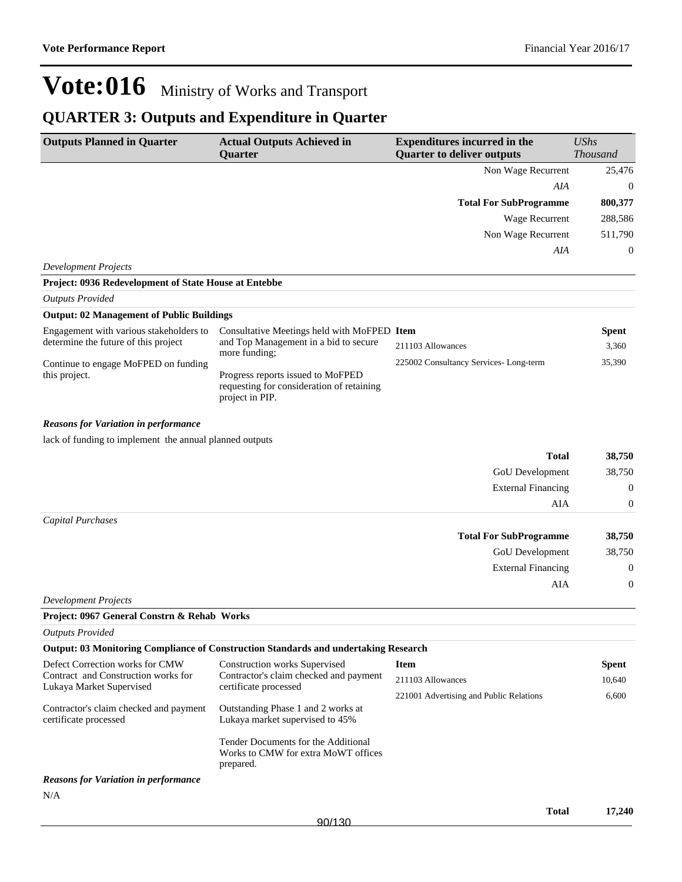### **QUARTER 3: Outputs and Expenditure in Quarter**

| <b>Outputs Planned in Quarter</b>                                      | <b>Actual Outputs Achieved in</b>                                                                 | <b>Expenditures incurred in the</b>     | <b>UShs</b>      |
|------------------------------------------------------------------------|---------------------------------------------------------------------------------------------------|-----------------------------------------|------------------|
|                                                                        | Quarter                                                                                           | <b>Quarter to deliver outputs</b>       | <b>Thousand</b>  |
|                                                                        |                                                                                                   | Non Wage Recurrent                      | 25,476           |
|                                                                        |                                                                                                   | AIA                                     | $\boldsymbol{0}$ |
|                                                                        |                                                                                                   | <b>Total For SubProgramme</b>           | 800,377          |
|                                                                        |                                                                                                   | Wage Recurrent                          | 288,586          |
|                                                                        |                                                                                                   | Non Wage Recurrent                      | 511,790          |
|                                                                        |                                                                                                   | AIA                                     | $\mathbf{0}$     |
| <b>Development Projects</b>                                            |                                                                                                   |                                         |                  |
| Project: 0936 Redevelopment of State House at Entebbe                  |                                                                                                   |                                         |                  |
| <b>Outputs Provided</b>                                                |                                                                                                   |                                         |                  |
| <b>Output: 02 Management of Public Buildings</b>                       |                                                                                                   |                                         |                  |
| Engagement with various stakeholders to                                | Consultative Meetings held with MoFPED Item                                                       |                                         | <b>Spent</b>     |
| determine the future of this project                                   | and Top Management in a bid to secure<br>more funding;                                            | 211103 Allowances                       | 3,360            |
| Continue to engage MoFPED on funding                                   |                                                                                                   | 225002 Consultancy Services-Long-term   | 35,390           |
| this project.                                                          | Progress reports issued to MoFPED<br>requesting for consideration of retaining<br>project in PIP. |                                         |                  |
| <b>Reasons for Variation in performance</b>                            |                                                                                                   |                                         |                  |
| lack of funding to implement the annual planned outputs                |                                                                                                   |                                         |                  |
|                                                                        |                                                                                                   | <b>Total</b>                            | 38,750           |
|                                                                        |                                                                                                   | GoU Development                         | 38,750           |
|                                                                        |                                                                                                   | <b>External Financing</b>               | $\boldsymbol{0}$ |
|                                                                        |                                                                                                   | AIA                                     | $\boldsymbol{0}$ |
| Capital Purchases                                                      |                                                                                                   |                                         |                  |
|                                                                        |                                                                                                   | <b>Total For SubProgramme</b>           | 38,750           |
|                                                                        |                                                                                                   | GoU Development                         | 38,750           |
|                                                                        |                                                                                                   | <b>External Financing</b>               | $\boldsymbol{0}$ |
|                                                                        |                                                                                                   | AIA                                     | $\boldsymbol{0}$ |
| <b>Development Projects</b>                                            |                                                                                                   |                                         |                  |
| Project: 0967 General Constrn & Rehab Works                            |                                                                                                   |                                         |                  |
| <b>Outputs Provided</b>                                                |                                                                                                   |                                         |                  |
|                                                                        | <b>Output: 03 Monitoring Compliance of Construction Standards and undertaking Research</b>        |                                         |                  |
| Defect Correction works for CMW<br>Contract and Construction works for | <b>Construction works Supervised</b><br>Contractor's claim checked and payment                    | <b>Item</b>                             | <b>Spent</b>     |
| Lukaya Market Supervised                                               | certificate processed                                                                             | 211103 Allowances                       | 10,640           |
|                                                                        |                                                                                                   | 221001 Advertising and Public Relations | 6,600            |
| Contractor's claim checked and payment<br>certificate processed        | Outstanding Phase 1 and 2 works at<br>Lukaya market supervised to 45%                             |                                         |                  |
|                                                                        | Tender Documents for the Additional<br>Works to CMW for extra MoWT offices<br>prepared.           |                                         |                  |
| <b>Reasons for Variation in performance</b>                            |                                                                                                   |                                         |                  |
| N/A                                                                    |                                                                                                   |                                         |                  |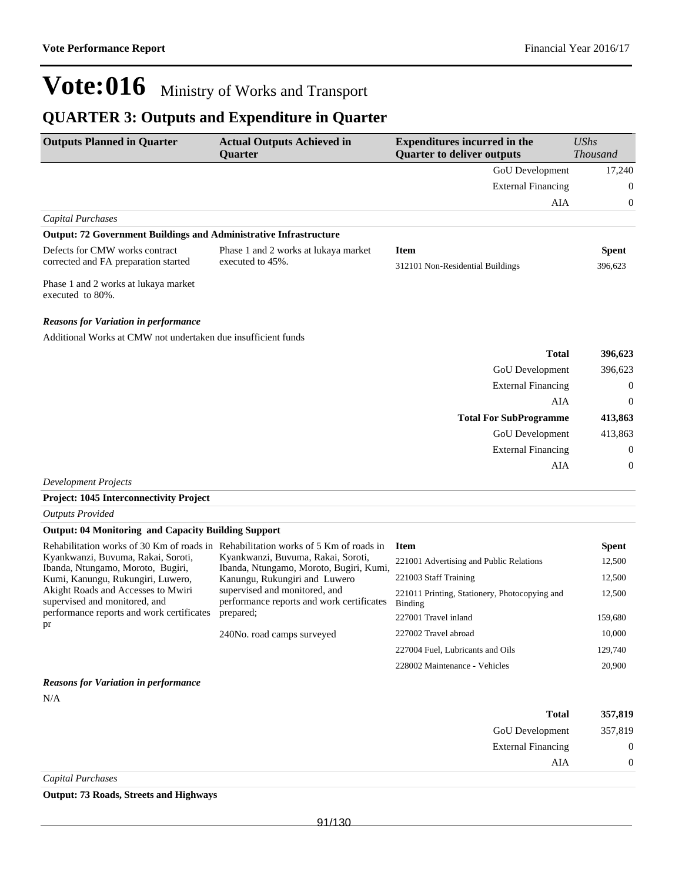External Financing 0

 $AIA$  0

# **Vote:016** Ministry of Works and Transport

### **QUARTER 3: Outputs and Expenditure in Quarter**

| <b>Outputs Planned in Quarter</b>                                        | <b>Actual Outputs Achieved in</b><br><b>Ouarter</b> | <b>Expenditures incurred in the</b><br><b>Ouarter to deliver outputs</b> | UShs<br><i>Thousand</i> |
|--------------------------------------------------------------------------|-----------------------------------------------------|--------------------------------------------------------------------------|-------------------------|
|                                                                          |                                                     | <b>GoU</b> Development                                                   | 17.240                  |
|                                                                          |                                                     | <b>External Financing</b>                                                | $\Omega$                |
|                                                                          |                                                     | AIA                                                                      | $\overline{0}$          |
| Capital Purchases                                                        |                                                     |                                                                          |                         |
| <b>Output: 72 Government Buildings and Administrative Infrastructure</b> |                                                     |                                                                          |                         |
| Defects for CMW works contract                                           | Phase 1 and 2 works at lukaya market                | <b>Item</b>                                                              | <b>Spent</b>            |
| corrected and FA preparation started                                     | executed to 45%.                                    | 312101 Non-Residential Buildings                                         | 396,623                 |
| Phase 1 and 2 works at lukaya market<br>executed to 80%.                 |                                                     |                                                                          |                         |

#### *Reasons for Variation in performance*

Additional Works at CMW not undertaken due insufficient funds

| 396,623        | <b>Total</b>                  |
|----------------|-------------------------------|
| 396,623        | GoU Development               |
| $\mathbf{0}$   | <b>External Financing</b>     |
| $\mathbf{0}$   | AIA                           |
| 413,863        | <b>Total For SubProgramme</b> |
|                |                               |
| 413,863        | GoU Development               |
| $\mathbf{0}$   | <b>External Financing</b>     |
| $\overline{0}$ | AIA                           |

*Development Projects*

#### **Project: 1045 Interconnectivity Project**

*Outputs Provided*

#### **Output: 04 Monitoring and Capacity Building Support**

| Rehabilitation works of 30 Km of roads in Rehabilitation works of 5 Km of roads in                       |                                                                                                             | Item                                                                              | <b>Spent</b>     |
|----------------------------------------------------------------------------------------------------------|-------------------------------------------------------------------------------------------------------------|-----------------------------------------------------------------------------------|------------------|
| Kyankwanzi, Buvuma, Rakai, Soroti,<br>Ibanda, Ntungamo, Moroto, Bugiri,                                  | Kyankwanzi, Buvuma, Rakai, Soroti,<br>Ibanda, Ntungamo, Moroto, Bugiri, Kumi,                               | 221001 Advertising and Public Relations                                           | 12,500           |
| Kumi, Kanungu, Rukungiri, Luwero,<br>Akight Roads and Accesses to Mwiri<br>supervised and monitored, and | Kanungu, Rukungiri and Luwero<br>supervised and monitored, and<br>performance reports and work certificates | 221003 Staff Training<br>221011 Printing, Stationery, Photocopying and<br>Binding | 12,500<br>12,500 |
| performance reports and work certificates<br>pr                                                          | prepared;                                                                                                   | 227001 Travel inland                                                              | 159,680          |
|                                                                                                          | 240No. road camps surveyed                                                                                  | 227002 Travel abroad                                                              | 10,000           |
|                                                                                                          |                                                                                                             | 227004 Fuel, Lubricants and Oils                                                  | 129,740          |
|                                                                                                          |                                                                                                             | 228002 Maintenance - Vehicles                                                     | 20,900           |
| <b>Reasons for Variation in performance</b>                                                              |                                                                                                             |                                                                                   |                  |
| N/A                                                                                                      |                                                                                                             |                                                                                   |                  |
|                                                                                                          |                                                                                                             | <b>Total</b>                                                                      | 357,819          |
|                                                                                                          |                                                                                                             | <b>GoU</b> Development                                                            | 357,819          |

*Capital Purchases*

**Output: 73 Roads, Streets and Highways**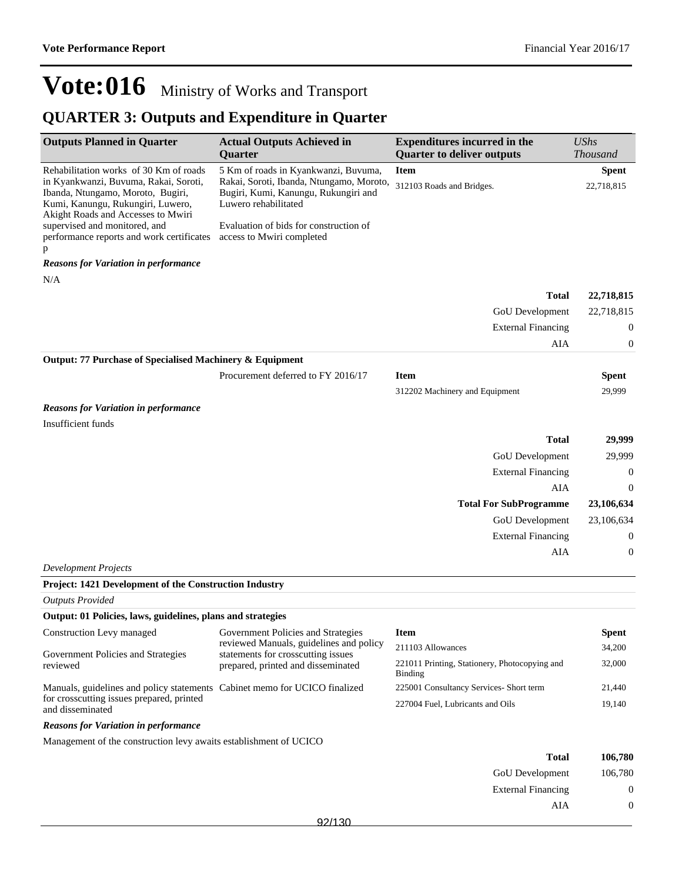### **QUARTER 3: Outputs and Expenditure in Quarter**

| <b>Outputs Planned in Quarter</b>                                                                                                                                                                                                | <b>Actual Outputs Achieved in</b><br><b>Ouarter</b>                                                                                                                                        | <b>Expenditures incurred in the</b><br><b>Quarter to deliver outputs</b> | <b>UShs</b><br>Thousand |
|----------------------------------------------------------------------------------------------------------------------------------------------------------------------------------------------------------------------------------|--------------------------------------------------------------------------------------------------------------------------------------------------------------------------------------------|--------------------------------------------------------------------------|-------------------------|
| Rehabilitation works of 30 Km of roads<br>in Kyankwanzi, Buvuma, Rakai, Soroti,<br>Ibanda, Ntungamo, Moroto, Bugiri,<br>Kumi, Kanungu, Rukungiri, Luwero,<br>Akight Roads and Accesses to Mwiri<br>supervised and monitored, and | 5 Km of roads in Kyankwanzi, Buvuma,<br>Rakai, Soroti, Ibanda, Ntungamo, Moroto,<br>Bugiri, Kumi, Kanungu, Rukungiri and<br>Luwero rehabilitated<br>Evaluation of bids for construction of | <b>Item</b><br>312103 Roads and Bridges.                                 | Spent<br>22,718,815     |
| performance reports and work certificates access to Mwiri completed<br>p                                                                                                                                                         |                                                                                                                                                                                            |                                                                          |                         |
| <b>Reasons for Variation in performance</b>                                                                                                                                                                                      |                                                                                                                                                                                            |                                                                          |                         |
| N/A                                                                                                                                                                                                                              |                                                                                                                                                                                            |                                                                          |                         |
|                                                                                                                                                                                                                                  |                                                                                                                                                                                            | <b>Total</b>                                                             | 22,718,815              |
|                                                                                                                                                                                                                                  |                                                                                                                                                                                            | <b>GoU</b> Development                                                   | 22,718,815              |
|                                                                                                                                                                                                                                  |                                                                                                                                                                                            | <b>External Financing</b>                                                | $\mathbf{0}$            |
|                                                                                                                                                                                                                                  |                                                                                                                                                                                            | <b>AIA</b>                                                               | $\boldsymbol{0}$        |
| Output: 77 Purchase of Specialised Machinery & Equipment                                                                                                                                                                         |                                                                                                                                                                                            |                                                                          |                         |
|                                                                                                                                                                                                                                  | Procurement deferred to FY 2016/17                                                                                                                                                         | <b>Item</b>                                                              | <b>Spent</b>            |
|                                                                                                                                                                                                                                  |                                                                                                                                                                                            | 312202 Machinery and Equipment                                           | 29,999                  |
| <b>Reasons for Variation in performance</b>                                                                                                                                                                                      |                                                                                                                                                                                            |                                                                          |                         |
| Insufficient funds                                                                                                                                                                                                               |                                                                                                                                                                                            |                                                                          |                         |
|                                                                                                                                                                                                                                  |                                                                                                                                                                                            | <b>Total</b>                                                             | 29,999                  |
|                                                                                                                                                                                                                                  |                                                                                                                                                                                            | GoU Development                                                          | 29,999                  |
|                                                                                                                                                                                                                                  |                                                                                                                                                                                            | <b>External Financing</b>                                                | $\boldsymbol{0}$        |
|                                                                                                                                                                                                                                  |                                                                                                                                                                                            | AIA                                                                      | $\theta$                |
|                                                                                                                                                                                                                                  |                                                                                                                                                                                            | <b>Total For SubProgramme</b>                                            | 23,106,634              |
|                                                                                                                                                                                                                                  |                                                                                                                                                                                            | <b>GoU</b> Development                                                   | 23,106,634              |
|                                                                                                                                                                                                                                  |                                                                                                                                                                                            | <b>External Financing</b>                                                | $\boldsymbol{0}$        |
|                                                                                                                                                                                                                                  |                                                                                                                                                                                            | AIA                                                                      | $\mathbf{0}$            |
| <b>Development Projects</b>                                                                                                                                                                                                      |                                                                                                                                                                                            |                                                                          |                         |
| Project: 1421 Development of the Construction Industry                                                                                                                                                                           |                                                                                                                                                                                            |                                                                          |                         |
| <b>Outputs Provided</b>                                                                                                                                                                                                          |                                                                                                                                                                                            |                                                                          |                         |
| Output: 01 Policies, laws, guidelines, plans and strategies                                                                                                                                                                      |                                                                                                                                                                                            |                                                                          |                         |
| Construction Levy managed                                                                                                                                                                                                        | Government Policies and Strategies                                                                                                                                                         | <b>Item</b>                                                              | <b>Spent</b>            |
|                                                                                                                                                                                                                                  | reviewed Manuals, guidelines and policy                                                                                                                                                    | 211103 Allowances                                                        | 34,200                  |
| Government Policies and Strategies<br>reviewed                                                                                                                                                                                   | statements for crosscutting issues<br>prepared, printed and disseminated                                                                                                                   | 221011 Printing, Stationery, Photocopying and<br>Binding                 | 32,000                  |
| Manuals, guidelines and policy statements Cabinet memo for UCICO finalized                                                                                                                                                       |                                                                                                                                                                                            | 225001 Consultancy Services- Short term                                  | 21,440                  |
| for crosscutting issues prepared, printed<br>and disseminated                                                                                                                                                                    |                                                                                                                                                                                            | 227004 Fuel, Lubricants and Oils                                         | 19,140                  |

*Reasons for Variation in performance*

Management of the construction levy awaits establishment of UCICO

| 106,780  | <b>Total</b>              |
|----------|---------------------------|
| 106,780  | <b>GoU</b> Development    |
| $\theta$ | <b>External Financing</b> |
| $\theta$ | AIA                       |
|          |                           |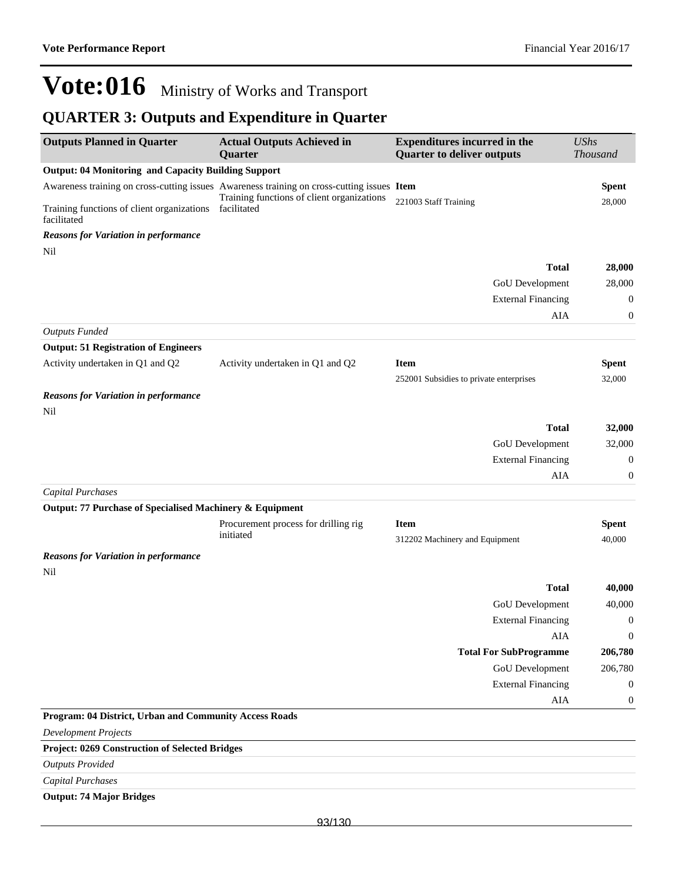### **QUARTER 3: Outputs and Expenditure in Quarter**

| <b>Outputs Planned in Quarter</b>                                     | <b>Actual Outputs Achieved in</b><br>Quarter                                                                                             | <b>Expenditures incurred in the</b><br><b>Quarter to deliver outputs</b> | <b>UShs</b><br><b>Thousand</b> |
|-----------------------------------------------------------------------|------------------------------------------------------------------------------------------------------------------------------------------|--------------------------------------------------------------------------|--------------------------------|
| <b>Output: 04 Monitoring and Capacity Building Support</b>            |                                                                                                                                          |                                                                          |                                |
|                                                                       | Awareness training on cross-cutting issues Awareness training on cross-cutting issues Item<br>Training functions of client organizations |                                                                          | <b>Spent</b>                   |
| Training functions of client organizations facilitated<br>facilitated |                                                                                                                                          | 221003 Staff Training                                                    | 28,000                         |
| <b>Reasons for Variation in performance</b>                           |                                                                                                                                          |                                                                          |                                |
| Nil                                                                   |                                                                                                                                          |                                                                          |                                |
|                                                                       |                                                                                                                                          | <b>Total</b>                                                             | 28,000                         |
|                                                                       |                                                                                                                                          | <b>GoU</b> Development                                                   | 28,000                         |
|                                                                       |                                                                                                                                          | <b>External Financing</b>                                                | 0                              |
|                                                                       |                                                                                                                                          | AIA                                                                      | $\boldsymbol{0}$               |
| <b>Outputs Funded</b>                                                 |                                                                                                                                          |                                                                          |                                |
| <b>Output: 51 Registration of Engineers</b>                           |                                                                                                                                          |                                                                          |                                |
| Activity undertaken in Q1 and Q2                                      | Activity undertaken in Q1 and Q2                                                                                                         | <b>Item</b>                                                              | <b>Spent</b>                   |
|                                                                       |                                                                                                                                          | 252001 Subsidies to private enterprises                                  | 32,000                         |
| <b>Reasons for Variation in performance</b>                           |                                                                                                                                          |                                                                          |                                |
| Nil                                                                   |                                                                                                                                          |                                                                          |                                |
|                                                                       |                                                                                                                                          | <b>Total</b>                                                             | 32,000                         |
|                                                                       |                                                                                                                                          | <b>GoU</b> Development                                                   | 32,000                         |
|                                                                       |                                                                                                                                          | <b>External Financing</b>                                                | 0                              |
|                                                                       |                                                                                                                                          | AIA                                                                      | 0                              |
| <b>Capital Purchases</b>                                              |                                                                                                                                          |                                                                          |                                |
| Output: 77 Purchase of Specialised Machinery & Equipment              |                                                                                                                                          |                                                                          |                                |
|                                                                       | Procurement process for drilling rig                                                                                                     | <b>Item</b>                                                              | <b>Spent</b>                   |
|                                                                       | initiated                                                                                                                                | 312202 Machinery and Equipment                                           | 40,000                         |
| <b>Reasons for Variation in performance</b>                           |                                                                                                                                          |                                                                          |                                |
| Nil                                                                   |                                                                                                                                          |                                                                          |                                |
|                                                                       |                                                                                                                                          | <b>Total</b>                                                             | 40,000                         |
|                                                                       |                                                                                                                                          | GoU Development                                                          | 40,000                         |
|                                                                       |                                                                                                                                          | <b>External Financing</b>                                                | $\boldsymbol{0}$               |
|                                                                       |                                                                                                                                          | AIA                                                                      | $\boldsymbol{0}$               |
|                                                                       |                                                                                                                                          | <b>Total For SubProgramme</b>                                            | 206,780                        |
|                                                                       |                                                                                                                                          | <b>GoU</b> Development                                                   | 206,780                        |
|                                                                       |                                                                                                                                          | <b>External Financing</b>                                                | $\boldsymbol{0}$               |
|                                                                       |                                                                                                                                          | AIA                                                                      | $\boldsymbol{0}$               |
| Program: 04 District, Urban and Community Access Roads                |                                                                                                                                          |                                                                          |                                |
| <b>Development Projects</b>                                           |                                                                                                                                          |                                                                          |                                |
| Project: 0269 Construction of Selected Bridges                        |                                                                                                                                          |                                                                          |                                |
| <b>Outputs Provided</b>                                               |                                                                                                                                          |                                                                          |                                |
| <b>Capital Purchases</b>                                              |                                                                                                                                          |                                                                          |                                |

#### **Output: 74 Major Bridges**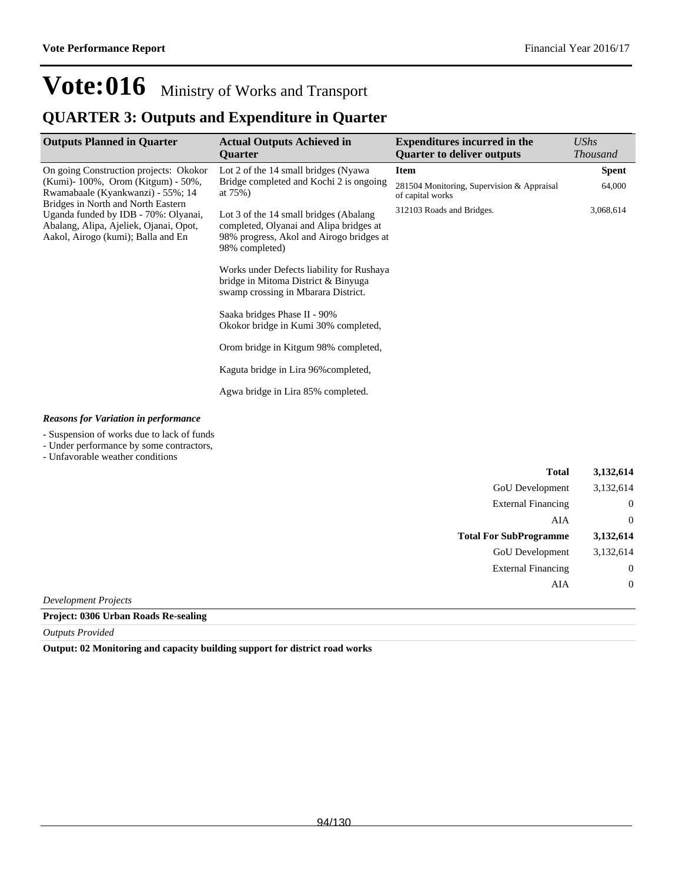### **QUARTER 3: Outputs and Expenditure in Quarter**

| <b>Outputs Planned in Quarter</b>                                                                                                                                                                                                                                                | <b>Actual Outputs Achieved in</b><br><b>Ouarter</b>                                                                                                                                                                                                                                                                | <b>Expenditures incurred in the</b><br><b>Quarter to deliver outputs</b> | <b>UShs</b><br><b>Thousand</b> |
|----------------------------------------------------------------------------------------------------------------------------------------------------------------------------------------------------------------------------------------------------------------------------------|--------------------------------------------------------------------------------------------------------------------------------------------------------------------------------------------------------------------------------------------------------------------------------------------------------------------|--------------------------------------------------------------------------|--------------------------------|
| On going Construction projects: Okokor<br>(Kumi) - 100%, Orom (Kitgum) - 50%,<br>Rwamabaale (Kyankwanzi) - 55%; 14<br>Bridges in North and North Eastern<br>Uganda funded by IDB - 70%: Olyanai,<br>Abalang, Alipa, Ajeliek, Ojanai, Opot,<br>Aakol, Airogo (kumi); Balla and En | <b>Item</b><br>Lot 2 of the 14 small bridges (Nyawa)<br>Bridge completed and Kochi 2 is ongoing<br>at $75%$ )<br>of capital works<br>312103 Roads and Bridges.<br>Lot 3 of the 14 small bridges (Abalang)<br>completed, Olyanai and Alipa bridges at<br>98% progress, Akol and Airogo bridges at<br>98% completed) |                                                                          | <b>Spent</b>                   |
|                                                                                                                                                                                                                                                                                  |                                                                                                                                                                                                                                                                                                                    | 281504 Monitoring, Supervision & Appraisal                               | 64,000                         |
|                                                                                                                                                                                                                                                                                  |                                                                                                                                                                                                                                                                                                                    |                                                                          | 3,068,614                      |
|                                                                                                                                                                                                                                                                                  | Works under Defects liability for Rushaya<br>bridge in Mitoma District & Binyuga<br>swamp crossing in Mbarara District.                                                                                                                                                                                            |                                                                          |                                |
|                                                                                                                                                                                                                                                                                  | Saaka bridges Phase II - 90%<br>Okokor bridge in Kumi 30% completed,                                                                                                                                                                                                                                               |                                                                          |                                |
|                                                                                                                                                                                                                                                                                  | Orom bridge in Kitgum 98% completed,                                                                                                                                                                                                                                                                               |                                                                          |                                |
|                                                                                                                                                                                                                                                                                  | Kaguta bridge in Lira 96% completed,                                                                                                                                                                                                                                                                               |                                                                          |                                |
|                                                                                                                                                                                                                                                                                  | Agwa bridge in Lira 85% completed.                                                                                                                                                                                                                                                                                 |                                                                          |                                |
| <b>Reasons for Variation in performance</b>                                                                                                                                                                                                                                      |                                                                                                                                                                                                                                                                                                                    |                                                                          |                                |

- Suspension of works due to lack of funds

- Under performance by some contractors,

- Unfavorable weather conditions

| <b>Total</b>                   | 3,132,614        |
|--------------------------------|------------------|
| GoU Development                | 3,132,614        |
| <b>External Financing</b>      | $\boldsymbol{0}$ |
| AIA                            | $\overline{0}$   |
| <b>Total For SubProgramme</b>  | 3,132,614        |
| GoU Development                | 3,132,614        |
| <b>External Financing</b>      | $\overline{0}$   |
| AIA                            | $\theta$         |
| <i><b>Ionment Projects</b></i> |                  |

*Development Projects*

**Project: 0306 Urban Roads Re-sealing**

*Outputs Provided*

**Output: 02 Monitoring and capacity building support for district road works**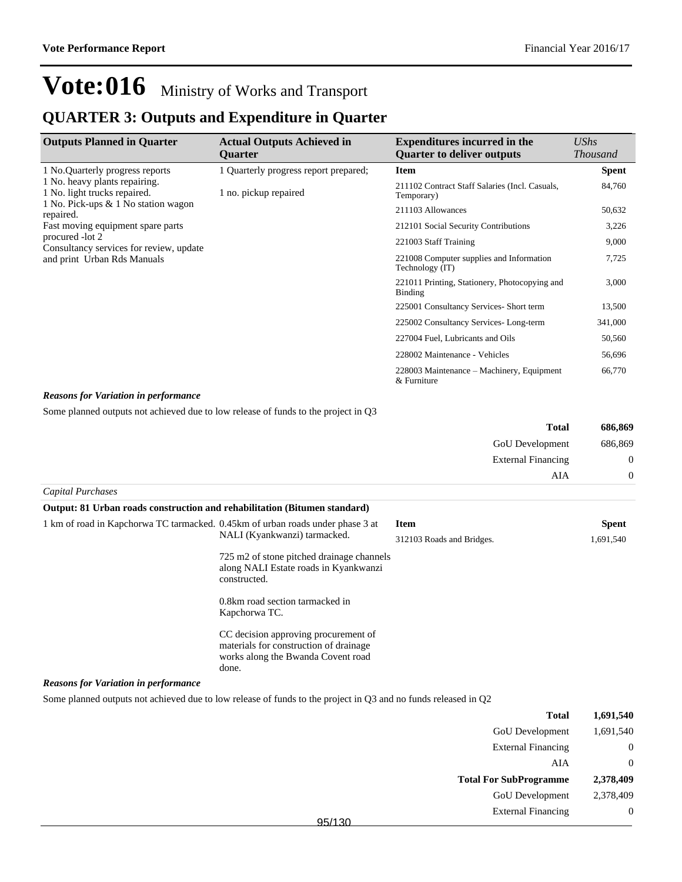### **QUARTER 3: Outputs and Expenditure in Quarter**

| <b>Outputs Planned in Quarter</b>                                                         | <b>Actual Outputs Achieved in</b><br><b>Ouarter</b> | <b>Expenditures incurred in the</b><br><b>Quarter to deliver outputs</b> | UShs<br><b>Thousand</b> |
|-------------------------------------------------------------------------------------------|-----------------------------------------------------|--------------------------------------------------------------------------|-------------------------|
| 1 No. Quarterly progress reports                                                          | 1 Quarterly progress report prepared;               | Item                                                                     | <b>Spent</b>            |
| 1 No. heavy plants repairing.<br>1 No. light trucks repaired.                             | 1 no. pickup repaired                               | 211102 Contract Staff Salaries (Incl. Casuals,<br>Temporary)             | 84,760                  |
| 1 No. Pick-ups & 1 No station wagon<br>repaired.                                          |                                                     | 211103 Allowances                                                        | 50,632                  |
| Fast moving equipment spare parts                                                         |                                                     | 212101 Social Security Contributions                                     | 3,226                   |
| procured -lot 2<br>Consultancy services for review, update<br>and print Urban Rds Manuals |                                                     | 221003 Staff Training                                                    | 9,000                   |
|                                                                                           |                                                     | 221008 Computer supplies and Information<br>Technology (IT)              | 7,725                   |
|                                                                                           |                                                     | 221011 Printing, Stationery, Photocopying and<br><b>Binding</b>          | 3,000                   |
|                                                                                           |                                                     | 225001 Consultancy Services- Short term                                  | 13,500                  |
|                                                                                           |                                                     | 225002 Consultancy Services-Long-term                                    | 341,000                 |
|                                                                                           |                                                     | 227004 Fuel, Lubricants and Oils                                         | 50,560                  |
|                                                                                           |                                                     | 228002 Maintenance - Vehicles                                            | 56,696                  |
|                                                                                           |                                                     | 228003 Maintenance – Machinery, Equipment<br>& Furniture                 | 66,770                  |

#### *Reasons for Variation in performance*

Some planned outputs not achieved due to low release of funds to the project in Q3

|                   | <b>Total</b>              | 686,869  |
|-------------------|---------------------------|----------|
|                   | GoU Development           | 686,869  |
|                   | <b>External Financing</b> | $\theta$ |
|                   | AIA                       | $\theta$ |
| Capital Purchases |                           |          |

| Output: 81 Urban roads construction and rehabilitation (Bitumen standard)       |                                                                                                                               |                           |              |
|---------------------------------------------------------------------------------|-------------------------------------------------------------------------------------------------------------------------------|---------------------------|--------------|
| 1 km of road in Kapchorwa TC tarmacked. 0.45 km of urban roads under phase 3 at |                                                                                                                               | <b>Item</b>               | <b>Spent</b> |
|                                                                                 | NALI (Kyankwanzi) tarmacked.                                                                                                  | 312103 Roads and Bridges. | 1,691,540    |
|                                                                                 | 725 m2 of stone pitched drainage channels<br>along NALI Estate roads in Kyankwanzi<br>constructed.                            |                           |              |
|                                                                                 | 0.8km road section tarmacked in<br>Kapchorwa TC.                                                                              |                           |              |
|                                                                                 | CC decision approving procurement of<br>materials for construction of drainage<br>works along the Bwanda Covent road<br>done. |                           |              |

#### *Reasons for Variation in performance*

Some planned outputs not achieved due to low release of funds to the project in Q3 and no funds released in Q2

| 1,691,540      | <b>Total</b>                  |        |
|----------------|-------------------------------|--------|
| 1,691,540      | GoU Development               |        |
| $\overline{0}$ | <b>External Financing</b>     |        |
| $\Omega$       | AIA                           |        |
| 2,378,409      | <b>Total For SubProgramme</b> |        |
| 2,378,409      | GoU Development               |        |
| $\overline{0}$ | <b>External Financing</b>     |        |
|                |                               | 95/130 |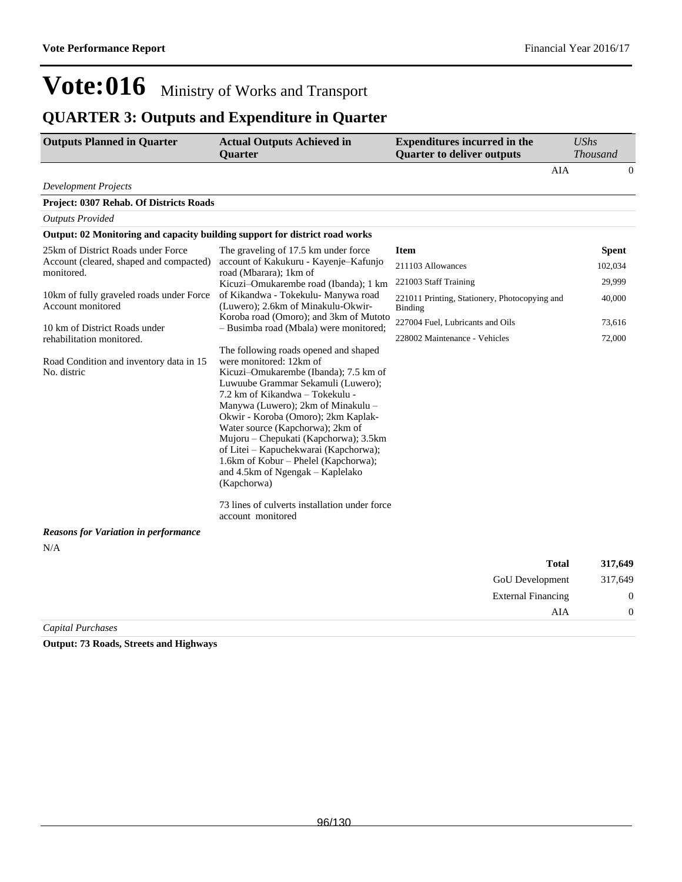### **QUARTER 3: Outputs and Expenditure in Quarter**

| <b>Outputs Planned in Quarter</b>                                           | <b>Actual Outputs Achieved in</b><br><b>Ouarter</b>                                                                                                                                                                                                                                                                                                                                                                                                                                                                                                    | <b>Expenditures incurred in the</b><br><b>Quarter to deliver outputs</b> | <b>UShs</b><br><b>Thousand</b> |
|-----------------------------------------------------------------------------|--------------------------------------------------------------------------------------------------------------------------------------------------------------------------------------------------------------------------------------------------------------------------------------------------------------------------------------------------------------------------------------------------------------------------------------------------------------------------------------------------------------------------------------------------------|--------------------------------------------------------------------------|--------------------------------|
|                                                                             |                                                                                                                                                                                                                                                                                                                                                                                                                                                                                                                                                        | <b>AIA</b>                                                               | $\overline{0}$                 |
| <b>Development Projects</b>                                                 |                                                                                                                                                                                                                                                                                                                                                                                                                                                                                                                                                        |                                                                          |                                |
| Project: 0307 Rehab. Of Districts Roads                                     |                                                                                                                                                                                                                                                                                                                                                                                                                                                                                                                                                        |                                                                          |                                |
| <b>Outputs Provided</b>                                                     |                                                                                                                                                                                                                                                                                                                                                                                                                                                                                                                                                        |                                                                          |                                |
| Output: 02 Monitoring and capacity building support for district road works |                                                                                                                                                                                                                                                                                                                                                                                                                                                                                                                                                        |                                                                          |                                |
| 25km of District Roads under Force                                          | The graveling of 17.5 km under force                                                                                                                                                                                                                                                                                                                                                                                                                                                                                                                   | <b>Item</b>                                                              | <b>Spent</b>                   |
| Account (cleared, shaped and compacted)<br>monitored.                       | account of Kakukuru - Kayenje-Kafunjo<br>road (Mbarara); 1km of                                                                                                                                                                                                                                                                                                                                                                                                                                                                                        | 211103 Allowances                                                        | 102,034                        |
|                                                                             | Kicuzi-Omukarembe road (Ibanda); 1 km                                                                                                                                                                                                                                                                                                                                                                                                                                                                                                                  | 221003 Staff Training                                                    | 29,999                         |
| 10km of fully graveled roads under Force<br>Account monitored               | of Kikandwa - Tokekulu- Manywa road<br>(Luwero); 2.6km of Minakulu-Okwir-                                                                                                                                                                                                                                                                                                                                                                                                                                                                              | 221011 Printing, Stationery, Photocopying and<br>Binding                 | 40,000                         |
| 10 km of District Roads under                                               | Koroba road (Omoro); and 3km of Mutoto<br>- Busimba road (Mbala) were monitored;                                                                                                                                                                                                                                                                                                                                                                                                                                                                       | 227004 Fuel, Lubricants and Oils                                         | 73,616                         |
| rehabilitation monitored.                                                   |                                                                                                                                                                                                                                                                                                                                                                                                                                                                                                                                                        | 228002 Maintenance - Vehicles                                            | 72,000                         |
| Road Condition and inventory data in 15<br>No. distric                      | The following roads opened and shaped<br>were monitored: 12km of<br>Kicuzi-Omukarembe (Ibanda); 7.5 km of<br>Luwuube Grammar Sekamuli (Luwero);<br>7.2 km of Kikandwa - Tokekulu -<br>Manywa (Luwero); 2km of Minakulu -<br>Okwir - Koroba (Omoro); 2km Kaplak-<br>Water source (Kapchorwa); 2km of<br>Mujoru – Chepukati (Kapchorwa); 3.5km<br>of Litei - Kapuchekwarai (Kapchorwa);<br>1.6km of Kobur - Phelel (Kapchorwa);<br>and 4.5km of Ngengak - Kaplelako<br>(Kapchorwa)<br>73 lines of culverts installation under force<br>account monitored |                                                                          |                                |
| <b>Reasons for Variation in performance</b>                                 |                                                                                                                                                                                                                                                                                                                                                                                                                                                                                                                                                        |                                                                          |                                |
| N/A                                                                         |                                                                                                                                                                                                                                                                                                                                                                                                                                                                                                                                                        |                                                                          |                                |
|                                                                             |                                                                                                                                                                                                                                                                                                                                                                                                                                                                                                                                                        | <b>Total</b>                                                             | 317,649                        |
|                                                                             |                                                                                                                                                                                                                                                                                                                                                                                                                                                                                                                                                        | <b>GoU</b> Development                                                   | 317,649                        |
|                                                                             |                                                                                                                                                                                                                                                                                                                                                                                                                                                                                                                                                        | <b>External Financing</b>                                                | 0                              |
|                                                                             |                                                                                                                                                                                                                                                                                                                                                                                                                                                                                                                                                        | AIA                                                                      | 0                              |

*Capital Purchases*

**Output: 73 Roads, Streets and Highways**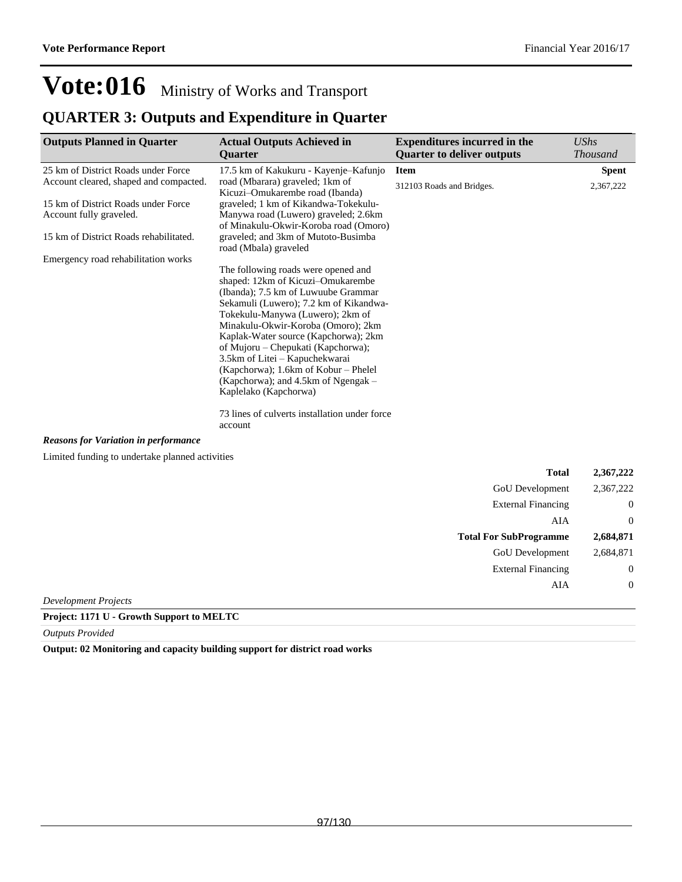### **QUARTER 3: Outputs and Expenditure in Quarter**

| <b>Outputs Planned in Quarter</b>               | <b>Actual Outputs Achieved in</b><br><b>Ouarter</b>                           | <b>Expenditures incurred in the</b><br><b>Quarter to deliver outputs</b>  | <b>UShs</b><br><b>Thousand</b> |
|-------------------------------------------------|-------------------------------------------------------------------------------|---------------------------------------------------------------------------|--------------------------------|
| 25 km of District Roads under Force             | 17.5 km of Kakukuru - Kayenje-Kafunjo                                         | <b>Item</b>                                                               | <b>Spent</b>                   |
| Account cleared, shaped and compacted.          | road (Mbarara) graveled; 1km of<br>Kicuzi-Omukarembe road (Ibanda)            | 312103 Roads and Bridges.                                                 | 2,367,222                      |
| 15 km of District Roads under Force             | graveled; 1 km of Kikandwa-Tokekulu-                                          |                                                                           |                                |
| Account fully graveled.                         | Manywa road (Luwero) graveled; 2.6km<br>of Minakulu-Okwir-Koroba road (Omoro) |                                                                           |                                |
| 15 km of District Roads rehabilitated.          | graveled; and 3km of Mutoto-Busimba<br>road (Mbala) graveled                  |                                                                           |                                |
| Emergency road rehabilitation works             |                                                                               |                                                                           |                                |
|                                                 | The following roads were opened and                                           |                                                                           |                                |
|                                                 | shaped: 12km of Kicuzi-Omukarembe<br>(Ibanda); 7.5 km of Luwuube Grammar      |                                                                           |                                |
|                                                 | Sekamuli (Luwero); 7.2 km of Kikandwa-                                        |                                                                           |                                |
|                                                 | Tokekulu-Manywa (Luwero); 2km of                                              |                                                                           |                                |
|                                                 | Minakulu-Okwir-Koroba (Omoro); 2km                                            |                                                                           |                                |
|                                                 | Kaplak-Water source (Kapchorwa); 2km                                          |                                                                           |                                |
|                                                 | of Mujoru – Chepukati (Kapchorwa);                                            |                                                                           |                                |
|                                                 | 3.5km of Litei - Kapuchekwarai<br>(Kapchorwa); 1.6km of Kobur - Phelel        |                                                                           |                                |
|                                                 | (Kapchorwa); and 4.5km of Ngengak –                                           |                                                                           |                                |
|                                                 | Kaplelako (Kapchorwa)                                                         |                                                                           |                                |
|                                                 | 73 lines of culverts installation under force<br>account                      |                                                                           |                                |
| <b>Reasons for Variation in performance</b>     |                                                                               |                                                                           |                                |
| Limited funding to undertake planned activities |                                                                               |                                                                           |                                |
|                                                 |                                                                               | <b>Total</b>                                                              | 2,367,222                      |
|                                                 |                                                                               | <b>GoU</b> Development                                                    | 2,367,222                      |
|                                                 |                                                                               | $\Gamma_{\text{max}}$ and $\Gamma_{\text{max}}$ and $\Gamma_{\text{max}}$ |                                |

|                      | GOU Development               | 2,307,222   |
|----------------------|-------------------------------|-------------|
|                      | <b>External Financing</b>     | $\mathbf 0$ |
|                      | AIA                           | $\theta$    |
|                      | <b>Total For SubProgramme</b> | 2,684,871   |
|                      | GoU Development               | 2,684,871   |
|                      | <b>External Financing</b>     | $\mathbf 0$ |
|                      | AIA                           | $\mathbf 0$ |
| Development Projects |                               |             |
|                      |                               |             |

**Project: 1171 U - Growth Support to MELTC**

*Outputs Provided*

**Output: 02 Monitoring and capacity building support for district road works**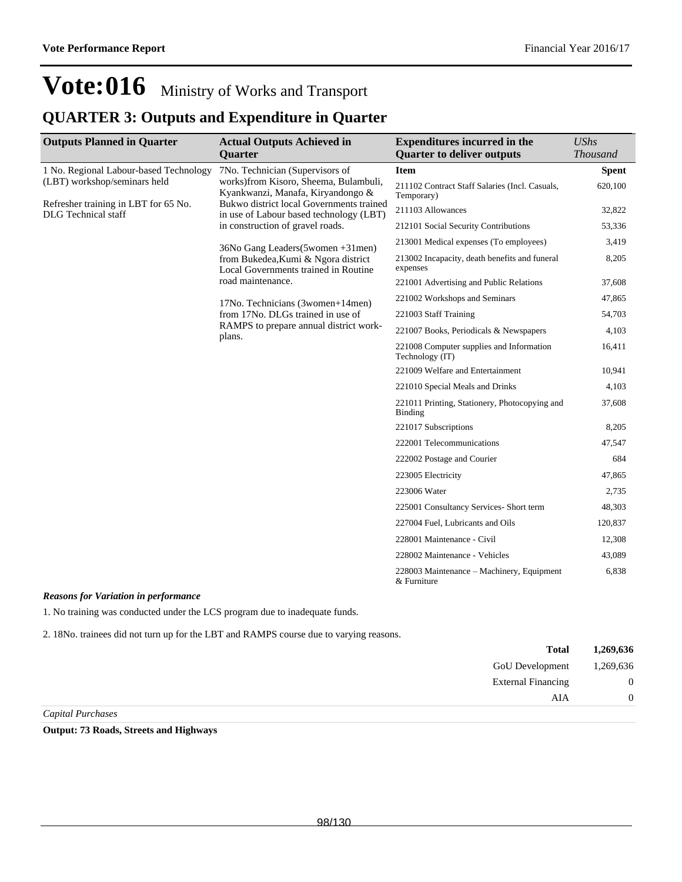### **QUARTER 3: Outputs and Expenditure in Quarter**

| <b>Outputs Planned in Quarter</b>                                  | <b>Actual Outputs Achieved in</b>                                                   | <b>Expenditures incurred in the</b>                             | <b>UShs</b>     |
|--------------------------------------------------------------------|-------------------------------------------------------------------------------------|-----------------------------------------------------------------|-----------------|
|                                                                    | <b>Quarter</b>                                                                      | <b>Quarter to deliver outputs</b>                               | <b>Thousand</b> |
| 1 No. Regional Labour-based Technology                             | 7No. Technician (Supervisors of                                                     | <b>Item</b>                                                     | <b>Spent</b>    |
| (LBT) workshop/seminars held                                       | works)from Kisoro, Sheema, Bulambuli,<br>Kyankwanzi, Manafa, Kiryandongo &          | 211102 Contract Staff Salaries (Incl. Casuals,<br>Temporary)    | 620,100         |
| Refresher training in LBT for 65 No.<br><b>DLG</b> Technical staff | Bukwo district local Governments trained<br>in use of Labour based technology (LBT) | 211103 Allowances                                               | 32,822          |
|                                                                    | in construction of gravel roads.                                                    | 212101 Social Security Contributions                            | 53,336          |
|                                                                    | 36No Gang Leaders (5 women + 31 men)                                                | 213001 Medical expenses (To employees)                          | 3,419           |
|                                                                    | from Bukedea, Kumi & Ngora district<br>Local Governments trained in Routine         | 213002 Incapacity, death benefits and funeral<br>expenses       | 8,205           |
|                                                                    | road maintenance.                                                                   | 221001 Advertising and Public Relations                         | 37,608          |
|                                                                    | 17No. Technicians (3women+14men)                                                    | 221002 Workshops and Seminars                                   | 47,865          |
|                                                                    | from 17No. DLGs trained in use of                                                   | 221003 Staff Training                                           | 54,703          |
|                                                                    | RAMPS to prepare annual district work-<br>plans.                                    | 221007 Books, Periodicals & Newspapers                          | 4,103           |
|                                                                    |                                                                                     | 221008 Computer supplies and Information<br>Technology (IT)     | 16,411          |
|                                                                    |                                                                                     | 221009 Welfare and Entertainment                                | 10,941          |
|                                                                    |                                                                                     | 221010 Special Meals and Drinks                                 | 4,103           |
|                                                                    |                                                                                     | 221011 Printing, Stationery, Photocopying and<br><b>Binding</b> | 37,608          |
|                                                                    |                                                                                     | 221017 Subscriptions                                            | 8,205           |
|                                                                    |                                                                                     | 222001 Telecommunications                                       | 47,547          |
|                                                                    |                                                                                     | 222002 Postage and Courier                                      | 684             |
|                                                                    |                                                                                     | 223005 Electricity                                              | 47,865          |
|                                                                    |                                                                                     | 223006 Water                                                    | 2,735           |
|                                                                    |                                                                                     | 225001 Consultancy Services- Short term                         | 48,303          |
|                                                                    |                                                                                     | 227004 Fuel, Lubricants and Oils                                | 120,837         |
|                                                                    |                                                                                     | 228001 Maintenance - Civil                                      | 12,308          |
|                                                                    |                                                                                     | 228002 Maintenance - Vehicles                                   | 43,089          |
|                                                                    |                                                                                     | 228003 Maintenance – Machinery, Equipment<br>& Furniture        | 6,838           |

#### *Reasons for Variation in performance*

1. No training was conducted under the LCS program due to inadequate funds.

2. 18No. trainees did not turn up for the LBT and RAMPS course due to varying reasons.

|                     | <b>Total</b>              | 1,269,636        |
|---------------------|---------------------------|------------------|
|                     | GoU Development           | 1,269,636        |
|                     | <b>External Financing</b> | $\boldsymbol{0}$ |
|                     | AIA                       | $\Omega$         |
| $\alpha$ , $\alpha$ |                           |                  |

*Capital Purchases*

**Output: 73 Roads, Streets and Highways**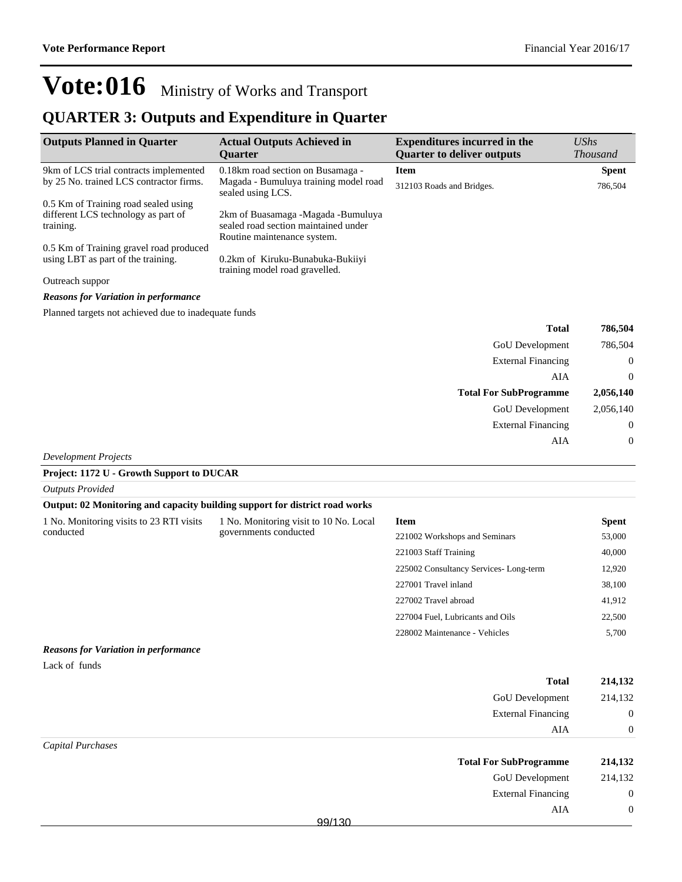External Financing 0

 ${\bf AIA} \qquad \qquad {\bf 0}$ 

## **Vote:016** Ministry of Works and Transport

### **QUARTER 3: Outputs and Expenditure in Quarter**

| <b>Outputs Planned in Quarter</b>                                                        | <b>Actual Outputs Achieved in</b><br><b>Ouarter</b>                                                       | <b>Expenditures incurred in the</b><br><b>Quarter to deliver outputs</b> | $\mathit{UShs}$ | <i>Thousand</i> |
|------------------------------------------------------------------------------------------|-----------------------------------------------------------------------------------------------------------|--------------------------------------------------------------------------|-----------------|-----------------|
| 9km of LCS trial contracts implemented                                                   | 0.18 km road section on Busamaga -                                                                        | Item                                                                     |                 | <b>Spent</b>    |
| by 25 No. trained LCS contractor firms.                                                  | Magada - Bumuluya training model road<br>sealed using LCS.                                                | 312103 Roads and Bridges.                                                |                 | 786,504         |
| 0.5 Km of Training road sealed using<br>different LCS technology as part of<br>training. | 2km of Buasamaga -Magada -Bumuluya<br>sealed road section maintained under<br>Routine maintenance system. |                                                                          |                 |                 |
| 0.5 Km of Training gravel road produced                                                  |                                                                                                           |                                                                          |                 |                 |
| using LBT as part of the training.                                                       | 0.2km of Kiruku-Bunabuka-Bukiiyi<br>training model road gravelled.                                        |                                                                          |                 |                 |
| Outreach suppor                                                                          |                                                                                                           |                                                                          |                 |                 |
| <b>Reasons for Variation in performance</b>                                              |                                                                                                           |                                                                          |                 |                 |
| Planned targets not achieved due to inadequate funds                                     |                                                                                                           |                                                                          |                 |                 |
|                                                                                          |                                                                                                           |                                                                          | $T = 1.1$       | 506 FA 4        |

| 786,504      | <b>Total</b>                  |
|--------------|-------------------------------|
| 786,504      | GoU Development               |
| $\theta$     | <b>External Financing</b>     |
| $\theta$     | AIA                           |
| 2,056,140    | <b>Total For SubProgramme</b> |
| 2,056,140    | GoU Development               |
| $\mathbf{0}$ | <b>External Financing</b>     |
| $\mathbf{0}$ | AIA                           |
|              |                               |

*Development Projects*

#### **Project: 1172 U - Growth Support to DUCAR**

| <b>Outputs Provided</b>                                                     |                                                                 |                                  |              |
|-----------------------------------------------------------------------------|-----------------------------------------------------------------|----------------------------------|--------------|
| Output: 02 Monitoring and capacity building support for district road works |                                                                 |                                  |              |
| 1 No. Monitoring visits to 23 RTI visits                                    | 1 No. Monitoring visit to 10 No. Local<br>governments conducted | <b>Item</b>                      | <b>Spent</b> |
| conducted                                                                   |                                                                 | 221002 Workshops and Seminars    | 53,000       |
|                                                                             |                                                                 | 221003 Staff Training            | 40,000       |
|                                                                             | 225002 Consultancy Services-Long-term                           | 12,920                           |              |
|                                                                             | 227001 Travel inland                                            |                                  | 38,100       |
|                                                                             |                                                                 | 227002 Travel abroad             | 41,912       |
|                                                                             |                                                                 | 227004 Fuel, Lubricants and Oils | 22,500       |
|                                                                             |                                                                 | 228002 Maintenance - Vehicles    | 5,700        |
| <b>Reasons for Variation in performance</b>                                 |                                                                 |                                  |              |
| Lack of funds                                                               |                                                                 |                                  |              |

|                   | <b>Total</b>                  | 214,132     |
|-------------------|-------------------------------|-------------|
|                   | GoU Development               | 214,132     |
|                   | <b>External Financing</b>     | $\mathbf 0$ |
|                   | AIA                           | $\theta$    |
| Capital Purchases |                               |             |
|                   | <b>Total For SubProgramme</b> | 214,132     |
|                   | GoU Development               | 214,132     |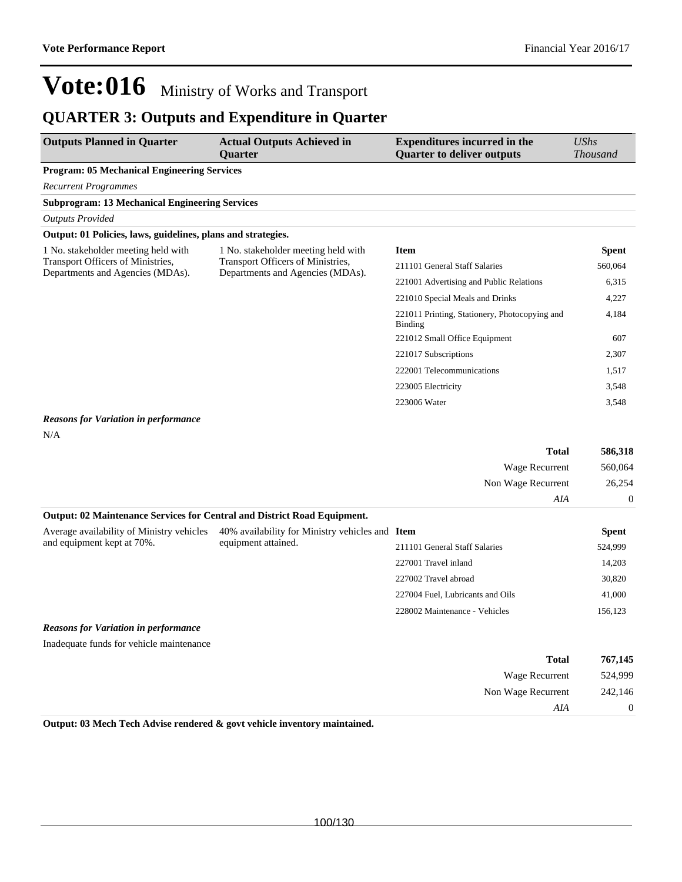227001 Travel inland 14,203 227002 Travel abroad 30,820 227004 Fuel, Lubricants and Oils 41,000 228002 Maintenance - Vehicles 156,123

# **Vote:016** Ministry of Works and Transport

### **QUARTER 3: Outputs and Expenditure in Quarter**

| <b>Outputs Planned in Quarter</b>                                                                            | <b>Actual Outputs Achieved in</b><br><b>Ouarter</b>                                                          | <b>Expenditures incurred in the</b><br><b>Quarter to deliver outputs</b> | UShs<br><b>Thousand</b> |
|--------------------------------------------------------------------------------------------------------------|--------------------------------------------------------------------------------------------------------------|--------------------------------------------------------------------------|-------------------------|
| <b>Program: 05 Mechanical Engineering Services</b>                                                           |                                                                                                              |                                                                          |                         |
| <b>Recurrent Programmes</b>                                                                                  |                                                                                                              |                                                                          |                         |
| <b>Subprogram: 13 Mechanical Engineering Services</b>                                                        |                                                                                                              |                                                                          |                         |
| <b>Outputs Provided</b>                                                                                      |                                                                                                              |                                                                          |                         |
| Output: 01 Policies, laws, guidelines, plans and strategies.                                                 |                                                                                                              |                                                                          |                         |
| 1 No. stakeholder meeting held with<br>Transport Officers of Ministries,<br>Departments and Agencies (MDAs). | 1 No. stakeholder meeting held with<br>Transport Officers of Ministries,<br>Departments and Agencies (MDAs). | <b>Item</b>                                                              | <b>Spent</b>            |
|                                                                                                              |                                                                                                              | 211101 General Staff Salaries                                            | 560,064                 |
|                                                                                                              |                                                                                                              | 221001 Advertising and Public Relations                                  | 6,315                   |
|                                                                                                              |                                                                                                              | 221010 Special Meals and Drinks                                          | 4,227                   |
|                                                                                                              |                                                                                                              | 221011 Printing, Stationery, Photocopying and<br>Binding                 | 4,184                   |
|                                                                                                              |                                                                                                              | 221012 Small Office Equipment                                            | 607                     |
|                                                                                                              |                                                                                                              | 221017 Subscriptions                                                     | 2,307                   |
|                                                                                                              |                                                                                                              | 222001 Telecommunications                                                | 1,517                   |
|                                                                                                              |                                                                                                              | 223005 Electricity                                                       | 3,548                   |
|                                                                                                              |                                                                                                              | 223006 Water                                                             | 3,548                   |

#### *Reasons for Variation in performance*

N/A

|                                                                                 |                                                 | <b>Total</b>                  | 586,318      |
|---------------------------------------------------------------------------------|-------------------------------------------------|-------------------------------|--------------|
|                                                                                 |                                                 | Wage Recurrent                | 560,064      |
|                                                                                 |                                                 | Non Wage Recurrent            | 26,254       |
|                                                                                 |                                                 | AIA                           | $\Omega$     |
| <b>Output: 02 Maintenance Services for Central and District Road Equipment.</b> |                                                 |                               |              |
| Average availability of Ministry vehicles                                       | 40% availability for Ministry vehicles and Item |                               | <b>Spent</b> |
| and equipment kept at 70%.                                                      | equipment attained.                             | 211101 General Staff Salaries | 524,999      |

#### *Reasons for Variation in performance*

Inadequate funds for vehicle maintenance

| 767,145 | <b>Total</b>       |
|---------|--------------------|
| 524,999 | Wage Recurrent     |
| 242,146 | Non Wage Recurrent |
|         | AIA                |

**Output: 03 Mech Tech Advise rendered & govt vehicle inventory maintained.**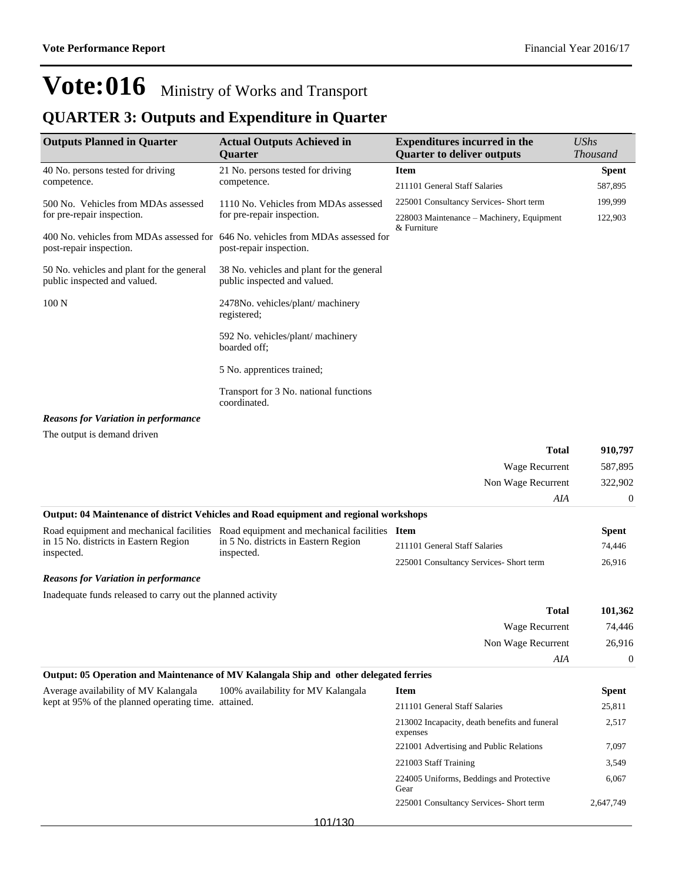### **QUARTER 3: Outputs and Expenditure in Quarter**

| <b>Outputs Planned in Quarter</b>                                         | <b>Actual Outputs Achieved in</b><br><b>Ouarter</b>                                                        | <b>Expenditures incurred in the</b><br><b>Quarter to deliver outputs</b> | <b>UShs</b><br><b>Thousand</b> |
|---------------------------------------------------------------------------|------------------------------------------------------------------------------------------------------------|--------------------------------------------------------------------------|--------------------------------|
| 40 No. persons tested for driving                                         | 21 No. persons tested for driving                                                                          | <b>Item</b>                                                              | <b>Spent</b>                   |
| competence.                                                               | competence.                                                                                                | 211101 General Staff Salaries                                            | 587,895                        |
| 500 No. Vehicles from MDAs assessed                                       | 1110 No. Vehicles from MDAs assessed                                                                       | 225001 Consultancy Services- Short term                                  | 199,999                        |
| for pre-repair inspection.                                                | for pre-repair inspection.                                                                                 | 228003 Maintenance – Machinery, Equipment                                | 122,903                        |
| post-repair inspection.                                                   | 400 No. vehicles from MDAs assessed for 646 No. vehicles from MDAs assessed for<br>post-repair inspection. | & Furniture                                                              |                                |
| 50 No. vehicles and plant for the general<br>public inspected and valued. | 38 No. vehicles and plant for the general<br>public inspected and valued.                                  |                                                                          |                                |
| 100 <sub>N</sub>                                                          | 2478No. vehicles/plant/machinery<br>registered;                                                            |                                                                          |                                |
|                                                                           | 592 No. vehicles/plant/ machinery<br>boarded off;                                                          |                                                                          |                                |
|                                                                           | 5 No. apprentices trained;                                                                                 |                                                                          |                                |
|                                                                           | Transport for 3 No. national functions<br>coordinated.                                                     |                                                                          |                                |
| <b>Reasons for Variation in performance</b>                               |                                                                                                            |                                                                          |                                |
| The output is demand driven                                               |                                                                                                            |                                                                          |                                |
|                                                                           |                                                                                                            | <b>Total</b>                                                             | 910,797                        |
|                                                                           |                                                                                                            | Wage Recurrent                                                           | 587,895                        |
|                                                                           |                                                                                                            | Non Wage Recurrent                                                       | 322,902                        |
|                                                                           |                                                                                                            | AIA                                                                      | 0                              |
|                                                                           | Output: 04 Maintenance of district Vehicles and Road equipment and regional workshops                      |                                                                          |                                |

|                                                     | Road equipment and mechanical facilities Road equipment and mechanical facilities Item |                                        | Spent  |
|-----------------------------------------------------|----------------------------------------------------------------------------------------|----------------------------------------|--------|
| in 15 No. districts in Eastern Region<br>inspected. | in 5 No. districts in Eastern Region<br>inspected.                                     | 211101 General Staff Salaries          | 74.446 |
|                                                     |                                                                                        | 225001 Consultancy Services-Short term | 26.916 |

*Reasons for Variation in performance*

Inadequate funds released to carry out the planned activity

| 101,362  | <b>Total</b>       |  |
|----------|--------------------|--|
| 74,446   | Wage Recurrent     |  |
| 26,916   | Non Wage Recurrent |  |
| $\theta$ | AIA                |  |

| Output: 05 Operation and Maintenance of MV Kalangala Ship and other delegated ferries |                                    |                                                           |              |
|---------------------------------------------------------------------------------------|------------------------------------|-----------------------------------------------------------|--------------|
| Average availability of MV Kalangala                                                  | 100% availability for MV Kalangala | <b>Item</b>                                               | <b>Spent</b> |
| kept at 95% of the planned operating time. attained.                                  |                                    | 211101 General Staff Salaries                             | 25,811       |
|                                                                                       |                                    | 213002 Incapacity, death benefits and funeral<br>expenses | 2,517        |
|                                                                                       |                                    | 221001 Advertising and Public Relations                   | 7.097        |
|                                                                                       |                                    | 221003 Staff Training                                     | 3,549        |
|                                                                                       |                                    | 224005 Uniforms, Beddings and Protective<br>Gear          | 6.067        |
|                                                                                       |                                    | 225001 Consultancy Services- Short term                   | 2.647.749    |
|                                                                                       | 101/130                            |                                                           |              |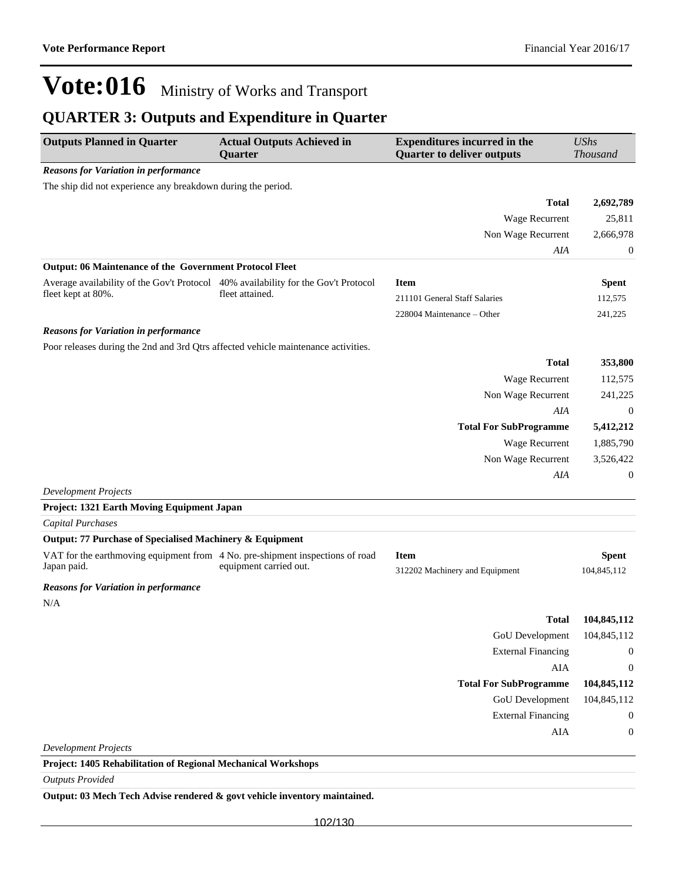### **QUARTER 3: Outputs and Expenditure in Quarter**

| <b>Outputs Planned in Quarter</b>                                                            | <b>Actual Outputs Achieved in</b><br>Quarter | <b>Expenditures incurred in the</b><br><b>Quarter to deliver outputs</b> | <b>UShs</b><br><b>Thousand</b> |
|----------------------------------------------------------------------------------------------|----------------------------------------------|--------------------------------------------------------------------------|--------------------------------|
| <b>Reasons for Variation in performance</b>                                                  |                                              |                                                                          |                                |
| The ship did not experience any breakdown during the period.                                 |                                              |                                                                          |                                |
|                                                                                              |                                              | <b>Total</b>                                                             | 2,692,789                      |
|                                                                                              |                                              | Wage Recurrent                                                           | 25,811                         |
|                                                                                              |                                              | Non Wage Recurrent                                                       | 2,666,978                      |
|                                                                                              |                                              | AIA                                                                      | $\boldsymbol{0}$               |
| Output: 06 Maintenance of the Government Protocol Fleet                                      |                                              |                                                                          |                                |
| Average availability of the Gov't Protocol 40% availability for the Gov't Protocol           |                                              | <b>Item</b>                                                              | <b>Spent</b>                   |
| fleet kept at 80%.                                                                           | fleet attained.                              | 211101 General Staff Salaries                                            | 112,575                        |
|                                                                                              |                                              | 228004 Maintenance - Other                                               | 241,225                        |
| <b>Reasons for Variation in performance</b>                                                  |                                              |                                                                          |                                |
| Poor releases during the 2nd and 3rd Qtrs affected vehicle maintenance activities.           |                                              |                                                                          |                                |
|                                                                                              |                                              | <b>Total</b>                                                             | 353,800                        |
|                                                                                              |                                              | Wage Recurrent                                                           | 112,575                        |
|                                                                                              |                                              | Non Wage Recurrent                                                       | 241,225                        |
|                                                                                              |                                              | AIA                                                                      | $\overline{0}$                 |
|                                                                                              |                                              | <b>Total For SubProgramme</b>                                            | 5,412,212                      |
|                                                                                              |                                              | Wage Recurrent                                                           | 1,885,790                      |
|                                                                                              |                                              | Non Wage Recurrent                                                       | 3,526,422                      |
|                                                                                              |                                              | AIA                                                                      | $\boldsymbol{0}$               |
| <b>Development Projects</b>                                                                  |                                              |                                                                          |                                |
| Project: 1321 Earth Moving Equipment Japan                                                   |                                              |                                                                          |                                |
| <b>Capital Purchases</b>                                                                     |                                              |                                                                          |                                |
| Output: 77 Purchase of Specialised Machinery & Equipment                                     |                                              |                                                                          |                                |
| VAT for the earthmoving equipment from 4 No. pre-shipment inspections of road<br>Japan paid. | equipment carried out.                       | <b>Item</b>                                                              | <b>Spent</b>                   |
|                                                                                              |                                              | 312202 Machinery and Equipment                                           | 104,845,112                    |
| <b>Reasons for Variation in performance</b>                                                  |                                              |                                                                          |                                |
| N/A                                                                                          |                                              |                                                                          |                                |
|                                                                                              |                                              | Total                                                                    | 104,845,112                    |
|                                                                                              |                                              | GoU Development                                                          | 104,845,112                    |
|                                                                                              |                                              | <b>External Financing</b>                                                | $\boldsymbol{0}$               |
|                                                                                              |                                              | AIA                                                                      | $\boldsymbol{0}$               |
|                                                                                              |                                              | <b>Total For SubProgramme</b>                                            | 104,845,112                    |
|                                                                                              |                                              | GoU Development                                                          | 104,845,112                    |
|                                                                                              |                                              | <b>External Financing</b>                                                | $\boldsymbol{0}$               |
|                                                                                              |                                              | AIA                                                                      | $\boldsymbol{0}$               |
| <b>Development Projects</b>                                                                  |                                              |                                                                          |                                |
| Project: 1405 Rehabilitation of Regional Mechanical Workshops                                |                                              |                                                                          |                                |

*Outputs Provided*

**Output: 03 Mech Tech Advise rendered & govt vehicle inventory maintained.**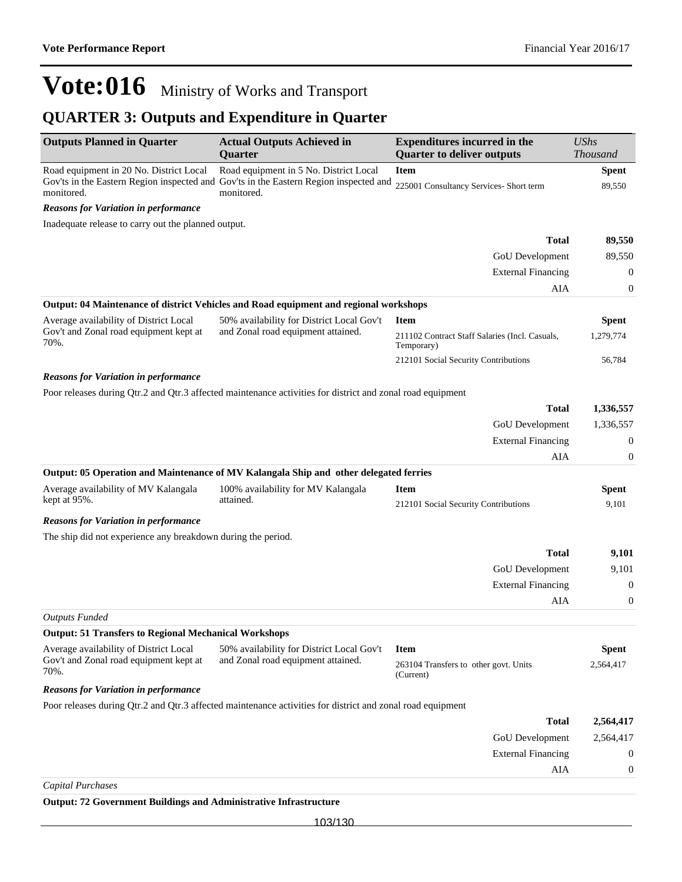### **QUARTER 3: Outputs and Expenditure in Quarter**

| <b>Outputs Planned in Quarter</b>                                                        | <b>Actual Outputs Achieved in</b><br><b>Quarter</b>                                                        | <b>Expenditures incurred in the</b><br><b>Quarter to deliver outputs</b> | <b>UShs</b><br>Thousand   |
|------------------------------------------------------------------------------------------|------------------------------------------------------------------------------------------------------------|--------------------------------------------------------------------------|---------------------------|
| Road equipment in 20 No. District Local                                                  | Road equipment in 5 No. District Local                                                                     | <b>Item</b>                                                              | <b>Spent</b>              |
| monitored.                                                                               | Gov'ts in the Eastern Region inspected and Gov'ts in the Eastern Region inspected and<br>monitored.        | 225001 Consultancy Services- Short term                                  | 89,550                    |
| <b>Reasons for Variation in performance</b>                                              |                                                                                                            |                                                                          |                           |
| Inadequate release to carry out the planned output.                                      |                                                                                                            |                                                                          |                           |
|                                                                                          |                                                                                                            | <b>Total</b>                                                             | 89,550                    |
|                                                                                          |                                                                                                            | GoU Development                                                          | 89,550                    |
|                                                                                          |                                                                                                            | <b>External Financing</b>                                                | $\mathbf{0}$              |
|                                                                                          |                                                                                                            | AIA                                                                      | 0                         |
|                                                                                          | Output: 04 Maintenance of district Vehicles and Road equipment and regional workshops                      |                                                                          |                           |
| Average availability of District Local                                                   | 50% availability for District Local Gov't                                                                  | <b>Item</b>                                                              | <b>Spent</b>              |
| Gov't and Zonal road equipment kept at<br>70%.                                           | and Zonal road equipment attained.                                                                         | 211102 Contract Staff Salaries (Incl. Casuals,<br>Temporary)             | 1,279,774                 |
|                                                                                          |                                                                                                            | 212101 Social Security Contributions                                     | 56,784                    |
| <b>Reasons for Variation in performance</b>                                              |                                                                                                            |                                                                          |                           |
|                                                                                          | Poor releases during Qtr.2 and Qtr.3 affected maintenance activities for district and zonal road equipment |                                                                          |                           |
|                                                                                          |                                                                                                            | <b>Total</b>                                                             | 1,336,557                 |
|                                                                                          |                                                                                                            | GoU Development                                                          | 1,336,557                 |
|                                                                                          |                                                                                                            | <b>External Financing</b>                                                | $\boldsymbol{0}$          |
|                                                                                          |                                                                                                            | AIA                                                                      | $\mathbf{0}$              |
|                                                                                          | Output: 05 Operation and Maintenance of MV Kalangala Ship and other delegated ferries                      |                                                                          |                           |
| Average availability of MV Kalangala                                                     | 100% availability for MV Kalangala                                                                         | <b>Item</b>                                                              | <b>Spent</b>              |
| kept at 95%.                                                                             | attained.                                                                                                  | 212101 Social Security Contributions                                     | 9,101                     |
| <b>Reasons for Variation in performance</b>                                              |                                                                                                            |                                                                          |                           |
| The ship did not experience any breakdown during the period.                             |                                                                                                            |                                                                          |                           |
|                                                                                          |                                                                                                            | <b>Total</b>                                                             | 9,101                     |
|                                                                                          |                                                                                                            | GoU Development                                                          | 9,101                     |
|                                                                                          |                                                                                                            | <b>External Financing</b>                                                | $\boldsymbol{0}$          |
|                                                                                          |                                                                                                            | AIA                                                                      | $\boldsymbol{0}$          |
| <b>Outputs Funded</b>                                                                    |                                                                                                            |                                                                          |                           |
| <b>Output: 51 Transfers to Regional Mechanical Workshops</b>                             |                                                                                                            |                                                                          |                           |
| Average availability of District Local<br>Gov't and Zonal road equipment kept at<br>70%. | 50% availability for District Local Gov't<br>and Zonal road equipment attained.                            | <b>Item</b><br>263104 Transfers to other govt. Units                     | <b>Spent</b><br>2,564,417 |
| <b>Reasons for Variation in performance</b>                                              |                                                                                                            | (Current)                                                                |                           |
|                                                                                          | Poor releases during Qtr.2 and Qtr.3 affected maintenance activities for district and zonal road equipment |                                                                          |                           |
|                                                                                          |                                                                                                            | <b>Total</b>                                                             | 2,564,417                 |
|                                                                                          |                                                                                                            | GoU Development                                                          | 2,564,417                 |
|                                                                                          |                                                                                                            | <b>External Financing</b>                                                | $\mathbf{0}$              |
|                                                                                          |                                                                                                            | AIA                                                                      | 0                         |
| <b>Capital Purchases</b>                                                                 |                                                                                                            |                                                                          |                           |
| <b>Output: 72 Government Buildings and Administrative Infrastructure</b>                 |                                                                                                            |                                                                          |                           |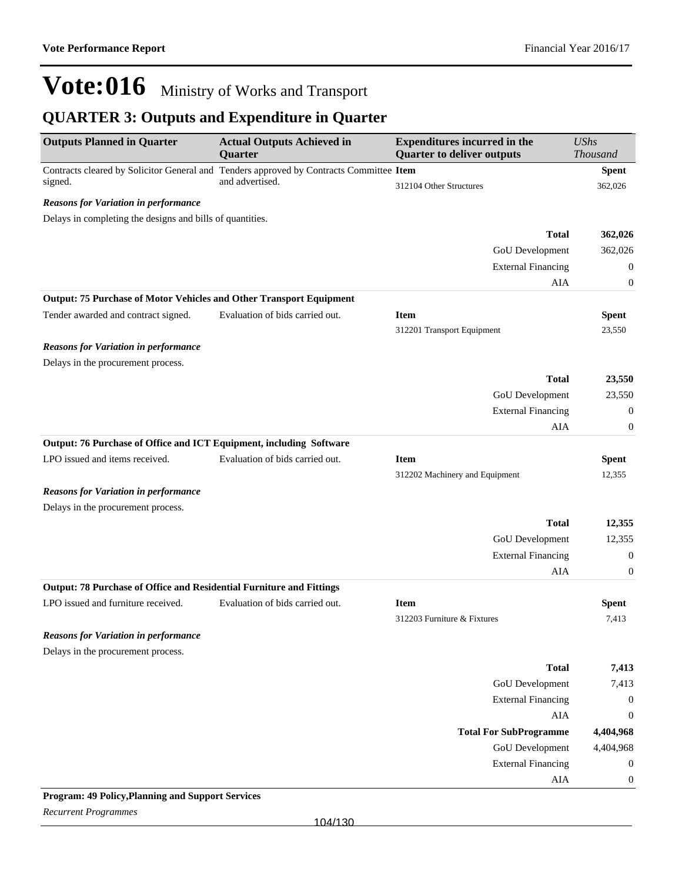### **QUARTER 3: Outputs and Expenditure in Quarter**

| <b>Outputs Planned in Quarter</b>                                          | <b>Actual Outputs Achieved in</b><br>Quarter                                            | <b>Expenditures incurred in the</b><br><b>Quarter to deliver outputs</b> | <b>UShs</b><br><b>Thousand</b> |
|----------------------------------------------------------------------------|-----------------------------------------------------------------------------------------|--------------------------------------------------------------------------|--------------------------------|
|                                                                            | Contracts cleared by Solicitor General and Tenders approved by Contracts Committee Item |                                                                          | <b>Spent</b>                   |
| signed.                                                                    | and advertised.                                                                         | 312104 Other Structures                                                  | 362,026                        |
| <b>Reasons for Variation in performance</b>                                |                                                                                         |                                                                          |                                |
| Delays in completing the designs and bills of quantities.                  |                                                                                         |                                                                          |                                |
|                                                                            |                                                                                         | <b>Total</b>                                                             | 362,026                        |
|                                                                            |                                                                                         | GoU Development                                                          | 362,026                        |
|                                                                            |                                                                                         | <b>External Financing</b>                                                | $\boldsymbol{0}$               |
|                                                                            |                                                                                         | AIA                                                                      | 0                              |
| <b>Output: 75 Purchase of Motor Vehicles and Other Transport Equipment</b> |                                                                                         |                                                                          |                                |
| Tender awarded and contract signed.                                        | Evaluation of bids carried out.                                                         | <b>Item</b>                                                              | <b>Spent</b>                   |
|                                                                            |                                                                                         | 312201 Transport Equipment                                               | 23,550                         |
| <b>Reasons for Variation in performance</b>                                |                                                                                         |                                                                          |                                |
| Delays in the procurement process.                                         |                                                                                         |                                                                          |                                |
|                                                                            |                                                                                         | <b>Total</b>                                                             | 23,550                         |
|                                                                            |                                                                                         | GoU Development                                                          | 23,550                         |
|                                                                            |                                                                                         | <b>External Financing</b>                                                | $\boldsymbol{0}$               |
|                                                                            |                                                                                         | AIA                                                                      | 0                              |
| Output: 76 Purchase of Office and ICT Equipment, including Software        |                                                                                         |                                                                          |                                |
| LPO issued and items received.                                             | Evaluation of bids carried out.                                                         | <b>Item</b>                                                              | <b>Spent</b>                   |
|                                                                            |                                                                                         | 312202 Machinery and Equipment                                           | 12,355                         |
| <b>Reasons for Variation in performance</b>                                |                                                                                         |                                                                          |                                |
| Delays in the procurement process.                                         |                                                                                         |                                                                          |                                |
|                                                                            |                                                                                         | <b>Total</b>                                                             | 12,355                         |
|                                                                            |                                                                                         | GoU Development                                                          | 12,355                         |
|                                                                            |                                                                                         | <b>External Financing</b>                                                | $\boldsymbol{0}$               |
|                                                                            |                                                                                         | AIA                                                                      | $\boldsymbol{0}$               |
| Output: 78 Purchase of Office and Residential Furniture and Fittings       |                                                                                         |                                                                          |                                |
| LPO issued and furniture received.                                         | Evaluation of bids carried out.                                                         | <b>Item</b>                                                              | <b>Spent</b>                   |
|                                                                            |                                                                                         | 312203 Furniture & Fixtures                                              | 7,413                          |
| <b>Reasons for Variation in performance</b>                                |                                                                                         |                                                                          |                                |
| Delays in the procurement process.                                         |                                                                                         |                                                                          |                                |
|                                                                            |                                                                                         | <b>Total</b>                                                             | 7,413                          |
|                                                                            |                                                                                         | <b>GoU</b> Development                                                   | 7,413                          |
|                                                                            |                                                                                         | <b>External Financing</b>                                                | $\boldsymbol{0}$               |
|                                                                            |                                                                                         | <b>AIA</b>                                                               | $\boldsymbol{0}$               |
|                                                                            |                                                                                         | <b>Total For SubProgramme</b>                                            | 4,404,968                      |
|                                                                            |                                                                                         | <b>GoU</b> Development                                                   | 4,404,968                      |
|                                                                            |                                                                                         | <b>External Financing</b>                                                | $\boldsymbol{0}$               |
|                                                                            |                                                                                         | ${\rm AIA}$                                                              | $\boldsymbol{0}$               |

#### **Program: 49 Policy,Planning and Support Services**

*Recurrent Programmes*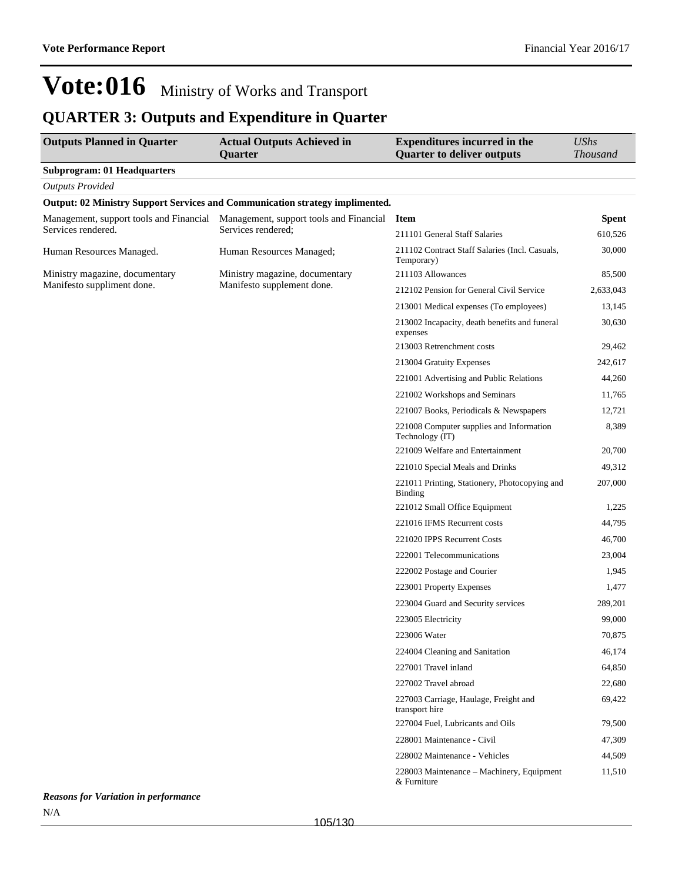### **QUARTER 3: Outputs and Expenditure in Quarter**

| <b>Outputs Planned in Quarter</b>  | <b>Actual Outputs Achieved in</b><br>Quarter                                        | <b>Expenditures incurred in the</b><br><b>Quarter to deliver outputs</b> | <b>UShs</b><br><b>Thousand</b> |
|------------------------------------|-------------------------------------------------------------------------------------|--------------------------------------------------------------------------|--------------------------------|
| <b>Subprogram: 01 Headquarters</b> |                                                                                     |                                                                          |                                |
| <b>Outputs Provided</b>            |                                                                                     |                                                                          |                                |
|                                    | <b>Output: 02 Ministry Support Services and Communication strategy implimented.</b> |                                                                          |                                |
|                                    | Management, support tools and Financial Management, support tools and Financial     | <b>Item</b>                                                              | <b>Spent</b>                   |
| Services rendered.                 | Services rendered;                                                                  | 211101 General Staff Salaries                                            | 610,526                        |
| Human Resources Managed.           | Human Resources Managed;                                                            | 211102 Contract Staff Salaries (Incl. Casuals,<br>Temporary)             | 30,000                         |
| Ministry magazine, documentary     | Ministry magazine, documentary                                                      | 211103 Allowances                                                        | 85,500                         |
| Manifesto suppliment done.         | Manifesto supplement done.                                                          | 212102 Pension for General Civil Service                                 | 2,633,043                      |
|                                    |                                                                                     | 213001 Medical expenses (To employees)                                   | 13,145                         |
|                                    |                                                                                     | 213002 Incapacity, death benefits and funeral<br>expenses                | 30,630                         |
|                                    |                                                                                     | 213003 Retrenchment costs                                                | 29,462                         |
|                                    |                                                                                     | 213004 Gratuity Expenses                                                 | 242,617                        |
|                                    |                                                                                     | 221001 Advertising and Public Relations                                  | 44,260                         |
|                                    |                                                                                     | 221002 Workshops and Seminars                                            | 11,765                         |
|                                    |                                                                                     | 221007 Books, Periodicals & Newspapers                                   | 12,721                         |
|                                    |                                                                                     | 221008 Computer supplies and Information<br>Technology (IT)              | 8,389                          |
|                                    |                                                                                     | 221009 Welfare and Entertainment                                         | 20,700                         |
|                                    |                                                                                     | 221010 Special Meals and Drinks                                          | 49,312                         |
|                                    |                                                                                     | 221011 Printing, Stationery, Photocopying and<br><b>Binding</b>          | 207,000                        |
|                                    |                                                                                     | 221012 Small Office Equipment                                            | 1,225                          |
|                                    |                                                                                     | 221016 IFMS Recurrent costs                                              | 44,795                         |
|                                    |                                                                                     | 221020 IPPS Recurrent Costs                                              | 46,700                         |
|                                    |                                                                                     | 222001 Telecommunications                                                | 23,004                         |
|                                    |                                                                                     | 222002 Postage and Courier                                               | 1,945                          |
|                                    |                                                                                     | 223001 Property Expenses                                                 | 1,477                          |
|                                    |                                                                                     | 223004 Guard and Security services                                       | 289,201                        |
|                                    |                                                                                     | 223005 Electricity                                                       | 99,000                         |
|                                    |                                                                                     | 223006 Water                                                             | 70,875                         |
|                                    |                                                                                     | 224004 Cleaning and Sanitation                                           | 46,174                         |
|                                    |                                                                                     | 227001 Travel inland                                                     | 64,850                         |
|                                    |                                                                                     | 227002 Travel abroad                                                     | 22,680                         |
|                                    |                                                                                     | 227003 Carriage, Haulage, Freight and<br>transport hire                  | 69,422                         |
|                                    |                                                                                     | 227004 Fuel, Lubricants and Oils                                         | 79,500                         |
|                                    |                                                                                     | 228001 Maintenance - Civil                                               | 47,309                         |
|                                    |                                                                                     | 228002 Maintenance - Vehicles                                            | 44,509                         |
|                                    |                                                                                     | 228003 Maintenance - Machinery, Equipment<br>& Furniture                 | 11,510                         |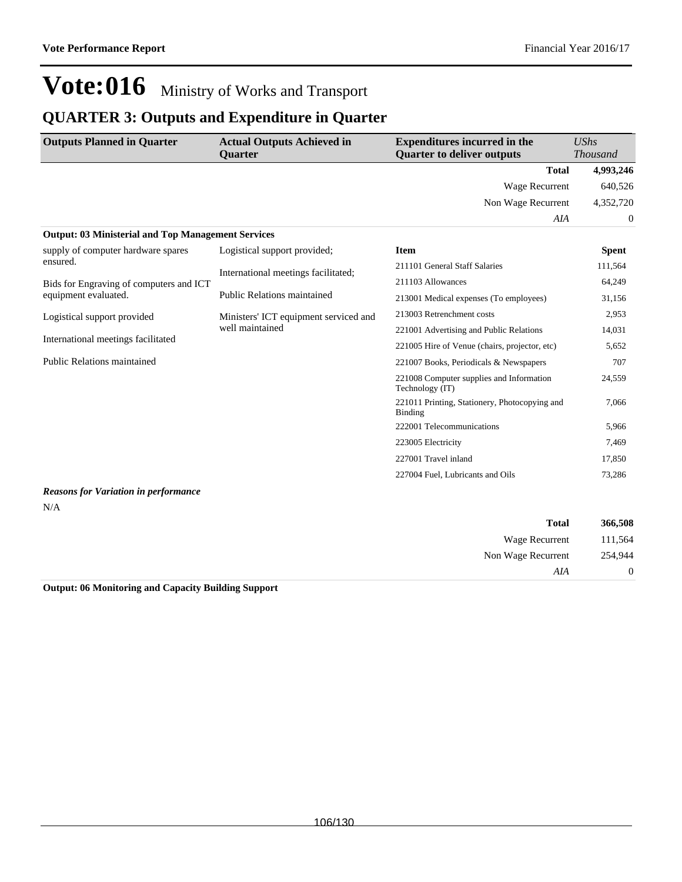### **QUARTER 3: Outputs and Expenditure in Quarter**

| <b>Outputs Planned in Quarter</b>                         | <b>Actual Outputs Achieved in</b><br><b>Ouarter</b> | <b>Expenditures incurred in the</b><br><b>Quarter to deliver outputs</b> | <b>UShs</b><br><b>Thousand</b> |
|-----------------------------------------------------------|-----------------------------------------------------|--------------------------------------------------------------------------|--------------------------------|
|                                                           |                                                     | <b>Total</b>                                                             | 4,993,246                      |
|                                                           |                                                     | <b>Wage Recurrent</b>                                                    | 640.526                        |
|                                                           |                                                     | Non Wage Recurrent                                                       | 4,352,720                      |
|                                                           |                                                     | AIA                                                                      | 0                              |
| <b>Output: 03 Ministerial and Top Management Services</b> |                                                     |                                                                          |                                |
| supply of computer hardware spares                        | Logistical support provided;                        | <b>Item</b>                                                              | <b>Spent</b>                   |
| ensured.                                                  | International meetings facilitated;                 | 211101 General Staff Salaries                                            | 111,564                        |
| Bids for Engraving of computers and ICT                   |                                                     | 211103 Allowances                                                        | 64,249                         |
| equipment evaluated.                                      | Public Relations maintained                         | 213001 Medical expenses (To employees)                                   | 31,156                         |
| Logistical support provided                               | Ministers' ICT equipment serviced and               | 213003 Retrenchment costs                                                | 2,953                          |
|                                                           | well maintained                                     | 221001 Advertising and Public Relations                                  | 14.031                         |
| International meetings facilitated                        |                                                     | 221005 Hire of Venue (chairs, projector, etc)                            | 5,652                          |
| Public Relations maintained                               |                                                     | 221007 Books, Periodicals & Newspapers                                   | 707                            |
|                                                           |                                                     | 221008 Computer supplies and Information<br>Technology (IT)              | 24,559                         |
|                                                           |                                                     | 221011 Printing, Stationery, Photocopying and<br>Binding                 | 7,066                          |
|                                                           |                                                     | 222001 Telecommunications                                                | 5,966                          |
|                                                           |                                                     | 223005 Electricity                                                       | 7,469                          |
|                                                           |                                                     | 227001 Travel inland                                                     | 17,850                         |
|                                                           |                                                     | 227004 Fuel, Lubricants and Oils                                         | 73,286                         |
| <b>Reasons for Variation in performance</b>               |                                                     |                                                                          |                                |

#### N/A

| 366,508 | <b>Total</b>       |
|---------|--------------------|
| 111,564 | Wage Recurrent     |
| 254,944 | Non Wage Recurrent |
| 0       | AIA                |

**Output: 06 Monitoring and Capacity Building Support**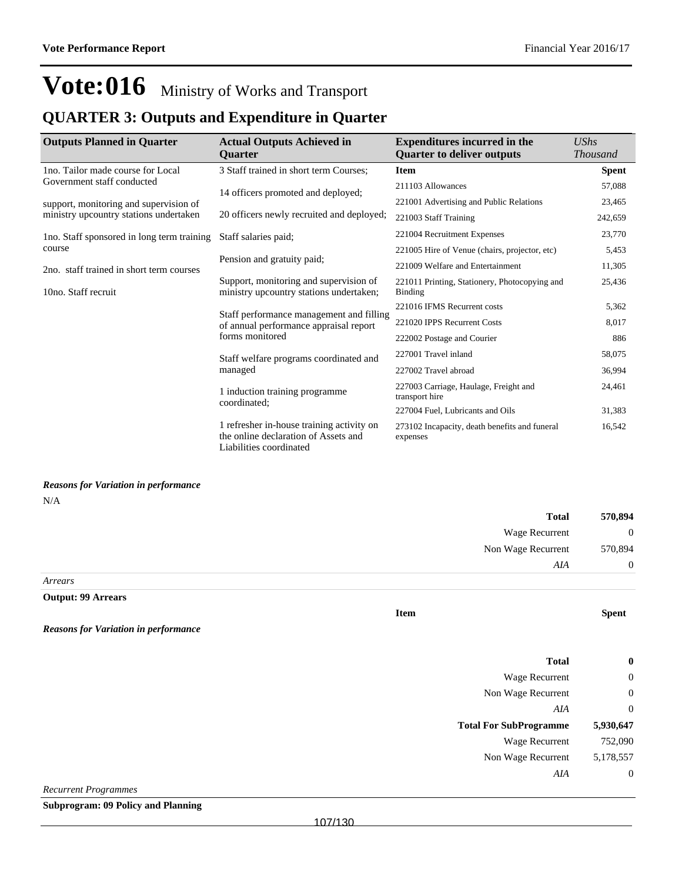### **QUARTER 3: Outputs and Expenditure in Quarter**

| <b>Outputs Planned in Quarter</b>          | <b>Actual Outputs Achieved in</b><br><b>Ouarter</b>                                                          | <b>Expenditures incurred in the</b><br><b>Ouarter to deliver outputs</b> | <b>UShs</b><br><b>Thousand</b> |
|--------------------------------------------|--------------------------------------------------------------------------------------------------------------|--------------------------------------------------------------------------|--------------------------------|
| 1no. Tailor made course for Local          | 3 Staff trained in short term Courses;                                                                       | <b>Item</b>                                                              | <b>Spent</b>                   |
| Government staff conducted                 | 14 officers promoted and deployed;                                                                           | 211103 Allowances                                                        | 57,088                         |
| support, monitoring and supervision of     |                                                                                                              | 221001 Advertising and Public Relations                                  | 23,465                         |
| ministry upcountry stations undertaken     | 20 officers newly recruited and deployed;                                                                    | 221003 Staff Training                                                    | 242,659                        |
| Ino. Staff sponsored in long term training | Staff salaries paid;                                                                                         | 221004 Recruitment Expenses                                              | 23,770                         |
| course                                     |                                                                                                              | 221005 Hire of Venue (chairs, projector, etc)                            | 5,453                          |
| 2no. staff trained in short term courses   | Pension and gratuity paid;                                                                                   | 221009 Welfare and Entertainment                                         | 11,305                         |
| 10no. Staff recruit                        | Support, monitoring and supervision of<br>ministry upcountry stations undertaken;                            | 221011 Printing, Stationery, Photocopying and<br><b>Binding</b>          | 25,436                         |
|                                            |                                                                                                              | 221016 IFMS Recurrent costs                                              | 5,362                          |
|                                            | Staff performance management and filling<br>of annual performance appraisal report                           | 221020 IPPS Recurrent Costs                                              | 8,017                          |
|                                            | forms monitored                                                                                              | 222002 Postage and Courier                                               | 886                            |
|                                            | Staff welfare programs coordinated and                                                                       | 227001 Travel inland                                                     | 58,075                         |
|                                            | managed                                                                                                      | 227002 Travel abroad                                                     | 36,994                         |
|                                            | 1 induction training programme<br>coordinated;                                                               | 227003 Carriage, Haulage, Freight and<br>transport hire                  | 24,461                         |
|                                            |                                                                                                              | 227004 Fuel, Lubricants and Oils                                         | 31,383                         |
|                                            | 1 refresher in-house training activity on<br>the online declaration of Assets and<br>Liabilities coordinated | 273102 Incapacity, death benefits and funeral<br>expenses                | 16,542                         |

#### *Reasons for Variation in performance*

*Reasons for Variation in performance*

N/A

| 570,894        | <b>Total</b>       |
|----------------|--------------------|
| $\overline{0}$ | Wage Recurrent     |
| 570,894        | Non Wage Recurrent |
| $\overline{0}$ | AIA                |

*Arrears*

#### **Output: 99 Arrears**

**Item Spent**

| $\boldsymbol{0}$ | <b>Total</b>                  |
|------------------|-------------------------------|
| $\mathbf 0$      | <b>Wage Recurrent</b>         |
| $\mathbf 0$      | Non Wage Recurrent            |
| $\mathbf 0$      | AIA                           |
|                  |                               |
| 5,930,647        | <b>Total For SubProgramme</b> |
| 752,090          | <b>Wage Recurrent</b>         |
| 5,178,557        | Non Wage Recurrent            |
| $\mathbf 0$      | AIA                           |

*Recurrent Programmes*

**Subprogram: 09 Policy and Planning**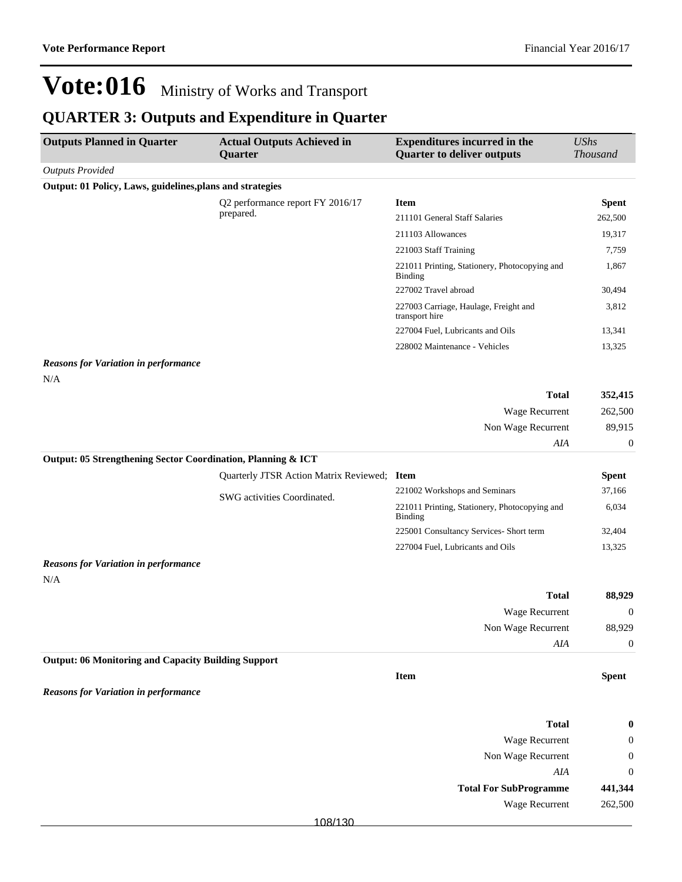### **QUARTER 3: Outputs and Expenditure in Quarter**

| <b>Outputs Planned in Quarter</b>                            | <b>Actual Outputs Achieved in</b><br>Quarter  | <b>Expenditures incurred in the</b><br><b>Quarter to deliver outputs</b> | <b>UShs</b><br>Thousand |
|--------------------------------------------------------------|-----------------------------------------------|--------------------------------------------------------------------------|-------------------------|
| <b>Outputs Provided</b>                                      |                                               |                                                                          |                         |
| Output: 01 Policy, Laws, guidelines, plans and strategies    |                                               |                                                                          |                         |
|                                                              | Q2 performance report FY 2016/17<br>prepared. | <b>Item</b>                                                              | <b>Spent</b>            |
|                                                              |                                               | 211101 General Staff Salaries                                            | 262,500                 |
|                                                              |                                               | 211103 Allowances                                                        | 19,317                  |
|                                                              |                                               | 221003 Staff Training                                                    | 7,759                   |
|                                                              |                                               | 221011 Printing, Stationery, Photocopying and<br><b>Binding</b>          | 1,867                   |
|                                                              |                                               | 227002 Travel abroad                                                     | 30,494                  |
|                                                              |                                               | 227003 Carriage, Haulage, Freight and<br>transport hire                  | 3,812                   |
|                                                              |                                               | 227004 Fuel, Lubricants and Oils                                         | 13,341                  |
|                                                              |                                               | 228002 Maintenance - Vehicles                                            | 13,325                  |
| <b>Reasons for Variation in performance</b><br>N/A           |                                               |                                                                          |                         |
|                                                              |                                               | <b>Total</b>                                                             | 352,415                 |
|                                                              |                                               | Wage Recurrent                                                           | 262,500                 |
|                                                              |                                               | Non Wage Recurrent                                                       | 89,915                  |
|                                                              |                                               | AIA                                                                      | $\boldsymbol{0}$        |
| Output: 05 Strengthening Sector Coordination, Planning & ICT |                                               |                                                                          |                         |
|                                                              | Quarterly JTSR Action Matrix Reviewed; Item   |                                                                          | <b>Spent</b>            |
|                                                              |                                               | 221002 Workshops and Seminars                                            | 37,166                  |
|                                                              | SWG activities Coordinated.                   | 221011 Printing, Stationery, Photocopying and<br>Binding                 | 6,034                   |
|                                                              |                                               | 225001 Consultancy Services- Short term                                  | 32,404                  |
|                                                              |                                               | 227004 Fuel, Lubricants and Oils                                         | 13,325                  |
| <b>Reasons for Variation in performance</b><br>N/A           |                                               |                                                                          |                         |
|                                                              |                                               | <b>Total</b>                                                             | 88,929                  |
|                                                              |                                               | Wage Recurrent                                                           | $\mathbf 0$             |
|                                                              |                                               | Non Wage Recurrent                                                       | 88,929                  |
|                                                              |                                               | AIA                                                                      | $\boldsymbol{0}$        |
| <b>Output: 06 Monitoring and Capacity Building Support</b>   |                                               |                                                                          |                         |
|                                                              |                                               | Item                                                                     | <b>Spent</b>            |
| <b>Reasons for Variation in performance</b>                  |                                               |                                                                          |                         |
|                                                              |                                               |                                                                          |                         |
|                                                              |                                               | <b>Total</b>                                                             | 0                       |
|                                                              |                                               | Wage Recurrent                                                           | 0                       |
|                                                              |                                               | Non Wage Recurrent                                                       | $\boldsymbol{0}$        |
|                                                              |                                               | AIA                                                                      | $\boldsymbol{0}$        |
|                                                              |                                               | <b>Total For SubProgramme</b>                                            | 441,344                 |
|                                                              |                                               | Wage Recurrent                                                           | 262,500                 |
|                                                              | 108/130                                       |                                                                          |                         |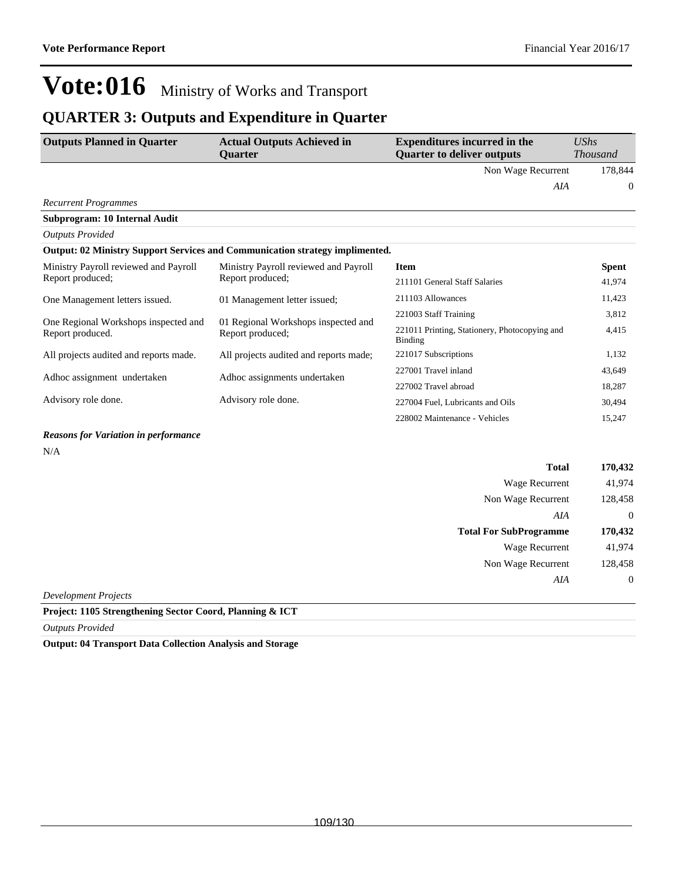### **QUARTER 3: Outputs and Expenditure in Quarter**

| <b>Outputs Planned in Quarter</b>                         | <b>Actual Outputs Achieved in</b><br>Quarter                                        | <b>Expenditures incurred in the</b><br><b>Quarter to deliver outputs</b> | UShs<br><b>Thousand</b> |
|-----------------------------------------------------------|-------------------------------------------------------------------------------------|--------------------------------------------------------------------------|-------------------------|
|                                                           |                                                                                     | Non Wage Recurrent                                                       | 178,844                 |
|                                                           |                                                                                     | AIA                                                                      | $\theta$                |
| <b>Recurrent Programmes</b>                               |                                                                                     |                                                                          |                         |
| Subprogram: 10 Internal Audit                             |                                                                                     |                                                                          |                         |
| <b>Outputs Provided</b>                                   |                                                                                     |                                                                          |                         |
|                                                           | <b>Output: 02 Ministry Support Services and Communication strategy implimented.</b> |                                                                          |                         |
| Ministry Payroll reviewed and Payroll<br>Report produced; | Ministry Payroll reviewed and Payroll<br>Report produced;                           | <b>Item</b>                                                              | <b>Spent</b>            |
|                                                           |                                                                                     | 211101 General Staff Salaries                                            | 41,974                  |
| One Management letters issued.                            | 01 Management letter issued;                                                        | 211103 Allowances                                                        | 11,423                  |
|                                                           | 01 Regional Workshops inspected and<br>Report produced;                             | 221003 Staff Training                                                    | 3,812                   |
| One Regional Workshops inspected and<br>Report produced.  |                                                                                     | 221011 Printing, Stationery, Photocopying and<br>Binding                 | 4,415                   |
| All projects audited and reports made.                    | All projects audited and reports made;                                              | 221017 Subscriptions                                                     | 1,132                   |
| Adhoc assignment undertaken                               | Adhoc assignments undertaken                                                        | 227001 Travel inland                                                     | 43,649                  |
|                                                           |                                                                                     | 227002 Travel abroad                                                     | 18,287                  |
| Advisory role done.                                       | Advisory role done.                                                                 | 227004 Fuel, Lubricants and Oils                                         | 30,494                  |
|                                                           |                                                                                     | 228002 Maintenance - Vehicles                                            | 15,247                  |
| <b>Reasons for Variation in performance</b>               |                                                                                     |                                                                          |                         |
| N/A                                                       |                                                                                     |                                                                          |                         |

|                      | <b>Total</b>                  | 170,432          |
|----------------------|-------------------------------|------------------|
|                      | <b>Wage Recurrent</b>         | 41,974           |
|                      | Non Wage Recurrent            | 128,458          |
|                      | AIA                           | $\theta$         |
|                      | <b>Total For SubProgramme</b> | 170,432          |
|                      | Wage Recurrent                | 41,974           |
|                      | Non Wage Recurrent            | 128,458          |
|                      | AIA                           | $\boldsymbol{0}$ |
| Development Projects |                               |                  |

**Project: 1105 Strengthening Sector Coord, Planning & ICT**

*Outputs Provided*

**Output: 04 Transport Data Collection Analysis and Storage**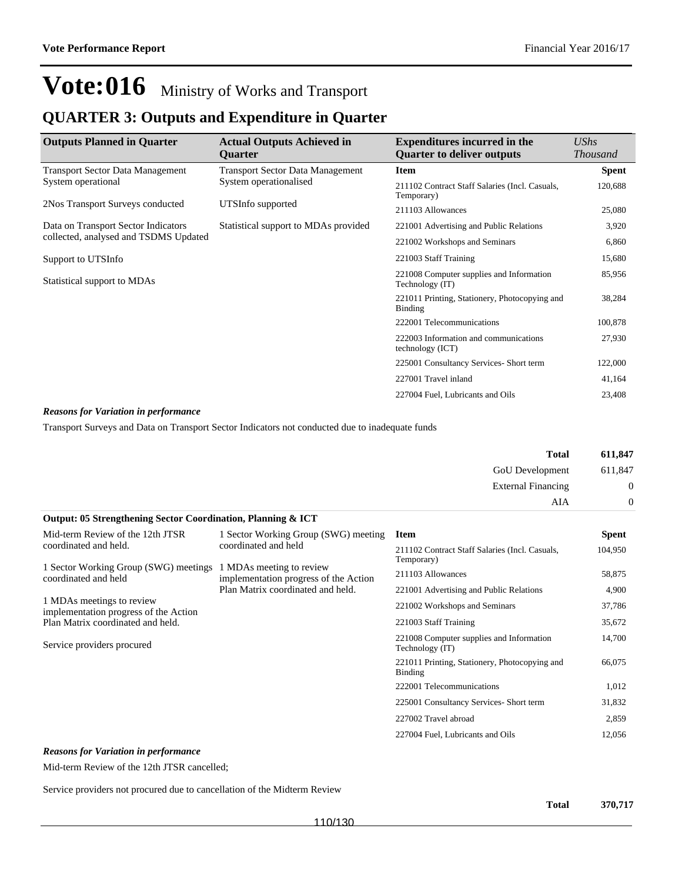### **QUARTER 3: Outputs and Expenditure in Quarter**

| <b>Outputs Planned in Quarter</b>       | <b>Actual Outputs Achieved in</b><br><b>Ouarter</b> | <b>Expenditures incurred in the</b><br><b>Ouarter to deliver outputs</b> | UShs<br><b>Thousand</b> |
|-----------------------------------------|-----------------------------------------------------|--------------------------------------------------------------------------|-------------------------|
| <b>Transport Sector Data Management</b> | <b>Transport Sector Data Management</b>             | <b>Item</b>                                                              | <b>Spent</b>            |
| System operational                      | System operationalised                              | 211102 Contract Staff Salaries (Incl. Casuals,                           | 120,688                 |
| 2Nos Transport Surveys conducted        | UTSInfo supported                                   | Temporary)                                                               |                         |
|                                         |                                                     | 211103 Allowances                                                        | 25,080                  |
| Data on Transport Sector Indicators     | Statistical support to MDAs provided                | 221001 Advertising and Public Relations                                  | 3,920                   |
| collected, analysed and TSDMS Updated   |                                                     | 221002 Workshops and Seminars                                            | 6,860                   |
| Support to UTSInfo                      |                                                     | 221003 Staff Training                                                    | 15,680                  |
| Statistical support to MDAs             |                                                     | 221008 Computer supplies and Information<br>Technology (IT)              | 85,956                  |
|                                         |                                                     | 221011 Printing, Stationery, Photocopying and<br><b>Binding</b>          | 38,284                  |
|                                         |                                                     | 222001 Telecommunications                                                | 100,878                 |
|                                         |                                                     | 222003 Information and communications<br>technology (ICT)                | 27,930                  |
|                                         |                                                     | 225001 Consultancy Services- Short term                                  | 122,000                 |
|                                         |                                                     | 227001 Travel inland                                                     | 41,164                  |
|                                         |                                                     | 227004 Fuel, Lubricants and Oils                                         | 23,408                  |

#### *Reasons for Variation in performance*

Transport Surveys and Data on Transport Sector Indicators not conducted due to inadequate funds

|                                                                    |                                                                                                        | <b>Total</b>                                                 | 611,847  |
|--------------------------------------------------------------------|--------------------------------------------------------------------------------------------------------|--------------------------------------------------------------|----------|
|                                                                    |                                                                                                        | <b>GoU</b> Development                                       | 611,847  |
|                                                                    |                                                                                                        | <b>External Financing</b>                                    | 0        |
|                                                                    |                                                                                                        | AIA                                                          | $\Omega$ |
| Output: 05 Strengthening Sector Coordination, Planning & ICT       |                                                                                                        |                                                              |          |
| Mid-term Review of the 12th JTSR                                   | 1 Sector Working Group (SWG) meeting                                                                   | <b>Item</b>                                                  | Spent    |
| coordinated and held.                                              | coordinated and held                                                                                   | 211102 Contract Staff Salaries (Incl. Casuals,<br>Temporary) | 104,950  |
| 1 Sector Working Group (SWG) meetings<br>coordinated and held      | 1 MDAs meeting to review<br>implementation progress of the Action<br>Plan Matrix coordinated and held. | 211103 Allowances                                            | 58,875   |
|                                                                    |                                                                                                        | 221001 Advertising and Public Relations                      | 4,900    |
| 1 MDAs meetings to review<br>implementation progress of the Action |                                                                                                        | 221002 Workshops and Seminars                                | 37,786   |
| Plan Matrix coordinated and held.                                  |                                                                                                        | 221003 Staff Training                                        | 35,672   |
| Service providers procured                                         |                                                                                                        | 221008 Computer supplies and Information<br>Technology (IT)  | 14,700   |
|                                                                    |                                                                                                        | 221011 Printing, Stationery, Photocopying and<br>Binding     | 66,075   |
|                                                                    |                                                                                                        | 222001 Telecommunications                                    | 1,012    |
|                                                                    |                                                                                                        | 225001 Consultancy Services- Short term                      | 31,832   |
|                                                                    |                                                                                                        | 227002 Travel abroad                                         | 2,859    |
|                                                                    |                                                                                                        | 227004 Fuel, Lubricants and Oils                             | 12,056   |
|                                                                    |                                                                                                        |                                                              |          |

#### *Reasons for Variation in performance*

Mid-term Review of the 12th JTSR cancelled;

Service providers not procured due to cancellation of the Midterm Review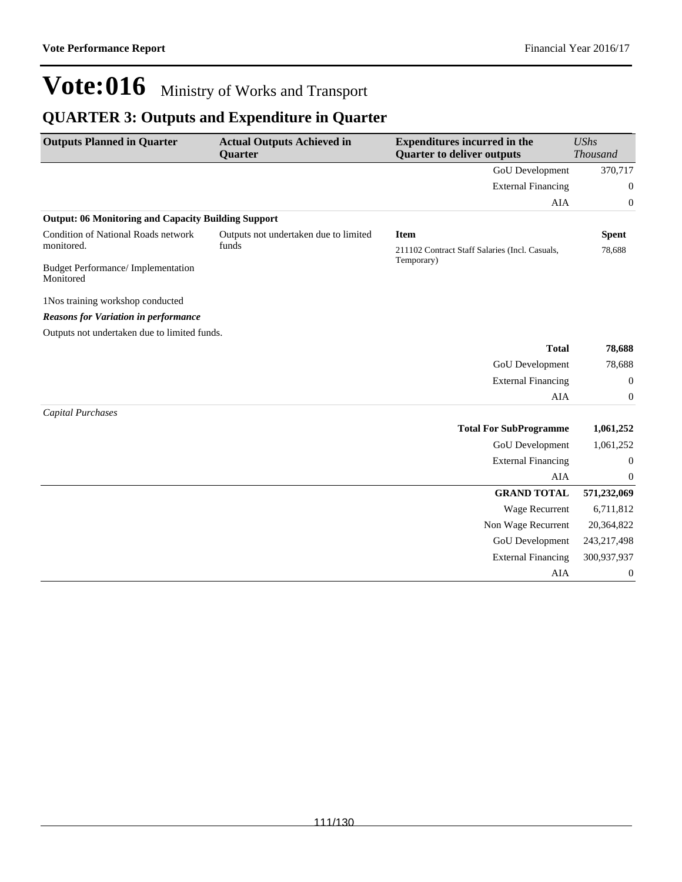### **QUARTER 3: Outputs and Expenditure in Quarter**

| <b>Outputs Planned in Quarter</b>                          | <b>Actual Outputs Achieved in</b><br>Quarter | <b>Expenditures incurred in the</b><br><b>Quarter to deliver outputs</b> | <b>UShs</b><br><b>Thousand</b> |
|------------------------------------------------------------|----------------------------------------------|--------------------------------------------------------------------------|--------------------------------|
|                                                            |                                              | <b>GoU</b> Development                                                   | 370,717                        |
|                                                            |                                              | <b>External Financing</b>                                                | 0                              |
|                                                            |                                              | AIA                                                                      | $\boldsymbol{0}$               |
| <b>Output: 06 Monitoring and Capacity Building Support</b> |                                              |                                                                          |                                |
| Condition of National Roads network                        | Outputs not undertaken due to limited        | <b>Item</b>                                                              | <b>Spent</b>                   |
| monitored.                                                 | funds                                        | 211102 Contract Staff Salaries (Incl. Casuals,                           | 78,688                         |
| <b>Budget Performance/Implementation</b><br>Monitored      |                                              | Temporary)                                                               |                                |
| 1Nos training workshop conducted                           |                                              |                                                                          |                                |
| <b>Reasons for Variation in performance</b>                |                                              |                                                                          |                                |
| Outputs not undertaken due to limited funds.               |                                              |                                                                          |                                |
|                                                            |                                              | <b>Total</b>                                                             | 78,688                         |
|                                                            |                                              | GoU Development                                                          | 78,688                         |
|                                                            |                                              | <b>External Financing</b>                                                | $\boldsymbol{0}$               |
|                                                            |                                              | AIA                                                                      | $\boldsymbol{0}$               |
| Capital Purchases                                          |                                              |                                                                          |                                |
|                                                            |                                              | <b>Total For SubProgramme</b>                                            | 1,061,252                      |
|                                                            |                                              | GoU Development                                                          | 1,061,252                      |
|                                                            |                                              | <b>External Financing</b>                                                | $\mathbf{0}$                   |
|                                                            |                                              | <b>AIA</b>                                                               | $\mathbf{0}$                   |
|                                                            |                                              | <b>GRAND TOTAL</b>                                                       | 571,232,069                    |
|                                                            |                                              | <b>Wage Recurrent</b>                                                    | 6,711,812                      |
|                                                            |                                              | Non Wage Recurrent                                                       | 20,364,822                     |
|                                                            |                                              | GoU Development                                                          | 243,217,498                    |
|                                                            |                                              | <b>External Financing</b>                                                | 300,937,937                    |
|                                                            |                                              | AIA                                                                      | $\boldsymbol{0}$               |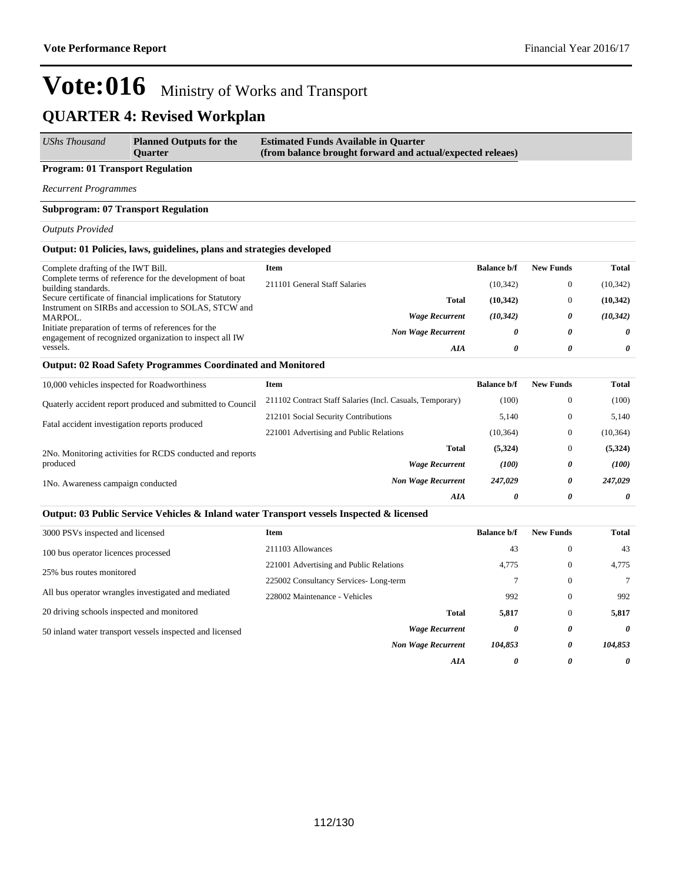| UShs Thousand | <b>Planned Outputs for the</b><br><b>Ouarter</b> | <b>Estimated Funds Available in Quarter</b><br>(from balance brought forward and actual/expected releaes) |
|---------------|--------------------------------------------------|-----------------------------------------------------------------------------------------------------------|
|---------------|--------------------------------------------------|-----------------------------------------------------------------------------------------------------------|

### **Program: 01 Transport Regulation**

*Recurrent Programmes*

#### **Subprogram: 07 Transport Regulation**

#### *Outputs Provided*

#### **Output: 01 Policies, laws, guidelines, plans and strategies developed**

| Complete drafting of the IWT Bill.                                                                             | Item                          |                           | <b>Balance b/f</b> | <b>New Funds</b> | Total     |
|----------------------------------------------------------------------------------------------------------------|-------------------------------|---------------------------|--------------------|------------------|-----------|
| Complete terms of reference for the development of boat<br>building standards.                                 | 211101 General Staff Salaries |                           | (10, 342)          |                  | (10, 342) |
| Secure certificate of financial implications for Statutory                                                     |                               | <b>Total</b>              | (10, 342)          |                  | (10,342)  |
| Instrument on SIRBs and accession to SOLAS, STCW and                                                           |                               |                           |                    |                  |           |
| MARPOL.                                                                                                        |                               | <b>Wage Recurrent</b>     | (10, 342)          | 0                | (10, 342) |
| Initiate preparation of terms of references for the<br>engagement of recognized organization to inspect all IW |                               | <b>Non Wage Recurrent</b> | 0                  | 0                | $\theta$  |
| vessels.                                                                                                       |                               | AIA                       | 0                  | 0                | 0         |

#### **Output: 02 Road Safety Programmes Coordinated and Monitored**

| 10,000 vehicles inspected for Roadworthiness                          | Item                                                      | <b>Balance b/f</b> | <b>New Funds</b> | <b>Total</b> |
|-----------------------------------------------------------------------|-----------------------------------------------------------|--------------------|------------------|--------------|
| Quaterly accident report produced and submitted to Council            | 211102 Contract Staff Salaries (Incl. Casuals, Temporary) | (100)              | $\mathbf{0}$     | (100)        |
| Fatal accident investigation reports produced                         | 212101 Social Security Contributions                      | 5,140              | $\mathbf{0}$     | 5,140        |
|                                                                       | 221001 Advertising and Public Relations                   | (10, 364)          | $\mathbf{0}$     | (10, 364)    |
| 2No. Monitoring activities for RCDS conducted and reports<br>produced | <b>Total</b>                                              | (5,324)            | $\mathbf{0}$     | (5,324)      |
|                                                                       | <b>Wage Recurrent</b>                                     | (100)              | 0                | (100)        |
| 1No. Awareness campaign conducted                                     | <b>Non Wage Recurrent</b>                                 | 247,029            | 0                | 247,029      |
|                                                                       | AIA                                                       | $\theta$           | 0                | 0            |

#### **Output: 03 Public Service Vehicles & Inland water Transport vessels Inspected & licensed**

| 3000 PSVs inspected and licensed                         | <b>Item</b>                             | <b>Balance b/f</b> | <b>New Funds</b> | Total                 |
|----------------------------------------------------------|-----------------------------------------|--------------------|------------------|-----------------------|
| 100 bus operator licences processed                      | 211103 Allowances                       | 43                 | $\theta$         | 43                    |
|                                                          | 221001 Advertising and Public Relations | 4,775              | $\theta$         | 4,775                 |
| 25% bus routes monitored                                 | 225002 Consultancy Services-Long-term   |                    | $\Omega$         | $\tau$                |
| All bus operator wrangles investigated and mediated      | 228002 Maintenance - Vehicles           | 992                | $\Omega$         | 992                   |
| 20 driving schools inspected and monitored               | <b>Total</b>                            | 5,817              | $\theta$         | 5,817                 |
| 50 inland water transport vessels inspected and licensed | <b>Wage Recurrent</b>                   | 0                  | $\theta$         | $\theta$              |
|                                                          | <b>Non Wage Recurrent</b>               | 104,853            | $\theta$         | 104,853               |
|                                                          | AIA                                     | 0                  | 0                | $\boldsymbol{\theta}$ |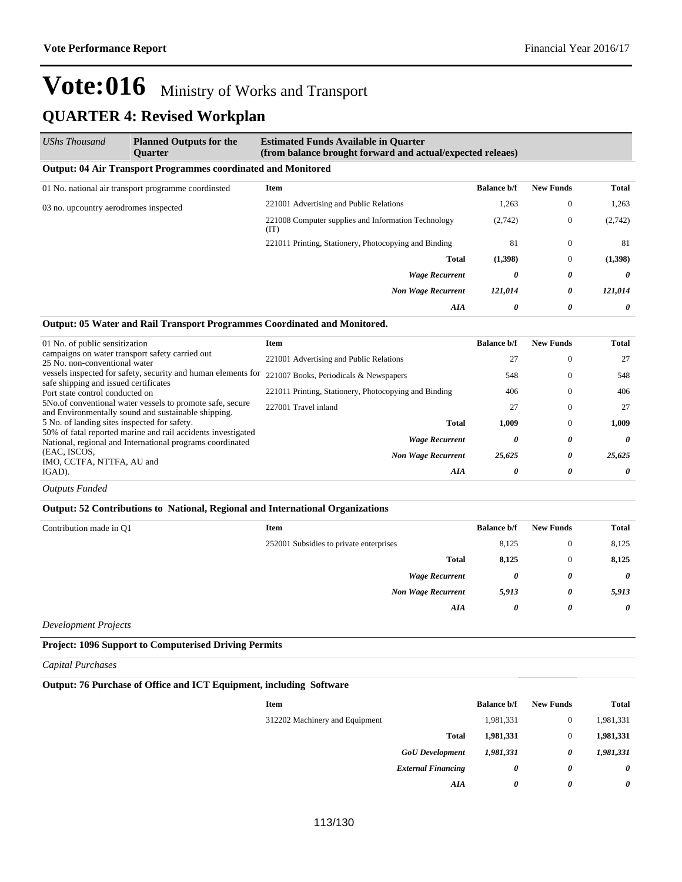| <b>UShs Thousand</b>                  | <b>Planned Outputs for the</b><br><b>Ouarter</b>                     | <b>Estimated Funds Available in Quarter</b><br>(from balance brought forward and actual/expected releaes) |                    |                  |                       |  |
|---------------------------------------|----------------------------------------------------------------------|-----------------------------------------------------------------------------------------------------------|--------------------|------------------|-----------------------|--|
|                                       | <b>Output: 04 Air Transport Programmes coordinated and Monitored</b> |                                                                                                           |                    |                  |                       |  |
|                                       | 01 No. national air transport programme coordinsted                  | Item                                                                                                      | <b>Balance b/f</b> | <b>New Funds</b> | Total                 |  |
| 03 no. upcountry aerodromes inspected |                                                                      | 221001 Advertising and Public Relations                                                                   | 1,263              | $\mathbf{0}$     | 1,263                 |  |
|                                       | 221008 Computer supplies and Information Technology<br>(TT)          | (2,742)                                                                                                   | $\theta$           | (2,742)          |                       |  |
|                                       |                                                                      | 221011 Printing, Stationery, Photocopying and Binding                                                     | 81                 | $\theta$         | -81                   |  |
|                                       |                                                                      | <b>Total</b>                                                                                              | (1,398)            | $\Omega$         | (1,398)               |  |
|                                       |                                                                      | <b>Wage Recurrent</b>                                                                                     | 0                  | 0                | $\boldsymbol{\theta}$ |  |
|                                       |                                                                      | <b>Non Wage Recurrent</b>                                                                                 | 121,014            | 0                | 121,014               |  |
|                                       |                                                                      | AIA                                                                                                       | 0                  | 0                | $\boldsymbol{\theta}$ |  |

#### **Output: 05 Water and Rail Transport Programmes Coordinated and Monitored.**

| 01 No. of public sensitization                                                                                            | Item                                                  | <b>Balance b/f</b> | <b>New Funds</b> | Total  |
|---------------------------------------------------------------------------------------------------------------------------|-------------------------------------------------------|--------------------|------------------|--------|
| campaigns on water transport safety carried out<br>25 No. non-conventional water                                          | 221001 Advertising and Public Relations               | 27                 | $\Omega$         | 27     |
| vessels inspected for safety, security and human elements for<br>safe shipping and issued certificates                    | 221007 Books, Periodicals & Newspapers                | 548                | $\Omega$         | 548    |
| Port state control conducted on                                                                                           | 221011 Printing, Stationery, Photocopying and Binding | 406                | $\Omega$         | 406    |
| 5No.of conventional water vessels to promote safe, secure<br>and Environmentally sound and sustainable shipping.          | 227001 Travel inland                                  | 27                 | $\mathbf{0}$     | 27     |
| 5 No. of landing sites inspected for safety.                                                                              | <b>Total</b>                                          | 1.009              | $\Omega$         | 1.009  |
| 50% of fatal reported marine and rail accidents investigated<br>National, regional and International programs coordinated | <b>Wage Recurrent</b>                                 | 0                  | 0                | 0      |
| (EAC, ISCOS,<br>IMO, CCTFA, NTTFA, AU and                                                                                 | <b>Non Wage Recurrent</b>                             | 25,625             | 0                | 25.625 |
| IGAD).                                                                                                                    | AIA                                                   | 0                  | 0                | 0      |
|                                                                                                                           |                                                       |                    |                  |        |

*Outputs Funded*

#### **Output: 52 Contributions to National, Regional and International Organizations**

| Contribution made in Q1 | <b>Item</b>                             | <b>Balance b/f</b>    | <b>New Funds</b>      | <b>Total</b>          |
|-------------------------|-----------------------------------------|-----------------------|-----------------------|-----------------------|
|                         | 252001 Subsidies to private enterprises | 8,125                 | $\mathbf{0}$          | 8,125                 |
|                         | <b>Total</b>                            | 8,125                 | $\mathbf{0}$          | 8,125                 |
|                         | <b>Wage Recurrent</b>                   | 0                     | 0                     | $\boldsymbol{\theta}$ |
|                         | <b>Non Wage Recurrent</b>               | 5,913                 | 0                     | 5,913                 |
|                         | AIA                                     | $\boldsymbol{\theta}$ | $\boldsymbol{\theta}$ | $\boldsymbol{\theta}$ |
|                         |                                         |                       |                       |                       |

*Development Projects*

#### **Project: 1096 Support to Computerised Driving Permits**

*Capital Purchases*

#### **Output: 76 Purchase of Office and ICT Equipment, including Software**

| <b>Item</b>                    | <b>Balance b/f</b> | <b>New Funds</b> | <b>Total</b> |
|--------------------------------|--------------------|------------------|--------------|
| 312202 Machinery and Equipment | 1,981,331          | $\theta$         | 1,981,331    |
| <b>Total</b>                   | 1,981,331          | $\mathbf{0}$     | 1,981,331    |
| <b>GoU</b> Development         | 1,981,331          | 0                | 1,981,331    |
| <b>External Financing</b>      | 0                  | 0                | 0            |
| AIA                            | 0                  | 0                | 0            |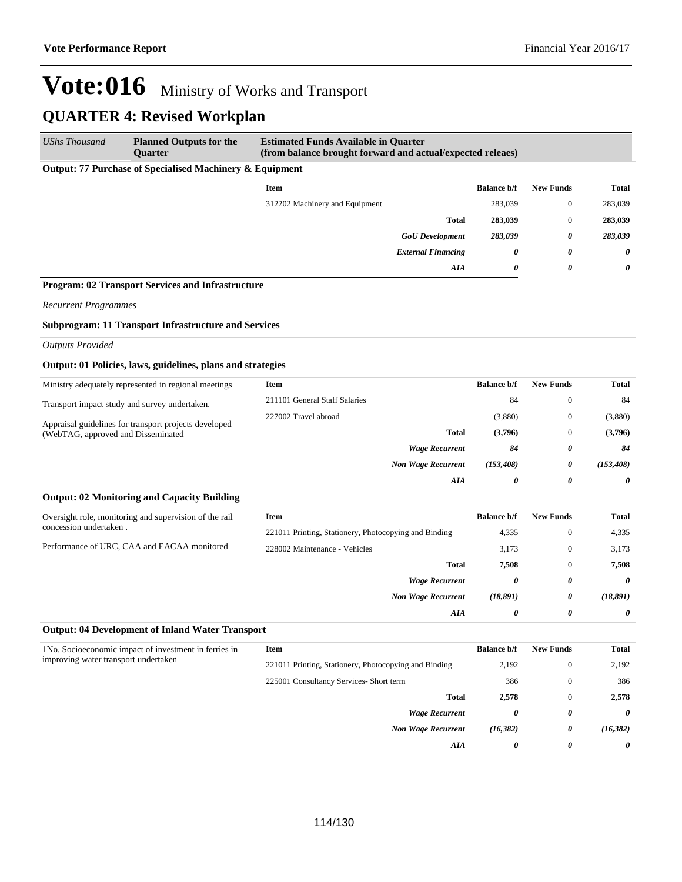| <b>UShs Thousand</b>                                                                        | <b>Planned Outputs for the</b><br>Quarter                   | <b>Estimated Funds Available in Quarter</b><br>(from balance brought forward and actual/expected releaes) |                    |                  |              |
|---------------------------------------------------------------------------------------------|-------------------------------------------------------------|-----------------------------------------------------------------------------------------------------------|--------------------|------------------|--------------|
|                                                                                             | Output: 77 Purchase of Specialised Machinery & Equipment    |                                                                                                           |                    |                  |              |
|                                                                                             |                                                             | <b>Item</b>                                                                                               | <b>Balance b/f</b> | <b>New Funds</b> | <b>Total</b> |
|                                                                                             |                                                             | 312202 Machinery and Equipment                                                                            | 283,039            | $\bf{0}$         | 283,039      |
|                                                                                             |                                                             | <b>Total</b>                                                                                              | 283,039            | $\bf{0}$         | 283,039      |
|                                                                                             |                                                             | <b>GoU</b> Development                                                                                    | 283,039            | 0                | 283,039      |
|                                                                                             |                                                             | <b>External Financing</b>                                                                                 | 0                  | 0                | 0            |
|                                                                                             |                                                             | AIA                                                                                                       | 0                  | 0                | 0            |
|                                                                                             | Program: 02 Transport Services and Infrastructure           |                                                                                                           |                    |                  |              |
| <b>Recurrent Programmes</b>                                                                 |                                                             |                                                                                                           |                    |                  |              |
|                                                                                             | <b>Subprogram: 11 Transport Infrastructure and Services</b> |                                                                                                           |                    |                  |              |
| <b>Outputs Provided</b>                                                                     |                                                             |                                                                                                           |                    |                  |              |
|                                                                                             | Output: 01 Policies, laws, guidelines, plans and strategies |                                                                                                           |                    |                  |              |
|                                                                                             | Ministry adequately represented in regional meetings        | <b>Item</b>                                                                                               | <b>Balance b/f</b> | <b>New Funds</b> | <b>Total</b> |
|                                                                                             | Transport impact study and survey undertaken.               | 211101 General Staff Salaries                                                                             | 84                 | $\bf{0}$         | 84           |
|                                                                                             | 227002 Travel abroad                                        | (3,880)                                                                                                   | $\bf{0}$           | (3,880)          |              |
| Appraisal guidelines for transport projects developed<br>(WebTAG, approved and Disseminated | <b>Total</b>                                                | (3,796)                                                                                                   | $\bf{0}$           | (3,796)          |              |
|                                                                                             | <b>Wage Recurrent</b>                                       | 84                                                                                                        | 0                  | 84               |              |
|                                                                                             |                                                             | <b>Non Wage Recurrent</b>                                                                                 | (153, 408)         | 0                | (153, 408)   |
|                                                                                             |                                                             | AIA                                                                                                       | 0                  | 0                | 0            |
|                                                                                             | <b>Output: 02 Monitoring and Capacity Building</b>          |                                                                                                           |                    |                  |              |
|                                                                                             | Oversight role, monitoring and supervision of the rail      | <b>Item</b>                                                                                               | <b>Balance b/f</b> | <b>New Funds</b> | <b>Total</b> |
| concession undertaken.                                                                      |                                                             | 221011 Printing, Stationery, Photocopying and Binding                                                     | 4,335              | $\bf{0}$         | 4,335        |
|                                                                                             | Performance of URC, CAA and EACAA monitored                 | 228002 Maintenance - Vehicles                                                                             | 3,173              | $\bf{0}$         | 3,173        |
|                                                                                             |                                                             | <b>Total</b>                                                                                              | 7,508              | $\mathbf{0}$     | 7,508        |
|                                                                                             |                                                             | <b>Wage Recurrent</b>                                                                                     | 0                  | 0                | 0            |
|                                                                                             |                                                             | <b>Non Wage Recurrent</b>                                                                                 | (18, 891)          | 0                | (18, 891)    |
|                                                                                             |                                                             | AIA                                                                                                       | 0                  | 0                | 0            |
|                                                                                             | <b>Output: 04 Development of Inland Water Transport</b>     |                                                                                                           |                    |                  |              |
| improving water transport undertaken                                                        | 1No. Socioeconomic impact of investment in ferries in       | <b>Item</b>                                                                                               | <b>Balance b/f</b> | <b>New Funds</b> | <b>Total</b> |
|                                                                                             |                                                             | 221011 Printing, Stationery, Photocopying and Binding                                                     | 2,192              | $\boldsymbol{0}$ | 2,192        |
|                                                                                             |                                                             | 225001 Consultancy Services- Short term                                                                   | 386                | $\boldsymbol{0}$ | 386          |
|                                                                                             |                                                             | <b>Total</b>                                                                                              | 2,578              | $\boldsymbol{0}$ | 2,578        |
|                                                                                             |                                                             | <b>Wage Recurrent</b>                                                                                     | 0                  | 0                | 0            |
|                                                                                             |                                                             | <b>Non Wage Recurrent</b>                                                                                 | (16, 382)          | 0                | (16, 382)    |
|                                                                                             |                                                             | AIA                                                                                                       | 0                  | 0                | 0            |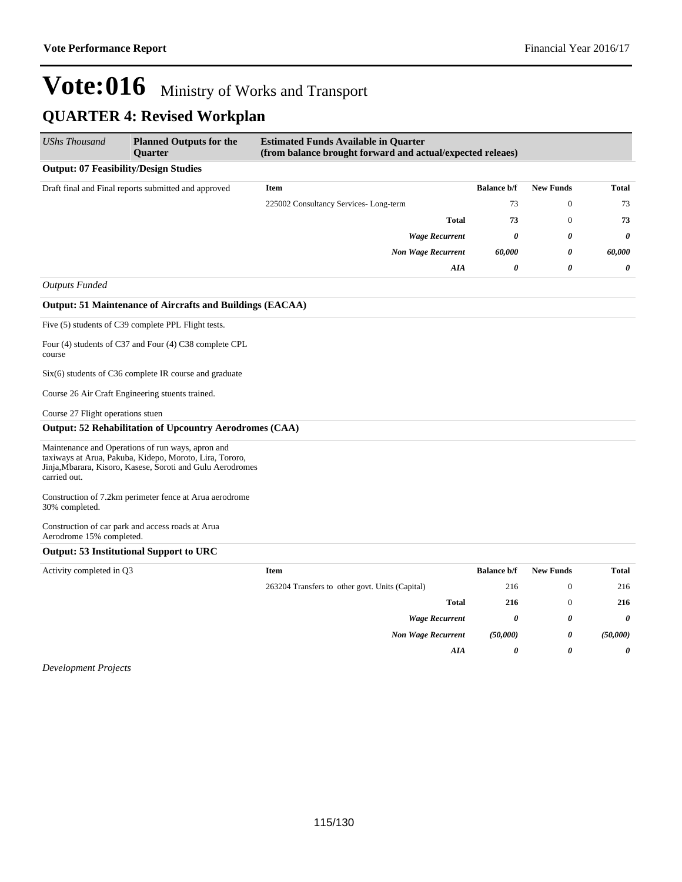*AIA 0 0 0*

### **Vote:016** Ministry of Works and Transport **QUARTER 4: Revised Workplan**

| <b>UShs Thousand</b>                         | <b>Planned Outputs for the</b><br><b>Ouarter</b>                                                                                                                           | <b>Estimated Funds Available in Quarter</b><br>(from balance brought forward and actual/expected releaes) |                       |                       |                       |
|----------------------------------------------|----------------------------------------------------------------------------------------------------------------------------------------------------------------------------|-----------------------------------------------------------------------------------------------------------|-----------------------|-----------------------|-----------------------|
| <b>Output: 07 Feasibility/Design Studies</b> |                                                                                                                                                                            |                                                                                                           |                       |                       |                       |
|                                              | Draft final and Final reports submitted and approved                                                                                                                       | <b>Item</b>                                                                                               | <b>Balance b/f</b>    | <b>New Funds</b>      | <b>Total</b>          |
|                                              |                                                                                                                                                                            | 225002 Consultancy Services-Long-term                                                                     | 73                    | $\mathbf{0}$          | 73                    |
|                                              |                                                                                                                                                                            | <b>Total</b>                                                                                              | 73                    | $\boldsymbol{0}$      | 73                    |
|                                              |                                                                                                                                                                            | <b>Wage Recurrent</b>                                                                                     | 0                     | 0                     | 0                     |
|                                              |                                                                                                                                                                            | <b>Non Wage Recurrent</b>                                                                                 | 60,000                | 0                     | 60,000                |
|                                              |                                                                                                                                                                            | <b>AIA</b>                                                                                                | $\boldsymbol{\theta}$ | $\boldsymbol{\theta}$ | 0                     |
| <b>Outputs Funded</b>                        |                                                                                                                                                                            |                                                                                                           |                       |                       |                       |
|                                              | <b>Output: 51 Maintenance of Aircrafts and Buildings (EACAA)</b>                                                                                                           |                                                                                                           |                       |                       |                       |
|                                              | Five (5) students of C39 complete PPL Flight tests.                                                                                                                        |                                                                                                           |                       |                       |                       |
| course                                       | Four (4) students of C37 and Four (4) C38 complete CPL                                                                                                                     |                                                                                                           |                       |                       |                       |
|                                              | $Six(6)$ students of C36 complete IR course and graduate                                                                                                                   |                                                                                                           |                       |                       |                       |
|                                              | Course 26 Air Craft Engineering stuents trained.                                                                                                                           |                                                                                                           |                       |                       |                       |
| Course 27 Flight operations stuen            |                                                                                                                                                                            |                                                                                                           |                       |                       |                       |
|                                              | <b>Output: 52 Rehabilitation of Upcountry Aerodromes (CAA)</b>                                                                                                             |                                                                                                           |                       |                       |                       |
| carried out.                                 | Maintenance and Operations of run ways, apron and<br>taxiways at Arua, Pakuba, Kidepo, Moroto, Lira, Tororo,<br>Jinja, Mbarara, Kisoro, Kasese, Soroti and Gulu Aerodromes |                                                                                                           |                       |                       |                       |
| 30% completed.                               | Construction of 7.2km perimeter fence at Arua aerodrome                                                                                                                    |                                                                                                           |                       |                       |                       |
| Aerodrome 15% completed.                     | Construction of car park and access roads at Arua                                                                                                                          |                                                                                                           |                       |                       |                       |
|                                              | Output: 53 Institutional Support to URC                                                                                                                                    |                                                                                                           |                       |                       |                       |
| Activity completed in Q3                     |                                                                                                                                                                            | <b>Item</b>                                                                                               | <b>Balance b/f</b>    | <b>New Funds</b>      | <b>Total</b>          |
|                                              |                                                                                                                                                                            | 263204 Transfers to other govt. Units (Capital)                                                           | 216                   | $\mathbf{0}$          | 216                   |
|                                              |                                                                                                                                                                            | <b>Total</b>                                                                                              | 216                   | $\theta$              | 216                   |
|                                              |                                                                                                                                                                            | <b>Wage Recurrent</b>                                                                                     | $\theta$              | 0                     | $\boldsymbol{\theta}$ |
|                                              |                                                                                                                                                                            | <b>Non Wage Recurrent</b>                                                                                 | (50,000)              | 0                     | (50,000)              |

*Development Projects*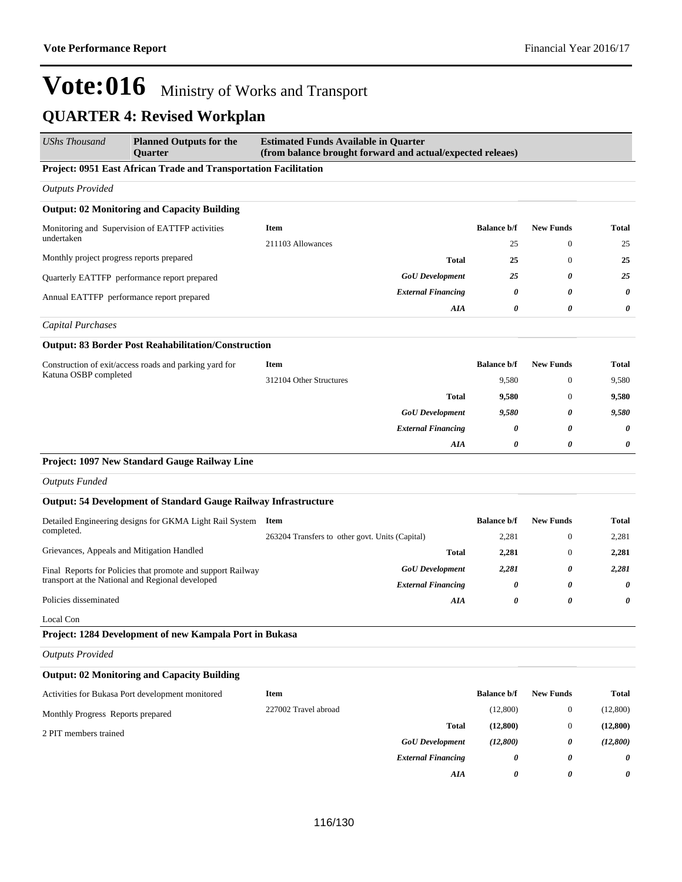*AIA 0 0 0*

| UShs Thousand                              | <b>Planned Outputs for the</b><br><b>Ouarter</b>                       | <b>Estimated Funds Available in Quarter</b><br>(from balance brought forward and actual/expected releaes) |                    |                       |              |
|--------------------------------------------|------------------------------------------------------------------------|-----------------------------------------------------------------------------------------------------------|--------------------|-----------------------|--------------|
|                                            | Project: 0951 East African Trade and Transportation Facilitation       |                                                                                                           |                    |                       |              |
| <b>Outputs Provided</b>                    |                                                                        |                                                                                                           |                    |                       |              |
|                                            | <b>Output: 02 Monitoring and Capacity Building</b>                     |                                                                                                           |                    |                       |              |
|                                            | Monitoring and Supervision of EATTFP activities                        | <b>Item</b>                                                                                               | <b>Balance b/f</b> | <b>New Funds</b>      | Total        |
| undertaken                                 |                                                                        | 211103 Allowances                                                                                         | 25                 | $\mathbf{0}$          | 25           |
| Monthly project progress reports prepared  |                                                                        | <b>Total</b>                                                                                              | 25                 | $\boldsymbol{0}$      | 25           |
|                                            | Quarterly EATTFP performance report prepared                           | <b>GoU</b> Development                                                                                    | 25                 | 0                     | 25           |
| Annual EATTFP performance report prepared  |                                                                        | <b>External Financing</b>                                                                                 | 0                  | 0                     | 0            |
|                                            |                                                                        | AIA                                                                                                       | 0                  | $\boldsymbol{\theta}$ | 0            |
| <b>Capital Purchases</b>                   |                                                                        |                                                                                                           |                    |                       |              |
|                                            | <b>Output: 83 Border Post Reahabilitation/Construction</b>             |                                                                                                           |                    |                       |              |
|                                            | Construction of exit/access roads and parking yard for                 | <b>Item</b>                                                                                               | <b>Balance b/f</b> | <b>New Funds</b>      | <b>Total</b> |
| Katuna OSBP completed                      | 312104 Other Structures                                                | 9,580                                                                                                     | $\mathbf{0}$       | 9,580                 |              |
|                                            |                                                                        | <b>Total</b>                                                                                              | 9,580              | $\theta$              | 9,580        |
|                                            |                                                                        | <b>GoU</b> Development                                                                                    | 9,580              | 0                     | 9,580        |
|                                            |                                                                        | <b>External Financing</b>                                                                                 | 0                  | 0                     | 0            |
|                                            |                                                                        | AIA                                                                                                       | 0                  | $\boldsymbol{\theta}$ | 0            |
|                                            | Project: 1097 New Standard Gauge Railway Line                          |                                                                                                           |                    |                       |              |
| <b>Outputs Funded</b>                      |                                                                        |                                                                                                           |                    |                       |              |
|                                            | <b>Output: 54 Development of Standard Gauge Railway Infrastructure</b> |                                                                                                           |                    |                       |              |
|                                            | Detailed Engineering designs for GKMA Light Rail System Item           |                                                                                                           | <b>Balance b/f</b> | <b>New Funds</b>      | Total        |
| completed.                                 |                                                                        | 263204 Transfers to other govt. Units (Capital)                                                           | 2,281              | $\mathbf{0}$          | 2,281        |
| Grievances, Appeals and Mitigation Handled |                                                                        | <b>Total</b>                                                                                              | 2,281              | $\mathbf{0}$          | 2,281        |
|                                            | Final Reports for Policies that promote and support Railway            | <b>GoU</b> Development                                                                                    | 2,281              | 0                     | 2,281        |
|                                            | transport at the National and Regional developed                       | <b>External Financing</b>                                                                                 | 0                  | 0                     | 0            |
| Policies disseminated                      |                                                                        | AIA                                                                                                       | 0                  | 0                     | 0            |
| Local Con                                  |                                                                        |                                                                                                           |                    |                       |              |
|                                            | Project: 1284 Development of new Kampala Port in Bukasa                |                                                                                                           |                    |                       |              |
| <b>Outputs Provided</b>                    |                                                                        |                                                                                                           |                    |                       |              |
|                                            | <b>Output: 02 Monitoring and Capacity Building</b>                     |                                                                                                           |                    |                       |              |
|                                            | Activities for Bukasa Port development monitored                       | <b>Item</b>                                                                                               | <b>Balance b/f</b> | <b>New Funds</b>      | <b>Total</b> |
| Monthly Progress Reports prepared          |                                                                        | 227002 Travel abroad                                                                                      | (12,800)           | $\mathbf{0}$          | (12,800)     |
| 2 PIT members trained                      |                                                                        | <b>Total</b>                                                                                              | (12, 800)          | $\mathbf{0}$          | (12, 800)    |
|                                            |                                                                        | <b>GoU</b> Development                                                                                    | (12,800)           | 0                     | (12,800)     |
|                                            |                                                                        | <b>External Financing</b>                                                                                 | 0                  | 0                     | 0            |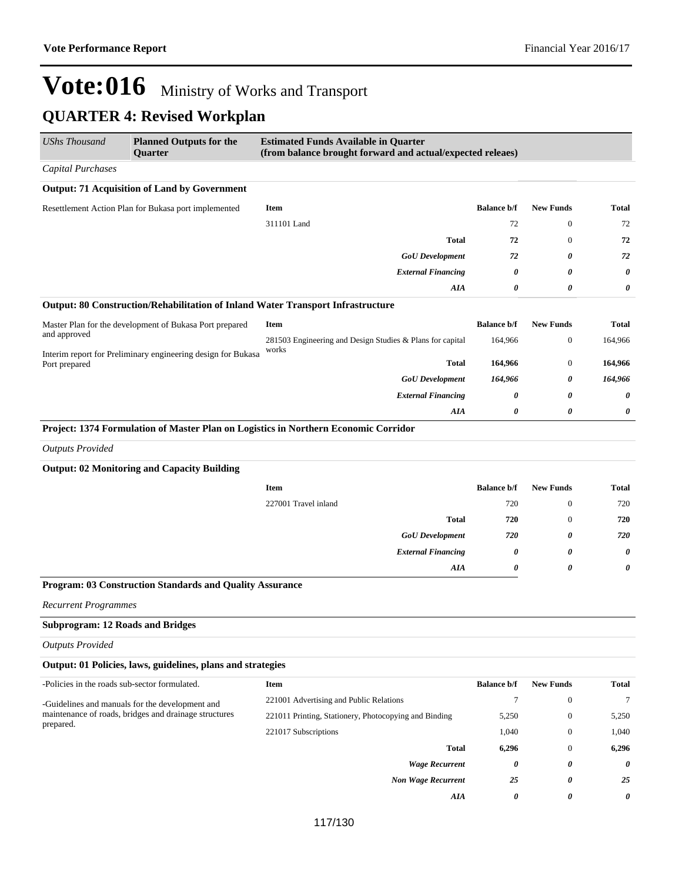$\overline{\phantom{0}}$ 

| UShs Thousand                                 | <b>Planned Outputs for the</b><br>Quarter                    | <b>Estimated Funds Available in Quarter</b><br>(from balance brought forward and actual/expected releaes) |                    |                  |                       |
|-----------------------------------------------|--------------------------------------------------------------|-----------------------------------------------------------------------------------------------------------|--------------------|------------------|-----------------------|
| <b>Capital Purchases</b>                      |                                                              |                                                                                                           |                    |                  |                       |
|                                               | <b>Output: 71 Acquisition of Land by Government</b>          |                                                                                                           |                    |                  |                       |
|                                               | Resettlement Action Plan for Bukasa port implemented         | <b>Item</b>                                                                                               | <b>Balance b/f</b> | <b>New Funds</b> | <b>Total</b>          |
|                                               |                                                              | 311101 Land                                                                                               | 72                 | $\boldsymbol{0}$ | 72                    |
|                                               |                                                              | <b>Total</b>                                                                                              | 72                 | $\mathbf{0}$     | 72                    |
|                                               |                                                              | <b>GoU</b> Development                                                                                    | 72                 | 0                | 72                    |
|                                               |                                                              | <b>External Financing</b>                                                                                 | 0                  | 0                | 0                     |
|                                               |                                                              | AIA                                                                                                       | 0                  | 0                | 0                     |
|                                               |                                                              | Output: 80 Construction/Rehabilitation of Inland Water Transport Infrastructure                           |                    |                  |                       |
|                                               | Master Plan for the development of Bukasa Port prepared      | Item                                                                                                      | <b>Balance b/f</b> | <b>New Funds</b> | <b>Total</b>          |
| and approved                                  |                                                              | 281503 Engineering and Design Studies & Plans for capital<br>works                                        | 164,966            | $\boldsymbol{0}$ | 164,966               |
| Port prepared                                 | Interim report for Preliminary engineering design for Bukasa | Total                                                                                                     | 164,966            | $\boldsymbol{0}$ | 164,966               |
|                                               |                                                              | <b>GoU</b> Development                                                                                    | 164,966            | 0                | 164,966               |
|                                               |                                                              | <b>External Financing</b>                                                                                 | 0                  | 0                | 0                     |
|                                               |                                                              | AIA                                                                                                       | 0                  | 0                | 0                     |
|                                               |                                                              | Project: 1374 Formulation of Master Plan on Logistics in Northern Economic Corridor                       |                    |                  |                       |
| <b>Outputs Provided</b>                       |                                                              |                                                                                                           |                    |                  |                       |
|                                               | <b>Output: 02 Monitoring and Capacity Building</b>           |                                                                                                           |                    |                  |                       |
|                                               |                                                              | <b>Item</b>                                                                                               | <b>Balance b/f</b> | <b>New Funds</b> | <b>Total</b>          |
|                                               |                                                              | 227001 Travel inland                                                                                      | 720                | $\boldsymbol{0}$ | 720                   |
|                                               |                                                              | <b>Total</b>                                                                                              | 720                | $\boldsymbol{0}$ | 720                   |
|                                               |                                                              | <b>GoU</b> Development                                                                                    | 720                | 0                | 720                   |
|                                               |                                                              | <b>External Financing</b>                                                                                 | 0                  | 0                | $\boldsymbol{\theta}$ |
|                                               |                                                              | AIA                                                                                                       | 0                  | 0                | 0                     |
|                                               | Program: 03 Construction Standards and Quality Assurance     |                                                                                                           |                    |                  |                       |
| <b>Recurrent Programmes</b>                   |                                                              |                                                                                                           |                    |                  |                       |
| <b>Subprogram: 12 Roads and Bridges</b>       |                                                              |                                                                                                           |                    |                  |                       |
| <b>Outputs Provided</b>                       |                                                              |                                                                                                           |                    |                  |                       |
|                                               | Output: 01 Policies, laws, guidelines, plans and strategies  |                                                                                                           |                    |                  |                       |
| -Policies in the roads sub-sector formulated. |                                                              | Item                                                                                                      | <b>Balance b/f</b> | <b>New Funds</b> | <b>Total</b>          |
|                                               | -Guidelines and manuals for the development and              | 221001 Advertising and Public Relations                                                                   | $\tau$             | $\boldsymbol{0}$ | $\tau$                |
|                                               | maintenance of roads, bridges and drainage structures        | 221011 Printing, Stationery, Photocopying and Binding                                                     | 5,250              | $\boldsymbol{0}$ | 5,250                 |
| prepared.                                     |                                                              | 221017 Subscriptions                                                                                      | 1,040              | $\boldsymbol{0}$ | 1,040                 |
|                                               |                                                              | <b>Total</b>                                                                                              | 6,296              | $\mathbf{0}$     | 6,296                 |
|                                               |                                                              | <b>Wage Recurrent</b>                                                                                     | 0                  | 0                | 0                     |
|                                               |                                                              | <b>Non Wage Recurrent</b>                                                                                 | 25                 | 0                | 25                    |
|                                               |                                                              | AIA                                                                                                       | 0                  | 0                | 0                     |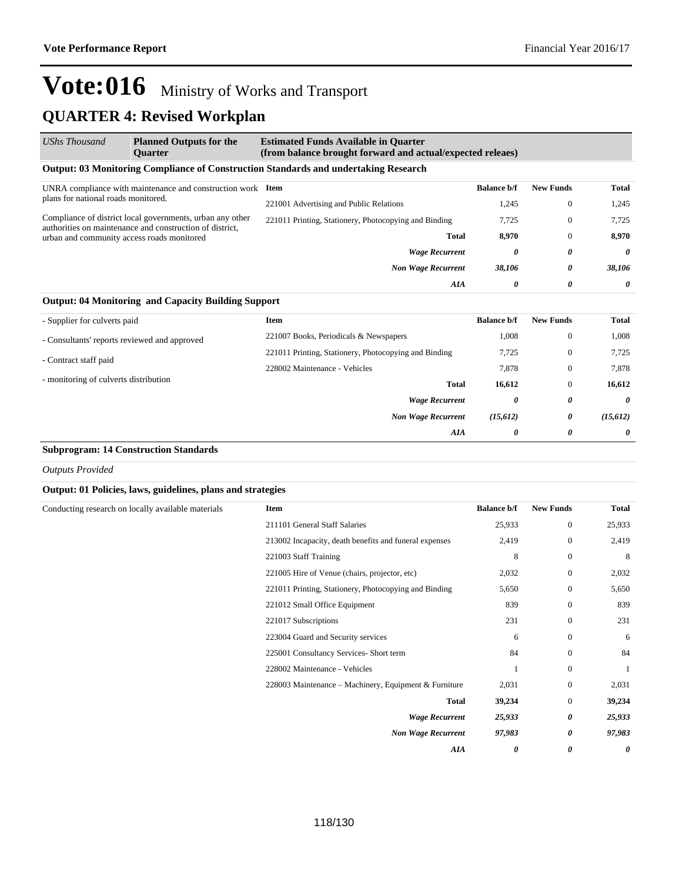#### **Output: 03 Monitoring Compliance of Construction Standards and undertaking Research** UNRA compliance with maintenance and construction work plans for national roads monitored. Compliance of district local governments, urban any other authorities on maintenance and construction of district, urban and community access roads monitored **Item Balance b/f New Funds Total** 221001 Advertising and Public Relations 1,245 0 1,245 221011 Printing, Stationery, Photocopying and Binding 7,725 0 7,725 **Total 8,970** 0 **8,970** *Wage Recurrent 0 0 0 Non Wage Recurrent 38,106 0 38,106 AIA 0 0 0 UShs Thousand* **Planned Outputs for the Quarter Estimated Funds Available in Quarter (from balance brought forward and actual/expected releaes)**

### **Output: 04 Monitoring and Capacity Building Support**

| - Supplier for culverts paid                 | <b>Item</b>                                           | <b>Balance b/f</b> | <b>New Funds</b>      | <b>Total</b> |
|----------------------------------------------|-------------------------------------------------------|--------------------|-----------------------|--------------|
| - Consultants' reports reviewed and approved | 221007 Books, Periodicals & Newspapers                | 1,008              | $\mathbf{0}$          | 1,008        |
| - Contract staff paid                        | 221011 Printing, Stationery, Photocopying and Binding | 7,725              | $\mathbf{0}$          | 7,725        |
|                                              | 228002 Maintenance - Vehicles                         | 7,878              | $\mathbf{0}$          | 7,878        |
| - monitoring of culverts distribution        | <b>Total</b>                                          | 16,612             | $\mathbf{0}$          | 16,612       |
|                                              | <b>Wage Recurrent</b>                                 | 0                  | 0                     | 0            |
|                                              | <b>Non Wage Recurrent</b>                             | (15, 612)          | 0                     | (15, 612)    |
|                                              | AIA                                                   | 0                  | $\boldsymbol{\theta}$ | $\theta$     |

#### **Subprogram: 14 Construction Standards**

*Outputs Provided*

#### **Output: 01 Policies, laws, guidelines, plans and strategies**

| Conducting research on locally available materials | Item                                                   | <b>Balance b/f</b> | <b>New Funds</b> | <b>Total</b> |
|----------------------------------------------------|--------------------------------------------------------|--------------------|------------------|--------------|
|                                                    | 211101 General Staff Salaries                          | 25,933             | $\boldsymbol{0}$ | 25,933       |
|                                                    | 213002 Incapacity, death benefits and funeral expenses | 2,419              | $\boldsymbol{0}$ | 2,419        |
|                                                    | 221003 Staff Training                                  | 8                  | $\boldsymbol{0}$ | 8            |
|                                                    | 221005 Hire of Venue (chairs, projector, etc)          | 2,032              | $\bf{0}$         | 2,032        |
|                                                    | 221011 Printing, Stationery, Photocopying and Binding  | 5,650              | $\boldsymbol{0}$ | 5,650        |
|                                                    | 221012 Small Office Equipment                          | 839                | $\mathbf{0}$     | 839          |
|                                                    | 221017 Subscriptions                                   | 231                | $\boldsymbol{0}$ | 231          |
|                                                    | 223004 Guard and Security services                     | 6                  | $\mathbf{0}$     | 6            |
|                                                    | 225001 Consultancy Services- Short term                | 84                 | $\mathbf{0}$     | 84           |
|                                                    | 228002 Maintenance - Vehicles                          |                    | $\boldsymbol{0}$ |              |
|                                                    | 228003 Maintenance - Machinery, Equipment & Furniture  | 2,031              | $\boldsymbol{0}$ | 2,031        |
|                                                    | <b>Total</b>                                           | 39,234             | $\bf{0}$         | 39,234       |
|                                                    | <b>Wage Recurrent</b>                                  | 25,933             | 0                | 25,933       |
|                                                    | <b>Non Wage Recurrent</b>                              | 97,983             | 0                | 97,983       |
|                                                    | AIA                                                    | 0                  | 0                | 0            |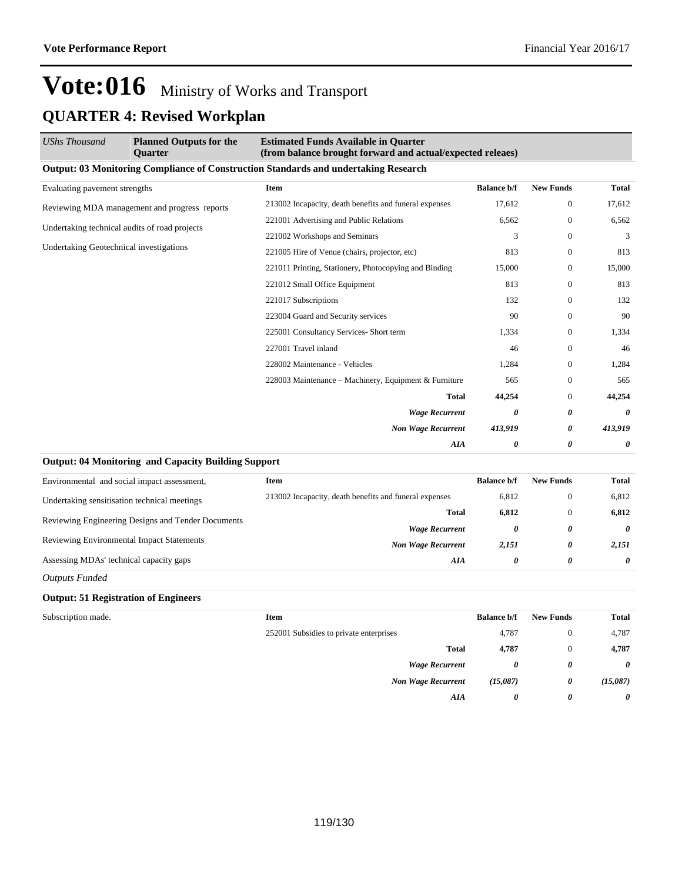| <b>UShs Thousand</b>                          | <b>Planned Outputs for the</b><br><b>Ouarter</b>       | <b>Estimated Funds Available in Quarter</b><br>(from balance brought forward and actual/expected releaes) |                    |                  |              |
|-----------------------------------------------|--------------------------------------------------------|-----------------------------------------------------------------------------------------------------------|--------------------|------------------|--------------|
|                                               |                                                        | <b>Output: 03 Monitoring Compliance of Construction Standards and undertaking Research</b>                |                    |                  |              |
| Evaluating pavement strengths                 |                                                        | Item                                                                                                      | <b>Balance b/f</b> | <b>New Funds</b> | <b>Total</b> |
| Reviewing MDA management and progress reports | 213002 Incapacity, death benefits and funeral expenses | 17,612                                                                                                    | $\boldsymbol{0}$   | 17,612           |              |
| Undertaking technical audits of road projects |                                                        | 221001 Advertising and Public Relations                                                                   | 6,562              | $\mathbf{0}$     | 6,562        |
|                                               |                                                        | 221002 Workshops and Seminars                                                                             | 3                  | $\mathbf{0}$     | 3            |
| Undertaking Geotechnical investigations       |                                                        | 221005 Hire of Venue (chairs, projector, etc)                                                             | 813                | $\mathbf{0}$     | 813          |
|                                               |                                                        | 221011 Printing, Stationery, Photocopying and Binding                                                     | 15,000             | $\Omega$         | 15,000       |
|                                               |                                                        | 221012 Small Office Equipment                                                                             | 813                | $\mathbf{0}$     | 813          |
|                                               |                                                        | 221017 Subscriptions                                                                                      | 132                | $\mathbf{0}$     | 132          |
|                                               |                                                        | 223004 Guard and Security services                                                                        | 90                 | $\mathbf{0}$     | 90           |
|                                               |                                                        | 225001 Consultancy Services- Short term                                                                   | 1,334              | $\mathbf{0}$     | 1,334        |
|                                               |                                                        | 227001 Travel inland                                                                                      | 46                 | $\mathbf{0}$     | 46           |
|                                               |                                                        | 228002 Maintenance - Vehicles                                                                             | 1,284              | $\mathbf{0}$     | 1,284        |
|                                               |                                                        | 228003 Maintenance – Machinery, Equipment & Furniture                                                     | 565                | $\Omega$         | 565          |
|                                               |                                                        | <b>Total</b>                                                                                              | 44,254             | $\boldsymbol{0}$ | 44,254       |
|                                               |                                                        | <b>Wage Recurrent</b>                                                                                     | 0                  | 0                | 0            |
|                                               |                                                        | <b>Non Wage Recurrent</b>                                                                                 | 413,919            | 0                | 413,919      |
|                                               |                                                        | AIA                                                                                                       | 0                  | 0                | 0            |

#### **Output: 04 Monitoring and Capacity Building Support**

| Environmental and social impact assessment,        | Item                                                   | <b>Balance b/f</b> | <b>New Funds</b> | Total |
|----------------------------------------------------|--------------------------------------------------------|--------------------|------------------|-------|
| Undertaking sensitisation technical meetings       | 213002 Incapacity, death benefits and funeral expenses | 6.812              |                  | 6,812 |
| Reviewing Engineering Designs and Tender Documents | Total                                                  | 6.812              |                  | 6,812 |
|                                                    | <b>Wage Recurrent</b>                                  | 0                  | 0                | 0     |
| <b>Reviewing Environmental Impact Statements</b>   | <b>Non Wage Recurrent</b>                              | 2,151              | 0                | 2.151 |
| Assessing MDAs' technical capacity gaps            | AIA                                                    | 0                  | 0                | 0     |

*Outputs Funded*

#### **Output: 51 Registration of Engineers**

| <b>Item</b>                             | <b>Balance b/f</b> | <b>New Funds</b> | <b>Total</b>          |
|-----------------------------------------|--------------------|------------------|-----------------------|
| 252001 Subsidies to private enterprises | 4,787              | $\theta$         | 4,787                 |
| <b>Total</b>                            | 4,787              | $\theta$         | 4,787                 |
| <b>Wage Recurrent</b>                   | 0                  | 0                | $\boldsymbol{\theta}$ |
| <b>Non Wage Recurrent</b>               | (15,087)           | 0                | (15,087)              |
| AIA                                     | 0                  | 0                | $\boldsymbol{\theta}$ |
|                                         |                    |                  |                       |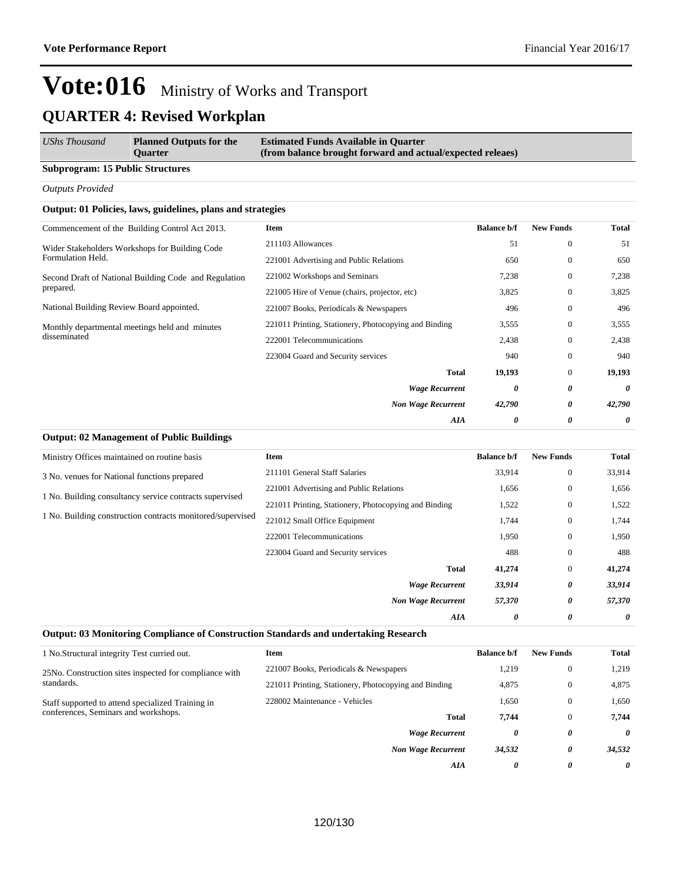| UShs Thousand                           | <b>Planned Outputs for the</b><br>Ouarter | <b>Estimated Funds Available in Quarter</b><br>(from balance brought forward and actual/expected releaes) |
|-----------------------------------------|-------------------------------------------|-----------------------------------------------------------------------------------------------------------|
| <b>Subprogram: 15 Public Structures</b> |                                           |                                                                                                           |

*Outputs Provided*

#### **Output: 01 Policies, laws, guidelines, plans and strategies**

**Output: 02 Management of Public Buildings**

| Commencement of the Building Control Act 2013.                      | <b>Item</b>                                           | <b>Balance b/f</b> | <b>New Funds</b> | <b>Total</b> |
|---------------------------------------------------------------------|-------------------------------------------------------|--------------------|------------------|--------------|
| Wider Stakeholders Workshops for Building Code<br>Formulation Held. | 211103 Allowances                                     | 51                 | $\mathbf{0}$     | 51           |
|                                                                     | 221001 Advertising and Public Relations               | 650                | $\mathbf{0}$     | 650          |
| Second Draft of National Building Code and Regulation               | 221002 Workshops and Seminars                         | 7,238              | $\mathbf{0}$     | 7,238        |
| prepared.                                                           | 221005 Hire of Venue (chairs, projector, etc)         | 3,825              | $\mathbf{0}$     | 3,825        |
| National Building Review Board appointed.                           | 221007 Books, Periodicals & Newspapers                | 496                | $\mathbf{0}$     | 496          |
| Monthly departmental meetings held and minutes                      | 221011 Printing, Stationery, Photocopying and Binding | 3,555              | $\mathbf{0}$     | 3,555        |
| disseminated                                                        | 222001 Telecommunications                             | 2,438              | $\mathbf{0}$     | 2,438        |
|                                                                     | 223004 Guard and Security services                    | 940                | $\mathbf{0}$     | 940          |
|                                                                     | <b>Total</b>                                          | 19,193             | $\mathbf{0}$     | 19,193       |
|                                                                     | <b>Wage Recurrent</b>                                 | 0                  | 0                | 0            |
|                                                                     | <b>Non Wage Recurrent</b>                             | 42,790             | 0                | 42,790       |
|                                                                     | AIA                                                   | 0                  | 0                | 0            |
|                                                                     |                                                       |                    |                  |              |

| Ministry Offices maintained on routine basis               | Item                                                  | <b>Balance b/f</b> | <b>New Funds</b> | <b>Total</b> |
|------------------------------------------------------------|-------------------------------------------------------|--------------------|------------------|--------------|
| 3 No. venues for National functions prepared               | 211101 General Staff Salaries                         | 33,914             | $\boldsymbol{0}$ | 33,914       |
| 1 No. Building consultancy service contracts supervised    | 221001 Advertising and Public Relations               | 1,656              | $\mathbf{0}$     | 1,656        |
|                                                            | 221011 Printing, Stationery, Photocopying and Binding | 1,522              | $\mathbf{0}$     | 1,522        |
| 1 No. Building construction contracts monitored/supervised | 221012 Small Office Equipment                         |                    | $\mathbf{0}$     | 1,744        |
|                                                            | 222001 Telecommunications                             | 1,950              | $\mathbf{0}$     | 1,950        |
|                                                            | 223004 Guard and Security services                    | 488                | $\mathbf{0}$     | 488          |
|                                                            | Total                                                 | 41,274             | $\mathbf{0}$     | 41,274       |
|                                                            | <b>Wage Recurrent</b>                                 | 33,914             | 0                | 33,914       |
|                                                            | <b>Non Wage Recurrent</b>                             | 57,370             | 0                | 57,370       |
|                                                            | AIA                                                   | 0                  | 0                | 0            |

#### **Output: 03 Monitoring Compliance of Construction Standards and undertaking Research**

| 1 No. Structural integrity Test curried out.           | Item                                                  | <b>Balance b/f</b> | <b>New Funds</b>                 | Total  |
|--------------------------------------------------------|-------------------------------------------------------|--------------------|----------------------------------|--------|
| 25No. Construction sites inspected for compliance with | 221007 Books, Periodicals & Newspapers                | 1,219              | $\theta$                         | 1,219  |
| standards.                                             | 221011 Printing, Stationery, Photocopying and Binding | 4,875              | $\theta$<br>$\theta$<br>$\theta$ | 4,875  |
| Staff supported to attend specialized Training in      | 228002 Maintenance - Vehicles                         | 1.650              |                                  | 1,650  |
| conferences, Seminars and workshops.                   | Total                                                 | 7.744              |                                  | 7.744  |
|                                                        | <b>Wage Recurrent</b>                                 | 0                  | 0                                | 0      |
|                                                        | <b>Non Wage Recurrent</b>                             | 34.532             | 0                                | 34,532 |
|                                                        | AIA                                                   | 0                  | 0                                | 0      |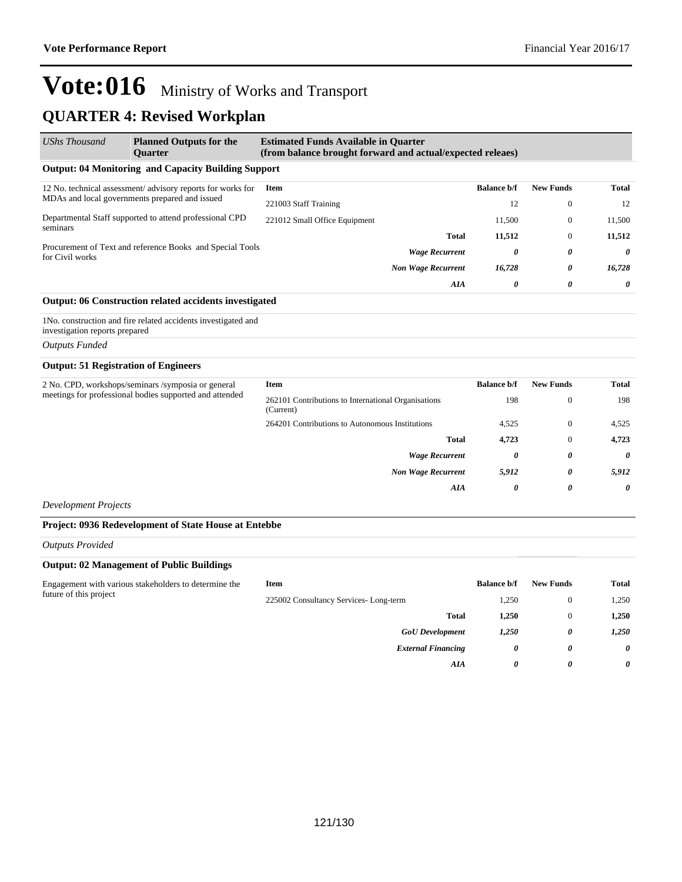### **QUARTER 4: Revised Workplan**

| <b>UShs Thousand</b>                                                         | <b>Planned Outputs for the</b><br><b>Ouarter</b>              | <b>Estimated Funds Available in Quarter</b><br>(from balance brought forward and actual/expected releaes) |                           |                    |                  |          |
|------------------------------------------------------------------------------|---------------------------------------------------------------|-----------------------------------------------------------------------------------------------------------|---------------------------|--------------------|------------------|----------|
|                                                                              | <b>Output: 04 Monitoring and Capacity Building Support</b>    |                                                                                                           |                           |                    |                  |          |
|                                                                              | 12 No. technical assessment/advisory reports for works for    | Item                                                                                                      |                           | <b>Balance b/f</b> | <b>New Funds</b> | Total    |
| MDAs and local governments prepared and issued                               | 221003 Staff Training                                         |                                                                                                           | 12                        | $\theta$           | 12               |          |
| Departmental Staff supported to attend professional CPD                      | 221012 Small Office Equipment                                 |                                                                                                           | 11.500                    | $\Omega$           | 11,500           |          |
| seminars                                                                     |                                                               |                                                                                                           | <b>Total</b>              | 11,512             | $\theta$         | 11,512   |
| Procurement of Text and reference Books and Special Tools<br>for Civil works |                                                               | <b>Wage Recurrent</b>                                                                                     | 0                         | 0                  | $\theta$         |          |
|                                                                              |                                                               |                                                                                                           | <b>Non Wage Recurrent</b> | 16,728             | $\theta$         | 16,728   |
|                                                                              |                                                               |                                                                                                           | AIA                       | 0                  | 0                | $\theta$ |
|                                                                              | <b>Output: 06 Construction related accidents investigated</b> |                                                                                                           |                           |                    |                  |          |

1No. construction and fire related accidents investigated and investigation reports prepared

#### *Outputs Funded*

#### **Output: 51 Registration of Engineers**

| 2 No. CPD, workshops/seminars /symposia or general<br>meetings for professional bodies supported and attended | Item                                                             | <b>Balance b/f</b>    | <b>New Funds</b> | <b>Total</b> |
|---------------------------------------------------------------------------------------------------------------|------------------------------------------------------------------|-----------------------|------------------|--------------|
|                                                                                                               | 262101 Contributions to International Organisations<br>(Current) | 198                   | $\overline{0}$   | 198          |
|                                                                                                               | 264201 Contributions to Autonomous Institutions                  | 4,525                 | $\theta$         | 4,525        |
|                                                                                                               | <b>Total</b>                                                     | 4.723                 | $\overline{0}$   | 4,723        |
|                                                                                                               | <b>Wage Recurrent</b>                                            | $\boldsymbol{\theta}$ | 0                | 0            |
|                                                                                                               | <b>Non Wage Recurrent</b>                                        | 5,912                 | 0                | 5,912        |
|                                                                                                               | AIA                                                              | 0                     | 0                | 0            |

*Development Projects*

#### **Project: 0936 Redevelopment of State House at Entebbe**

#### *Outputs Provided*

#### **Output: 02 Management of Public Buildings**

| Engagement with various stakeholders to determine the<br>future of this project | Item                                  | <b>Balance b/f</b> | <b>New Funds</b> | <b>Total</b> |
|---------------------------------------------------------------------------------|---------------------------------------|--------------------|------------------|--------------|
|                                                                                 | 225002 Consultancy Services-Long-term | 1,250              | 0                | 1,250        |
|                                                                                 | <b>Total</b>                          | 1.250              |                  | 1.250        |
|                                                                                 | <b>GoU</b> Development                | 1,250              | 0                | 1,250        |
|                                                                                 | <b>External Financing</b>             | 0                  | 0                | 0            |
|                                                                                 | AIA                                   | 0                  | 0                | 0            |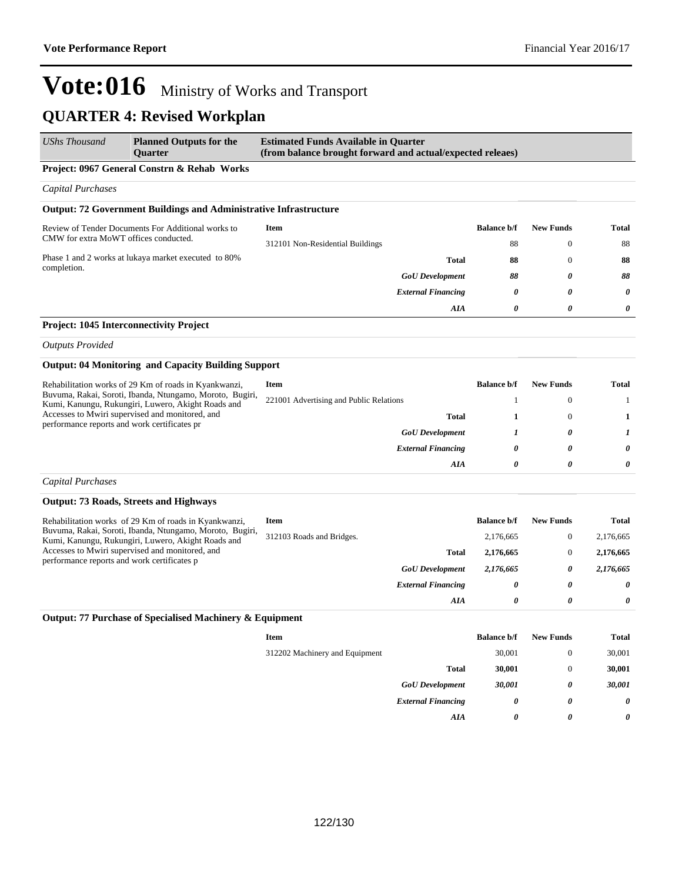| <b>UShs Thousand</b>                                                                            | <b>Planned Outputs for the</b><br><b>Ouarter</b>                                                               | <b>Estimated Funds Available in Quarter</b><br>(from balance brought forward and actual/expected releaes) |                    |                  |              |
|-------------------------------------------------------------------------------------------------|----------------------------------------------------------------------------------------------------------------|-----------------------------------------------------------------------------------------------------------|--------------------|------------------|--------------|
|                                                                                                 | Project: 0967 General Constrn & Rehab Works                                                                    |                                                                                                           |                    |                  |              |
| <b>Capital Purchases</b>                                                                        |                                                                                                                |                                                                                                           |                    |                  |              |
|                                                                                                 | <b>Output: 72 Government Buildings and Administrative Infrastructure</b>                                       |                                                                                                           |                    |                  |              |
|                                                                                                 | Review of Tender Documents For Additional works to                                                             | <b>Item</b>                                                                                               | <b>Balance b/f</b> | <b>New Funds</b> | <b>Total</b> |
| CMW for extra MoWT offices conducted.                                                           |                                                                                                                | 312101 Non-Residential Buildings                                                                          | 88                 | $\mathbf{0}$     | 88           |
|                                                                                                 | Phase 1 and 2 works at lukaya market executed to 80%                                                           | <b>Total</b>                                                                                              | 88                 | $\mathbf{0}$     | 88           |
| completion.                                                                                     |                                                                                                                | <b>GoU</b> Development                                                                                    | 88                 | 0                | 88           |
|                                                                                                 |                                                                                                                | <b>External Financing</b>                                                                                 | 0                  | 0                | 0            |
|                                                                                                 |                                                                                                                | AIA                                                                                                       | 0                  | $\theta$         | 0            |
| Project: 1045 Interconnectivity Project                                                         |                                                                                                                |                                                                                                           |                    |                  |              |
| <b>Outputs Provided</b>                                                                         |                                                                                                                |                                                                                                           |                    |                  |              |
|                                                                                                 | <b>Output: 04 Monitoring and Capacity Building Support</b>                                                     |                                                                                                           |                    |                  |              |
|                                                                                                 | Rehabilitation works of 29 Km of roads in Kyankwanzi,                                                          | <b>Item</b>                                                                                               | <b>Balance b/f</b> | <b>New Funds</b> | Total        |
|                                                                                                 | Buvuma, Rakai, Soroti, Ibanda, Ntungamo, Moroto, Bugiri,<br>Kumi, Kanungu, Rukungiri, Luwero, Akight Roads and | 221001 Advertising and Public Relations                                                                   | 1                  | $\boldsymbol{0}$ | -1           |
| Accesses to Mwiri supervised and monitored, and<br>performance reports and work certificates pr | Total                                                                                                          | 1                                                                                                         | $\mathbf{0}$       | 1                |              |
|                                                                                                 | <b>GoU</b> Development                                                                                         | 1                                                                                                         | 0                  | 1                |              |
|                                                                                                 |                                                                                                                | <b>External Financing</b>                                                                                 | 0                  | 0                | $\theta$     |
|                                                                                                 |                                                                                                                | AIA                                                                                                       | 0                  | 0                | 0            |
| <b>Capital Purchases</b>                                                                        |                                                                                                                |                                                                                                           |                    |                  |              |
|                                                                                                 | <b>Output: 73 Roads, Streets and Highways</b>                                                                  |                                                                                                           |                    |                  |              |
|                                                                                                 | Rehabilitation works of 29 Km of roads in Kyankwanzi,                                                          | <b>Item</b>                                                                                               | <b>Balance b/f</b> | <b>New Funds</b> | <b>Total</b> |
|                                                                                                 | Buvuma, Rakai, Soroti, Ibanda, Ntungamo, Moroto, Bugiri,<br>Kumi, Kanungu, Rukungiri, Luwero, Akight Roads and | 312103 Roads and Bridges.                                                                                 | 2,176,665          | $\boldsymbol{0}$ | 2,176,665    |
| performance reports and work certificates p                                                     | Accesses to Mwiri supervised and monitored, and                                                                | Total                                                                                                     | 2,176,665          | $\boldsymbol{0}$ | 2,176,665    |
|                                                                                                 |                                                                                                                | <b>GoU</b> Development                                                                                    | 2,176,665          | 0                | 2,176,665    |
|                                                                                                 |                                                                                                                | <b>External Financing</b>                                                                                 | 0                  | 0                | 0            |
|                                                                                                 |                                                                                                                | AIA                                                                                                       | 0                  | 0                | 0            |
|                                                                                                 | Output: 77 Purchase of Specialised Machinery & Equipment                                                       |                                                                                                           |                    |                  |              |
|                                                                                                 |                                                                                                                | Item                                                                                                      | <b>Balance b/f</b> | <b>New Funds</b> | <b>Total</b> |
|                                                                                                 |                                                                                                                | 312202 Machinery and Equipment                                                                            | 30,001             | $\boldsymbol{0}$ | 30,001       |
|                                                                                                 |                                                                                                                | <b>Total</b>                                                                                              | 30,001             | $\boldsymbol{0}$ | 30,001       |
|                                                                                                 |                                                                                                                | <b>GoU</b> Development                                                                                    | 30,001             | 0                | 30,001       |
|                                                                                                 |                                                                                                                | <b>External Financing</b>                                                                                 | 0                  | 0                | 0            |
|                                                                                                 |                                                                                                                | AIA                                                                                                       | 0                  | 0                | 0            |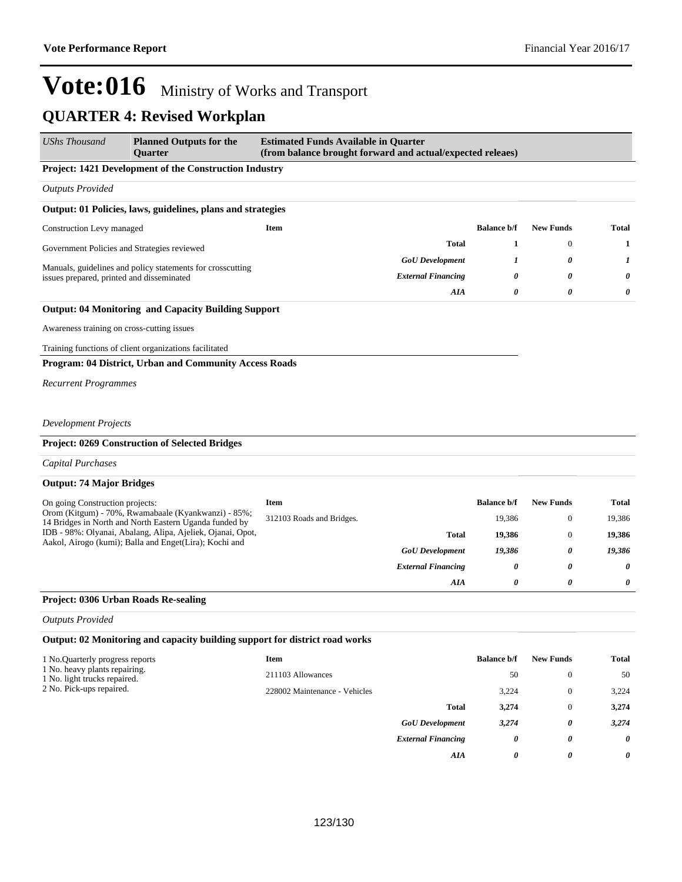| UShs Thousand                                                 | <b>Planned Outputs for the</b><br>Quarter                                                                     | <b>Estimated Funds Available in Quarter</b><br>(from balance brought forward and actual/expected releaes) |                           |                    |                  |              |
|---------------------------------------------------------------|---------------------------------------------------------------------------------------------------------------|-----------------------------------------------------------------------------------------------------------|---------------------------|--------------------|------------------|--------------|
|                                                               | Project: 1421 Development of the Construction Industry                                                        |                                                                                                           |                           |                    |                  |              |
| <b>Outputs Provided</b>                                       |                                                                                                               |                                                                                                           |                           |                    |                  |              |
|                                                               | Output: 01 Policies, laws, guidelines, plans and strategies                                                   |                                                                                                           |                           |                    |                  |              |
| Construction Levy managed                                     |                                                                                                               | Item                                                                                                      |                           | <b>Balance b/f</b> | <b>New Funds</b> | <b>Total</b> |
| Government Policies and Strategies reviewed                   |                                                                                                               |                                                                                                           | <b>Total</b>              | 1                  | $\boldsymbol{0}$ | 1            |
| Manuals, guidelines and policy statements for crosscutting    |                                                                                                               | <b>GoU</b> Development                                                                                    | 1                         | 0                  | 1                |              |
| issues prepared, printed and disseminated                     |                                                                                                               |                                                                                                           | <b>External Financing</b> | 0                  | 0                | 0            |
|                                                               |                                                                                                               |                                                                                                           | AIA                       | 0                  | 0                | 0            |
|                                                               | <b>Output: 04 Monitoring and Capacity Building Support</b>                                                    |                                                                                                           |                           |                    |                  |              |
| Awareness training on cross-cutting issues                    |                                                                                                               |                                                                                                           |                           |                    |                  |              |
|                                                               | Training functions of client organizations facilitated                                                        |                                                                                                           |                           |                    |                  |              |
|                                                               | Program: 04 District, Urban and Community Access Roads                                                        |                                                                                                           |                           |                    |                  |              |
| <b>Recurrent Programmes</b>                                   |                                                                                                               |                                                                                                           |                           |                    |                  |              |
|                                                               |                                                                                                               |                                                                                                           |                           |                    |                  |              |
| <b>Development Projects</b>                                   |                                                                                                               |                                                                                                           |                           |                    |                  |              |
|                                                               | Project: 0269 Construction of Selected Bridges                                                                |                                                                                                           |                           |                    |                  |              |
| <b>Capital Purchases</b>                                      |                                                                                                               |                                                                                                           |                           |                    |                  |              |
| <b>Output: 74 Major Bridges</b>                               |                                                                                                               |                                                                                                           |                           |                    |                  |              |
| On going Construction projects:                               |                                                                                                               | Item                                                                                                      |                           | <b>Balance b/f</b> | <b>New Funds</b> | Total        |
|                                                               | Orom (Kitgum) - 70%, Rwamabaale (Kyankwanzi) - 85%;<br>14 Bridges in North and North Eastern Uganda funded by | 312103 Roads and Bridges.                                                                                 |                           | 19,386             | $\mathbf{0}$     | 19,386       |
|                                                               | IDB - 98%: Olyanai, Abalang, Alipa, Ajeliek, Ojanai, Opot,                                                    |                                                                                                           | <b>Total</b>              | 19,386             | 0                | 19,386       |
|                                                               | Aakol, Airogo (kumi); Balla and Enget(Lira); Kochi and                                                        |                                                                                                           | <b>GoU</b> Development    | 19,386             | 0                | 19,386       |
|                                                               |                                                                                                               |                                                                                                           | <b>External Financing</b> | 0                  | 0                | 0            |
|                                                               |                                                                                                               |                                                                                                           | AIA                       | 0                  | 0                | 0            |
| Project: 0306 Urban Roads Re-sealing                          |                                                                                                               |                                                                                                           |                           |                    |                  |              |
| <b>Outputs Provided</b>                                       |                                                                                                               |                                                                                                           |                           |                    |                  |              |
|                                                               | Output: 02 Monitoring and capacity building support for district road works                                   |                                                                                                           |                           |                    |                  |              |
| 1 No. Quarterly progress reports                              |                                                                                                               | <b>Item</b>                                                                                               |                           | <b>Balance b/f</b> | <b>New Funds</b> | <b>Total</b> |
| 1 No. heavy plants repairing.<br>1 No. light trucks repaired. |                                                                                                               | 211103 Allowances                                                                                         |                           | 50                 | $\boldsymbol{0}$ | 50           |
| 2 No. Pick-ups repaired.                                      |                                                                                                               | 228002 Maintenance - Vehicles                                                                             |                           | 3,224              | $\boldsymbol{0}$ | 3,224        |
|                                                               |                                                                                                               |                                                                                                           | <b>Total</b>              | 3,274              | $\boldsymbol{0}$ | 3,274        |
|                                                               |                                                                                                               |                                                                                                           | <b>GoU</b> Development    | 3,274              | 0                | 3,274        |
|                                                               |                                                                                                               |                                                                                                           | <b>External Financing</b> | 0                  | 0                | 0            |
|                                                               |                                                                                                               |                                                                                                           | AIA                       | 0                  | 0                | 0            |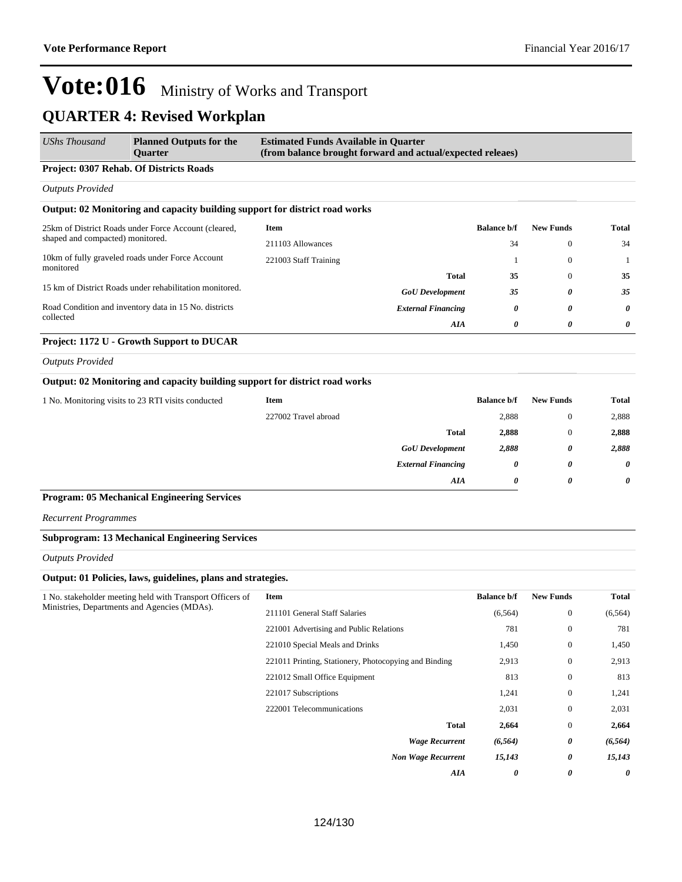| UShs Thousand                                                      | <b>Planned Outputs for the</b><br><b>Ouarter</b>                            | <b>Estimated Funds Available in Quarter</b><br>(from balance brought forward and actual/expected releaes) |                           |                    |                  |       |
|--------------------------------------------------------------------|-----------------------------------------------------------------------------|-----------------------------------------------------------------------------------------------------------|---------------------------|--------------------|------------------|-------|
|                                                                    | <b>Project: 0307 Rehab. Of Districts Roads</b>                              |                                                                                                           |                           |                    |                  |       |
| <b>Outputs Provided</b>                                            |                                                                             |                                                                                                           |                           |                    |                  |       |
|                                                                    | Output: 02 Monitoring and capacity building support for district road works |                                                                                                           |                           |                    |                  |       |
| 25km of District Roads under Force Account (cleared,               |                                                                             | Item                                                                                                      |                           | <b>Balance b/f</b> | <b>New Funds</b> | Total |
| shaped and compacted) monitored.                                   |                                                                             | 211103 Allowances                                                                                         |                           | 34                 | $\Omega$         | 34    |
|                                                                    | 10km of fully graveled roads under Force Account                            | 221003 Staff Training                                                                                     |                           |                    | $\Omega$         |       |
| monitored                                                          |                                                                             |                                                                                                           | Total                     | 35                 | $\Omega$         | 35    |
|                                                                    | 15 km of District Roads under rehabilitation monitored.                     |                                                                                                           | <b>GoU</b> Development    | 35                 | 0                | 35    |
| Road Condition and inventory data in 15 No. districts<br>collected |                                                                             |                                                                                                           | <b>External Financing</b> | 0                  | 0                | 0     |
|                                                                    |                                                                             |                                                                                                           | <b>AIA</b>                | 0                  | 0                | 0     |
|                                                                    | Project: 1172 U - Growth Support to DUCAR                                   |                                                                                                           |                           |                    |                  |       |

*Outputs Provided*

#### **Output: 02 Monitoring and capacity building support for district road works**

| 1 No. Monitoring visits to 23 RTI visits conducted | Item                 |                           | <b>Balance b/f</b> | <b>New Funds</b> | <b>Total</b> |
|----------------------------------------------------|----------------------|---------------------------|--------------------|------------------|--------------|
|                                                    | 227002 Travel abroad |                           | 2,888              |                  | 2,888        |
|                                                    |                      | Total                     | 2,888              |                  | 2,888        |
|                                                    |                      | <b>GoU</b> Development    | 2,888              | 0                | 2,888        |
|                                                    |                      | <b>External Financing</b> | 0                  | 0                | $\theta$     |
|                                                    |                      | AIA                       | 0                  | 0                | $\theta$     |

#### **Program: 05 Mechanical Engineering Services**

*Recurrent Programmes*

#### **Subprogram: 13 Mechanical Engineering Services**

*Outputs Provided*

#### **Output: 01 Policies, laws, guidelines, plans and strategies.**

| 1 No. stakeholder meeting held with Transport Officers of | Item                                                  | <b>Balance b/f</b> | <b>New Funds</b> | <b>Total</b> |
|-----------------------------------------------------------|-------------------------------------------------------|--------------------|------------------|--------------|
| Ministries, Departments and Agencies (MDAs).              | 211101 General Staff Salaries                         | (6, 564)           | $\mathbf{0}$     | (6, 564)     |
|                                                           | 221001 Advertising and Public Relations               | 781                | $\mathbf{0}$     | 781          |
|                                                           | 221010 Special Meals and Drinks                       | 1,450              | $\mathbf{0}$     | 1,450        |
|                                                           | 221011 Printing, Stationery, Photocopying and Binding | 2,913              | $\mathbf{0}$     | 2,913        |
|                                                           | 221012 Small Office Equipment                         | 813                | $\mathbf{0}$     | 813          |
|                                                           | 221017 Subscriptions                                  | 1,241              | $\mathbf{0}$     | 1,241        |
|                                                           | 222001 Telecommunications                             | 2,031              | $\mathbf{0}$     | 2,031        |
|                                                           | <b>Total</b>                                          | 2,664              | $\mathbf{0}$     | 2,664        |
|                                                           | <b>Wage Recurrent</b>                                 | (6, 564)           | 0                | (6, 564)     |
|                                                           | <b>Non Wage Recurrent</b>                             | 15,143             | 0                | 15,143       |
|                                                           | AIA                                                   | 0                  | 0                | 0            |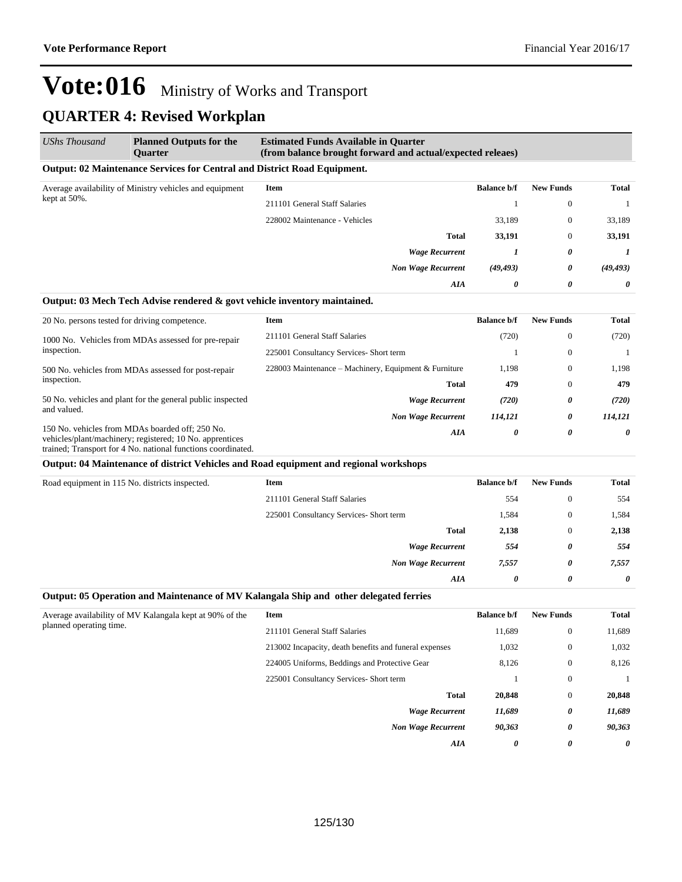| <b>UShs Thousand</b>                                                    | <b>Planned Outputs for the</b><br><b>Ouarter</b>                                | <b>Estimated Funds Available in Quarter</b><br>(from balance brought forward and actual/expected releaes) |                  |                |              |  |
|-------------------------------------------------------------------------|---------------------------------------------------------------------------------|-----------------------------------------------------------------------------------------------------------|------------------|----------------|--------------|--|
|                                                                         | <b>Output: 02 Maintenance Services for Central and District Road Equipment.</b> |                                                                                                           |                  |                |              |  |
| Average availability of Ministry vehicles and equipment<br>kept at 50%. | <b>Item</b>                                                                     | <b>Balance b/f</b>                                                                                        | <b>New Funds</b> | <b>Total</b>   |              |  |
|                                                                         |                                                                                 | 211101 General Staff Salaries                                                                             |                  | $\mathbf{0}$   | $\mathbf{1}$ |  |
|                                                                         |                                                                                 | 228002 Maintenance - Vehicles                                                                             | 33,189           | $\mathbf{0}$   | 33,189       |  |
|                                                                         |                                                                                 | Total                                                                                                     | 33,191           | $\overline{0}$ | 33,191       |  |
|                                                                         |                                                                                 | <b>Wage Recurrent</b>                                                                                     |                  | 0              | 1            |  |
|                                                                         |                                                                                 | <b>Non Wage Recurrent</b>                                                                                 | (49, 493)        | 0              | (49, 493)    |  |
|                                                                         |                                                                                 | AIA                                                                                                       | 0                | 0              | $\theta$     |  |

#### **Output: 03 Mech Tech Advise rendered & govt vehicle inventory maintained.**

| 20 No. persons tested for driving competence.                                                                                                                               | Item                                                  | <b>Balance b/f</b> | <b>New Funds</b> | Total   |
|-----------------------------------------------------------------------------------------------------------------------------------------------------------------------------|-------------------------------------------------------|--------------------|------------------|---------|
| 1000 No. Vehicles from MDAs assessed for pre-repair<br>inspection.                                                                                                          | 211101 General Staff Salaries                         | (720)              | $\theta$         | (720)   |
|                                                                                                                                                                             | 225001 Consultancy Services- Short term               |                    | $\mathbf{0}$     |         |
| 500 No. vehicles from MDAs assessed for post-repair<br>inspection.                                                                                                          | 228003 Maintenance – Machinery, Equipment & Furniture | 1,198              | $\mathbf{0}$     | 1,198   |
|                                                                                                                                                                             | <b>Total</b>                                          | 479                | $\mathbf{0}$     | 479     |
| 50 No. vehicles and plant for the general public inspected                                                                                                                  | <b>Wage Recurrent</b>                                 | (720)              | 0                | (720)   |
| and valued.                                                                                                                                                                 | <b>Non Wage Recurrent</b>                             | 114,121            | 0                | 114.121 |
| 150 No. vehicles from MDAs boarded off; 250 No.<br>vehicles/plant/machinery; registered; 10 No. apprentices<br>trained; Transport for 4 No. national functions coordinated. | AIA                                                   | 0                  | 0                | 0       |

#### **Output: 04 Maintenance of district Vehicles and Road equipment and regional workshops**

| Road equipment in 115 No. districts inspected. | <b>Item</b>                             | <b>Balance b/f</b> | <b>New Funds</b> | <b>Total</b> |
|------------------------------------------------|-----------------------------------------|--------------------|------------------|--------------|
|                                                | 211101 General Staff Salaries           | 554                | $\mathbf{0}$     | 554          |
|                                                | 225001 Consultancy Services- Short term | 1,584              | $\mathbf{0}$     | 1,584        |
|                                                | <b>Total</b>                            | 2,138              | $\mathbf{0}$     | 2,138        |
|                                                | <b>Wage Recurrent</b>                   | 554                | 0                | 554          |
|                                                | <b>Non Wage Recurrent</b>               | 7,557              | 0                | 7,557        |
|                                                | AIA                                     | 0                  | 0                | $\theta$     |
|                                                |                                         |                    |                  |              |

#### **Output: 05 Operation and Maintenance of MV Kalangala Ship and other delegated ferries**

| Average availability of MV Kalangala kept at 90% of the<br>planned operating time. | <b>Item</b>                                            | <b>Balance b/f</b> | <b>New Funds</b> | <b>Total</b> |
|------------------------------------------------------------------------------------|--------------------------------------------------------|--------------------|------------------|--------------|
|                                                                                    | 211101 General Staff Salaries                          | 11,689             | $\mathbf{0}$     | 11,689       |
|                                                                                    | 213002 Incapacity, death benefits and funeral expenses | 1,032              | $\mathbf{0}$     | 1,032        |
|                                                                                    | 224005 Uniforms, Beddings and Protective Gear          | 8,126              | $\mathbf{0}$     | 8,126        |
|                                                                                    | 225001 Consultancy Services- Short term                |                    | $\mathbf{0}$     |              |
|                                                                                    | <b>Total</b>                                           | 20,848             | $\mathbf{0}$     | 20,848       |
|                                                                                    | <b>Wage Recurrent</b>                                  | 11,689             | 0                | 11,689       |
|                                                                                    | <b>Non Wage Recurrent</b>                              | 90,363             | 0                | 90,363       |
|                                                                                    | AIA                                                    | 0                  | 0                | 0            |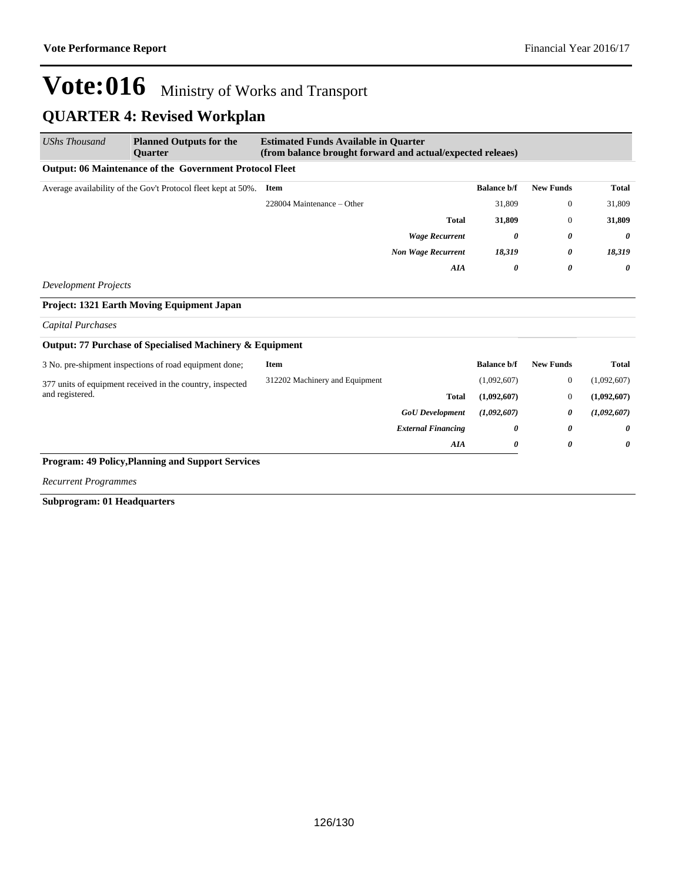| <b>UShs Thousand</b>        | <b>Planned Outputs for the</b><br><b>Ouarter</b>              | <b>Estimated Funds Available in Quarter</b><br>(from balance brought forward and actual/expected releaes) |                           |                    |                  |              |
|-----------------------------|---------------------------------------------------------------|-----------------------------------------------------------------------------------------------------------|---------------------------|--------------------|------------------|--------------|
|                             | Output: 06 Maintenance of the Government Protocol Fleet       |                                                                                                           |                           |                    |                  |              |
|                             | Average availability of the Gov't Protocol fleet kept at 50%. | <b>Item</b>                                                                                               |                           | <b>Balance b/f</b> | <b>New Funds</b> | <b>Total</b> |
|                             |                                                               | 228004 Maintenance - Other                                                                                |                           | 31,809             | $\mathbf{0}$     | 31,809       |
|                             |                                                               |                                                                                                           | <b>Total</b>              | 31,809             | $\mathbf{0}$     | 31,809       |
|                             |                                                               |                                                                                                           | <b>Wage Recurrent</b>     | 0                  | 0                | 0            |
|                             |                                                               |                                                                                                           | <b>Non Wage Recurrent</b> | 18,319             | 0                | 18,319       |
|                             |                                                               |                                                                                                           | <b>AIA</b>                | 0                  | 0                | 0            |
| <b>Development Projects</b> |                                                               |                                                                                                           |                           |                    |                  |              |
|                             | <b>Project: 1321 Earth Moving Equipment Japan</b>             |                                                                                                           |                           |                    |                  |              |
| <b>Capital Purchases</b>    |                                                               |                                                                                                           |                           |                    |                  |              |
|                             | Output: 77 Purchase of Specialised Machinery & Equipment      |                                                                                                           |                           |                    |                  |              |
|                             | 3 No. pre-shipment inspections of road equipment done;        | <b>Item</b>                                                                                               |                           | <b>Balance b/f</b> | <b>New Funds</b> | <b>Total</b> |
|                             | 377 units of equipment received in the country, inspected     | 312202 Machinery and Equipment                                                                            |                           | (1,092,607)        | $\mathbf{0}$     | (1,092,607)  |
| and registered.             |                                                               |                                                                                                           | <b>Total</b>              | (1,092,607)        | $\mathbf{0}$     | (1,092,607)  |
|                             |                                                               |                                                                                                           | <b>GoU</b> Development    | (1,092,607)        | 0                | (1,092,607)  |
|                             |                                                               |                                                                                                           | <b>External Financing</b> | 0                  | 0                | 0            |
|                             |                                                               |                                                                                                           | AIA                       | 0                  | 0                | 0            |
|                             | <b>Program: 49 Policy, Planning and Support Services</b>      |                                                                                                           |                           |                    |                  |              |
| <b>Recurrent Programmes</b> |                                                               |                                                                                                           |                           |                    |                  |              |

**Subprogram: 01 Headquarters**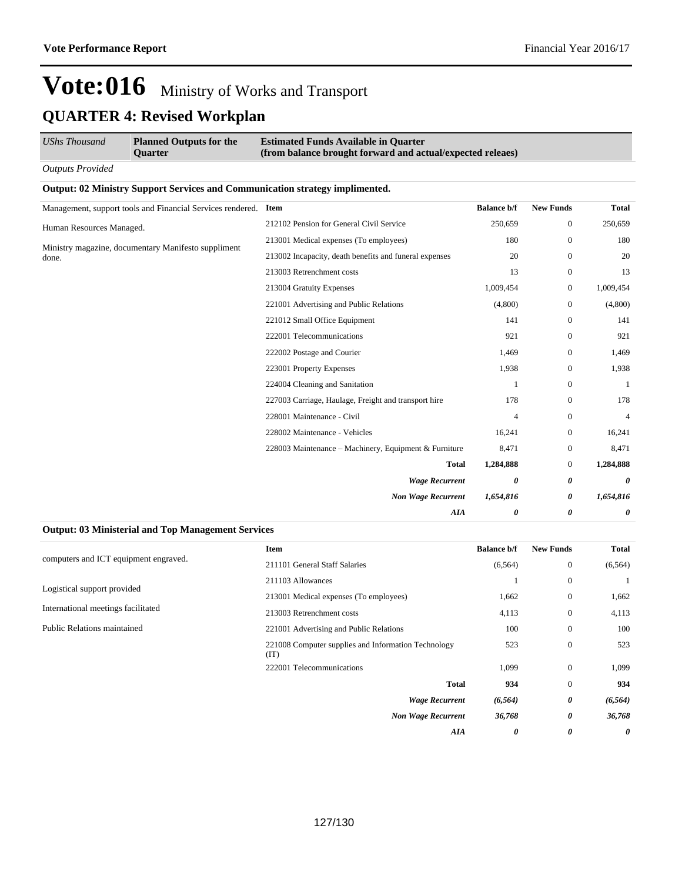| <b>UShs Thousand</b>                                | <b>Planned Outputs for the</b><br><b>Ouarter</b>                                    | <b>Estimated Funds Available in Quarter</b><br>(from balance brought forward and actual/expected releaes) |                    |                  |              |
|-----------------------------------------------------|-------------------------------------------------------------------------------------|-----------------------------------------------------------------------------------------------------------|--------------------|------------------|--------------|
| <b>Outputs Provided</b>                             |                                                                                     |                                                                                                           |                    |                  |              |
|                                                     | <b>Output: 02 Ministry Support Services and Communication strategy implimented.</b> |                                                                                                           |                    |                  |              |
|                                                     | Management, support tools and Financial Services rendered.                          | Item                                                                                                      | <b>Balance b/f</b> | <b>New Funds</b> | <b>Total</b> |
| Human Resources Managed.                            |                                                                                     | 212102 Pension for General Civil Service                                                                  | 250,659            | $\mathbf{0}$     | 250,659      |
| Ministry magazine, documentary Manifesto suppliment | 213001 Medical expenses (To employees)                                              | 180                                                                                                       | $\mathbf{0}$       | 180              |              |
| done.                                               |                                                                                     | 213002 Incapacity, death benefits and funeral expenses                                                    | 20                 | $\mathbf{0}$     | 20           |
|                                                     |                                                                                     | 213003 Retrenchment costs                                                                                 | 13                 | $\mathbf{0}$     | 13           |
|                                                     | 213004 Gratuity Expenses                                                            | 1,009,454                                                                                                 | $\boldsymbol{0}$   | 1,009,454        |              |
|                                                     |                                                                                     | 221001 Advertising and Public Relations                                                                   | (4,800)            | $\mathbf{0}$     | (4,800)      |
|                                                     |                                                                                     | 221012 Small Office Equipment                                                                             | 141                | $\mathbf{0}$     | 141          |
|                                                     |                                                                                     | 222001 Telecommunications                                                                                 | 921                | $\mathbf{0}$     | 921          |
|                                                     |                                                                                     | 222002 Postage and Courier                                                                                | 1,469              | $\mathbf{0}$     | 1,469        |
|                                                     |                                                                                     | 223001 Property Expenses                                                                                  | 1,938              | $\boldsymbol{0}$ | 1,938        |
|                                                     |                                                                                     | 224004 Cleaning and Sanitation                                                                            | 1                  | $\mathbf{0}$     |              |
|                                                     |                                                                                     | 227003 Carriage, Haulage, Freight and transport hire                                                      | 178                | $\boldsymbol{0}$ | 178          |
|                                                     |                                                                                     | 228001 Maintenance - Civil                                                                                | 4                  | $\mathbf{0}$     | 4            |
|                                                     |                                                                                     | 228002 Maintenance - Vehicles                                                                             | 16,241             | $\mathbf{0}$     | 16,241       |
|                                                     |                                                                                     | 228003 Maintenance – Machinery, Equipment & Furniture                                                     | 8,471              | $\boldsymbol{0}$ | 8,471        |
|                                                     |                                                                                     | <b>Total</b>                                                                                              | 1,284,888          | $\mathbf{0}$     | 1,284,888    |
|                                                     |                                                                                     | <b>Wage Recurrent</b>                                                                                     | 0                  | 0                | 0            |
|                                                     |                                                                                     | <b>Non Wage Recurrent</b>                                                                                 | 1,654,816          | 0                | 1,654,816    |
|                                                     |                                                                                     | <b>AIA</b>                                                                                                | 0                  | 0                | 0            |

#### **Output: 03 Ministerial and Top Management Services**

|                                       | <b>Item</b>                                                 | <b>Balance b/f</b> | <b>New Funds</b> | <b>Total</b> |
|---------------------------------------|-------------------------------------------------------------|--------------------|------------------|--------------|
| computers and ICT equipment engraved. | 211101 General Staff Salaries                               | (6, 564)           | $\bf{0}$         | (6, 564)     |
| Logistical support provided           | 211103 Allowances                                           |                    | $\bf{0}$         |              |
|                                       | 213001 Medical expenses (To employees)                      | 1,662              | $\bf{0}$         | 1,662        |
| International meetings facilitated    | 213003 Retrenchment costs                                   | 4,113              | $\bf{0}$         | 4,113        |
| Public Relations maintained           | 221001 Advertising and Public Relations                     | 100                | $\mathbf{0}$     | 100          |
|                                       | 221008 Computer supplies and Information Technology<br>(TT) | 523                | $\mathbf{0}$     | 523          |
|                                       | 222001 Telecommunications                                   | 1,099              | $\mathbf{0}$     | 1,099        |
|                                       | <b>Total</b>                                                | 934                | $\mathbf{0}$     | 934          |
|                                       | <b>Wage Recurrent</b>                                       | (6, 564)           | 0                | (6, 564)     |
|                                       | <b>Non Wage Recurrent</b>                                   | 36,768             | 0                | 36,768       |
|                                       | AIA                                                         | 0                  | 0                | 0            |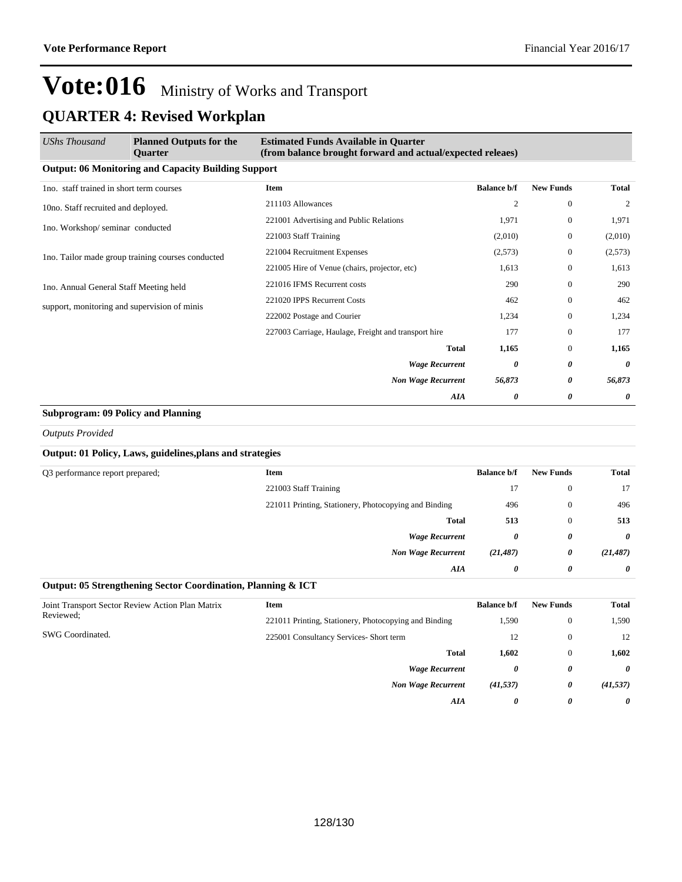| <b>UShs Thousand</b>                              | <b>Planned Outputs for the</b><br><b>Ouarter</b>           | <b>Estimated Funds Available in Quarter</b><br>(from balance brought forward and actual/expected releaes) |                    |                  |                |
|---------------------------------------------------|------------------------------------------------------------|-----------------------------------------------------------------------------------------------------------|--------------------|------------------|----------------|
|                                                   | <b>Output: 06 Monitoring and Capacity Building Support</b> |                                                                                                           |                    |                  |                |
| 1no. staff trained in short term courses          |                                                            | Item                                                                                                      | <b>Balance b/f</b> | <b>New Funds</b> | Total          |
| 10no. Staff recruited and deployed.               |                                                            | 211103 Allowances                                                                                         | $\overline{c}$     | $\overline{0}$   | $\overline{2}$ |
| 1no. Workshop/seminar conducted                   |                                                            | 221001 Advertising and Public Relations                                                                   | 1,971              | $\mathbf{0}$     | 1,971          |
|                                                   |                                                            | 221003 Staff Training                                                                                     | (2,010)            | $\mathbf{0}$     | (2,010)        |
| Ino. Tailor made group training courses conducted | 221004 Recruitment Expenses                                | (2,573)                                                                                                   | $\mathbf{0}$       | (2,573)          |                |
|                                                   |                                                            | 221005 Hire of Venue (chairs, projector, etc)                                                             | 1,613              | $\mathbf{0}$     | 1,613          |
| 1no. Annual General Staff Meeting held            |                                                            | 221016 IFMS Recurrent costs                                                                               | 290                | $\Omega$         | 290            |
| support, monitoring and supervision of minis      |                                                            | 221020 IPPS Recurrent Costs                                                                               | 462                | $\mathbf{0}$     | 462            |
|                                                   |                                                            | 222002 Postage and Courier                                                                                | 1,234              | $\mathbf{0}$     | 1,234          |
|                                                   |                                                            | 227003 Carriage, Haulage, Freight and transport hire                                                      | 177                | $\mathbf{0}$     | 177            |
|                                                   |                                                            | <b>Total</b>                                                                                              | 1,165              | $\mathbf{0}$     | 1,165          |
|                                                   |                                                            | <b>Wage Recurrent</b>                                                                                     | 0                  | 0                | 0              |
|                                                   |                                                            | <b>Non Wage Recurrent</b>                                                                                 | 56,873             | 0                | 56,873         |
|                                                   |                                                            | AIA                                                                                                       | 0                  | 0                | 0              |

#### **Subprogram: 09 Policy and Planning**

*Outputs Provided*

### **Output: 01 Policy, Laws, guidelines,plans and strategies**

| Q3 performance report prepared; | <b>Item</b>                                           | <b>Balance b/f</b> | <b>New Funds</b> | <b>Total</b> |
|---------------------------------|-------------------------------------------------------|--------------------|------------------|--------------|
|                                 | 221003 Staff Training                                 | 17                 | $\mathbf{0}$     | 17           |
|                                 | 221011 Printing, Stationery, Photocopying and Binding | 496                | $\mathbf{0}$     | 496          |
|                                 | <b>Total</b>                                          | 513                | $\mathbf{0}$     | 513          |
|                                 | <b>Wage Recurrent</b>                                 | 0                  | 0                | 0            |
|                                 | <b>Non Wage Recurrent</b>                             | (21, 487)          | 0                | (21, 487)    |
|                                 | AIA                                                   | 0                  | 0                | 0            |

#### **Output: 05 Strengthening Sector Coordination, Planning & ICT**

| Joint Transport Sector Review Action Plan Matrix<br>Reviewed: | Item                                                  | <b>Balance b/f</b> | <b>New Funds</b> | <b>Total</b> |
|---------------------------------------------------------------|-------------------------------------------------------|--------------------|------------------|--------------|
|                                                               | 221011 Printing, Stationery, Photocopying and Binding | 1,590              | $\bf{0}$         | 1,590        |
| SWG Coordinated.                                              | 225001 Consultancy Services- Short term               | 12                 | $\theta$         | 12           |
|                                                               | <b>Total</b>                                          | 1,602              | $\theta$         | 1,602        |
|                                                               | <b>Wage Recurrent</b>                                 | 0                  | 0                | 0            |
|                                                               | <b>Non Wage Recurrent</b>                             | (41, 537)          | 0                | (41, 537)    |
|                                                               | AIA                                                   | 0                  | 0                | 0            |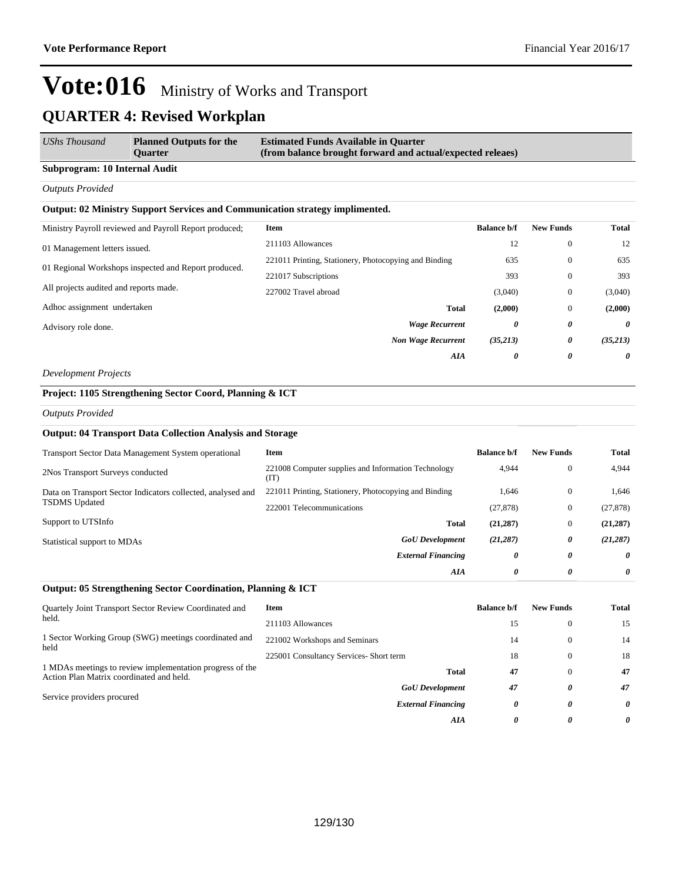| UShs Thousand                 | <b>Planned Outputs for the</b><br>Ouarter | <b>Estimated Funds Available in Quarter</b><br>(from balance brought forward and actual/expected releaes) |  |  |
|-------------------------------|-------------------------------------------|-----------------------------------------------------------------------------------------------------------|--|--|
| Subprogram: 10 Internal Audit |                                           |                                                                                                           |  |  |

#### *Outputs Provided*

#### **Output: 02 Ministry Support Services and Communication strategy implimented.**

| Ministry Payroll reviewed and Payroll Report produced; | <b>Item</b>                                           | <b>Balance b/f</b> | <b>New Funds</b> | <b>Total</b> |
|--------------------------------------------------------|-------------------------------------------------------|--------------------|------------------|--------------|
| 01 Management letters issued.                          | 211103 Allowances                                     | 12                 | $\mathbf{0}$     | 12           |
|                                                        | 221011 Printing, Stationery, Photocopying and Binding | 635                | $\mathbf{0}$     | 635          |
| 01 Regional Workshops inspected and Report produced.   | 221017 Subscriptions                                  | 393                | $\mathbf{0}$     | 393          |
| All projects audited and reports made.                 | 227002 Travel abroad                                  | (3,040)            | $\mathbf{0}$     | (3,040)      |
| Adhoc assignment undertaken                            | <b>Total</b>                                          | (2,000)            | $\mathbf{0}$     | (2,000)      |
| Advisory role done.                                    | <b>Wage Recurrent</b>                                 | 0                  | 0                | 0            |
|                                                        | <b>Non Wage Recurrent</b>                             | (35,213)           | 0                | (35,213)     |
|                                                        | AIA                                                   | 0                  | 0                | $\theta$     |

#### *Development Projects*

### **Project: 1105 Strengthening Sector Coord, Planning & ICT**

*Outputs Provided*

#### **Output: 04 Transport Data Collection Analysis and Storage**

| <b>Transport Sector Data Management System operational</b>                          | Item                                                        | <b>Balance b/f</b> | <b>New Funds</b> | <b>Total</b> |
|-------------------------------------------------------------------------------------|-------------------------------------------------------------|--------------------|------------------|--------------|
| 2Nos Transport Surveys conducted                                                    | 221008 Computer supplies and Information Technology<br>(IT) | 4,944              | $\overline{0}$   | 4,944        |
| Data on Transport Sector Indicators collected, analysed and<br><b>TSDMS</b> Updated | 221011 Printing, Stationery, Photocopying and Binding       | 1,646              | $\overline{0}$   | 1,646        |
|                                                                                     | 222001 Telecommunications                                   | (27, 878)          | $\overline{0}$   | (27, 878)    |
| Support to UTSInfo                                                                  | <b>Total</b>                                                | (21, 287)          | $\overline{0}$   | (21, 287)    |
| Statistical support to MDAs                                                         | <b>GoU</b> Development                                      | (21, 287)          | 0                | (21, 287)    |
|                                                                                     | <b>External Financing</b>                                   | 0                  | 0                | 0            |
|                                                                                     | AIA                                                         | 0                  | 0                | 0            |

#### **Output: 05 Strengthening Sector Coordination, Planning & ICT**

| Quartely Joint Transport Sector Review Coordinated and<br>held.                                      | Item                                    | <b>Balance b/f</b> | <b>New Funds</b> | <b>Total</b> |
|------------------------------------------------------------------------------------------------------|-----------------------------------------|--------------------|------------------|--------------|
|                                                                                                      | 211103 Allowances                       | 15                 | $\theta$         | 15           |
| 1 Sector Working Group (SWG) meetings coordinated and<br>held                                        | 221002 Workshops and Seminars           | 14                 | $\Omega$         | 14           |
|                                                                                                      | 225001 Consultancy Services- Short term | 18                 | $\Omega$         | 18           |
| 1 MDAs meetings to review implementation progress of the<br>Action Plan Matrix coordinated and held. | <b>Total</b>                            | 47                 | $\Omega$         | 47           |
| Service providers procured                                                                           | <b>GoU</b> Development                  | 47                 | 0                | 47           |
|                                                                                                      | <b>External Financing</b>               | 0                  | 0                | 0            |
|                                                                                                      | AIA                                     | $\theta$           | 0                | 0            |